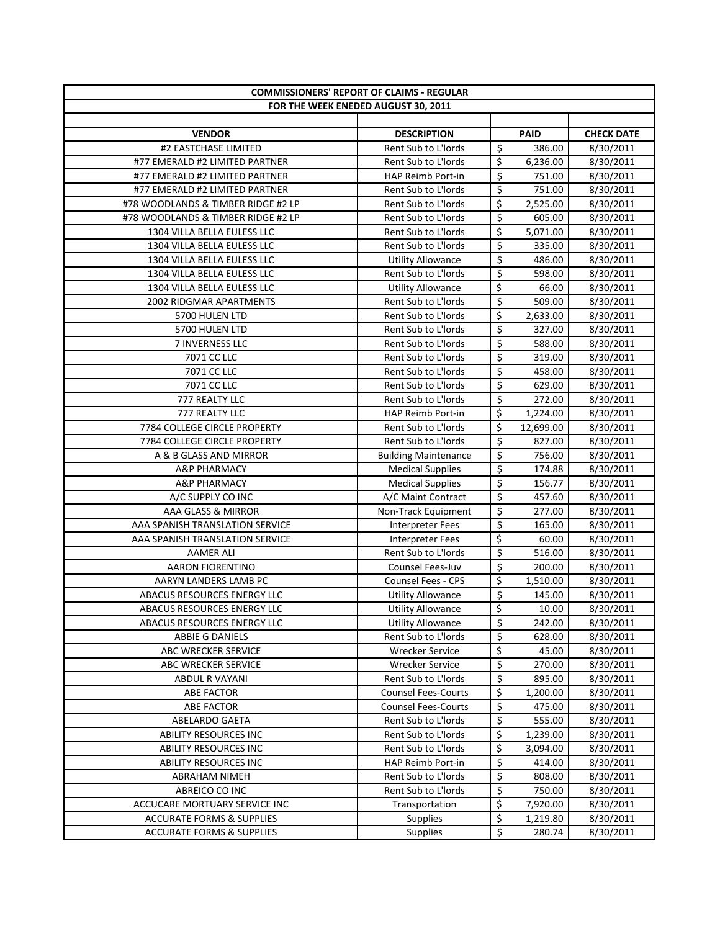| <b>COMMISSIONERS' REPORT OF CLAIMS - REGULAR</b> |                                     |                          |             |                   |
|--------------------------------------------------|-------------------------------------|--------------------------|-------------|-------------------|
|                                                  | FOR THE WEEK ENEDED AUGUST 30, 2011 |                          |             |                   |
|                                                  |                                     |                          |             |                   |
| <b>VENDOR</b>                                    | <b>DESCRIPTION</b>                  |                          | <b>PAID</b> | <b>CHECK DATE</b> |
| #2 EASTCHASE LIMITED                             | Rent Sub to L'Iords                 | \$                       | 386.00      | 8/30/2011         |
| #77 EMERALD #2 LIMITED PARTNER                   | Rent Sub to L'Iords                 | \$                       | 6,236.00    | 8/30/2011         |
| #77 EMERALD #2 LIMITED PARTNER                   | HAP Reimb Port-in                   | $\overline{\xi}$         | 751.00      | 8/30/2011         |
| #77 EMERALD #2 LIMITED PARTNER                   | Rent Sub to L'Iords                 | $\overline{\xi}$         | 751.00      | 8/30/2011         |
| #78 WOODLANDS & TIMBER RIDGE #2 LP               | Rent Sub to L'Iords                 | \$                       | 2,525.00    | 8/30/2011         |
| #78 WOODLANDS & TIMBER RIDGE #2 LP               | Rent Sub to L'Iords                 | $\overline{\xi}$         | 605.00      | 8/30/2011         |
| 1304 VILLA BELLA EULESS LLC                      | Rent Sub to L'Iords                 | \$                       | 5,071.00    | 8/30/2011         |
| 1304 VILLA BELLA EULESS LLC                      | Rent Sub to L'Iords                 | \$                       | 335.00      | 8/30/2011         |
| 1304 VILLA BELLA EULESS LLC                      | <b>Utility Allowance</b>            | \$                       | 486.00      | 8/30/2011         |
| 1304 VILLA BELLA EULESS LLC                      | Rent Sub to L'Iords                 | \$                       | 598.00      | 8/30/2011         |
| 1304 VILLA BELLA EULESS LLC                      | <b>Utility Allowance</b>            | \$                       | 66.00       | 8/30/2011         |
| 2002 RIDGMAR APARTMENTS                          | Rent Sub to L'Iords                 | $\overline{\xi}$         | 509.00      | 8/30/2011         |
| 5700 HULEN LTD                                   | Rent Sub to L'Iords                 | \$                       | 2,633.00    | 8/30/2011         |
| 5700 HULEN LTD                                   | Rent Sub to L'Iords                 | \$                       | 327.00      | 8/30/2011         |
| 7 INVERNESS LLC                                  | <b>Rent Sub to L'Iords</b>          | \$                       | 588.00      | 8/30/2011         |
| 7071 CC LLC                                      | Rent Sub to L'Iords                 | $\overline{\xi}$         | 319.00      | 8/30/2011         |
| 7071 CC LLC                                      | Rent Sub to L'Iords                 | $\overline{\xi}$         | 458.00      | 8/30/2011         |
| 7071 CC LLC                                      | Rent Sub to L'Iords                 | $\overline{\xi}$         | 629.00      | 8/30/2011         |
| 777 REALTY LLC                                   | Rent Sub to L'Iords                 | \$                       | 272.00      | 8/30/2011         |
| 777 REALTY LLC                                   | HAP Reimb Port-in                   | \$                       | 1,224.00    | 8/30/2011         |
| 7784 COLLEGE CIRCLE PROPERTY                     | Rent Sub to L'Iords                 | \$                       | 12,699.00   | 8/30/2011         |
| 7784 COLLEGE CIRCLE PROPERTY                     | Rent Sub to L'Iords                 | $\overline{\xi}$         | 827.00      | 8/30/2011         |
| A & B GLASS AND MIRROR                           | <b>Building Maintenance</b>         | $\overline{\xi}$         | 756.00      | 8/30/2011         |
| A&P PHARMACY                                     | <b>Medical Supplies</b>             | $\overline{\xi}$         | 174.88      | 8/30/2011         |
| <b>A&amp;P PHARMACY</b>                          | <b>Medical Supplies</b>             | $\overline{\xi}$         | 156.77      | 8/30/2011         |
| A/C SUPPLY CO INC                                | A/C Maint Contract                  | $\overline{\xi}$         | 457.60      | 8/30/2011         |
| AAA GLASS & MIRROR                               | Non-Track Equipment                 | $\overline{\xi}$         | 277.00      | 8/30/2011         |
| AAA SPANISH TRANSLATION SERVICE                  | <b>Interpreter Fees</b>             | $\overline{\xi}$         | 165.00      | 8/30/2011         |
| AAA SPANISH TRANSLATION SERVICE                  | <b>Interpreter Fees</b>             | $\overline{\xi}$         | 60.00       | 8/30/2011         |
| <b>AAMER ALI</b>                                 | Rent Sub to L'Iords                 | $\overline{\xi}$         | 516.00      | 8/30/2011         |
| <b>AARON FIORENTINO</b>                          | Counsel Fees-Juv                    | $\overline{\xi}$         | 200.00      | 8/30/2011         |
| AARYN LANDERS LAMB PC                            | Counsel Fees - CPS                  | \$                       | 1,510.00    | 8/30/2011         |
| ABACUS RESOURCES ENERGY LLC                      | <b>Utility Allowance</b>            | \$                       | 145.00      | 8/30/2011         |
| ABACUS RESOURCES ENERGY LLC                      | <b>Utility Allowance</b>            | \$                       | 10.00       | 8/30/2011         |
| ABACUS RESOURCES ENERGY LLC                      | <b>Utility Allowance</b>            | \$                       | 242.00      | 8/30/2011         |
| ABBIE G DANIELS                                  | Rent Sub to L'Iords                 | \$                       | 628.00      | 8/30/2011         |
| ABC WRECKER SERVICE                              | <b>Wrecker Service</b>              | \$                       | 45.00       | 8/30/2011         |
| ABC WRECKER SERVICE                              | <b>Wrecker Service</b>              | \$                       | 270.00      | 8/30/2011         |
| <b>ABDUL R VAYANI</b>                            | Rent Sub to L'Iords                 | \$                       | 895.00      | 8/30/2011         |
| ABE FACTOR                                       | <b>Counsel Fees-Courts</b>          | \$                       | 1,200.00    | 8/30/2011         |
| <b>ABE FACTOR</b>                                | <b>Counsel Fees-Courts</b>          | \$                       | 475.00      | 8/30/2011         |
| <b>ABELARDO GAETA</b>                            | Rent Sub to L'Iords                 | \$                       | 555.00      | 8/30/2011         |
| ABILITY RESOURCES INC                            | Rent Sub to L'Iords                 | \$                       | 1,239.00    | 8/30/2011         |
| ABILITY RESOURCES INC                            | Rent Sub to L'Iords                 | \$                       | 3,094.00    | 8/30/2011         |
| ABILITY RESOURCES INC                            | HAP Reimb Port-in                   | \$                       | 414.00      | 8/30/2011         |
| ABRAHAM NIMEH                                    | Rent Sub to L'Iords                 | \$                       | 808.00      | 8/30/2011         |
| ABREICO CO INC                                   | Rent Sub to L'Iords                 | \$                       | 750.00      | 8/30/2011         |
| ACCUCARE MORTUARY SERVICE INC                    | Transportation                      | \$                       | 7,920.00    | 8/30/2011         |
| <b>ACCURATE FORMS &amp; SUPPLIES</b>             | <b>Supplies</b>                     | \$                       | 1,219.80    | 8/30/2011         |
| ACCURATE FORMS & SUPPLIES                        | Supplies                            | $\overline{\mathcal{S}}$ | 280.74      | 8/30/2011         |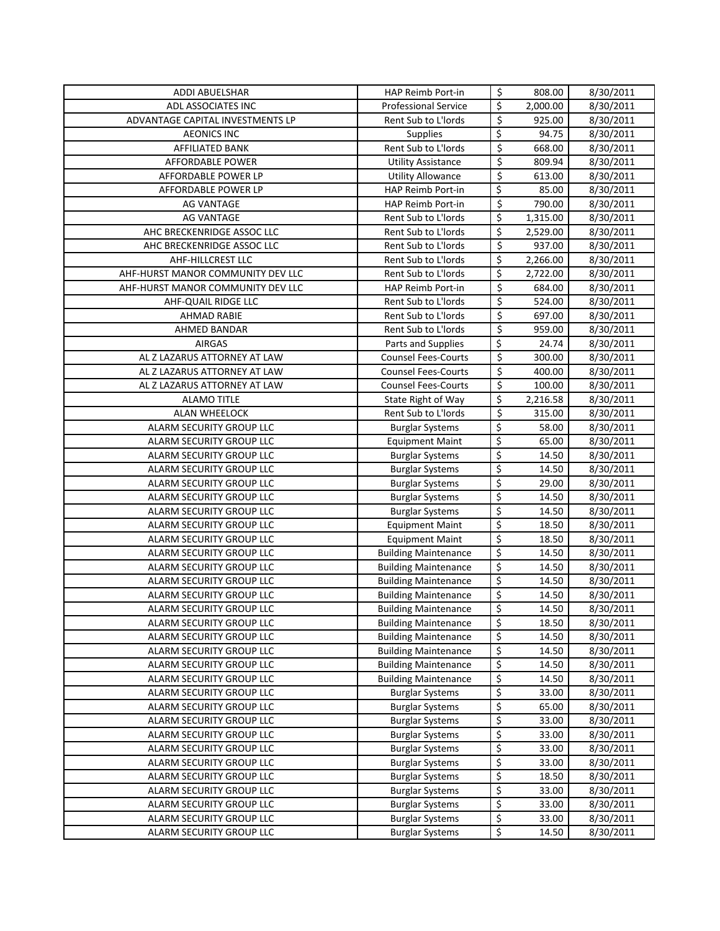| <b>ADDI ABUELSHAR</b>                                | HAP Reimb Port-in                                | \$                              | 808.00                | 8/30/2011              |
|------------------------------------------------------|--------------------------------------------------|---------------------------------|-----------------------|------------------------|
| ADL ASSOCIATES INC                                   | <b>Professional Service</b>                      | \$                              | 2,000.00              | 8/30/2011              |
| ADVANTAGE CAPITAL INVESTMENTS LP                     | Rent Sub to L'Iords                              | \$                              | 925.00                | 8/30/2011              |
| <b>AEONICS INC</b>                                   | <b>Supplies</b>                                  | $\overline{\mathcal{S}}$        | 94.75                 | 8/30/2011              |
| AFFILIATED BANK                                      | Rent Sub to L'Iords                              | \$                              | 668.00                | 8/30/2011              |
| AFFORDABLE POWER                                     | <b>Utility Assistance</b>                        | \$                              | 809.94                | 8/30/2011              |
| AFFORDABLE POWER LP                                  | <b>Utility Allowance</b>                         | \$                              | 613.00                | 8/30/2011              |
| AFFORDABLE POWER LP                                  | HAP Reimb Port-in                                | \$                              | 85.00                 | $\frac{1}{8}$ /30/2011 |
| <b>AG VANTAGE</b>                                    | <b>HAP Reimb Port-in</b>                         | \$                              | 790.00                | 8/30/2011              |
| <b>AG VANTAGE</b>                                    | Rent Sub to L'Iords                              | \$                              | $\overline{1,}315.00$ | 8/30/2011              |
| AHC BRECKENRIDGE ASSOC LLC                           | Rent Sub to L'Iords                              | \$                              | 2,529.00              | 8/30/2011              |
| AHC BRECKENRIDGE ASSOC LLC                           | Rent Sub to L'Iords                              | $\overline{\xi}$                | 937.00                | 8/30/2011              |
| AHF-HILLCREST LLC                                    | Rent Sub to L'Iords                              | \$                              | 2,266.00              | 8/30/2011              |
| AHF-HURST MANOR COMMUNITY DEV LLC                    | Rent Sub to L'Iords                              | \$                              | 2,722.00              | 8/30/2011              |
| AHF-HURST MANOR COMMUNITY DEV LLC                    | HAP Reimb Port-in                                | $\overline{\xi}$                | 684.00                | 8/30/2011              |
| AHF-QUAIL RIDGE LLC                                  | Rent Sub to L'Iords                              | \$                              | 524.00                | 8/30/2011              |
| <b>AHMAD RABIE</b>                                   | Rent Sub to L'Iords                              | \$                              | 697.00                | 8/30/2011              |
| AHMED BANDAR                                         | Rent Sub to L'Iords                              | $\overline{\xi}$                | 959.00                | 8/30/2011              |
| <b>AIRGAS</b>                                        | Parts and Supplies                               | \$                              | 24.74                 | 8/30/2011              |
| AL Z LAZARUS ATTORNEY AT LAW                         | <b>Counsel Fees-Courts</b>                       | \$                              | 300.00                | 8/30/2011              |
| AL Z LAZARUS ATTORNEY AT LAW                         | <b>Counsel Fees-Courts</b>                       | $\overline{\boldsymbol{\zeta}}$ | 400.00                | 8/30/2011              |
| AL Z LAZARUS ATTORNEY AT LAW                         | <b>Counsel Fees-Courts</b>                       | \$                              | 100.00                | 8/30/2011              |
| <b>ALAMO TITLE</b>                                   | State Right of Way                               | \$                              | 2,216.58              | 8/30/2011              |
| <b>ALAN WHEELOCK</b>                                 | Rent Sub to L'Iords                              | $\overline{\boldsymbol{\zeta}}$ | 315.00                | 8/30/2011              |
| ALARM SECURITY GROUP LLC                             | <b>Burglar Systems</b>                           | \$                              | 58.00                 | 8/30/2011              |
| ALARM SECURITY GROUP LLC                             | <b>Equipment Maint</b>                           | \$                              | 65.00                 | 8/30/2011              |
| ALARM SECURITY GROUP LLC                             | <b>Burglar Systems</b>                           | \$                              | 14.50                 | 8/30/2011              |
| ALARM SECURITY GROUP LLC                             | <b>Burglar Systems</b>                           | \$                              | 14.50                 | 8/30/2011              |
| ALARM SECURITY GROUP LLC                             | <b>Burglar Systems</b>                           | \$                              | 29.00                 | 8/30/2011              |
| ALARM SECURITY GROUP LLC                             | <b>Burglar Systems</b>                           | \$                              | 14.50                 | 8/30/2011              |
| ALARM SECURITY GROUP LLC                             | <b>Burglar Systems</b>                           | \$                              | 14.50                 | 8/30/2011              |
| ALARM SECURITY GROUP LLC                             | <b>Equipment Maint</b>                           | $\overline{\xi}$                | 18.50                 | 8/30/2011              |
| ALARM SECURITY GROUP LLC                             | <b>Equipment Maint</b>                           | $\overline{\xi}$                | 18.50                 | 8/30/2011              |
| ALARM SECURITY GROUP LLC                             | <b>Building Maintenance</b>                      | \$                              | 14.50                 | 8/30/2011              |
| ALARM SECURITY GROUP LLC                             | <b>Building Maintenance</b>                      | \$                              | 14.50                 | 8/30/2011              |
| ALARM SECURITY GROUP LLC                             | <b>Building Maintenance</b>                      | \$                              | 14.50                 | 8/30/2011              |
| ALARM SECURITY GROUP LLC                             | <b>Building Maintenance</b>                      | \$                              | 14.50                 | 8/30/2011              |
| ALARM SECURITY GROUP LLC                             | <b>Building Maintenance</b>                      | $\overline{\mathsf{S}}$         | 14.50                 | 8/30/2011              |
| ALARM SECURITY GROUP LLC                             | <b>Building Maintenance</b>                      | \$                              | 18.50                 | 8/30/2011              |
| ALARM SECURITY GROUP LLC                             | <b>Building Maintenance</b>                      | \$                              | 14.50                 | 8/30/2011              |
| ALARM SECURITY GROUP LLC                             | <b>Building Maintenance</b>                      | \$                              | 14.50                 | 8/30/2011              |
| ALARM SECURITY GROUP LLC                             | <b>Building Maintenance</b>                      | \$                              | 14.50                 | 8/30/2011              |
| ALARM SECURITY GROUP LLC                             | <b>Building Maintenance</b>                      | \$<br>\$                        | 14.50                 | 8/30/2011              |
| ALARM SECURITY GROUP LLC                             | <b>Burglar Systems</b>                           | \$                              | 33.00<br>65.00        | 8/30/2011              |
| ALARM SECURITY GROUP LLC                             | <b>Burglar Systems</b>                           | \$                              | 33.00                 | 8/30/2011              |
| ALARM SECURITY GROUP LLC                             | <b>Burglar Systems</b>                           | \$                              | 33.00                 | 8/30/2011              |
| ALARM SECURITY GROUP LLC<br>ALARM SECURITY GROUP LLC | <b>Burglar Systems</b>                           | \$                              | 33.00                 | 8/30/2011<br>8/30/2011 |
| ALARM SECURITY GROUP LLC                             | <b>Burglar Systems</b>                           | \$                              | 33.00                 | 8/30/2011              |
| ALARM SECURITY GROUP LLC                             | <b>Burglar Systems</b><br><b>Burglar Systems</b> | \$                              | 18.50                 | 8/30/2011              |
| ALARM SECURITY GROUP LLC                             | <b>Burglar Systems</b>                           | \$                              | 33.00                 | 8/30/2011              |
| ALARM SECURITY GROUP LLC                             | <b>Burglar Systems</b>                           | \$                              | 33.00                 | 8/30/2011              |
| ALARM SECURITY GROUP LLC                             | <b>Burglar Systems</b>                           | \$                              | 33.00                 | 8/30/2011              |
| ALARM SECURITY GROUP LLC                             | <b>Burglar Systems</b>                           | \$                              | 14.50                 | 8/30/2011              |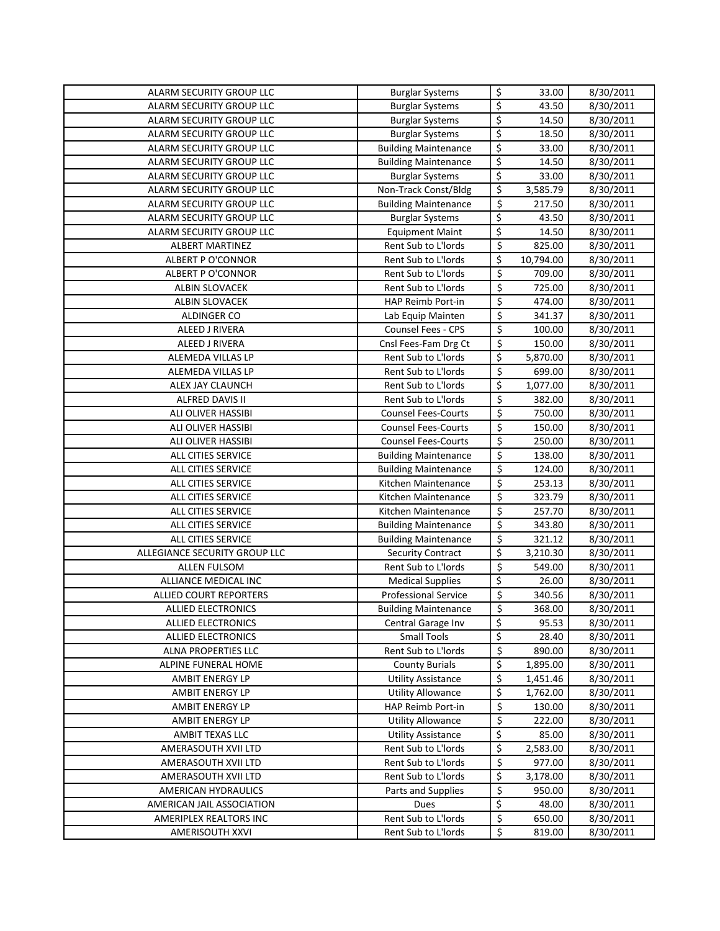| ALARM SECURITY GROUP LLC      | <b>Burglar Systems</b>      | \$                      | 33.00     | 8/30/2011 |
|-------------------------------|-----------------------------|-------------------------|-----------|-----------|
| ALARM SECURITY GROUP LLC      | <b>Burglar Systems</b>      | \$                      | 43.50     | 8/30/2011 |
| ALARM SECURITY GROUP LLC      | <b>Burglar Systems</b>      | \$                      | 14.50     | 8/30/2011 |
| ALARM SECURITY GROUP LLC      | <b>Burglar Systems</b>      | \$                      | 18.50     | 8/30/2011 |
| ALARM SECURITY GROUP LLC      | <b>Building Maintenance</b> | \$                      | 33.00     | 8/30/2011 |
| ALARM SECURITY GROUP LLC      | <b>Building Maintenance</b> | \$                      | 14.50     | 8/30/2011 |
| ALARM SECURITY GROUP LLC      | <b>Burglar Systems</b>      | \$                      | 33.00     | 8/30/2011 |
| ALARM SECURITY GROUP LLC      | Non-Track Const/Bldg        | \$                      | 3,585.79  | 8/30/2011 |
| ALARM SECURITY GROUP LLC      | <b>Building Maintenance</b> | \$                      | 217.50    | 8/30/2011 |
| ALARM SECURITY GROUP LLC      | <b>Burglar Systems</b>      | \$                      | 43.50     | 8/30/2011 |
| ALARM SECURITY GROUP LLC      | <b>Equipment Maint</b>      | \$                      | 14.50     | 8/30/2011 |
| ALBERT MARTINEZ               | Rent Sub to L'Iords         | $\overline{\xi}$        | 825.00    | 8/30/2011 |
| ALBERT P O'CONNOR             | Rent Sub to L'Iords         | \$                      | 10,794.00 | 8/30/2011 |
| <b>ALBERT P O'CONNOR</b>      | Rent Sub to L'Iords         | $\overline{\xi}$        | 709.00    | 8/30/2011 |
| ALBIN SLOVACEK                | Rent Sub to L'Iords         | \$                      | 725.00    | 8/30/2011 |
| ALBIN SLOVACEK                | HAP Reimb Port-in           | \$                      | 474.00    | 8/30/2011 |
| ALDINGER CO                   | Lab Equip Mainten           | $\overline{\xi}$        | 341.37    | 8/30/2011 |
| ALEED J RIVERA                | Counsel Fees - CPS          | $\overline{\xi}$        | 100.00    | 8/30/2011 |
| ALEED J RIVERA                | Cnsl Fees-Fam Drg Ct        | \$                      | 150.00    | 8/30/2011 |
| ALEMEDA VILLAS LP             | Rent Sub to L'Iords         | \$                      | 5,870.00  | 8/30/2011 |
| ALEMEDA VILLAS LP             | Rent Sub to L'Iords         | \$                      | 699.00    | 8/30/2011 |
| ALEX JAY CLAUNCH              | Rent Sub to L'Iords         | \$                      | 1,077.00  | 8/30/2011 |
| ALFRED DAVIS II               | Rent Sub to L'Iords         | \$                      | 382.00    | 8/30/2011 |
| ALI OLIVER HASSIBI            | <b>Counsel Fees-Courts</b>  | \$                      | 750.00    | 8/30/2011 |
| ALI OLIVER HASSIBI            | <b>Counsel Fees-Courts</b>  | \$                      | 150.00    | 8/30/2011 |
| ALI OLIVER HASSIBI            | <b>Counsel Fees-Courts</b>  | \$                      | 250.00    | 8/30/2011 |
| ALL CITIES SERVICE            | <b>Building Maintenance</b> | \$                      | 138.00    | 8/30/2011 |
| ALL CITIES SERVICE            | <b>Building Maintenance</b> | \$                      | 124.00    | 8/30/2011 |
| ALL CITIES SERVICE            | Kitchen Maintenance         | \$                      | 253.13    | 8/30/2011 |
| ALL CITIES SERVICE            | Kitchen Maintenance         | \$                      | 323.79    | 8/30/2011 |
| ALL CITIES SERVICE            | Kitchen Maintenance         | \$                      | 257.70    | 8/30/2011 |
| ALL CITIES SERVICE            | <b>Building Maintenance</b> | \$                      | 343.80    | 8/30/2011 |
| ALL CITIES SERVICE            | <b>Building Maintenance</b> | \$                      | 321.12    | 8/30/2011 |
| ALLEGIANCE SECURITY GROUP LLC | <b>Security Contract</b>    | \$                      | 3,210.30  | 8/30/2011 |
| <b>ALLEN FULSOM</b>           | Rent Sub to L'Iords         | \$                      | 549.00    | 8/30/2011 |
| <b>ALLIANCE MEDICAL INC</b>   | <b>Medical Supplies</b>     | \$                      | 26.00     | 8/30/2011 |
| ALLIED COURT REPORTERS        | Professional Service        | \$                      | 340.56    | 8/30/2011 |
| <b>ALLIED ELECTRONICS</b>     | <b>Building Maintenance</b> | $\overline{\mathsf{S}}$ | 368.00    | 8/30/2011 |
| <b>ALLIED ELECTRONICS</b>     | Central Garage Inv          | \$                      | 95.53     | 8/30/2011 |
| <b>ALLIED ELECTRONICS</b>     | <b>Small Tools</b>          | \$                      | 28.40     | 8/30/2011 |
| ALNA PROPERTIES LLC           | Rent Sub to L'Iords         | \$                      | 890.00    | 8/30/2011 |
| ALPINE FUNERAL HOME           | <b>County Burials</b>       | \$                      | 1,895.00  | 8/30/2011 |
| AMBIT ENERGY LP               | <b>Utility Assistance</b>   | \$                      | 1,451.46  | 8/30/2011 |
| AMBIT ENERGY LP               | <b>Utility Allowance</b>    | \$                      | 1,762.00  | 8/30/2011 |
| AMBIT ENERGY LP               | HAP Reimb Port-in           | \$                      | 130.00    | 8/30/2011 |
| AMBIT ENERGY LP               | <b>Utility Allowance</b>    | \$                      | 222.00    | 8/30/2011 |
| AMBIT TEXAS LLC               | <b>Utility Assistance</b>   | \$                      | 85.00     | 8/30/2011 |
| AMERASOUTH XVII LTD           | Rent Sub to L'Iords         | \$                      | 2,583.00  | 8/30/2011 |
| AMERASOUTH XVII LTD           | Rent Sub to L'Iords         | \$                      | 977.00    | 8/30/2011 |
| AMERASOUTH XVII LTD           | Rent Sub to L'Iords         | \$                      | 3,178.00  | 8/30/2011 |
| AMERICAN HYDRAULICS           | Parts and Supplies          | \$                      | 950.00    | 8/30/2011 |
| AMERICAN JAIL ASSOCIATION     | Dues                        | \$                      | 48.00     | 8/30/2011 |
| AMERIPLEX REALTORS INC        | Rent Sub to L'Iords         | \$                      | 650.00    | 8/30/2011 |
| AMERISOUTH XXVI               | Rent Sub to L'Iords         | \$                      | 819.00    | 8/30/2011 |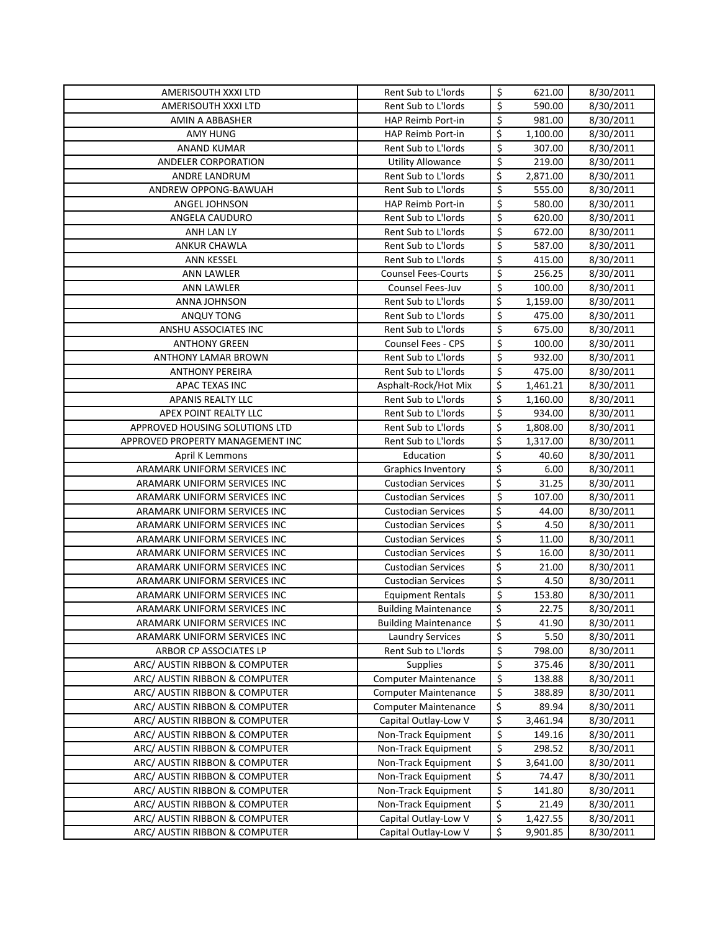| AMERISOUTH XXXI LTD              | Rent Sub to L'Iords         | \$               | 621.00   | 8/30/2011              |
|----------------------------------|-----------------------------|------------------|----------|------------------------|
| AMERISOUTH XXXI LTD              | Rent Sub to L'Iords         | \$               | 590.00   | 8/30/2011              |
| AMIN A ABBASHER                  | HAP Reimb Port-in           | \$               | 981.00   | 8/30/2011              |
| <b>AMY HUNG</b>                  | HAP Reimb Port-in           | \$               | 1,100.00 | 8/30/2011              |
| <b>ANAND KUMAR</b>               | Rent Sub to L'Iords         | \$               | 307.00   | 8/30/2011              |
| ANDELER CORPORATION              | <b>Utility Allowance</b>    | \$               | 219.00   | 8/30/2011              |
| ANDRE LANDRUM                    | Rent Sub to L'Iords         | \$               | 2,871.00 | 8/30/2011              |
| ANDREW OPPONG-BAWUAH             | Rent Sub to L'Iords         | \$               | 555.00   | 8/30/2011              |
| ANGEL JOHNSON                    | HAP Reimb Port-in           | \$               | 580.00   | 8/30/2011              |
| ANGELA CAUDURO                   | Rent Sub to L'Iords         | \$               | 620.00   | 8/30/2011              |
| ANH LAN LY                       | Rent Sub to L'Iords         | \$               | 672.00   | 8/30/2011              |
| <b>ANKUR CHAWLA</b>              | Rent Sub to L'Iords         | $\overline{\xi}$ | 587.00   | 8/30/2011              |
| <b>ANN KESSEL</b>                | Rent Sub to L'Iords         | $\overline{\xi}$ | 415.00   | 8/30/2011              |
| <b>ANN LAWLER</b>                | <b>Counsel Fees-Courts</b>  | $\overline{\xi}$ | 256.25   | 8/30/2011              |
| ANN LAWLER                       | Counsel Fees-Juv            | $\overline{\xi}$ | 100.00   | 8/30/2011              |
| ANNA JOHNSON                     | Rent Sub to L'Iords         | \$               | 1,159.00 | 8/30/2011              |
| ANQUY TONG                       | Rent Sub to L'Iords         | \$               | 475.00   | 8/30/2011              |
| ANSHU ASSOCIATES INC             | Rent Sub to L'Iords         | \$               | 675.00   |                        |
| <b>ANTHONY GREEN</b>             | <b>Counsel Fees - CPS</b>   | \$               | 100.00   | 8/30/2011              |
|                                  | Rent Sub to L'Iords         | \$               | 932.00   | 8/30/2011<br>8/30/2011 |
| <b>ANTHONY LAMAR BROWN</b>       | Rent Sub to L'Iords         | \$               |          |                        |
| <b>ANTHONY PEREIRA</b>           |                             | \$               | 475.00   | 8/30/2011              |
| APAC TEXAS INC                   | Asphalt-Rock/Hot Mix        |                  | 1,461.21 | 8/30/2011              |
| <b>APANIS REALTY LLC</b>         | Rent Sub to L'Iords         | \$               | 1,160.00 | 8/30/2011              |
| APEX POINT REALTY LLC            | Rent Sub to L'Iords         | \$               | 934.00   | 8/30/2011              |
| APPROVED HOUSING SOLUTIONS LTD   | Rent Sub to L'Iords         | \$               | 1,808.00 | 8/30/2011              |
| APPROVED PROPERTY MANAGEMENT INC | Rent Sub to L'Iords         | \$               | 1,317.00 | 8/30/2011              |
| April K Lemmons                  | Education                   | \$               | 40.60    | 8/30/2011              |
| ARAMARK UNIFORM SERVICES INC     | <b>Graphics Inventory</b>   | \$               | 6.00     | 8/30/2011              |
| ARAMARK UNIFORM SERVICES INC     | <b>Custodian Services</b>   | $\overline{\xi}$ | 31.25    | 8/30/2011              |
| ARAMARK UNIFORM SERVICES INC     | <b>Custodian Services</b>   | \$               | 107.00   | 8/30/2011              |
| ARAMARK UNIFORM SERVICES INC     | <b>Custodian Services</b>   | \$               | 44.00    | 8/30/2011              |
| ARAMARK UNIFORM SERVICES INC     | <b>Custodian Services</b>   | \$               | 4.50     | 8/30/2011              |
| ARAMARK UNIFORM SERVICES INC     | <b>Custodian Services</b>   | $\overline{\xi}$ | 11.00    | 8/30/2011              |
| ARAMARK UNIFORM SERVICES INC     | <b>Custodian Services</b>   | \$               | 16.00    | 8/30/2011              |
| ARAMARK UNIFORM SERVICES INC     | <b>Custodian Services</b>   | \$               | 21.00    | 8/30/2011              |
| ARAMARK UNIFORM SERVICES INC     | <b>Custodian Services</b>   | \$               | 4.50     | 8/30/2011              |
| ARAMARK UNIFORM SERVICES INC     | <b>Equipment Rentals</b>    | \$               | 153.80   | 8/30/2011              |
| ARAMARK UNIFORM SERVICES INC     | <b>Building Maintenance</b> | \$               | 22.75    | 8/30/2011              |
| ARAMARK UNIFORM SERVICES INC     | <b>Building Maintenance</b> | \$               | 41.90    | 8/30/2011              |
| ARAMARK UNIFORM SERVICES INC     | <b>Laundry Services</b>     | \$               | 5.50     | 8/30/2011              |
| ARBOR CP ASSOCIATES LP           | Rent Sub to L'Iords         | \$               | 798.00   | 8/30/2011              |
| ARC/ AUSTIN RIBBON & COMPUTER    | <b>Supplies</b>             | \$               | 375.46   | 8/30/2011              |
| ARC/ AUSTIN RIBBON & COMPUTER    | <b>Computer Maintenance</b> | \$               | 138.88   | 8/30/2011              |
| ARC/ AUSTIN RIBBON & COMPUTER    | <b>Computer Maintenance</b> | \$               | 388.89   | 8/30/2011              |
| ARC/ AUSTIN RIBBON & COMPUTER    | <b>Computer Maintenance</b> | \$               | 89.94    | 8/30/2011              |
| ARC/ AUSTIN RIBBON & COMPUTER    | Capital Outlay-Low V        | \$               | 3,461.94 | 8/30/2011              |
| ARC/ AUSTIN RIBBON & COMPUTER    | Non-Track Equipment         | \$               | 149.16   | 8/30/2011              |
| ARC/ AUSTIN RIBBON & COMPUTER    | Non-Track Equipment         | \$               | 298.52   | 8/30/2011              |
| ARC/ AUSTIN RIBBON & COMPUTER    | Non-Track Equipment         | \$               | 3,641.00 | 8/30/2011              |
| ARC/ AUSTIN RIBBON & COMPUTER    | Non-Track Equipment         | \$               | 74.47    | 8/30/2011              |
| ARC/ AUSTIN RIBBON & COMPUTER    | Non-Track Equipment         | \$               | 141.80   | 8/30/2011              |
| ARC/ AUSTIN RIBBON & COMPUTER    | Non-Track Equipment         | \$               | 21.49    | 8/30/2011              |
| ARC/ AUSTIN RIBBON & COMPUTER    | Capital Outlay-Low V        | \$               | 1,427.55 | 8/30/2011              |
| ARC/ AUSTIN RIBBON & COMPUTER    | Capital Outlay-Low V        | \$               | 9,901.85 | 8/30/2011              |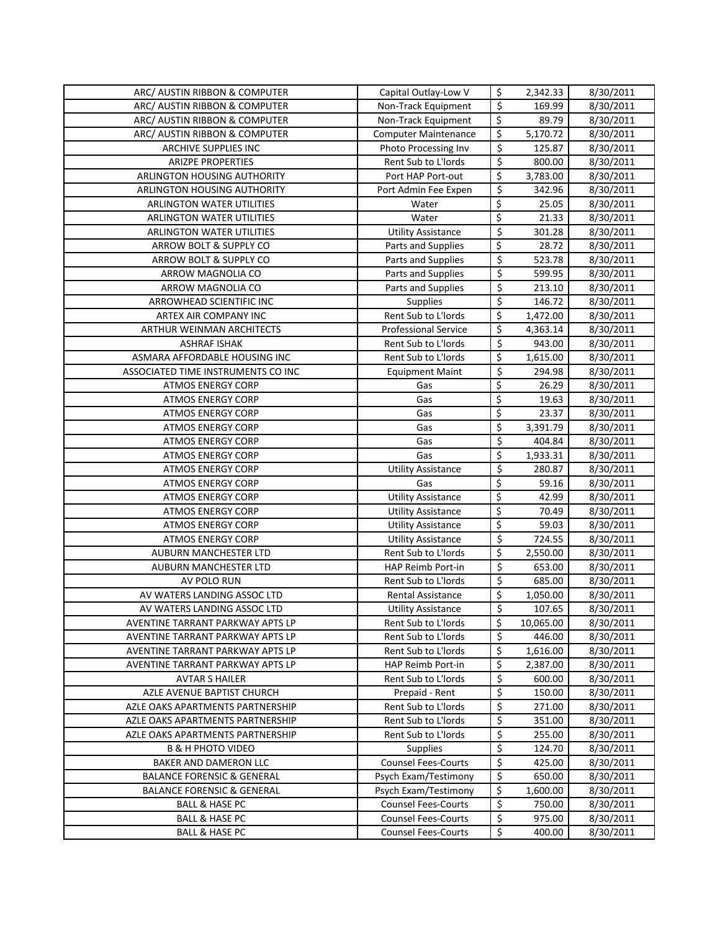| ARC/ AUSTIN RIBBON & COMPUTER                    | Capital Outlay-Low V        | \$                      | 2,342.33  | 8/30/2011 |
|--------------------------------------------------|-----------------------------|-------------------------|-----------|-----------|
| ARC/ AUSTIN RIBBON & COMPUTER                    | Non-Track Equipment         | \$                      | 169.99    | 8/30/2011 |
| ARC/ AUSTIN RIBBON & COMPUTER                    | Non-Track Equipment         | \$                      | 89.79     | 8/30/2011 |
| ARC/ AUSTIN RIBBON & COMPUTER                    | <b>Computer Maintenance</b> | \$                      | 5,170.72  | 8/30/2011 |
| ARCHIVE SUPPLIES INC                             | Photo Processing Inv        | \$                      | 125.87    | 8/30/2011 |
| <b>ARIZPE PROPERTIES</b>                         | Rent Sub to L'Iords         | \$                      | 800.00    | 8/30/2011 |
| ARLINGTON HOUSING AUTHORITY                      | Port HAP Port-out           | \$                      | 3,783.00  | 8/30/2011 |
| ARLINGTON HOUSING AUTHORITY                      | Port Admin Fee Expen        | \$                      | 342.96    | 8/30/2011 |
| ARLINGTON WATER UTILITIES                        | Water                       | \$                      | 25.05     | 8/30/2011 |
| ARLINGTON WATER UTILITIES                        | Water                       | $\overline{\mathsf{S}}$ | 21.33     | 8/30/2011 |
| <b>ARLINGTON WATER UTILITIES</b>                 | <b>Utility Assistance</b>   | \$                      | 301.28    | 8/30/2011 |
| ARROW BOLT & SUPPLY CO                           | Parts and Supplies          | \$                      | 28.72     | 8/30/2011 |
| ARROW BOLT & SUPPLY CO                           | Parts and Supplies          | \$                      | 523.78    | 8/30/2011 |
| ARROW MAGNOLIA CO                                | Parts and Supplies          | \$                      | 599.95    | 8/30/2011 |
| ARROW MAGNOLIA CO                                | Parts and Supplies          | \$                      | 213.10    | 8/30/2011 |
| ARROWHEAD SCIENTIFIC INC                         | Supplies                    | \$                      | 146.72    | 8/30/2011 |
| ARTEX AIR COMPANY INC                            | Rent Sub to L'Iords         | \$                      | 1,472.00  | 8/30/2011 |
|                                                  | <b>Professional Service</b> | \$                      |           |           |
| ARTHUR WEINMAN ARCHITECTS<br><b>ASHRAF ISHAK</b> | Rent Sub to L'Iords         | \$                      | 4,363.14  | 8/30/2011 |
| ASMARA AFFORDABLE HOUSING INC                    |                             | \$                      | 943.00    | 8/30/2011 |
|                                                  | Rent Sub to L'Iords         | \$                      | 1,615.00  | 8/30/2011 |
| ASSOCIATED TIME INSTRUMENTS CO INC               | <b>Equipment Maint</b>      | \$                      | 294.98    | 8/30/2011 |
| <b>ATMOS ENERGY CORP</b>                         | Gas                         |                         | 26.29     | 8/30/2011 |
| <b>ATMOS ENERGY CORP</b>                         | Gas                         | \$                      | 19.63     | 8/30/2011 |
| <b>ATMOS ENERGY CORP</b>                         | Gas                         | \$                      | 23.37     | 8/30/2011 |
| <b>ATMOS ENERGY CORP</b>                         | Gas                         | \$                      | 3,391.79  | 8/30/2011 |
| <b>ATMOS ENERGY CORP</b>                         | Gas                         | \$                      | 404.84    | 8/30/2011 |
| <b>ATMOS ENERGY CORP</b>                         | Gas                         | \$                      | 1,933.31  | 8/30/2011 |
| <b>ATMOS ENERGY CORP</b>                         | <b>Utility Assistance</b>   | \$                      | 280.87    | 8/30/2011 |
| <b>ATMOS ENERGY CORP</b>                         | Gas                         | \$                      | 59.16     | 8/30/2011 |
| <b>ATMOS ENERGY CORP</b>                         | <b>Utility Assistance</b>   | \$                      | 42.99     | 8/30/2011 |
| <b>ATMOS ENERGY CORP</b>                         | <b>Utility Assistance</b>   | \$                      | 70.49     | 8/30/2011 |
| <b>ATMOS ENERGY CORP</b>                         | <b>Utility Assistance</b>   | \$                      | 59.03     | 8/30/2011 |
| <b>ATMOS ENERGY CORP</b>                         | <b>Utility Assistance</b>   | \$                      | 724.55    | 8/30/2011 |
| AUBURN MANCHESTER LTD                            | Rent Sub to L'Iords         | \$                      | 2,550.00  | 8/30/2011 |
| AUBURN MANCHESTER LTD                            | HAP Reimb Port-in           | \$                      | 653.00    | 8/30/2011 |
| AV POLO RUN                                      | Rent Sub to L'Iords         | \$                      | 685.00    | 8/30/2011 |
| AV WATERS LANDING ASSOC LTD                      | Rental Assistance           | \$                      | 1,050.00  | 8/30/2011 |
| AV WATERS LANDING ASSOC LTD                      | <b>Utility Assistance</b>   | \$                      | 107.65    | 8/30/2011 |
| AVENTINE TARRANT PARKWAY APTS LP                 | Rent Sub to L'Iords         | \$                      | 10,065.00 | 8/30/2011 |
| AVENTINE TARRANT PARKWAY APTS LP                 | Rent Sub to L'Iords         | \$                      | 446.00    | 8/30/2011 |
| AVENTINE TARRANT PARKWAY APTS LP                 | Rent Sub to L'Iords         | \$                      | 1,616.00  | 8/30/2011 |
| AVENTINE TARRANT PARKWAY APTS LP                 | HAP Reimb Port-in           | \$                      | 2,387.00  | 8/30/2011 |
| <b>AVTAR S HAILER</b>                            | Rent Sub to L'Iords         | \$                      | 600.00    | 8/30/2011 |
| AZLE AVENUE BAPTIST CHURCH                       | Prepaid - Rent              | \$                      | 150.00    | 8/30/2011 |
| AZLE OAKS APARTMENTS PARTNERSHIP                 | Rent Sub to L'Iords         | \$                      | 271.00    | 8/30/2011 |
| AZLE OAKS APARTMENTS PARTNERSHIP                 | Rent Sub to L'Iords         | \$                      | 351.00    | 8/30/2011 |
| AZLE OAKS APARTMENTS PARTNERSHIP                 | Rent Sub to L'Iords         | \$                      | 255.00    | 8/30/2011 |
| <b>B &amp; H PHOTO VIDEO</b>                     | <b>Supplies</b>             | \$                      | 124.70    | 8/30/2011 |
| BAKER AND DAMERON LLC                            | <b>Counsel Fees-Courts</b>  | \$                      | 425.00    | 8/30/2011 |
| <b>BALANCE FORENSIC &amp; GENERAL</b>            | Psych Exam/Testimony        | \$                      | 650.00    | 8/30/2011 |
| <b>BALANCE FORENSIC &amp; GENERAL</b>            | Psych Exam/Testimony        | \$                      | 1,600.00  | 8/30/2011 |
| <b>BALL &amp; HASE PC</b>                        | <b>Counsel Fees-Courts</b>  | \$                      | 750.00    | 8/30/2011 |
| <b>BALL &amp; HASE PC</b>                        | <b>Counsel Fees-Courts</b>  | \$                      | 975.00    | 8/30/2011 |
| <b>BALL &amp; HASE PC</b>                        | <b>Counsel Fees-Courts</b>  | \$                      | 400.00    | 8/30/2011 |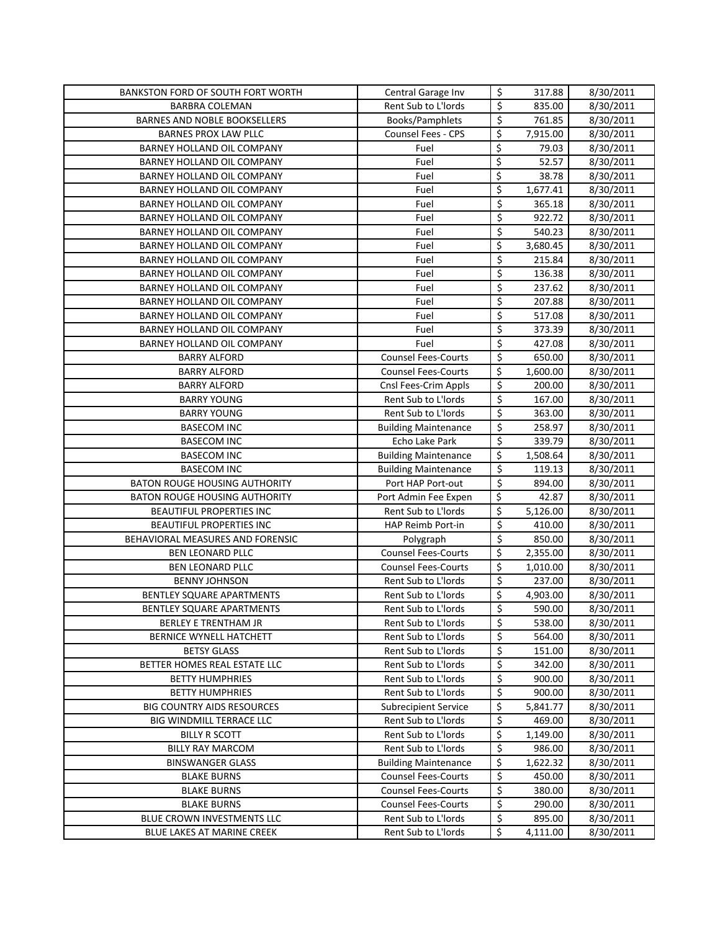| BANKSTON FORD OF SOUTH FORT WORTH    | Central Garage Inv          | \$                              | 317.88                | 8/30/2011 |
|--------------------------------------|-----------------------------|---------------------------------|-----------------------|-----------|
| <b>BARBRA COLEMAN</b>                | Rent Sub to L'Iords         | \$                              | 835.00                | 8/30/2011 |
| BARNES AND NOBLE BOOKSELLERS         | Books/Pamphlets             | $\varsigma$                     | 761.85                | 8/30/2011 |
| <b>BARNES PROX LAW PLLC</b>          | Counsel Fees - CPS          | \$                              | 7,915.00              | 8/30/2011 |
| BARNEY HOLLAND OIL COMPANY           | Fuel                        | \$                              | 79.03                 | 8/30/2011 |
| BARNEY HOLLAND OIL COMPANY           | Fuel                        | $\overline{\xi}$                | 52.57                 | 8/30/2011 |
| BARNEY HOLLAND OIL COMPANY           | Fuel                        | \$                              | 38.78                 | 8/30/2011 |
| BARNEY HOLLAND OIL COMPANY           | Fuel                        | \$                              | $\overline{1,677.41}$ | 8/30/2011 |
| BARNEY HOLLAND OIL COMPANY           | Fuel                        | $\overline{\boldsymbol{\zeta}}$ | 365.18                | 8/30/2011 |
| BARNEY HOLLAND OIL COMPANY           | Fuel                        | $\overline{\boldsymbol{\zeta}}$ | 922.72                | 8/30/2011 |
| BARNEY HOLLAND OIL COMPANY           | Fuel                        | $\overline{\xi}$                | 540.23                | 8/30/2011 |
| BARNEY HOLLAND OIL COMPANY           | Fuel                        | \$                              | 3,680.45              | 8/30/2011 |
| BARNEY HOLLAND OIL COMPANY           | Fuel                        | $\overline{\xi}$                | 215.84                | 8/30/2011 |
| BARNEY HOLLAND OIL COMPANY           | Fuel                        | $\overline{\xi}$                | 136.38                | 8/30/2011 |
| BARNEY HOLLAND OIL COMPANY           | Fuel                        | \$                              | 237.62                | 8/30/2011 |
| BARNEY HOLLAND OIL COMPANY           | Fuel                        | \$                              | 207.88                | 8/30/2011 |
| BARNEY HOLLAND OIL COMPANY           | Fuel                        | \$                              | 517.08                | 8/30/2011 |
| BARNEY HOLLAND OIL COMPANY           | Fuel                        | \$                              | 373.39                | 8/30/2011 |
| BARNEY HOLLAND OIL COMPANY           | Fuel                        | $\overline{\xi}$                | 427.08                | 8/30/2011 |
| <b>BARRY ALFORD</b>                  | <b>Counsel Fees-Courts</b>  | $\overline{\xi}$                | 650.00                | 8/30/2011 |
| <b>BARRY ALFORD</b>                  | <b>Counsel Fees-Courts</b>  | \$                              | 1,600.00              | 8/30/2011 |
| <b>BARRY ALFORD</b>                  | Cnsl Fees-Crim Appls        | $\overline{\boldsymbol{\zeta}}$ | 200.00                | 8/30/2011 |
| <b>BARRY YOUNG</b>                   | Rent Sub to L'Iords         | $\overline{\xi}$                | 167.00                | 8/30/2011 |
| <b>BARRY YOUNG</b>                   | Rent Sub to L'Iords         | $\overline{\boldsymbol{\zeta}}$ | 363.00                | 8/30/2011 |
| <b>BASECOM INC</b>                   | <b>Building Maintenance</b> | $\overline{\xi}$                | 258.97                | 8/30/2011 |
| <b>BASECOM INC</b>                   | Echo Lake Park              | $\overline{\xi}$                | 339.79                | 8/30/2011 |
| <b>BASECOM INC</b>                   | <b>Building Maintenance</b> | \$                              | 1,508.64              | 8/30/2011 |
| <b>BASECOM INC</b>                   | <b>Building Maintenance</b> | $\overline{\xi}$                | 119.13                | 8/30/2011 |
| BATON ROUGE HOUSING AUTHORITY        | Port HAP Port-out           | $\overline{\mathcal{S}}$        | 894.00                | 8/30/2011 |
| <b>BATON ROUGE HOUSING AUTHORITY</b> | Port Admin Fee Expen        | \$                              | 42.87                 | 8/30/2011 |
| BEAUTIFUL PROPERTIES INC             | Rent Sub to L'Iords         | \$                              | 5,126.00              | 8/30/2011 |
| BEAUTIFUL PROPERTIES INC             | HAP Reimb Port-in           | $\overline{\mathcal{S}}$        | 410.00                | 8/30/2011 |
| BEHAVIORAL MEASURES AND FORENSIC     | Polygraph                   | \$                              | 850.00                | 8/30/2011 |
| BEN LEONARD PLLC                     | <b>Counsel Fees-Courts</b>  | \$                              | 2,355.00              | 8/30/2011 |
| BEN LEONARD PLLC                     | <b>Counsel Fees-Courts</b>  | \$                              | 1,010.00              | 8/30/2011 |
| <b>BENNY JOHNSON</b>                 | Rent Sub to L'Iords         | \$                              | 237.00                | 8/30/2011 |
| BENTLEY SQUARE APARTMENTS            | Rent Sub to L'Iords         | \$                              | 4,903.00              | 8/30/2011 |
| BENTLEY SQUARE APARTMENTS            | Rent Sub to L'Iords         | $\overline{\mathsf{S}}$         | 590.00                | 8/30/2011 |
| BERLEY E TRENTHAM JR                 | Rent Sub to L'Iords         | \$                              | 538.00                | 8/30/2011 |
| BERNICE WYNELL HATCHETT              | Rent Sub to L'Iords         | \$                              | 564.00                | 8/30/2011 |
| <b>BETSY GLASS</b>                   | Rent Sub to L'Iords         | \$                              | 151.00                | 8/30/2011 |
| BETTER HOMES REAL ESTATE LLC         | Rent Sub to L'Iords         | \$                              | 342.00                | 8/30/2011 |
| <b>BETTY HUMPHRIES</b>               | Rent Sub to L'Iords         | \$                              | 900.00                | 8/30/2011 |
| <b>BETTY HUMPHRIES</b>               | Rent Sub to L'Iords         | \$                              | 900.00                | 8/30/2011 |
| <b>BIG COUNTRY AIDS RESOURCES</b>    | <b>Subrecipient Service</b> | \$                              | 5,841.77              | 8/30/2011 |
| BIG WINDMILL TERRACE LLC             | Rent Sub to L'Iords         | \$                              | 469.00                | 8/30/2011 |
| <b>BILLY R SCOTT</b>                 | Rent Sub to L'Iords         | \$                              | 1,149.00              | 8/30/2011 |
| BILLY RAY MARCOM                     | Rent Sub to L'Iords         | \$                              | 986.00                | 8/30/2011 |
| <b>BINSWANGER GLASS</b>              | <b>Building Maintenance</b> | \$                              | 1,622.32              | 8/30/2011 |
| <b>BLAKE BURNS</b>                   | <b>Counsel Fees-Courts</b>  | \$                              | 450.00                | 8/30/2011 |
| <b>BLAKE BURNS</b>                   | <b>Counsel Fees-Courts</b>  | \$                              | 380.00                | 8/30/2011 |
| <b>BLAKE BURNS</b>                   | <b>Counsel Fees-Courts</b>  | \$                              | 290.00                | 8/30/2011 |
| BLUE CROWN INVESTMENTS LLC           | Rent Sub to L'Iords         | \$                              | 895.00                | 8/30/2011 |
| BLUE LAKES AT MARINE CREEK           | Rent Sub to L'Iords         | \$                              | 4,111.00              | 8/30/2011 |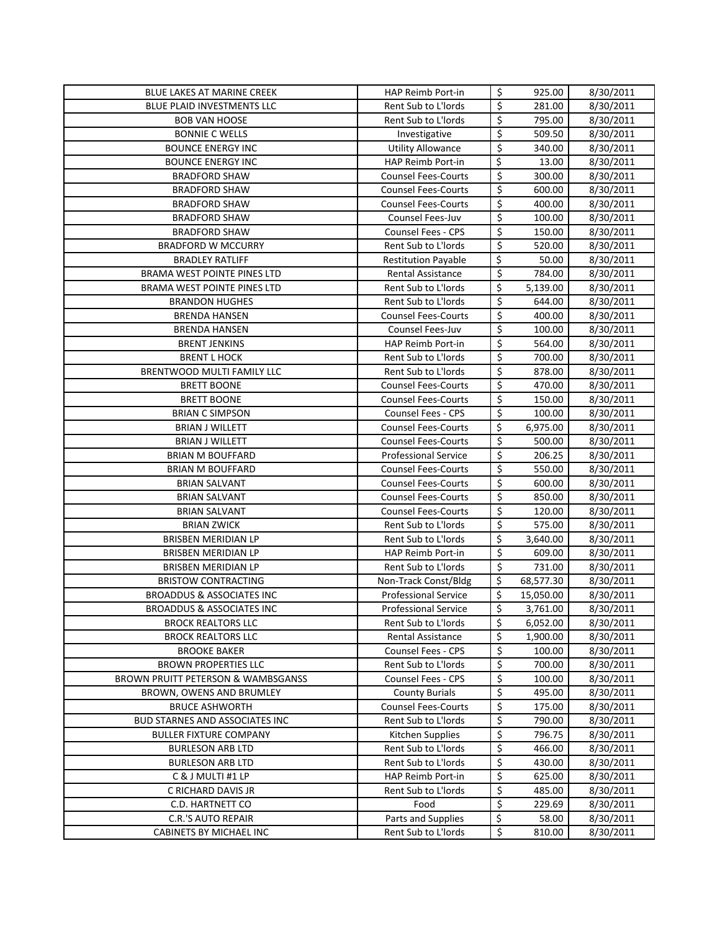| BLUE LAKES AT MARINE CREEK                         | HAP Reimb Port-in                          | \$                              | 925.00           | 8/30/2011              |
|----------------------------------------------------|--------------------------------------------|---------------------------------|------------------|------------------------|
| <b>BLUE PLAID INVESTMENTS LLC</b>                  | Rent Sub to L'Iords                        | \$                              | 281.00           | 8/30/2011              |
| <b>BOB VAN HOOSE</b>                               | Rent Sub to L'Iords                        | \$                              | 795.00           | 8/30/2011              |
| <b>BONNIE C WELLS</b>                              | Investigative                              | $\overline{\xi}$                | 509.50           | 8/30/2011              |
| <b>BOUNCE ENERGY INC</b>                           | <b>Utility Allowance</b>                   | \$                              | 340.00           | 8/30/2011              |
| <b>BOUNCE ENERGY INC</b>                           | HAP Reimb Port-in                          | \$                              | 13.00            | 8/30/2011              |
| <b>BRADFORD SHAW</b>                               | <b>Counsel Fees-Courts</b>                 | \$                              | 300.00           | 8/30/2011              |
| <b>BRADFORD SHAW</b>                               | <b>Counsel Fees-Courts</b>                 | $\varsigma$                     | 600.00           | 8/30/2011              |
| <b>BRADFORD SHAW</b>                               | <b>Counsel Fees-Courts</b>                 | $\overline{\boldsymbol{\zeta}}$ | 400.00           | 8/30/2011              |
| <b>BRADFORD SHAW</b>                               | Counsel Fees-Juv                           | $\overline{\boldsymbol{\zeta}}$ | 100.00           | 8/30/2011              |
| <b>BRADFORD SHAW</b>                               | <b>Counsel Fees - CPS</b>                  | $\overline{\xi}$                | 150.00           | 8/30/2011              |
| <b>BRADFORD W MCCURRY</b>                          | Rent Sub to L'Iords                        | $\overline{\xi}$                | 520.00           | 8/30/2011              |
| <b>BRADLEY RATLIFF</b>                             | <b>Restitution Payable</b>                 | \$                              | 50.00            | 8/30/2011              |
| BRAMA WEST POINTE PINES LTD                        | Rental Assistance                          | $\overline{\xi}$                | 784.00           | 8/30/2011              |
| BRAMA WEST POINTE PINES LTD                        | Rent Sub to L'Iords                        | \$                              | 5,139.00         | 8/30/2011              |
| <b>BRANDON HUGHES</b>                              | Rent Sub to L'Iords                        | \$                              | 644.00           | 8/30/2011              |
| <b>BRENDA HANSEN</b>                               | <b>Counsel Fees-Courts</b>                 | $\overline{\mathsf{S}}$         | 400.00           | 8/30/2011              |
| <b>BRENDA HANSEN</b>                               | Counsel Fees-Juv                           | \$                              | 100.00           | 8/30/2011              |
| <b>BRENT JENKINS</b>                               | HAP Reimb Port-in                          | $\overline{\xi}$                | 564.00           | 8/30/2011              |
| <b>BRENT L HOCK</b>                                | Rent Sub to L'Iords                        | \$                              | 700.00           | 8/30/2011              |
| <b>BRENTWOOD MULTI FAMILY LLC</b>                  | Rent Sub to L'Iords                        | \$                              | 878.00           | 8/30/2011              |
| <b>BRETT BOONE</b>                                 | <b>Counsel Fees-Courts</b>                 | $\overline{\xi}$                | 470.00           | 8/30/2011              |
| <b>BRETT BOONE</b>                                 | <b>Counsel Fees-Courts</b>                 | $\overline{\xi}$                | 150.00           | 8/30/2011              |
| <b>BRIAN C SIMPSON</b>                             | Counsel Fees - CPS                         | $\overline{\boldsymbol{\zeta}}$ | 100.00           | 8/30/2011              |
| <b>BRIAN J WILLETT</b>                             | <b>Counsel Fees-Courts</b>                 | \$                              | 6,975.00         | 8/30/2011              |
| <b>BRIAN J WILLETT</b>                             | <b>Counsel Fees-Courts</b>                 | $\overline{\xi}$                | 500.00           | 8/30/2011              |
| <b>BRIAN M BOUFFARD</b>                            | <b>Professional Service</b>                | \$                              | 206.25           | 8/30/2011              |
| <b>BRIAN M BOUFFARD</b>                            | <b>Counsel Fees-Courts</b>                 | \$                              | 550.00           | 8/30/2011              |
| <b>BRIAN SALVANT</b>                               | <b>Counsel Fees-Courts</b>                 | $\overline{\mathcal{S}}$        | 600.00           | 8/30/2011              |
| <b>BRIAN SALVANT</b>                               | <b>Counsel Fees-Courts</b>                 | \$                              | 850.00           | 8/30/2011              |
| <b>BRIAN SALVANT</b>                               | <b>Counsel Fees-Courts</b>                 | \$                              | 120.00           | 8/30/2011              |
| <b>BRIAN ZWICK</b>                                 | Rent Sub to L'Iords                        | \$                              | 575.00           | 8/30/2011              |
| BRISBEN MERIDIAN LP                                | Rent Sub to L'Iords                        | \$                              | 3,640.00         | 8/30/2011              |
| BRISBEN MERIDIAN LP                                | HAP Reimb Port-in                          | \$                              | 609.00           | 8/30/2011              |
| BRISBEN MERIDIAN LP                                | Rent Sub to L'Iords                        | \$                              | 731.00           | 8/30/2011              |
| <b>BRISTOW CONTRACTING</b>                         | Non-Track Const/Bldg                       | \$                              | 68,577.30        | 8/30/2011              |
| <b>BROADDUS &amp; ASSOCIATES INC</b>               | <b>Professional Service</b>                | \$                              | 15,050.00        | 8/30/2011              |
| BROADDUS & ASSOCIATES INC                          | <b>Professional Service</b>                | \$                              | 3,761.00         | 8/30/2011              |
| <b>BROCK REALTORS LLC</b>                          | Rent Sub to L'Iords                        | \$                              | 6,052.00         | 8/30/2011              |
| <b>BROCK REALTORS LLC</b>                          | Rental Assistance                          | \$                              | 1,900.00         | 8/30/2011              |
| <b>BROOKE BAKER</b>                                | <b>Counsel Fees - CPS</b>                  | \$                              | 100.00           | 8/30/2011              |
| <b>BROWN PROPERTIES LLC</b>                        | Rent Sub to L'Iords                        | \$                              | 700.00           | 8/30/2011              |
| BROWN PRUITT PETERSON & WAMBSGANSS                 | Counsel Fees - CPS                         | \$                              | 100.00           | 8/30/2011              |
| BROWN, OWENS AND BRUMLEY                           | <b>County Burials</b>                      | \$                              | 495.00           | 8/30/2011              |
| <b>BRUCE ASHWORTH</b>                              | <b>Counsel Fees-Courts</b>                 | \$                              | 175.00           | 8/30/2011              |
| <b>BUD STARNES AND ASSOCIATES INC</b>              | Rent Sub to L'Iords                        | \$                              | 790.00           | 8/30/2011              |
| <b>BULLER FIXTURE COMPANY</b>                      | Kitchen Supplies                           | \$                              | 796.75           | 8/30/2011              |
| <b>BURLESON ARB LTD</b><br><b>BURLESON ARB LTD</b> | Rent Sub to L'Iords<br>Rent Sub to L'Iords | \$<br>\$                        | 466.00<br>430.00 | 8/30/2011              |
| C & J MULTI #1 LP                                  | HAP Reimb Port-in                          | \$                              | 625.00           | 8/30/2011<br>8/30/2011 |
| C RICHARD DAVIS JR                                 | Rent Sub to L'Iords                        | \$                              | 485.00           | 8/30/2011              |
| C.D. HARTNETT CO                                   | Food                                       | \$                              | 229.69           | 8/30/2011              |
| C.R.'S AUTO REPAIR                                 | Parts and Supplies                         | \$                              | 58.00            | 8/30/2011              |
| CABINETS BY MICHAEL INC                            | Rent Sub to L'Iords                        | \$                              | 810.00           | 8/30/2011              |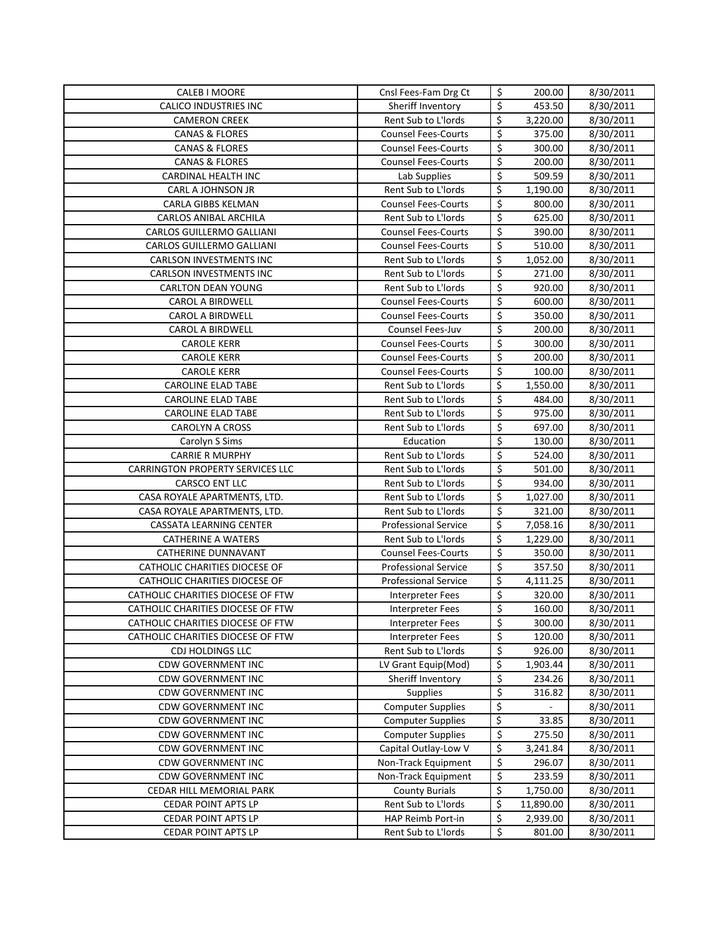| CALEB I MOORE                                   | Cnsl Fees-Fam Drg Ct                                 | \$                              | 200.00           | 8/30/2011              |
|-------------------------------------------------|------------------------------------------------------|---------------------------------|------------------|------------------------|
| <b>CALICO INDUSTRIES INC</b>                    | Sheriff Inventory                                    | \$                              | 453.50           | 8/30/2011              |
| <b>CAMERON CREEK</b>                            | Rent Sub to L'Iords                                  | \$                              | 3,220.00         | 8/30/2011              |
| <b>CANAS &amp; FLORES</b>                       | <b>Counsel Fees-Courts</b>                           | \$                              | 375.00           | 8/30/2011              |
| <b>CANAS &amp; FLORES</b>                       | <b>Counsel Fees-Courts</b>                           | \$                              | 300.00           | 8/30/2011              |
| <b>CANAS &amp; FLORES</b>                       | <b>Counsel Fees-Courts</b>                           | \$                              | 200.00           | 8/30/2011              |
| CARDINAL HEALTH INC                             | Lab Supplies                                         | \$                              | 509.59           | 8/30/2011              |
| CARL A JOHNSON JR                               | Rent Sub to L'Iords                                  | \$                              | 1,190.00         | 8/30/2011              |
| <b>CARLA GIBBS KELMAN</b>                       | <b>Counsel Fees-Courts</b>                           | \$                              | 800.00           | 8/30/2011              |
| CARLOS ANIBAL ARCHILA                           | Rent Sub to L'Iords                                  | \$                              | 625.00           | 8/30/2011              |
| CARLOS GUILLERMO GALLIANI                       | <b>Counsel Fees-Courts</b>                           | $\overline{\mathsf{S}}$         | 390.00           | 8/30/2011              |
| CARLOS GUILLERMO GALLIANI                       | <b>Counsel Fees-Courts</b>                           | \$                              | 510.00           | 8/30/2011              |
| <b>CARLSON INVESTMENTS INC</b>                  | Rent Sub to L'Iords                                  | \$                              | 1,052.00         | 8/30/2011              |
| <b>CARLSON INVESTMENTS INC</b>                  | Rent Sub to L'Iords                                  | \$                              | 271.00           | 8/30/2011              |
| <b>CARLTON DEAN YOUNG</b>                       | Rent Sub to L'Iords                                  | \$                              | 920.00           | 8/30/2011              |
| <b>CAROL A BIRDWELL</b>                         | <b>Counsel Fees-Courts</b>                           | \$                              | 600.00           | 8/30/2011              |
| <b>CAROL A BIRDWELL</b>                         | <b>Counsel Fees-Courts</b>                           | $\overline{\xi}$                | 350.00           | 8/30/2011              |
| <b>CAROL A BIRDWELL</b>                         | Counsel Fees-Juv                                     | \$                              | 200.00           | 8/30/2011              |
| <b>CAROLE KERR</b>                              | <b>Counsel Fees-Courts</b>                           | \$                              | 300.00           | 8/30/2011              |
| <b>CAROLE KERR</b>                              | <b>Counsel Fees-Courts</b>                           | \$                              | 200.00           | 8/30/2011              |
| <b>CAROLE KERR</b>                              | <b>Counsel Fees-Courts</b>                           | $\overline{\boldsymbol{\zeta}}$ | 100.00           | 8/30/2011              |
| <b>CAROLINE ELAD TABE</b>                       | Rent Sub to L'Iords                                  | \$                              | 1,550.00         | 8/30/2011              |
| <b>CAROLINE ELAD TABE</b>                       | Rent Sub to L'Iords                                  | \$                              | 484.00           | 8/30/2011              |
| <b>CAROLINE ELAD TABE</b>                       | Rent Sub to L'Iords                                  | \$                              | 975.00           | 8/30/2011              |
| <b>CAROLYN A CROSS</b>                          | Rent Sub to L'Iords                                  | \$                              | 697.00           | 8/30/2011              |
| Carolyn S Sims                                  | Education                                            | \$                              | 130.00           | 8/30/2011              |
| <b>CARRIE R MURPHY</b>                          | Rent Sub to L'Iords                                  | \$                              | 524.00           | 8/30/2011              |
| CARRINGTON PROPERTY SERVICES LLC                | Rent Sub to L'Iords                                  | \$                              | 501.00           | 8/30/2011              |
| CARSCO ENT LLC                                  | Rent Sub to L'Iords                                  | \$                              | 934.00           | 8/30/2011              |
| CASA ROYALE APARTMENTS, LTD.                    | Rent Sub to L'Iords                                  | \$                              | 1,027.00         | 8/30/2011              |
| CASA ROYALE APARTMENTS, LTD.                    | Rent Sub to L'Iords                                  | \$                              | 321.00           | 8/30/2011              |
| <b>CASSATA LEARNING CENTER</b>                  | <b>Professional Service</b>                          | \$                              | 7,058.16         | 8/30/2011              |
| <b>CATHERINE A WATERS</b>                       | Rent Sub to L'Iords                                  | \$                              | 1,229.00         | 8/30/2011              |
| <b>CATHERINE DUNNAVANT</b>                      | <b>Counsel Fees-Courts</b>                           | \$                              | 350.00           | 8/30/2011              |
| CATHOLIC CHARITIES DIOCESE OF                   | <b>Professional Service</b>                          | \$                              | 357.50           | 8/30/2011              |
| CATHOLIC CHARITIES DIOCESE OF                   | <b>Professional Service</b>                          | \$                              | 4,111.25         | 8/30/2011              |
| CATHOLIC CHARITIES DIOCESE OF FTW               | <b>Interpreter Fees</b>                              | \$                              | 320.00           | 8/30/2011              |
| CATHOLIC CHARITIES DIOCESE OF FTW               | Interpreter Fees                                     | $\mathsf{\hat{S}}$              | 160.00           | 8/30/2011              |
| CATHOLIC CHARITIES DIOCESE OF FTW               | <b>Interpreter Fees</b>                              | \$                              | 300.00           | 8/30/2011              |
| CATHOLIC CHARITIES DIOCESE OF FTW               | <b>Interpreter Fees</b>                              | \$                              | 120.00           | 8/30/2011              |
| <b>CDJ HOLDINGS LLC</b>                         | Rent Sub to L'Iords                                  | \$                              | 926.00           | 8/30/2011              |
| <b>CDW GOVERNMENT INC</b>                       | LV Grant Equip(Mod)                                  | \$                              | 1,903.44         | 8/30/2011              |
| <b>CDW GOVERNMENT INC</b>                       | Sheriff Inventory                                    | \$                              | 234.26           | 8/30/2011              |
| <b>CDW GOVERNMENT INC</b>                       | <b>Supplies</b>                                      | \$                              | 316.82           | 8/30/2011              |
| <b>CDW GOVERNMENT INC</b>                       | <b>Computer Supplies</b>                             | \$                              |                  | 8/30/2011              |
| <b>CDW GOVERNMENT INC</b>                       | <b>Computer Supplies</b><br><b>Computer Supplies</b> | \$                              | 33.85            | 8/30/2011              |
| CDW GOVERNMENT INC                              |                                                      | $\varsigma$                     | 275.50           | 8/30/2011              |
| CDW GOVERNMENT INC                              | Capital Outlay-Low V                                 | \$<br>\$                        | 3,241.84         | 8/30/2011              |
| <b>CDW GOVERNMENT INC</b><br>CDW GOVERNMENT INC | Non-Track Equipment<br>Non-Track Equipment           | \$                              | 296.07<br>233.59 | 8/30/2011<br>8/30/2011 |
| CEDAR HILL MEMORIAL PARK                        | <b>County Burials</b>                                | \$                              | 1,750.00         | 8/30/2011              |
| CEDAR POINT APTS LP                             | Rent Sub to L'Iords                                  | \$                              | 11,890.00        | 8/30/2011              |
| <b>CEDAR POINT APTS LP</b>                      | HAP Reimb Port-in                                    | \$                              | 2,939.00         | 8/30/2011              |
| <b>CEDAR POINT APTS LP</b>                      | Rent Sub to L'Iords                                  | \$                              | 801.00           | 8/30/2011              |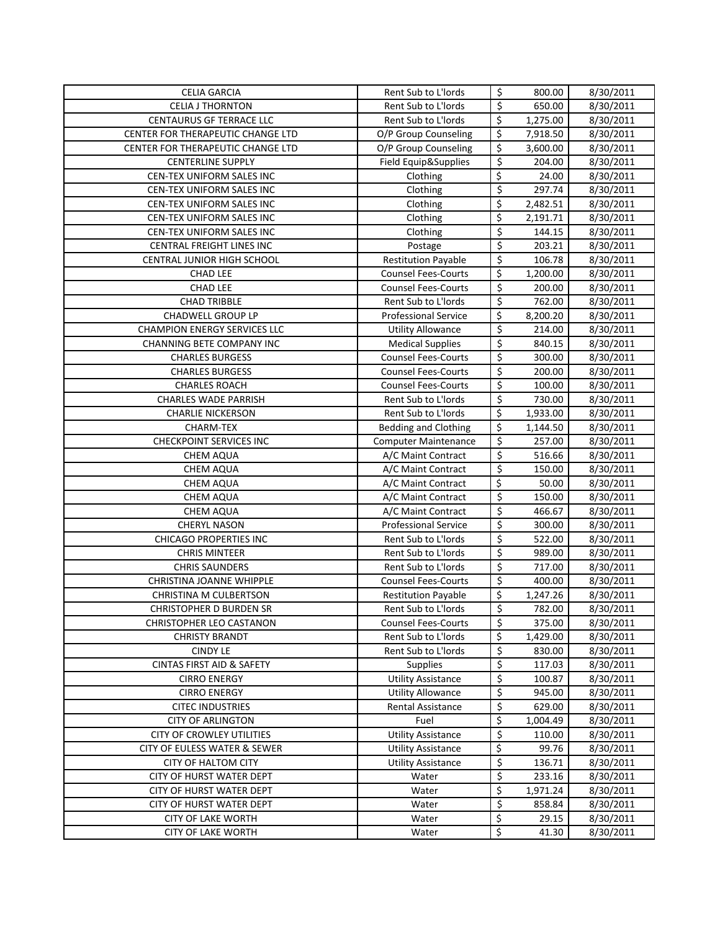| <b>CELIA GARCIA</b>                            | Rent Sub to L'Iords                                   | \$                      | 800.00           | 8/30/2011              |
|------------------------------------------------|-------------------------------------------------------|-------------------------|------------------|------------------------|
| <b>CELIA J THORNTON</b>                        | Rent Sub to L'Iords                                   | \$                      | 650.00           | 8/30/2011              |
| <b>CENTAURUS GF TERRACE LLC</b>                | Rent Sub to L'Iords                                   | \$                      | 1,275.00         | 8/30/2011              |
| CENTER FOR THERAPEUTIC CHANGE LTD              | O/P Group Counseling                                  | \$                      | 7,918.50         | 8/30/2011              |
| CENTER FOR THERAPEUTIC CHANGE LTD              | O/P Group Counseling                                  | \$                      | 3,600.00         | 8/30/2011              |
| <b>CENTERLINE SUPPLY</b>                       | Field Equip&Supplies                                  | \$                      | 204.00           | 8/30/2011              |
| CEN-TEX UNIFORM SALES INC                      | Clothing                                              | \$                      | 24.00            | 8/30/2011              |
| CEN-TEX UNIFORM SALES INC                      | Clothing                                              | \$                      | 297.74           | $\frac{1}{8}$ /30/2011 |
| CEN-TEX UNIFORM SALES INC                      | Clothing                                              | \$                      | 2,482.51         | 8/30/2011              |
| CEN-TEX UNIFORM SALES INC                      | Clothing                                              | \$                      | 2,191.71         | 8/30/2011              |
| CEN-TEX UNIFORM SALES INC                      | Clothing                                              | $\overline{\mathsf{S}}$ | 144.15           | 8/30/2011              |
| CENTRAL FREIGHT LINES INC                      | Postage                                               | \$                      | 203.21           | 8/30/2011              |
| CENTRAL JUNIOR HIGH SCHOOL                     | <b>Restitution Payable</b>                            | \$                      | 106.78           | 8/30/2011              |
| <b>CHAD LEE</b>                                | <b>Counsel Fees-Courts</b>                            | \$                      | 1,200.00         | 8/30/2011              |
| <b>CHAD LEE</b>                                | <b>Counsel Fees-Courts</b>                            | \$                      | 200.00           | 8/30/2011              |
| <b>CHAD TRIBBLE</b>                            | Rent Sub to L'Iords                                   | $\overline{\xi}$        | 762.00           | 8/30/2011              |
| <b>CHADWELL GROUP LP</b>                       | <b>Professional Service</b>                           | \$                      | 8,200.20         | 8/30/2011              |
| <b>CHAMPION ENERGY SERVICES LLC</b>            | <b>Utility Allowance</b>                              | \$                      | 214.00           | 8/30/2011              |
| CHANNING BETE COMPANY INC                      | <b>Medical Supplies</b>                               | \$                      | 840.15           | 8/30/2011              |
| <b>CHARLES BURGESS</b>                         | <b>Counsel Fees-Courts</b>                            | \$                      | 300.00           | 8/30/2011              |
| <b>CHARLES BURGESS</b>                         | <b>Counsel Fees-Courts</b>                            | \$                      | 200.00           | 8/30/2011              |
| <b>CHARLES ROACH</b>                           | <b>Counsel Fees-Courts</b>                            | \$                      | 100.00           | 8/30/2011              |
| <b>CHARLES WADE PARRISH</b>                    | Rent Sub to L'Iords                                   | $\overline{\xi}$        | 730.00           | 8/30/2011              |
| <b>CHARLIE NICKERSON</b>                       | Rent Sub to L'Iords                                   | \$                      | 1,933.00         | 8/30/2011              |
| CHARM-TEX                                      | <b>Bedding and Clothing</b>                           | \$                      | 1,144.50         | 8/30/2011              |
| <b>CHECKPOINT SERVICES INC</b>                 | <b>Computer Maintenance</b>                           | \$                      | 257.00           | 8/30/2011              |
| <b>CHEM AQUA</b>                               | A/C Maint Contract                                    | \$                      | 516.66           | 8/30/2011              |
| <b>CHEM AQUA</b>                               | A/C Maint Contract                                    | \$                      | 150.00           | 8/30/2011              |
| <b>CHEM AQUA</b>                               | A/C Maint Contract                                    | \$                      | 50.00            | 8/30/2011              |
| CHEM AQUA                                      | A/C Maint Contract                                    | \$                      | 150.00           | 8/30/2011              |
| <b>CHEM AQUA</b>                               | A/C Maint Contract                                    | \$                      | 466.67           | 8/30/2011              |
| <b>CHERYL NASON</b>                            | <b>Professional Service</b>                           | \$                      | 300.00           | 8/30/2011              |
| <b>CHICAGO PROPERTIES INC</b>                  | Rent Sub to L'Iords                                   | \$                      | 522.00           | 8/30/2011              |
| <b>CHRIS MINTEER</b>                           | Rent Sub to L'Iords                                   | \$                      | 989.00           | 8/30/2011              |
| <b>CHRIS SAUNDERS</b>                          | Rent Sub to L'Iords                                   | \$                      | 717.00           | 8/30/2011              |
| CHRISTINA JOANNE WHIPPLE                       | <b>Counsel Fees-Courts</b>                            | \$                      | 400.00           | 8/30/2011              |
| CHRISTINA M CULBERTSON                         | <b>Restitution Payable</b>                            | \$                      | 1,247.26         | 8/30/2011              |
| <b>CHRISTOPHER D BURDEN SR</b>                 | Rent Sub to L'Iords                                   | Ś                       | 782.00           | 8/30/2011              |
| <b>CHRISTOPHER LEO CASTANON</b>                | <b>Counsel Fees-Courts</b>                            | \$                      | 375.00           | 8/30/2011              |
| <b>CHRISTY BRANDT</b>                          | Rent Sub to L'Iords                                   | \$                      | 1,429.00         | 8/30/2011              |
| <b>CINDY LE</b>                                | Rent Sub to L'Iords                                   | \$                      | 830.00           | 8/30/2011              |
| <b>CINTAS FIRST AID &amp; SAFETY</b>           | <b>Supplies</b>                                       | \$<br>\$                | 117.03           | 8/30/2011              |
| <b>CIRRO ENERGY</b>                            | <b>Utility Assistance</b><br><b>Utility Allowance</b> | \$                      | 100.87<br>945.00 | 8/30/2011<br>8/30/2011 |
| <b>CIRRO ENERGY</b><br><b>CITEC INDUSTRIES</b> | Rental Assistance                                     | \$                      | 629.00           | 8/30/2011              |
| <b>CITY OF ARLINGTON</b>                       | Fuel                                                  | \$                      | 1,004.49         | 8/30/2011              |
| CITY OF CROWLEY UTILITIES                      | <b>Utility Assistance</b>                             | \$                      | 110.00           | 8/30/2011              |
| CITY OF EULESS WATER & SEWER                   | <b>Utility Assistance</b>                             | \$                      | 99.76            | 8/30/2011              |
| CITY OF HALTOM CITY                            | <b>Utility Assistance</b>                             | \$                      | 136.71           | 8/30/2011              |
| CITY OF HURST WATER DEPT                       | Water                                                 | \$                      | 233.16           | 8/30/2011              |
| CITY OF HURST WATER DEPT                       | Water                                                 | \$                      | 1,971.24         | 8/30/2011              |
| CITY OF HURST WATER DEPT                       | Water                                                 | \$                      | 858.84           | 8/30/2011              |
| <b>CITY OF LAKE WORTH</b>                      | Water                                                 | \$                      | 29.15            | 8/30/2011              |
| <b>CITY OF LAKE WORTH</b>                      | Water                                                 | \$                      | 41.30            | 8/30/2011              |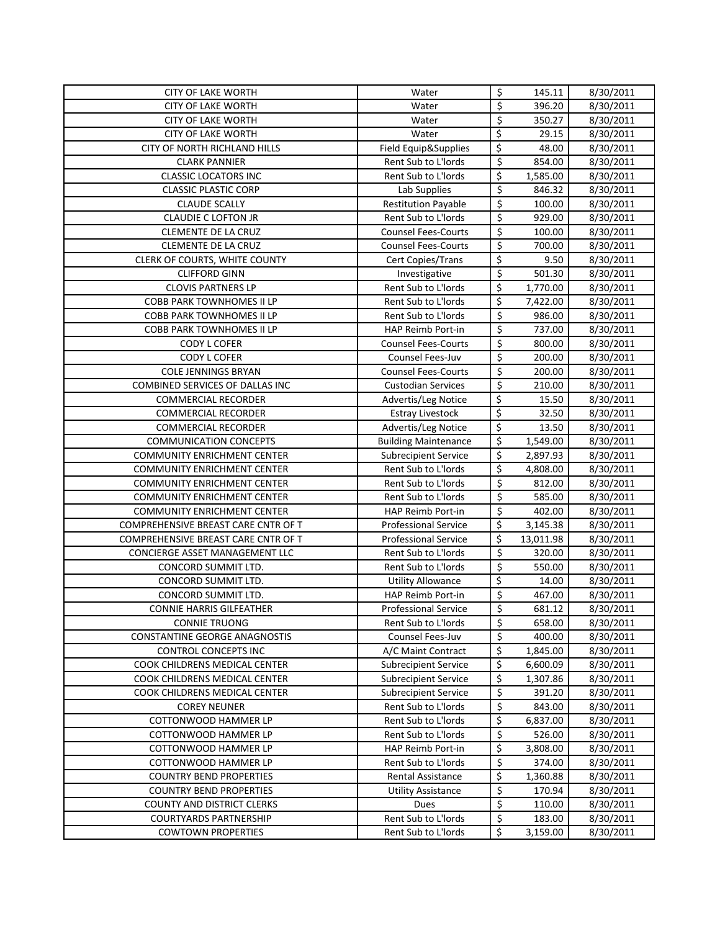| <b>CITY OF LAKE WORTH</b>                    | Water                                      | \$                              | 145.11             | 8/30/2011              |
|----------------------------------------------|--------------------------------------------|---------------------------------|--------------------|------------------------|
| <b>CITY OF LAKE WORTH</b>                    | Water                                      | \$                              | 396.20             | 8/30/2011              |
| <b>CITY OF LAKE WORTH</b>                    | Water                                      | \$                              | 350.27             | 8/30/2011              |
| <b>CITY OF LAKE WORTH</b>                    | Water                                      | \$                              | 29.15              | 8/30/2011              |
| CITY OF NORTH RICHLAND HILLS                 | Field Equip&Supplies                       | \$                              | 48.00              | 8/30/2011              |
| <b>CLARK PANNIER</b>                         | Rent Sub to L'Iords                        | \$                              | 854.00             | 8/30/2011              |
| <b>CLASSIC LOCATORS INC</b>                  | Rent Sub to L'Iords                        | \$                              | 1,585.00           | 8/30/2011              |
| <b>CLASSIC PLASTIC CORP</b>                  | Lab Supplies                               | \$                              | 846.32             | 8/30/2011              |
| <b>CLAUDE SCALLY</b>                         | <b>Restitution Payable</b>                 | \$                              | 100.00             | 8/30/2011              |
| <b>CLAUDIE C LOFTON JR</b>                   | Rent Sub to L'Iords                        | \$                              | 929.00             | 8/30/2011              |
| CLEMENTE DE LA CRUZ                          | <b>Counsel Fees-Courts</b>                 | \$                              | 100.00             | 8/30/2011              |
| CLEMENTE DE LA CRUZ                          | <b>Counsel Fees-Courts</b>                 | \$                              | 700.00             | 8/30/2011              |
| CLERK OF COURTS, WHITE COUNTY                | Cert Copies/Trans                          | \$                              | 9.50               | 8/30/2011              |
| <b>CLIFFORD GINN</b>                         | Investigative                              | $\overline{\xi}$                | 501.30             | 8/30/2011              |
| <b>CLOVIS PARTNERS LP</b>                    | Rent Sub to L'Iords                        | \$                              | 1,770.00           | 8/30/2011              |
| <b>COBB PARK TOWNHOMES II LP</b>             | Rent Sub to L'Iords                        | \$                              | 7,422.00           | 8/30/2011              |
| <b>COBB PARK TOWNHOMES II LP</b>             | Rent Sub to L'Iords                        | \$                              | 986.00             | 8/30/2011              |
| <b>COBB PARK TOWNHOMES II LP</b>             | <b>HAP Reimb Port-in</b>                   | $\overline{\xi}$                | 737.00             | 8/30/2011              |
| CODY L COFER                                 | <b>Counsel Fees-Courts</b>                 | \$                              | 800.00             | 8/30/2011              |
| <b>CODY L COFER</b>                          | Counsel Fees-Juv                           | \$                              | 200.00             | 8/30/2011              |
| <b>COLE JENNINGS BRYAN</b>                   | <b>Counsel Fees-Courts</b>                 | $\overline{\boldsymbol{\zeta}}$ | 200.00             | 8/30/2011              |
| <b>COMBINED SERVICES OF DALLAS INC</b>       | <b>Custodian Services</b>                  | \$                              | 210.00             | 8/30/2011              |
| <b>COMMERCIAL RECORDER</b>                   | Advertis/Leg Notice                        | \$                              | 15.50              | 8/30/2011              |
| <b>COMMERCIAL RECORDER</b>                   | <b>Estray Livestock</b>                    | \$                              | 32.50              | 8/30/2011              |
| <b>COMMERCIAL RECORDER</b>                   | Advertis/Leg Notice                        | \$                              | 13.50              | 8/30/2011              |
| <b>COMMUNICATION CONCEPTS</b>                | <b>Building Maintenance</b>                | \$                              | 1,549.00           | 8/30/2011              |
| <b>COMMUNITY ENRICHMENT CENTER</b>           | <b>Subrecipient Service</b>                | \$                              | 2,897.93           | 8/30/2011              |
| <b>COMMUNITY ENRICHMENT CENTER</b>           | Rent Sub to L'Iords                        | \$                              | 4,808.00           | 8/30/2011              |
| <b>COMMUNITY ENRICHMENT CENTER</b>           | Rent Sub to L'Iords                        | \$                              | 812.00             | 8/30/2011              |
| <b>COMMUNITY ENRICHMENT CENTER</b>           | Rent Sub to L'Iords                        | \$                              | 585.00             | 8/30/2011              |
| <b>COMMUNITY ENRICHMENT CENTER</b>           | HAP Reimb Port-in                          | \$                              | 402.00             | 8/30/2011              |
| COMPREHENSIVE BREAST CARE CNTR OF T          | <b>Professional Service</b>                | \$                              | 3,145.38           | 8/30/2011              |
| COMPREHENSIVE BREAST CARE CNTR OF T          | <b>Professional Service</b>                | \$                              | 13,011.98          | 8/30/2011              |
| CONCIERGE ASSET MANAGEMENT LLC               | Rent Sub to L'Iords                        | \$                              | 320.00             | 8/30/2011              |
| CONCORD SUMMIT LTD.                          | Rent Sub to L'Iords                        | \$                              | 550.00             | 8/30/2011              |
| CONCORD SUMMIT LTD.                          | <b>Utility Allowance</b>                   | \$                              | 14.00              | 8/30/2011              |
| CONCORD SUMMIT LTD.                          | HAP Reimb Port-in                          | \$                              | 467.00             | 8/30/2011              |
| CONNIE HARRIS GILFEATHER                     | <b>Professional Service</b>                | $\overline{\mathsf{S}}$         | 681.12             | 8/30/2011              |
| <b>CONNIE TRUONG</b>                         | Rent Sub to L'Iords                        | \$                              | 658.00             | 8/30/2011              |
| CONSTANTINE GEORGE ANAGNOSTIS                | Counsel Fees-Juv                           | \$                              | 400.00             | 8/30/2011              |
| CONTROL CONCEPTS INC                         | A/C Maint Contract                         | \$                              | 1,845.00           | 8/30/2011              |
| COOK CHILDRENS MEDICAL CENTER                | <b>Subrecipient Service</b>                | \$                              | 6,600.09           | 8/30/2011              |
| COOK CHILDRENS MEDICAL CENTER                | <b>Subrecipient Service</b>                | \$                              | 1,307.86           | 8/30/2011              |
| COOK CHILDRENS MEDICAL CENTER                | <b>Subrecipient Service</b>                | \$                              | 391.20             | 8/30/2011              |
| <b>COREY NEUNER</b>                          | Rent Sub to L'Iords                        | \$                              | 843.00             | 8/30/2011<br>8/30/2011 |
| COTTONWOOD HAMMER LP                         | Rent Sub to L'Iords<br>Rent Sub to L'Iords | \$<br>\$                        | 6,837.00<br>526.00 | 8/30/2011              |
| COTTONWOOD HAMMER LP<br>COTTONWOOD HAMMER LP | HAP Reimb Port-in                          | \$                              | 3,808.00           | 8/30/2011              |
| COTTONWOOD HAMMER LP                         | Rent Sub to L'Iords                        | \$                              | 374.00             | 8/30/2011              |
| <b>COUNTRY BEND PROPERTIES</b>               | Rental Assistance                          | \$                              | 1,360.88           | 8/30/2011              |
| <b>COUNTRY BEND PROPERTIES</b>               | <b>Utility Assistance</b>                  | \$                              | 170.94             | 8/30/2011              |
| COUNTY AND DISTRICT CLERKS                   | Dues                                       | \$                              | 110.00             | 8/30/2011              |
| COURTYARDS PARTNERSHIP                       | Rent Sub to L'Iords                        | \$                              | 183.00             | 8/30/2011              |
| <b>COWTOWN PROPERTIES</b>                    | Rent Sub to L'Iords                        | \$                              | 3,159.00           | 8/30/2011              |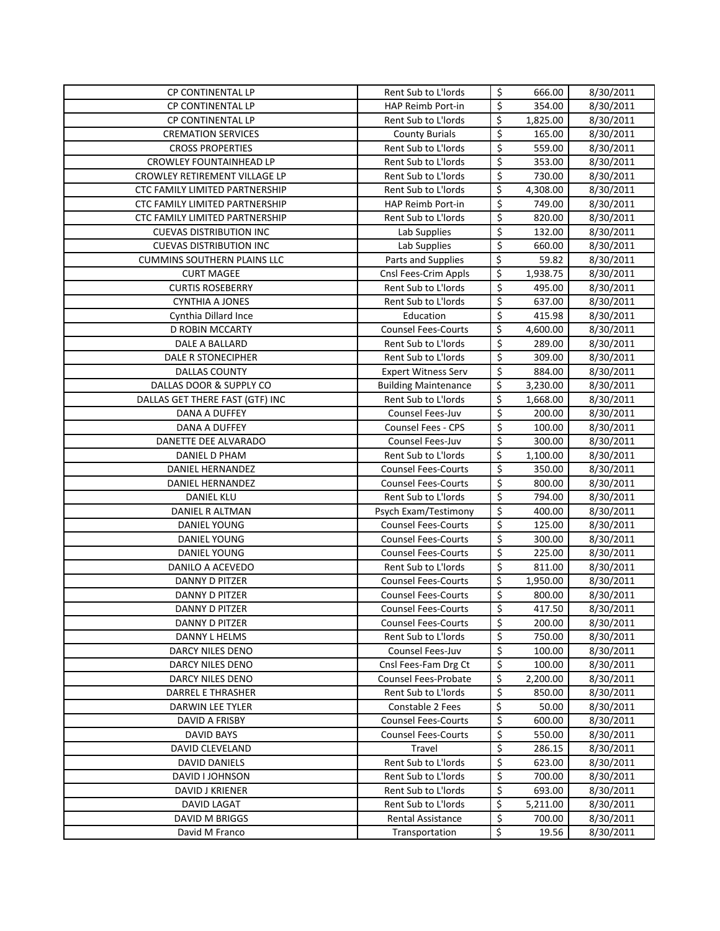| CP CONTINENTAL LP                  | Rent Sub to L'Iords                        | \$                              | 666.00           | 8/30/2011              |
|------------------------------------|--------------------------------------------|---------------------------------|------------------|------------------------|
| CP CONTINENTAL LP                  | HAP Reimb Port-in                          | \$                              | 354.00           | 8/30/2011              |
| CP CONTINENTAL LP                  | Rent Sub to L'Iords                        | \$                              | 1,825.00         | 8/30/2011              |
| <b>CREMATION SERVICES</b>          | <b>County Burials</b>                      | \$                              | 165.00           | 8/30/2011              |
| <b>CROSS PROPERTIES</b>            | Rent Sub to L'Iords                        | \$                              | 559.00           | 8/30/2011              |
| <b>CROWLEY FOUNTAINHEAD LP</b>     | Rent Sub to L'Iords                        | \$                              | 353.00           | 8/30/2011              |
| CROWLEY RETIREMENT VILLAGE LP      | Rent Sub to L'Iords                        | \$                              | 730.00           | 8/30/2011              |
| CTC FAMILY LIMITED PARTNERSHIP     | Rent Sub to L'Iords                        | \$                              | 4,308.00         | 8/30/2011              |
| CTC FAMILY LIMITED PARTNERSHIP     | HAP Reimb Port-in                          | \$                              | 749.00           | 8/30/2011              |
| CTC FAMILY LIMITED PARTNERSHIP     | Rent Sub to L'Iords                        | \$                              | 820.00           | 8/30/2011              |
| <b>CUEVAS DISTRIBUTION INC</b>     | Lab Supplies                               | $\overline{\xi}$                | 132.00           | 8/30/2011              |
| <b>CUEVAS DISTRIBUTION INC</b>     | Lab Supplies                               | \$                              | 660.00           | 8/30/2011              |
| <b>CUMMINS SOUTHERN PLAINS LLC</b> | Parts and Supplies                         | \$                              | 59.82            | 8/30/2011              |
| <b>CURT MAGEE</b>                  | Cnsl Fees-Crim Appls                       | \$                              | 1,938.75         | 8/30/2011              |
| <b>CURTIS ROSEBERRY</b>            | Rent Sub to L'Iords                        | \$                              | 495.00           | 8/30/2011              |
| <b>CYNTHIA A JONES</b>             | Rent Sub to L'Iords                        | \$                              | 637.00           | 8/30/2011              |
| Cynthia Dillard Ince               | Education                                  | \$                              | 415.98           | 8/30/2011              |
| <b>D ROBIN MCCARTY</b>             | <b>Counsel Fees-Courts</b>                 | \$                              | 4,600.00         | 8/30/2011              |
| <b>DALE A BALLARD</b>              | Rent Sub to L'Iords                        | \$                              | 289.00           | 8/30/2011              |
| <b>DALE R STONECIPHER</b>          | Rent Sub to L'Iords                        | \$                              | 309.00           | 8/30/2011              |
| <b>DALLAS COUNTY</b>               | <b>Expert Witness Serv</b>                 | $\overline{\boldsymbol{\zeta}}$ | 884.00           | 8/30/2011              |
| DALLAS DOOR & SUPPLY CO            | <b>Building Maintenance</b>                | \$                              | 3,230.00         | 8/30/2011              |
| DALLAS GET THERE FAST (GTF) INC    | Rent Sub to L'Iords                        | \$                              | 1,668.00         | 8/30/2011              |
| DANA A DUFFEY                      | Counsel Fees-Juv                           | \$                              | 200.00           | 8/30/2011              |
| DANA A DUFFEY                      | Counsel Fees - CPS                         | \$                              | 100.00           | 8/30/2011              |
| DANETTE DEE ALVARADO               | Counsel Fees-Juv                           | \$                              | 300.00           | 8/30/2011              |
| DANIEL D PHAM                      | Rent Sub to L'Iords                        | \$                              | 1,100.00         | 8/30/2011              |
| DANIEL HERNANDEZ                   | <b>Counsel Fees-Courts</b>                 | \$                              | 350.00           | 8/30/2011              |
| DANIEL HERNANDEZ                   | <b>Counsel Fees-Courts</b>                 | \$                              | 800.00           | 8/30/2011              |
| <b>DANIEL KLU</b>                  | Rent Sub to L'Iords                        | \$                              | 794.00           | 8/30/2011              |
| DANIEL R ALTMAN                    | Psych Exam/Testimony                       | \$                              | 400.00           | 8/30/2011              |
| <b>DANIEL YOUNG</b>                | <b>Counsel Fees-Courts</b>                 | \$                              | 125.00           | 8/30/2011              |
| DANIEL YOUNG                       | <b>Counsel Fees-Courts</b>                 | \$                              | 300.00           | 8/30/2011              |
| DANIEL YOUNG                       | <b>Counsel Fees-Courts</b>                 | \$                              | 225.00           | 8/30/2011              |
| DANILO A ACEVEDO                   | Rent Sub to L'Iords                        | \$                              | 811.00           | 8/30/2011              |
| DANNY D PITZER                     | <b>Counsel Fees-Courts</b>                 | \$                              | 1,950.00         | 8/30/2011              |
| <b>DANNY D PITZER</b>              | <b>Counsel Fees-Courts</b>                 | \$                              | 800.00           | 8/30/2011              |
| DANNY D PITZER                     | <b>Counsel Fees-Courts</b>                 | $\mathsf{\hat{S}}$              | 417.50           | 8/30/2011              |
| DANNY D PITZER                     | <b>Counsel Fees-Courts</b>                 | \$                              | 200.00           | 8/30/2011              |
| DANNY L HELMS                      | Rent Sub to L'Iords                        | \$                              | 750.00           | 8/30/2011              |
| DARCY NILES DENO                   | Counsel Fees-Juv                           | \$                              | 100.00           | 8/30/2011              |
| DARCY NILES DENO                   | Cnsl Fees-Fam Drg Ct                       | \$                              | 100.00           | 8/30/2011              |
| DARCY NILES DENO                   | Counsel Fees-Probate                       | \$                              | 2,200.00         | 8/30/2011              |
| DARREL E THRASHER                  | Rent Sub to L'Iords                        | \$                              | 850.00           | 8/30/2011              |
| DARWIN LEE TYLER                   | Constable 2 Fees                           | \$                              | 50.00            | 8/30/2011              |
| DAVID A FRISBY                     | <b>Counsel Fees-Courts</b>                 | \$                              | 600.00           | 8/30/2011              |
| DAVID BAYS                         | <b>Counsel Fees-Courts</b>                 | \$<br>\$                        | 550.00           | 8/30/2011              |
| DAVID CLEVELAND                    | Travel                                     |                                 | 286.15           | 8/30/2011              |
| DAVID DANIELS<br>DAVID I JOHNSON   | Rent Sub to L'Iords<br>Rent Sub to L'Iords | \$<br>\$                        | 623.00<br>700.00 | 8/30/2011<br>8/30/2011 |
| DAVID J KRIENER                    | Rent Sub to L'Iords                        | \$                              | 693.00           | 8/30/2011              |
| <b>DAVID LAGAT</b>                 | Rent Sub to L'Iords                        | \$                              | 5,211.00         | 8/30/2011              |
| DAVID M BRIGGS                     | Rental Assistance                          | \$                              | 700.00           | 8/30/2011              |
| David M Franco                     | Transportation                             | \$                              | 19.56            | 8/30/2011              |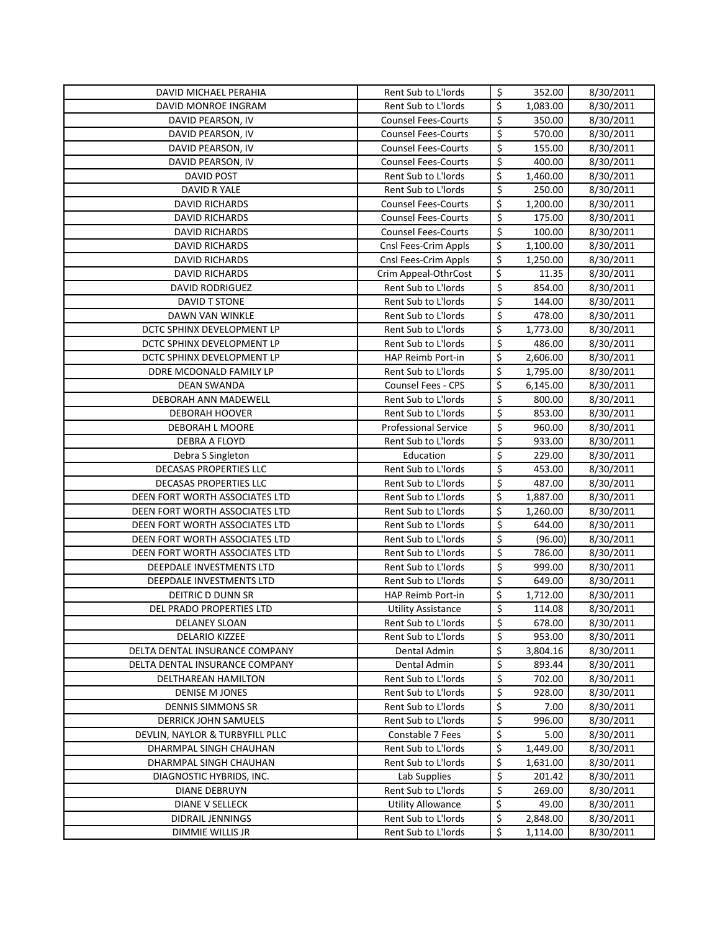| DAVID MICHAEL PERAHIA           | Rent Sub to L'Iords         | \$               | 352.00   | 8/30/2011 |
|---------------------------------|-----------------------------|------------------|----------|-----------|
| DAVID MONROE INGRAM             | Rent Sub to L'Iords         | \$               | 1,083.00 | 8/30/2011 |
| DAVID PEARSON, IV               | <b>Counsel Fees-Courts</b>  | \$               | 350.00   | 8/30/2011 |
| DAVID PEARSON, IV               | <b>Counsel Fees-Courts</b>  | \$               | 570.00   | 8/30/2011 |
| DAVID PEARSON, IV               | <b>Counsel Fees-Courts</b>  | \$               | 155.00   | 8/30/2011 |
| DAVID PEARSON, IV               | <b>Counsel Fees-Courts</b>  | \$               | 400.00   | 8/30/2011 |
| <b>DAVID POST</b>               | Rent Sub to L'Iords         | \$               | 1,460.00 | 8/30/2011 |
| DAVID R YALE                    | Rent Sub to L'Iords         | \$               | 250.00   | 8/30/2011 |
| <b>DAVID RICHARDS</b>           | <b>Counsel Fees-Courts</b>  | \$               | 1,200.00 | 8/30/2011 |
| <b>DAVID RICHARDS</b>           | <b>Counsel Fees-Courts</b>  | \$               | 175.00   | 8/30/2011 |
| <b>DAVID RICHARDS</b>           | <b>Counsel Fees-Courts</b>  | \$               | 100.00   | 8/30/2011 |
| <b>DAVID RICHARDS</b>           | Cnsl Fees-Crim Appls        | \$               | 1,100.00 | 8/30/2011 |
| <b>DAVID RICHARDS</b>           | Cnsl Fees-Crim Appls        | \$               | 1,250.00 | 8/30/2011 |
| <b>DAVID RICHARDS</b>           | Crim Appeal-OthrCost        | \$               | 11.35    | 8/30/2011 |
| <b>DAVID RODRIGUEZ</b>          | Rent Sub to L'Iords         | \$               | 854.00   | 8/30/2011 |
| DAVID T STONE                   | Rent Sub to L'Iords         | \$               | 144.00   | 8/30/2011 |
| DAWN VAN WINKLE                 | Rent Sub to L'Iords         | \$               | 478.00   | 8/30/2011 |
| DCTC SPHINX DEVELOPMENT LP      | Rent Sub to L'Iords         | \$               | 1,773.00 | 8/30/2011 |
| DCTC SPHINX DEVELOPMENT LP      | Rent Sub to L'Iords         | \$               | 486.00   | 8/30/2011 |
| DCTC SPHINX DEVELOPMENT LP      | <b>HAP Reimb Port-in</b>    | \$               | 2,606.00 | 8/30/2011 |
| DDRE MCDONALD FAMILY LP         | Rent Sub to L'Iords         | \$               | 1,795.00 | 8/30/2011 |
| <b>DEAN SWANDA</b>              | <b>Counsel Fees - CPS</b>   | \$               | 6,145.00 | 8/30/2011 |
| <b>DEBORAH ANN MADEWELL</b>     | Rent Sub to L'Iords         | \$               | 800.00   | 8/30/2011 |
| <b>DEBORAH HOOVER</b>           | Rent Sub to L'Iords         | \$               | 853.00   | 8/30/2011 |
| DEBORAH L MOORE                 | <b>Professional Service</b> | \$               | 960.00   | 8/30/2011 |
| DEBRA A FLOYD                   | Rent Sub to L'Iords         | \$               | 933.00   | 8/30/2011 |
| Debra S Singleton               | Education                   | \$               | 229.00   | 8/30/2011 |
| DECASAS PROPERTIES LLC          | Rent Sub to L'Iords         | \$               | 453.00   | 8/30/2011 |
| DECASAS PROPERTIES LLC          | Rent Sub to L'Iords         | \$               | 487.00   | 8/30/2011 |
| DEEN FORT WORTH ASSOCIATES LTD  | Rent Sub to L'Iords         | \$               | 1,887.00 | 8/30/2011 |
| DEEN FORT WORTH ASSOCIATES LTD  | Rent Sub to L'Iords         | \$               | 1,260.00 | 8/30/2011 |
| DEEN FORT WORTH ASSOCIATES LTD  | Rent Sub to L'Iords         | $\overline{\xi}$ | 644.00   | 8/30/2011 |
| DEEN FORT WORTH ASSOCIATES LTD  | Rent Sub to L'Iords         | $\overline{\xi}$ | (96.00)  | 8/30/2011 |
| DEEN FORT WORTH ASSOCIATES LTD  | Rent Sub to L'Iords         | \$               | 786.00   | 8/30/2011 |
| DEEPDALE INVESTMENTS LTD        | Rent Sub to L'Iords         | \$               | 999.00   | 8/30/2011 |
| DEEPDALE INVESTMENTS LTD        | Rent Sub to L'Iords         | \$               | 649.00   | 8/30/2011 |
| DEITRIC D DUNN SR               | HAP Reimb Port-in           | \$               | 1,712.00 | 8/30/2011 |
| DEL PRADO PROPERTIES LTD        | <b>Utility Assistance</b>   | \$               | 114.08   | 8/30/2011 |
| DELANEY SLOAN                   | Rent Sub to L'Iords         | \$               | 678.00   | 8/30/2011 |
| DELARIO KIZZEE                  | Rent Sub to L'Iords         | \$               | 953.00   | 8/30/2011 |
| DELTA DENTAL INSURANCE COMPANY  | Dental Admin                | \$               | 3,804.16 | 8/30/2011 |
| DELTA DENTAL INSURANCE COMPANY  | Dental Admin                | \$               | 893.44   | 8/30/2011 |
| DELTHAREAN HAMILTON             | Rent Sub to L'Iords         | \$               | 702.00   | 8/30/2011 |
| DENISE M JONES                  | Rent Sub to L'Iords         | \$               | 928.00   | 8/30/2011 |
| <b>DENNIS SIMMONS SR</b>        | Rent Sub to L'Iords         | \$               | 7.00     | 8/30/2011 |
| DERRICK JOHN SAMUELS            | Rent Sub to L'Iords         | \$               | 996.00   | 8/30/2011 |
| DEVLIN, NAYLOR & TURBYFILL PLLC | Constable 7 Fees            | \$               | 5.00     | 8/30/2011 |
| DHARMPAL SINGH CHAUHAN          | Rent Sub to L'Iords         | \$               | 1,449.00 | 8/30/2011 |
| DHARMPAL SINGH CHAUHAN          | Rent Sub to L'Iords         | \$               | 1,631.00 | 8/30/2011 |
| DIAGNOSTIC HYBRIDS, INC.        | Lab Supplies                | \$               | 201.42   | 8/30/2011 |
| DIANE DEBRUYN                   | Rent Sub to L'Iords         | \$               | 269.00   | 8/30/2011 |
| DIANE V SELLECK                 | <b>Utility Allowance</b>    | \$               | 49.00    | 8/30/2011 |
| DIDRAIL JENNINGS                | Rent Sub to L'Iords         | \$               | 2,848.00 | 8/30/2011 |
| DIMMIE WILLIS JR                | Rent Sub to L'Iords         | \$               | 1,114.00 | 8/30/2011 |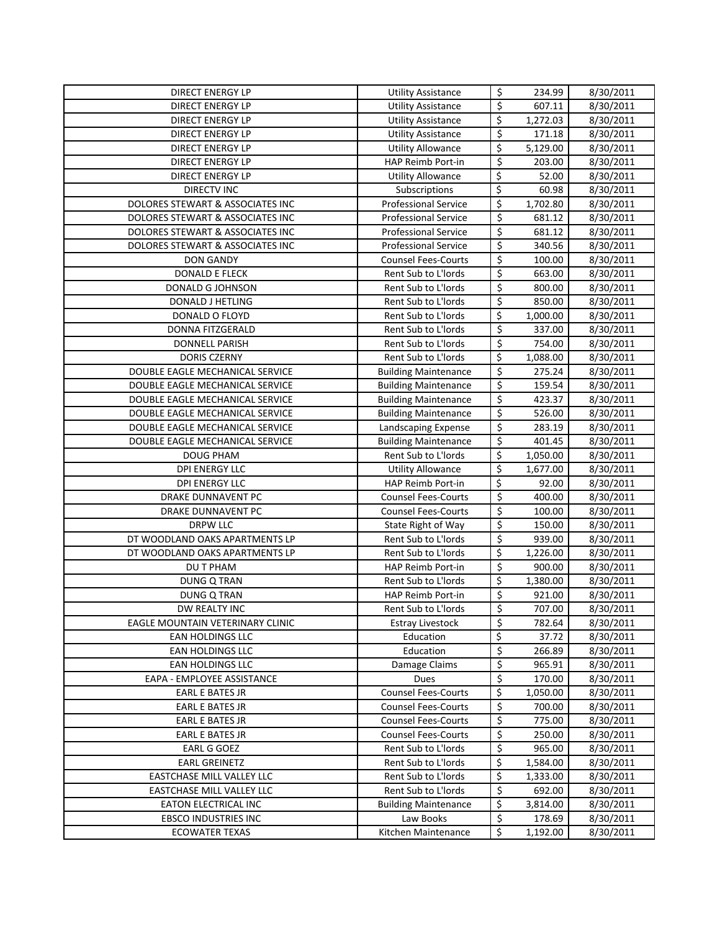| <b>DIRECT ENERGY LP</b>                              | <b>Utility Assistance</b>    | \$                              | 234.99             | 8/30/2011              |
|------------------------------------------------------|------------------------------|---------------------------------|--------------------|------------------------|
| <b>DIRECT ENERGY LP</b>                              | <b>Utility Assistance</b>    | $\overline{\boldsymbol{\zeta}}$ | 607.11             | 8/30/2011              |
| <b>DIRECT ENERGY LP</b>                              | <b>Utility Assistance</b>    | \$                              | 1,272.03           | 8/30/2011              |
| <b>DIRECT ENERGY LP</b>                              | <b>Utility Assistance</b>    | \$                              | 171.18             | 8/30/2011              |
| <b>DIRECT ENERGY LP</b>                              | <b>Utility Allowance</b>     | \$                              | 5,129.00           | 8/30/2011              |
| <b>DIRECT ENERGY LP</b>                              | HAP Reimb Port-in            | $\overline{\xi}$                | 203.00             | 8/30/2011              |
| <b>DIRECT ENERGY LP</b>                              | <b>Utility Allowance</b>     | \$                              | 52.00              | 8/30/2011              |
| <b>DIRECTV INC</b>                                   | Subscriptions                | \$                              | 60.98              | 8/30/2011              |
| DOLORES STEWART & ASSOCIATES INC                     | <b>Professional Service</b>  | \$                              | 1,702.80           | 8/30/2011              |
| DOLORES STEWART & ASSOCIATES INC                     | <b>Professional Service</b>  | \$                              | 681.12             | 8/30/2011              |
| DOLORES STEWART & ASSOCIATES INC                     | <b>Professional Service</b>  | $\overline{\xi}$                | 681.12             | $\frac{1}{8}$ /30/2011 |
| DOLORES STEWART & ASSOCIATES INC                     | <b>Professional Service</b>  | \$                              | 340.56             | 8/30/2011              |
| <b>DON GANDY</b>                                     | <b>Counsel Fees-Courts</b>   | \$                              | 100.00             | 8/30/2011              |
| <b>DONALD E FLECK</b>                                | Rent Sub to L'Iords          | \$                              | 663.00             | 8/30/2011              |
| <b>DONALD G JOHNSON</b>                              | Rent Sub to L'Iords          | \$                              | 800.00             | 8/30/2011              |
| DONALD J HETLING                                     | Rent Sub to L'Iords          | \$                              | 850.00             | 8/30/2011              |
| DONALD O FLOYD                                       | Rent Sub to L'Iords          | \$                              | 1,000.00           | 8/30/2011              |
| DONNA FITZGERALD                                     | Rent Sub to L'Iords          | $\overline{\boldsymbol{\zeta}}$ | 337.00             | 8/30/2011              |
| <b>DONNELL PARISH</b>                                | Rent Sub to L'Iords          | \$                              | 754.00             | 8/30/2011              |
| DORIS CZERNY                                         | Rent Sub to L'Iords          | \$                              | 1,088.00           | 8/30/2011              |
| DOUBLE EAGLE MECHANICAL SERVICE                      | <b>Building Maintenance</b>  | \$                              | 275.24             | 8/30/2011              |
| DOUBLE EAGLE MECHANICAL SERVICE                      | <b>Building Maintenance</b>  | \$                              | 159.54             | 8/30/2011              |
| DOUBLE EAGLE MECHANICAL SERVICE                      | <b>Building Maintenance</b>  | \$                              | 423.37             | 8/30/2011              |
| DOUBLE EAGLE MECHANICAL SERVICE                      | <b>Building Maintenance</b>  | \$                              | 526.00             | 8/30/2011              |
| DOUBLE EAGLE MECHANICAL SERVICE                      | Landscaping Expense          | \$                              | 283.19             | 8/30/2011              |
| DOUBLE EAGLE MECHANICAL SERVICE                      | <b>Building Maintenance</b>  | \$                              | 401.45             | 8/30/2011              |
| <b>DOUG PHAM</b>                                     | Rent Sub to L'Iords          | \$                              | 1,050.00           | 8/30/2011              |
| DPI ENERGY LLC                                       | <b>Utility Allowance</b>     | \$                              | 1,677.00           | 8/30/2011              |
| <b>DPI ENERGY LLC</b>                                | HAP Reimb Port-in            | \$                              | 92.00              | 8/30/2011              |
| DRAKE DUNNAVENT PC                                   | <b>Counsel Fees-Courts</b>   | \$                              | 400.00             | 8/30/2011              |
| DRAKE DUNNAVENT PC                                   | <b>Counsel Fees-Courts</b>   | \$                              | 100.00             | 8/30/2011              |
| <b>DRPW LLC</b>                                      | State Right of Way           | \$                              | 150.00             | 8/30/2011              |
| DT WOODLAND OAKS APARTMENTS LP                       | Rent Sub to L'Iords          | \$                              | 939.00             | 8/30/2011              |
| DT WOODLAND OAKS APARTMENTS LP                       | Rent Sub to L'Iords          | \$                              | 1,226.00           | 8/30/2011              |
| DU T PHAM                                            | HAP Reimb Port-in            | \$                              | 900.00             | 8/30/2011              |
| <b>DUNG Q TRAN</b>                                   | Rent Sub to L'Iords          | \$                              | 1,380.00           | 8/30/2011              |
| <b>DUNG Q TRAN</b>                                   | HAP Reimb Port-in            | \$                              | 921.00             | 8/30/2011              |
| DW REALTY INC                                        | Rent Sub to L'Iords          | Ś                               | 707.00             | 8/30/2011              |
| EAGLE MOUNTAIN VETERINARY CLINIC                     | <b>Estray Livestock</b>      | \$                              | 782.64             | 8/30/2011              |
| EAN HOLDINGS LLC                                     | Education                    | \$                              | 37.72              | 8/30/2011              |
| EAN HOLDINGS LLC                                     | Education                    | \$                              | 266.89             | 8/30/2011              |
| EAN HOLDINGS LLC                                     | Damage Claims<br><b>Dues</b> | \$<br>\$                        | 965.91             | 8/30/2011              |
| EAPA - EMPLOYEE ASSISTANCE<br><b>EARL E BATES JR</b> | <b>Counsel Fees-Courts</b>   | \$                              | 170.00<br>1,050.00 | 8/30/2011<br>8/30/2011 |
| <b>EARL E BATES JR</b>                               | <b>Counsel Fees-Courts</b>   | \$                              | 700.00             | 8/30/2011              |
| <b>EARL E BATES JR</b>                               | <b>Counsel Fees-Courts</b>   | \$                              | 775.00             | 8/30/2011              |
| EARL E BATES JR                                      | <b>Counsel Fees-Courts</b>   | \$                              | 250.00             | 8/30/2011              |
| EARL G GOEZ                                          | Rent Sub to L'Iords          | \$                              | 965.00             | 8/30/2011              |
| <b>EARL GREINETZ</b>                                 | Rent Sub to L'Iords          | \$                              | 1,584.00           | 8/30/2011              |
| EASTCHASE MILL VALLEY LLC                            | Rent Sub to L'Iords          | \$                              | 1,333.00           | 8/30/2011              |
| EASTCHASE MILL VALLEY LLC                            | Rent Sub to L'Iords          | \$                              | 692.00             | 8/30/2011              |
| EATON ELECTRICAL INC                                 | <b>Building Maintenance</b>  | \$                              | 3,814.00           | 8/30/2011              |
| <b>EBSCO INDUSTRIES INC</b>                          | Law Books                    | \$                              | 178.69             | 8/30/2011              |
| <b>ECOWATER TEXAS</b>                                | Kitchen Maintenance          | \$                              | 1,192.00           | 8/30/2011              |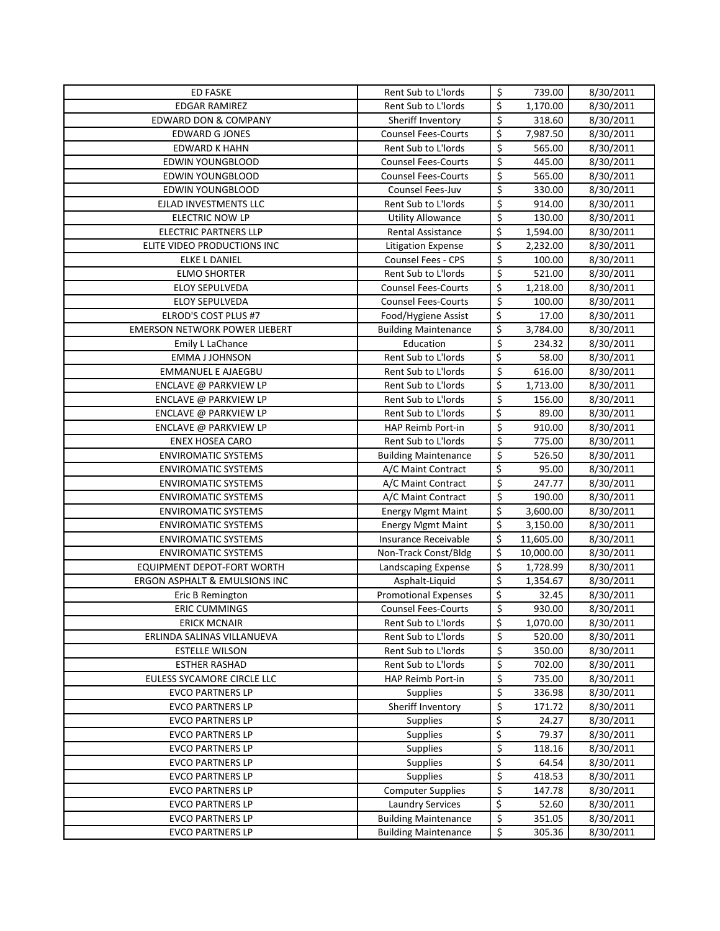| <b>ED FASKE</b>                      | Rent Sub to L'Iords         | \$                       | 739.00    | 8/30/2011 |
|--------------------------------------|-----------------------------|--------------------------|-----------|-----------|
| <b>EDGAR RAMIREZ</b>                 | Rent Sub to L'Iords         | \$                       | 1,170.00  | 8/30/2011 |
| <b>EDWARD DON &amp; COMPANY</b>      | Sheriff Inventory           | \$                       | 318.60    | 8/30/2011 |
| <b>EDWARD G JONES</b>                | <b>Counsel Fees-Courts</b>  | \$                       | 7,987.50  | 8/30/2011 |
| <b>EDWARD K HAHN</b>                 | Rent Sub to L'Iords         | \$                       | 565.00    | 8/30/2011 |
| EDWIN YOUNGBLOOD                     | <b>Counsel Fees-Courts</b>  | \$                       | 445.00    | 8/30/2011 |
| <b>EDWIN YOUNGBLOOD</b>              | <b>Counsel Fees-Courts</b>  | \$                       | 565.00    | 8/30/2011 |
| EDWIN YOUNGBLOOD                     | Counsel Fees-Juv            | \$                       | 330.00    | 8/30/2011 |
| EJLAD INVESTMENTS LLC                | Rent Sub to L'Iords         | \$                       | 914.00    | 8/30/2011 |
| <b>ELECTRIC NOW LP</b>               | <b>Utility Allowance</b>    | \$                       | 130.00    | 8/30/2011 |
| <b>ELECTRIC PARTNERS LLP</b>         | Rental Assistance           | \$                       | 1,594.00  | 8/30/2011 |
| ELITE VIDEO PRODUCTIONS INC          | Litigation Expense          | \$                       | 2,232.00  | 8/30/2011 |
| <b>ELKE L DANIEL</b>                 | Counsel Fees - CPS          | $\overline{\xi}$         | 100.00    | 8/30/2011 |
| <b>ELMO SHORTER</b>                  | Rent Sub to L'Iords         | $\overline{\xi}$         | 521.00    | 8/30/2011 |
| <b>ELOY SEPULVEDA</b>                | <b>Counsel Fees-Courts</b>  | \$                       | 1,218.00  | 8/30/2011 |
| <b>ELOY SEPULVEDA</b>                | <b>Counsel Fees-Courts</b>  | \$                       | 100.00    | 8/30/2011 |
| ELROD'S COST PLUS #7                 | Food/Hygiene Assist         | \$                       | 17.00     | 8/30/2011 |
| <b>EMERSON NETWORK POWER LIEBERT</b> | <b>Building Maintenance</b> | \$                       | 3,784.00  | 8/30/2011 |
| Emily L LaChance                     | Education                   | \$                       | 234.32    | 8/30/2011 |
| <b>EMMA J JOHNSON</b>                | Rent Sub to L'Iords         | \$                       | 58.00     | 8/30/2011 |
| <b>EMMANUEL E AJAEGBU</b>            | Rent Sub to L'Iords         | $\overline{\xi}$         | 616.00    | 8/30/2011 |
| ENCLAVE @ PARKVIEW LP                | Rent Sub to L'Iords         | \$                       | 1,713.00  | 8/30/2011 |
| ENCLAVE @ PARKVIEW LP                | Rent Sub to L'Iords         | \$                       | 156.00    | 8/30/2011 |
| ENCLAVE @ PARKVIEW LP                | Rent Sub to L'Iords         | \$                       | 89.00     | 8/30/2011 |
| ENCLAVE @ PARKVIEW LP                | HAP Reimb Port-in           | \$                       | 910.00    | 8/30/2011 |
| <b>ENEX HOSEA CARO</b>               | Rent Sub to L'Iords         | \$                       | 775.00    | 8/30/2011 |
| <b>ENVIROMATIC SYSTEMS</b>           | <b>Building Maintenance</b> | \$                       | 526.50    | 8/30/2011 |
| <b>ENVIROMATIC SYSTEMS</b>           | A/C Maint Contract          | \$                       | 95.00     | 8/30/2011 |
| <b>ENVIROMATIC SYSTEMS</b>           | A/C Maint Contract          | \$                       | 247.77    | 8/30/2011 |
| <b>ENVIROMATIC SYSTEMS</b>           | A/C Maint Contract          | \$                       | 190.00    | 8/30/2011 |
| <b>ENVIROMATIC SYSTEMS</b>           | <b>Energy Mgmt Maint</b>    | \$                       | 3,600.00  | 8/30/2011 |
| <b>ENVIROMATIC SYSTEMS</b>           | <b>Energy Mgmt Maint</b>    | \$                       | 3,150.00  | 8/30/2011 |
| <b>ENVIROMATIC SYSTEMS</b>           | Insurance Receivable        | \$                       | 11,605.00 | 8/30/2011 |
| <b>ENVIROMATIC SYSTEMS</b>           | Non-Track Const/Bldg        | \$                       | 10,000.00 | 8/30/2011 |
| EQUIPMENT DEPOT-FORT WORTH           | Landscaping Expense         | \$                       | 1,728.99  | 8/30/2011 |
| ERGON ASPHALT & EMULSIONS INC        | Asphalt-Liquid              | \$                       | 1,354.67  | 8/30/2011 |
| Eric B Remington                     | <b>Promotional Expenses</b> | $\overline{\xi}$         | 32.45     | 8/30/2011 |
| <b>ERIC CUMMINGS</b>                 | <b>Counsel Fees-Courts</b>  | $\overline{\mathsf{S}}$  | 930.00    | 8/30/2011 |
| <b>ERICK MCNAIR</b>                  | Rent Sub to L'Iords         | \$                       | 1,070.00  | 8/30/2011 |
| ERLINDA SALINAS VILLANUEVA           | Rent Sub to L'Iords         | \$                       | 520.00    | 8/30/2011 |
| <b>ESTELLE WILSON</b>                | Rent Sub to L'Iords         | \$                       | 350.00    | 8/30/2011 |
| <b>ESTHER RASHAD</b>                 | Rent Sub to L'Iords         | \$                       | 702.00    | 8/30/2011 |
| EULESS SYCAMORE CIRCLE LLC           | HAP Reimb Port-in           | \$                       | 735.00    | 8/30/2011 |
| <b>EVCO PARTNERS LP</b>              | <b>Supplies</b>             | \$                       | 336.98    | 8/30/2011 |
| <b>EVCO PARTNERS LP</b>              | Sheriff Inventory           | \$                       | 171.72    | 8/30/2011 |
| <b>EVCO PARTNERS LP</b>              | <b>Supplies</b>             | \$                       | 24.27     | 8/30/2011 |
| <b>EVCO PARTNERS LP</b>              | <b>Supplies</b>             | \$                       | 79.37     | 8/30/2011 |
| <b>EVCO PARTNERS LP</b>              | <b>Supplies</b>             | \$                       | 118.16    | 8/30/2011 |
| <b>EVCO PARTNERS LP</b>              | <b>Supplies</b>             | \$                       | 64.54     | 8/30/2011 |
| <b>EVCO PARTNERS LP</b>              | <b>Supplies</b>             | \$                       | 418.53    | 8/30/2011 |
| <b>EVCO PARTNERS LP</b>              | <b>Computer Supplies</b>    | \$                       | 147.78    | 8/30/2011 |
| <b>EVCO PARTNERS LP</b>              | <b>Laundry Services</b>     | \$                       | 52.60     | 8/30/2011 |
| <b>EVCO PARTNERS LP</b>              | <b>Building Maintenance</b> | \$                       | 351.05    | 8/30/2011 |
| <b>EVCO PARTNERS LP</b>              | <b>Building Maintenance</b> | $\overline{\mathcal{S}}$ | 305.36    | 8/30/2011 |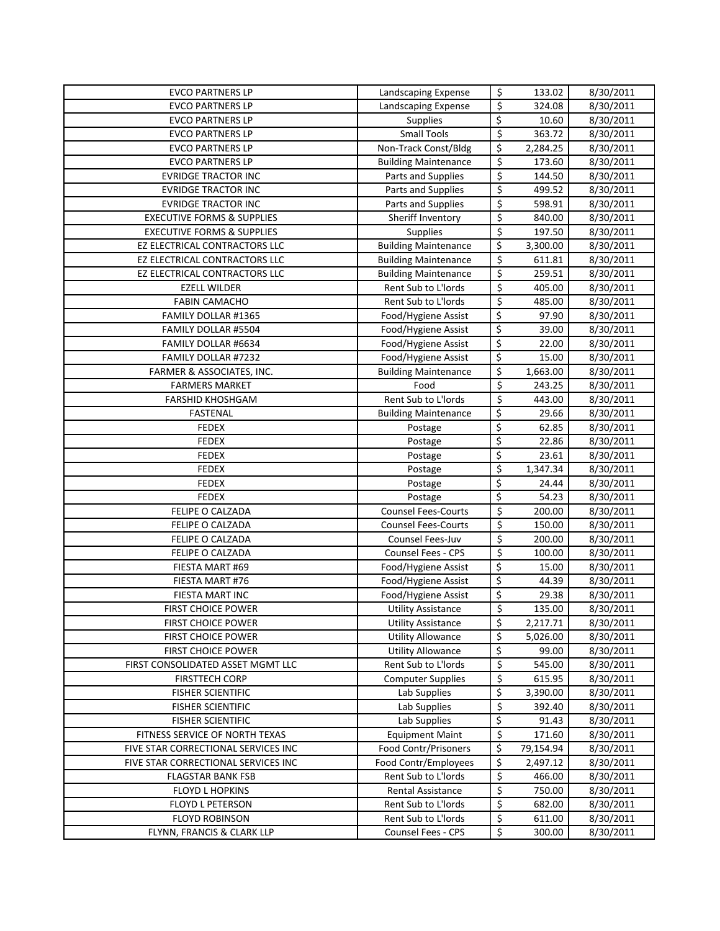| <b>EVCO PARTNERS LP</b>                                                    | Landscaping Expense                                   | \$                      | 133.02                | 8/30/2011              |
|----------------------------------------------------------------------------|-------------------------------------------------------|-------------------------|-----------------------|------------------------|
| <b>EVCO PARTNERS LP</b>                                                    | Landscaping Expense                                   | \$                      | 324.08                | 8/30/2011              |
| <b>EVCO PARTNERS LP</b>                                                    | Supplies                                              | \$                      | 10.60                 | 8/30/2011              |
| <b>EVCO PARTNERS LP</b>                                                    | <b>Small Tools</b>                                    | \$                      | 363.72                | 8/30/2011              |
| <b>EVCO PARTNERS LP</b>                                                    | Non-Track Const/Bldg                                  | \$                      | 2,284.25              | 8/30/2011              |
| <b>EVCO PARTNERS LP</b>                                                    | <b>Building Maintenance</b>                           | \$                      | 173.60                | 8/30/2011              |
| <b>EVRIDGE TRACTOR INC</b>                                                 | Parts and Supplies                                    | \$                      | 144.50                | $\frac{1}{8}$ /30/2011 |
| <b>EVRIDGE TRACTOR INC</b>                                                 | Parts and Supplies                                    | \$                      | 499.52                | 8/30/2011              |
| <b>EVRIDGE TRACTOR INC</b>                                                 | Parts and Supplies                                    | \$                      | 598.91                | 8/30/2011              |
| <b>EXECUTIVE FORMS &amp; SUPPLIES</b>                                      | Sheriff Inventory                                     | \$                      | 840.00                | 8/30/2011              |
| <b>EXECUTIVE FORMS &amp; SUPPLIES</b>                                      | Supplies                                              | \$                      | 197.50                | 8/30/2011              |
| EZ ELECTRICAL CONTRACTORS LLC                                              | <b>Building Maintenance</b>                           | \$                      | 3,300.00              | 8/30/2011              |
| EZ ELECTRICAL CONTRACTORS LLC                                              | <b>Building Maintenance</b>                           | \$                      | 611.81                | 8/30/2011              |
| EZ ELECTRICAL CONTRACTORS LLC                                              | <b>Building Maintenance</b>                           | $\overline{\xi}$        | 259.51                | 8/30/2011              |
| <b>EZELL WILDER</b>                                                        | Rent Sub to L'Iords                                   | $\overline{\xi}$        | 405.00                | 8/30/2011              |
| <b>FABIN CAMACHO</b>                                                       | Rent Sub to L'Iords                                   | $\overline{\xi}$        | 485.00                | 8/30/2011              |
| FAMILY DOLLAR #1365                                                        | Food/Hygiene Assist                                   | \$                      | 97.90                 | 8/30/2011              |
| FAMILY DOLLAR #5504                                                        | Food/Hygiene Assist                                   | \$                      | 39.00                 | 8/30/2011              |
| FAMILY DOLLAR #6634                                                        | Food/Hygiene Assist                                   | \$                      | 22.00                 | 8/30/2011              |
| <b>FAMILY DOLLAR #7232</b>                                                 | Food/Hygiene Assist                                   | \$                      | 15.00                 | 8/30/2011              |
| FARMER & ASSOCIATES, INC.                                                  | <b>Building Maintenance</b>                           | \$                      | 1,663.00              | 8/30/2011              |
| <b>FARMERS MARKET</b>                                                      | Food                                                  | \$                      | 243.25                | 8/30/2011              |
| <b>FARSHID KHOSHGAM</b>                                                    | Rent Sub to L'Iords                                   | \$                      | 443.00                | 8/30/2011              |
| <b>FASTENAL</b>                                                            | <b>Building Maintenance</b>                           | \$                      | 29.66                 | 8/30/2011              |
| <b>FEDEX</b>                                                               | Postage                                               | \$                      | 62.85                 | 8/30/2011              |
| <b>FEDEX</b>                                                               | Postage                                               | \$                      | 22.86                 | 8/30/2011              |
| <b>FEDEX</b>                                                               | Postage                                               | \$                      | 23.61                 | 8/30/2011              |
| <b>FEDEX</b>                                                               | Postage                                               | \$                      | 1,347.34              | 8/30/2011              |
| <b>FEDEX</b>                                                               | Postage                                               | \$                      | 24.44                 | 8/30/2011              |
| <b>FEDEX</b>                                                               | Postage                                               | \$                      | 54.23                 | 8/30/2011              |
| FELIPE O CALZADA                                                           | <b>Counsel Fees-Courts</b>                            | \$                      | 200.00                | 8/30/2011              |
| FELIPE O CALZADA                                                           | <b>Counsel Fees-Courts</b>                            | \$                      | 150.00                | 8/30/2011              |
| FELIPE O CALZADA                                                           | Counsel Fees-Juv                                      | \$                      | 200.00                | 8/30/2011              |
| FELIPE O CALZADA                                                           | <b>Counsel Fees - CPS</b>                             | \$                      | 100.00                | 8/30/2011              |
| FIESTA MART #69                                                            | Food/Hygiene Assist                                   | \$                      | 15.00                 | 8/30/2011              |
| FIESTA MART #76                                                            | Food/Hygiene Assist                                   | \$                      | 44.39                 | 8/30/2011              |
| FIESTA MART INC                                                            | Food/Hygiene Assist                                   | \$                      | 29.38                 | 8/30/2011              |
| FIRST CHOICE POWER                                                         | <b>Utility Assistance</b>                             | $\overline{\mathsf{S}}$ | 135.00                | 8/30/2011              |
| <b>FIRST CHOICE POWER</b>                                                  | <b>Utility Assistance</b>                             | \$                      | 2,217.71              | 8/30/2011              |
| <b>FIRST CHOICE POWER</b>                                                  | <b>Utility Allowance</b>                              | \$                      | 5,026.00              | 8/30/2011              |
| <b>FIRST CHOICE POWER</b>                                                  | <b>Utility Allowance</b>                              | \$                      | 99.00                 | 8/30/2011              |
| FIRST CONSOLIDATED ASSET MGMT LLC                                          | Rent Sub to L'Iords                                   | \$                      | 545.00                | 8/30/2011              |
| <b>FIRSTTECH CORP</b>                                                      | <b>Computer Supplies</b>                              | \$                      | 615.95                | 8/30/2011              |
| <b>FISHER SCIENTIFIC</b>                                                   | Lab Supplies                                          | \$                      | 3,390.00              | 8/30/2011              |
| <b>FISHER SCIENTIFIC</b>                                                   | Lab Supplies                                          | \$<br>\$                | 392.40                | 8/30/2011              |
| <b>FISHER SCIENTIFIC</b><br>FITNESS SERVICE OF NORTH TEXAS                 | Lab Supplies                                          | \$                      | 91.43                 | 8/30/2011              |
|                                                                            | <b>Equipment Maint</b><br><b>Food Contr/Prisoners</b> |                         | 171.60                | 8/30/2011              |
| FIVE STAR CORRECTIONAL SERVICES INC<br>FIVE STAR CORRECTIONAL SERVICES INC | Food Contr/Employees                                  | \$<br>\$                | 79,154.94<br>2,497.12 | 8/30/2011              |
| <b>FLAGSTAR BANK FSB</b>                                                   | Rent Sub to L'Iords                                   | \$                      | 466.00                | 8/30/2011<br>8/30/2011 |
| <b>FLOYD L HOPKINS</b>                                                     | Rental Assistance                                     | \$                      | 750.00                | 8/30/2011              |
| <b>FLOYD L PETERSON</b>                                                    | Rent Sub to L'Iords                                   | \$                      | 682.00                | 8/30/2011              |
| <b>FLOYD ROBINSON</b>                                                      | Rent Sub to L'Iords                                   | \$                      | 611.00                | 8/30/2011              |
|                                                                            |                                                       |                         |                       |                        |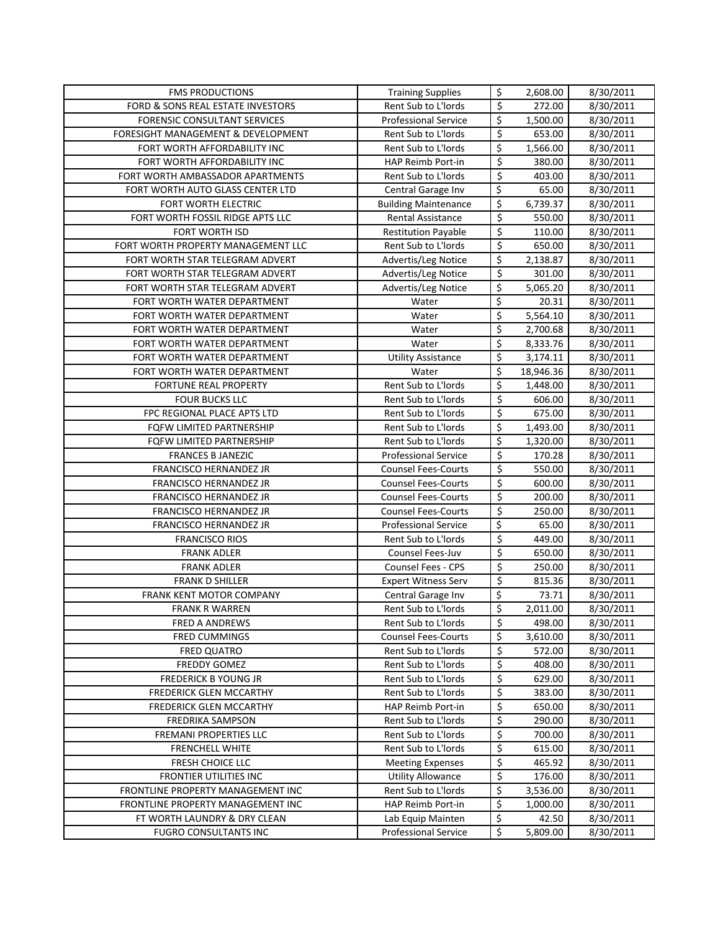| <b>FMS PRODUCTIONS</b>                                                 | <b>Training Supplies</b>                       | \$               | 2,608.00                | 8/30/2011              |
|------------------------------------------------------------------------|------------------------------------------------|------------------|-------------------------|------------------------|
| FORD & SONS REAL ESTATE INVESTORS                                      | Rent Sub to L'Iords                            | \$               | 272.00                  | 8/30/2011              |
| <b>FORENSIC CONSULTANT SERVICES</b>                                    | <b>Professional Service</b>                    | \$               | 1,500.00                | 8/30/2011              |
| FORESIGHT MANAGEMENT & DEVELOPMENT                                     | Rent Sub to L'Iords                            | \$               | 653.00                  | 8/30/2011              |
| FORT WORTH AFFORDABILITY INC                                           | Rent Sub to L'Iords                            | \$               | 1,566.00                | 8/30/2011              |
| FORT WORTH AFFORDABILITY INC                                           | HAP Reimb Port-in                              | \$               | 380.00                  | 8/30/2011              |
| FORT WORTH AMBASSADOR APARTMENTS                                       | Rent Sub to L'Iords                            | \$               | 403.00                  | 8/30/2011              |
| FORT WORTH AUTO GLASS CENTER LTD                                       | Central Garage Inv                             | \$               | 65.00                   | 8/30/2011              |
| FORT WORTH ELECTRIC                                                    | <b>Building Maintenance</b>                    | \$               | $\overline{6}$ , 739.37 | 8/30/2011              |
| FORT WORTH FOSSIL RIDGE APTS LLC                                       | Rental Assistance                              | \$               | 550.00                  | 8/30/2011              |
| <b>FORT WORTH ISD</b>                                                  | <b>Restitution Payable</b>                     | $\overline{\xi}$ | 110.00                  | 8/30/2011              |
| FORT WORTH PROPERTY MANAGEMENT LLC                                     | Rent Sub to L'Iords                            | \$               | 650.00                  | 8/30/2011              |
| FORT WORTH STAR TELEGRAM ADVERT                                        | Advertis/Leg Notice                            | \$               | 2,138.87                | 8/30/2011              |
| FORT WORTH STAR TELEGRAM ADVERT                                        | Advertis/Leg Notice                            | \$               | 301.00                  | 8/30/2011              |
| FORT WORTH STAR TELEGRAM ADVERT                                        | Advertis/Leg Notice                            | \$               | 5,065.20                | 8/30/2011              |
| FORT WORTH WATER DEPARTMENT                                            | Water                                          | \$               | 20.31                   | 8/30/2011              |
| FORT WORTH WATER DEPARTMENT                                            | Water                                          | \$               | 5,564.10                | 8/30/2011              |
| FORT WORTH WATER DEPARTMENT                                            | Water                                          | \$               | 2,700.68                | 8/30/2011              |
| FORT WORTH WATER DEPARTMENT                                            | Water                                          | \$               | 8,333.76                | 8/30/2011              |
| FORT WORTH WATER DEPARTMENT                                            | <b>Utility Assistance</b>                      | \$               | 3,174.11                | 8/30/2011              |
| FORT WORTH WATER DEPARTMENT                                            | Water                                          | \$               | 18,946.36               | 8/30/2011              |
| FORTUNE REAL PROPERTY                                                  | Rent Sub to L'Iords                            | \$               | 1,448.00                | 8/30/2011              |
| <b>FOUR BUCKS LLC</b>                                                  | Rent Sub to L'Iords                            | \$               | 606.00                  | 8/30/2011              |
| FPC REGIONAL PLACE APTS LTD                                            | Rent Sub to L'Iords                            | \$               | 675.00                  | 8/30/2011              |
| FQFW LIMITED PARTNERSHIP                                               | Rent Sub to L'Iords                            | \$               | 1,493.00                | 8/30/2011              |
| FQFW LIMITED PARTNERSHIP                                               | Rent Sub to L'Iords                            | \$               | 1,320.00                | 8/30/2011              |
| <b>FRANCES B JANEZIC</b>                                               | <b>Professional Service</b>                    | \$               | 170.28                  | 8/30/2011              |
| FRANCISCO HERNANDEZ JR                                                 | <b>Counsel Fees-Courts</b>                     | \$               | 550.00                  | 8/30/2011              |
| FRANCISCO HERNANDEZ JR                                                 | <b>Counsel Fees-Courts</b>                     | \$               | 600.00                  | 8/30/2011              |
| FRANCISCO HERNANDEZ JR                                                 | <b>Counsel Fees-Courts</b>                     | \$               | 200.00                  | 8/30/2011              |
| FRANCISCO HERNANDEZ JR                                                 | <b>Counsel Fees-Courts</b>                     | \$               | 250.00                  | 8/30/2011              |
| FRANCISCO HERNANDEZ JR                                                 | <b>Professional Service</b>                    | \$               | 65.00                   | 8/30/2011              |
| <b>FRANCISCO RIOS</b>                                                  | Rent Sub to L'Iords                            | \$               | 449.00                  | 8/30/2011              |
| <b>FRANK ADLER</b>                                                     | Counsel Fees-Juv                               | \$               | 650.00                  | 8/30/2011              |
| <b>FRANK ADLER</b>                                                     | <b>Counsel Fees - CPS</b>                      | \$               | 250.00                  | 8/30/2011              |
| <b>FRANK D SHILLER</b>                                                 | <b>Expert Witness Serv</b>                     | \$               | 815.36                  | 8/30/2011              |
| FRANK KENT MOTOR COMPANY                                               | Central Garage Inv                             | \$               | 73.71                   | 8/30/2011              |
| <b>FRANK R WARREN</b>                                                  | <b>Rent Sub to L'Iords</b>                     | $\zeta$          | 2,011.00                | 8/30/2011              |
| <b>FRED A ANDREWS</b>                                                  | Rent Sub to L'Iords                            | \$               | 498.00                  | 8/30/2011              |
| <b>FRED CUMMINGS</b>                                                   | <b>Counsel Fees-Courts</b>                     | \$               | 3,610.00                | 8/30/2011              |
| <b>FRED QUATRO</b>                                                     | Rent Sub to L'Iords                            | \$               | 572.00                  | 8/30/2011              |
| FREDDY GOMEZ                                                           | Rent Sub to L'Iords                            | \$               | 408.00                  | 8/30/2011              |
| <b>FREDERICK B YOUNG JR</b>                                            | Rent Sub to L'Iords                            | \$               | 629.00                  | 8/30/2011              |
| <b>FREDERICK GLEN MCCARTHY</b>                                         | Rent Sub to L'Iords                            | \$               | 383.00                  | 8/30/2011              |
| <b>FREDERICK GLEN MCCARTHY</b>                                         | HAP Reimb Port-in                              | \$               | 650.00                  | 8/30/2011              |
| FREDRIKA SAMPSON                                                       | Rent Sub to L'Iords                            | \$               | 290.00                  | 8/30/2011              |
| FREMANI PROPERTIES LLC                                                 | Rent Sub to L'Iords                            | \$               | 700.00                  | 8/30/2011              |
| <b>FRENCHELL WHITE</b>                                                 | Rent Sub to L'Iords<br><b>Meeting Expenses</b> | \$               | 615.00                  | 8/30/2011              |
| FRESH CHOICE LLC                                                       | <b>Utility Allowance</b>                       | \$<br>\$         | 465.92<br>176.00        | 8/30/2011<br>8/30/2011 |
| FRONTIER UTILITIES INC                                                 | Rent Sub to L'Iords                            | \$               |                         |                        |
| FRONTLINE PROPERTY MANAGEMENT INC<br>FRONTLINE PROPERTY MANAGEMENT INC | HAP Reimb Port-in                              | \$               | 3,536.00<br>1,000.00    | 8/30/2011<br>8/30/2011 |
| FT WORTH LAUNDRY & DRY CLEAN                                           | Lab Equip Mainten                              | \$               | 42.50                   | 8/30/2011              |
| <b>FUGRO CONSULTANTS INC</b>                                           | <b>Professional Service</b>                    | \$               | 5,809.00                | 8/30/2011              |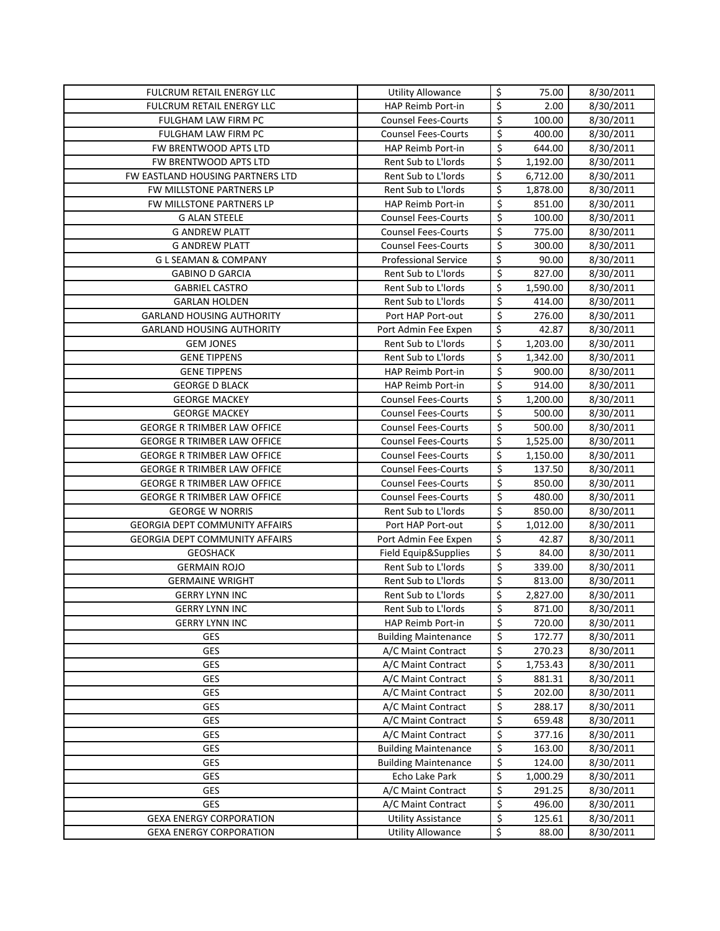| FULCRUM RETAIL ENERGY LLC             | <b>Utility Allowance</b>                                   | \$       | 75.00              | 8/30/2011              |
|---------------------------------------|------------------------------------------------------------|----------|--------------------|------------------------|
| FULCRUM RETAIL ENERGY LLC             | HAP Reimb Port-in                                          | \$       | 2.00               | 8/30/2011              |
| FULGHAM LAW FIRM PC                   | <b>Counsel Fees-Courts</b>                                 | \$       | 100.00             | 8/30/2011              |
| FULGHAM LAW FIRM PC                   | <b>Counsel Fees-Courts</b>                                 | \$       | 400.00             | 8/30/2011              |
| FW BRENTWOOD APTS LTD                 | HAP Reimb Port-in                                          | \$       | 644.00             | 8/30/2011              |
| FW BRENTWOOD APTS LTD                 | Rent Sub to L'Iords                                        | \$       | 1,192.00           | 8/30/2011              |
| FW EASTLAND HOUSING PARTNERS LTD      | Rent Sub to L'Iords                                        | \$       | 6,712.00           | 8/30/2011              |
| FW MILLSTONE PARTNERS LP              | Rent Sub to L'Iords                                        | \$       | 1,878.00           | 8/30/2011              |
| FW MILLSTONE PARTNERS LP              | <b>HAP Reimb Port-in</b>                                   | \$       | 851.00             | 8/30/2011              |
| <b>G ALAN STEELE</b>                  | <b>Counsel Fees-Courts</b>                                 | \$       | 100.00             | 8/30/2011              |
| <b>G ANDREW PLATT</b>                 | <b>Counsel Fees-Courts</b>                                 | \$       | 775.00             | 8/30/2011              |
| <b>G ANDREW PLATT</b>                 | <b>Counsel Fees-Courts</b>                                 | \$       | 300.00             | 8/30/2011              |
| <b>GLSEAMAN &amp; COMPANY</b>         | <b>Professional Service</b>                                | \$       | 90.00              | 8/30/2011              |
| <b>GABINO D GARCIA</b>                | Rent Sub to L'Iords                                        | \$       | 827.00             | 8/30/2011              |
| <b>GABRIEL CASTRO</b>                 | Rent Sub to L'Iords                                        | \$       | 1,590.00           | 8/30/2011              |
| <b>GARLAN HOLDEN</b>                  | Rent Sub to L'Iords                                        | \$       | 414.00             | 8/30/2011              |
| <b>GARLAND HOUSING AUTHORITY</b>      | Port HAP Port-out                                          | \$       | 276.00             | 8/30/2011              |
| <b>GARLAND HOUSING AUTHORITY</b>      | Port Admin Fee Expen                                       | \$       | 42.87              | 8/30/2011              |
| <b>GEM JONES</b>                      | Rent Sub to L'Iords                                        | \$       | 1,203.00           | 8/30/2011              |
| <b>GENE TIPPENS</b>                   | Rent Sub to L'Iords                                        | \$       | 1,342.00           | 8/30/2011              |
| <b>GENE TIPPENS</b>                   | HAP Reimb Port-in                                          | \$       | 900.00             | 8/30/2011              |
| <b>GEORGE D BLACK</b>                 | HAP Reimb Port-in                                          | \$       | 914.00             | 8/30/2011              |
| <b>GEORGE MACKEY</b>                  | <b>Counsel Fees-Courts</b>                                 | \$       | 1,200.00           | 8/30/2011              |
| <b>GEORGE MACKEY</b>                  | <b>Counsel Fees-Courts</b>                                 | \$       | 500.00             | 8/30/2011              |
| <b>GEORGE R TRIMBER LAW OFFICE</b>    | <b>Counsel Fees-Courts</b>                                 | \$       | 500.00             | 8/30/2011              |
| <b>GEORGE R TRIMBER LAW OFFICE</b>    | <b>Counsel Fees-Courts</b>                                 | \$       | 1,525.00           | 8/30/2011              |
| <b>GEORGE R TRIMBER LAW OFFICE</b>    | <b>Counsel Fees-Courts</b>                                 | \$       | 1,150.00           | 8/30/2011              |
| <b>GEORGE R TRIMBER LAW OFFICE</b>    | <b>Counsel Fees-Courts</b>                                 | \$       | 137.50             | 8/30/2011              |
| <b>GEORGE R TRIMBER LAW OFFICE</b>    | <b>Counsel Fees-Courts</b>                                 | \$       | 850.00             | 8/30/2011              |
| <b>GEORGE R TRIMBER LAW OFFICE</b>    | <b>Counsel Fees-Courts</b>                                 | \$       | 480.00             | 8/30/2011              |
| <b>GEORGE W NORRIS</b>                | Rent Sub to L'Iords                                        | \$       | 850.00             | 8/30/2011              |
| <b>GEORGIA DEPT COMMUNITY AFFAIRS</b> | Port HAP Port-out                                          | \$       | 1,012.00           | 8/30/2011              |
| <b>GEORGIA DEPT COMMUNITY AFFAIRS</b> | Port Admin Fee Expen                                       | \$       | 42.87              | 8/30/2011              |
| <b>GEOSHACK</b>                       | Field Equip&Supplies                                       | \$       | 84.00              | 8/30/2011              |
| <b>GERMAIN ROJO</b>                   | Rent Sub to L'Iords                                        | \$       | 339.00             | 8/30/2011              |
| <b>GERMAINE WRIGHT</b>                | Rent Sub to L'Iords                                        | \$       | 813.00             | 8/30/2011              |
| <b>GERRY LYNN INC</b>                 | Rent Sub to L'Iords                                        | \$       | 2,827.00           | 8/30/2011              |
| <b>GERRY LYNN INC</b>                 | Rent Sub to L'Iords                                        | Ś        | 871.00             | 8/30/2011              |
| <b>GERRY LYNN INC</b>                 | HAP Reimb Port-in                                          | \$       | 720.00             | 8/30/2011              |
| <b>GES</b>                            | <b>Building Maintenance</b>                                | \$       | 172.77             | 8/30/2011              |
| GES                                   | A/C Maint Contract                                         | \$       | 270.23             | 8/30/2011              |
| GES                                   | A/C Maint Contract                                         | \$       | 1,753.43<br>881.31 | 8/30/2011              |
| GES                                   | A/C Maint Contract                                         | \$       | 202.00             | 8/30/2011              |
| <b>GES</b>                            | A/C Maint Contract<br>A/C Maint Contract                   | \$<br>\$ |                    | 8/30/2011              |
| GES                                   |                                                            |          | 288.17             | 8/30/2011              |
| <b>GES</b>                            | A/C Maint Contract                                         | \$<br>\$ | 659.48             | 8/30/2011              |
| GES                                   | A/C Maint Contract                                         | \$       | 377.16             | 8/30/2011              |
| GES<br>GES                            | <b>Building Maintenance</b><br><b>Building Maintenance</b> | \$       | 163.00<br>124.00   | 8/30/2011<br>8/30/2011 |
| <b>GES</b>                            | Echo Lake Park                                             | \$       | 1,000.29           | 8/30/2011              |
| GES                                   | A/C Maint Contract                                         | \$       | 291.25             | 8/30/2011              |
| GES                                   | A/C Maint Contract                                         | \$       | 496.00             | 8/30/2011              |
| <b>GEXA ENERGY CORPORATION</b>        | <b>Utility Assistance</b>                                  | \$       | 125.61             | 8/30/2011              |
| <b>GEXA ENERGY CORPORATION</b>        | <b>Utility Allowance</b>                                   | \$       | 88.00              | 8/30/2011              |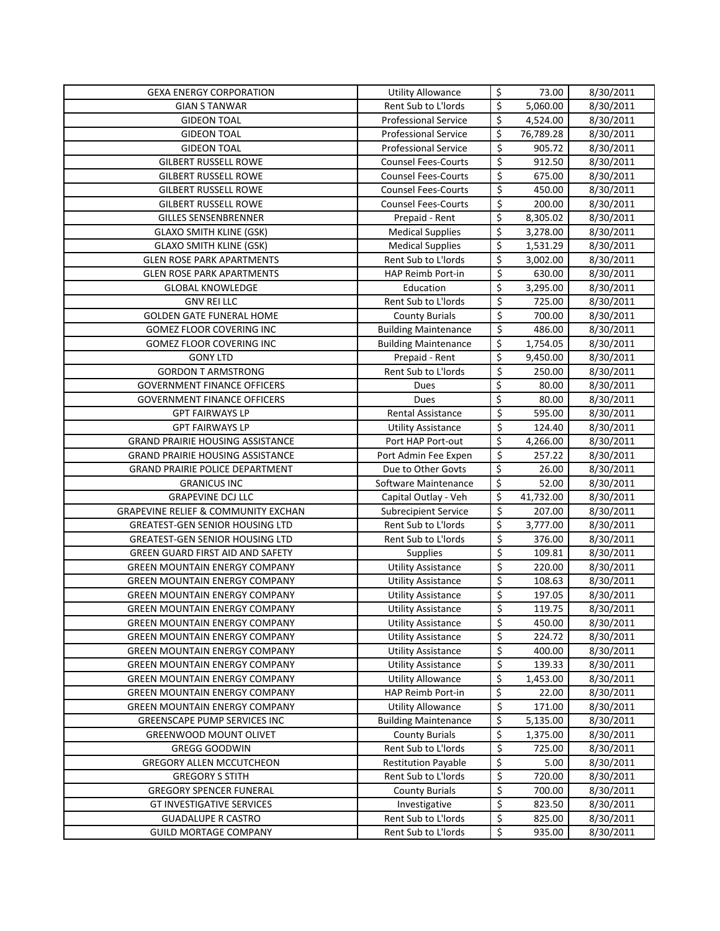| <b>GEXA ENERGY CORPORATION</b>                                               | <b>Utility Allowance</b>                      | \$               | 73.00              | 8/30/2011              |
|------------------------------------------------------------------------------|-----------------------------------------------|------------------|--------------------|------------------------|
| <b>GIAN S TANWAR</b>                                                         | Rent Sub to L'Iords                           | \$               | 5,060.00           | 8/30/2011              |
| <b>GIDEON TOAL</b>                                                           | <b>Professional Service</b>                   | \$               | 4,524.00           | 8/30/2011              |
| <b>GIDEON TOAL</b>                                                           | <b>Professional Service</b>                   | \$               | 76,789.28          | 8/30/2011              |
| <b>GIDEON TOAL</b>                                                           | <b>Professional Service</b>                   | \$               | 905.72             | 8/30/2011              |
| <b>GILBERT RUSSELL ROWE</b>                                                  | <b>Counsel Fees-Courts</b>                    | \$               | 912.50             | 8/30/2011              |
| <b>GILBERT RUSSELL ROWE</b>                                                  | <b>Counsel Fees-Courts</b>                    | \$               | 675.00             | 8/30/2011              |
| <b>GILBERT RUSSELL ROWE</b>                                                  | <b>Counsel Fees-Courts</b>                    | \$               | 450.00             | 8/30/2011              |
| <b>GILBERT RUSSELL ROWE</b>                                                  | <b>Counsel Fees-Courts</b>                    | \$               | 200.00             | 8/30/2011              |
| <b>GILLES SENSENBRENNER</b>                                                  | Prepaid - Rent                                | \$               | 8,305.02           | 8/30/2011              |
| <b>GLAXO SMITH KLINE (GSK)</b>                                               | <b>Medical Supplies</b>                       | \$               | 3,278.00           | 8/30/2011              |
| <b>GLAXO SMITH KLINE (GSK)</b>                                               | <b>Medical Supplies</b>                       | \$               | 1,531.29           | 8/30/2011              |
| <b>GLEN ROSE PARK APARTMENTS</b>                                             | Rent Sub to L'Iords                           | \$               | 3,002.00           | 8/30/2011              |
| <b>GLEN ROSE PARK APARTMENTS</b>                                             | HAP Reimb Port-in                             | $\overline{\xi}$ | 630.00             | 8/30/2011              |
| <b>GLOBAL KNOWLEDGE</b>                                                      | Education                                     | \$               | 3,295.00           | 8/30/2011              |
| <b>GNV REI LLC</b>                                                           | Rent Sub to L'Iords                           | \$               | 725.00             | 8/30/2011              |
| <b>GOLDEN GATE FUNERAL HOME</b>                                              | <b>County Burials</b>                         | \$               | 700.00             | 8/30/2011              |
| <b>GOMEZ FLOOR COVERING INC</b>                                              | <b>Building Maintenance</b>                   | \$               | 486.00             | 8/30/2011              |
| <b>GOMEZ FLOOR COVERING INC</b>                                              | <b>Building Maintenance</b>                   | \$               | 1,754.05           | 8/30/2011              |
| <b>GONY LTD</b>                                                              | Prepaid - Rent                                | \$               | 9,450.00           | 8/30/2011              |
| <b>GORDON T ARMSTRONG</b>                                                    | Rent Sub to L'Iords                           | \$               | 250.00             | 8/30/2011              |
| <b>GOVERNMENT FINANCE OFFICERS</b>                                           | Dues                                          | \$               | 80.00              | 8/30/2011              |
| <b>GOVERNMENT FINANCE OFFICERS</b>                                           | Dues                                          | \$               | 80.00              | 8/30/2011              |
| <b>GPT FAIRWAYS LP</b>                                                       | <b>Rental Assistance</b>                      | \$               | 595.00             | 8/30/2011              |
| <b>GPT FAIRWAYS LP</b>                                                       | <b>Utility Assistance</b>                     | \$               | 124.40             | 8/30/2011              |
| <b>GRAND PRAIRIE HOUSING ASSISTANCE</b>                                      | Port HAP Port-out                             | \$               | 4,266.00           | 8/30/2011              |
| <b>GRAND PRAIRIE HOUSING ASSISTANCE</b>                                      | Port Admin Fee Expen                          | \$               | 257.22             | 8/30/2011              |
| GRAND PRAIRIE POLICE DEPARTMENT                                              | Due to Other Govts                            | \$               | 26.00              | 8/30/2011              |
| <b>GRANICUS INC</b>                                                          | Software Maintenance                          | \$               | 52.00              | 8/30/2011              |
| <b>GRAPEVINE DCJ LLC</b>                                                     | Capital Outlay - Veh                          | \$               | 41,732.00          | 8/30/2011              |
| <b>GRAPEVINE RELIEF &amp; COMMUNITY EXCHAN</b>                               | <b>Subrecipient Service</b>                   | \$               | 207.00             | 8/30/2011              |
| <b>GREATEST-GEN SENIOR HOUSING LTD</b>                                       | Rent Sub to L'Iords                           | \$               | 3,777.00           | 8/30/2011              |
| <b>GREATEST-GEN SENIOR HOUSING LTD</b>                                       | Rent Sub to L'Iords                           | \$               | 376.00             | 8/30/2011              |
| GREEN GUARD FIRST AID AND SAFETY                                             | Supplies                                      | \$               | 109.81             | 8/30/2011              |
| <b>GREEN MOUNTAIN ENERGY COMPANY</b>                                         | <b>Utility Assistance</b>                     | \$               | 220.00             | 8/30/2011              |
| <b>GREEN MOUNTAIN ENERGY COMPANY</b>                                         | <b>Utility Assistance</b>                     | \$               | 108.63             | 8/30/2011              |
| <b>GREEN MOUNTAIN ENERGY COMPANY</b>                                         | <b>Utility Assistance</b>                     | \$<br>$\zeta$    | 197.05             | 8/30/2011              |
| <b>GREEN MOUNTAIN ENERGY COMPANY</b>                                         | <b>Utility Assistance</b>                     |                  | 119.75             | 8/30/2011              |
| <b>GREEN MOUNTAIN ENERGY COMPANY</b>                                         | <b>Utility Assistance</b>                     | \$               | 450.00             | 8/30/2011              |
| <b>GREEN MOUNTAIN ENERGY COMPANY</b>                                         | <b>Utility Assistance</b>                     | \$               | 224.72             | 8/30/2011              |
| <b>GREEN MOUNTAIN ENERGY COMPANY</b>                                         | <b>Utility Assistance</b>                     | \$               | 400.00<br>139.33   | 8/30/2011              |
| <b>GREEN MOUNTAIN ENERGY COMPANY</b>                                         | <b>Utility Assistance</b>                     | \$<br>\$         |                    | 8/30/2011              |
| <b>GREEN MOUNTAIN ENERGY COMPANY</b><br><b>GREEN MOUNTAIN ENERGY COMPANY</b> | <b>Utility Allowance</b><br>HAP Reimb Port-in | \$               | 1,453.00<br>22.00  | 8/30/2011<br>8/30/2011 |
| <b>GREEN MOUNTAIN ENERGY COMPANY</b>                                         | <b>Utility Allowance</b>                      | \$               | 171.00             | 8/30/2011              |
| <b>GREENSCAPE PUMP SERVICES INC</b>                                          | <b>Building Maintenance</b>                   | \$               |                    |                        |
|                                                                              |                                               | \$               | 5,135.00           | 8/30/2011              |
| <b>GREENWOOD MOUNT OLIVET</b><br><b>GREGG GOODWIN</b>                        | <b>County Burials</b><br>Rent Sub to L'Iords  | \$               | 1,375.00<br>725.00 | 8/30/2011<br>8/30/2011 |
| <b>GREGORY ALLEN MCCUTCHEON</b>                                              | <b>Restitution Payable</b>                    | \$               | 5.00               | 8/30/2011              |
| <b>GREGORY S STITH</b>                                                       | Rent Sub to L'Iords                           | \$               | 720.00             | 8/30/2011              |
| <b>GREGORY SPENCER FUNERAL</b>                                               | <b>County Burials</b>                         | \$               | 700.00             | 8/30/2011              |
| <b>GT INVESTIGATIVE SERVICES</b>                                             | Investigative                                 | \$               | 823.50             | 8/30/2011              |
| <b>GUADALUPE R CASTRO</b>                                                    | Rent Sub to L'Iords                           | \$               | 825.00             | 8/30/2011              |
| <b>GUILD MORTAGE COMPANY</b>                                                 | Rent Sub to L'Iords                           | \$               | 935.00             | 8/30/2011              |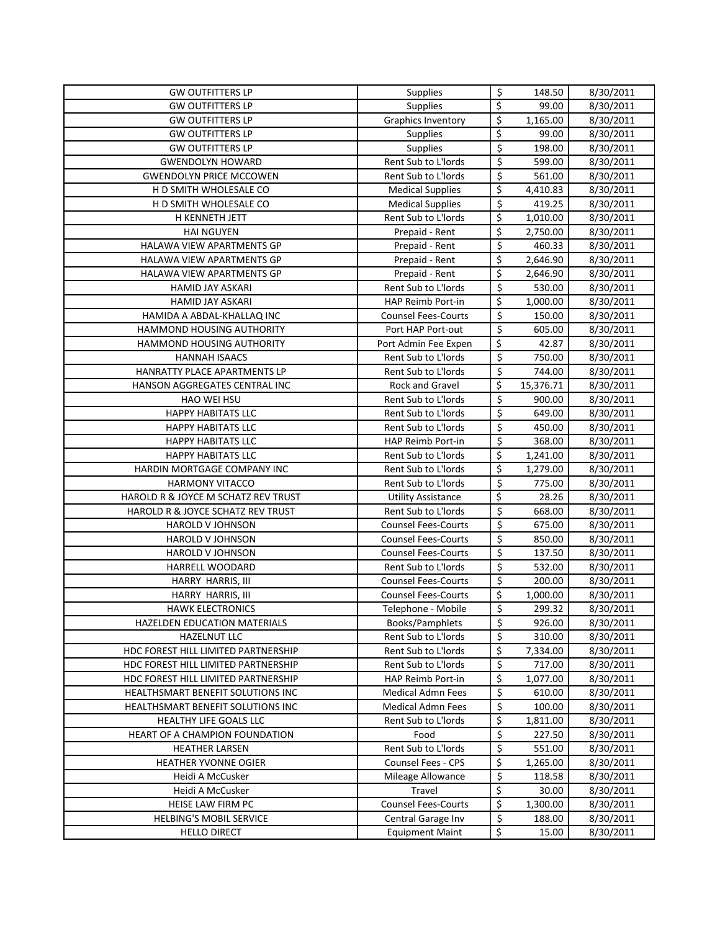| <b>GW OUTFITTERS LP</b>                                                    | Supplies                                 | \$                              | 148.50             | 8/30/2011              |
|----------------------------------------------------------------------------|------------------------------------------|---------------------------------|--------------------|------------------------|
| <b>GW OUTFITTERS LP</b>                                                    | Supplies                                 | $\overline{\xi}$                | 99.00              | 8/30/2011              |
| <b>GW OUTFITTERS LP</b>                                                    | Graphics Inventory                       | \$                              | 1,165.00           | 8/30/2011              |
| <b>GW OUTFITTERS LP</b>                                                    | <b>Supplies</b>                          | \$                              | 99.00              | 8/30/2011              |
| <b>GW OUTFITTERS LP</b>                                                    | Supplies                                 | $\overline{\xi}$                | 198.00             | 8/30/2011              |
| <b>GWENDOLYN HOWARD</b>                                                    | Rent Sub to L'Iords                      | \$                              | 599.00             | 8/30/2011              |
| <b>GWENDOLYN PRICE MCCOWEN</b>                                             | Rent Sub to L'Iords                      | \$                              | 561.00             | 8/30/2011              |
| H D SMITH WHOLESALE CO                                                     | <b>Medical Supplies</b>                  | \$                              | 4,410.83           | 8/30/2011              |
| H D SMITH WHOLESALE CO                                                     | <b>Medical Supplies</b>                  | \$                              | 419.25             | 8/30/2011              |
| H KENNETH JETT                                                             | Rent Sub to L'Iords                      | \$                              | 1,010.00           | 8/30/2011              |
| <b>HAI NGUYEN</b>                                                          | Prepaid - Rent                           | \$                              | 2,750.00           | 8/30/2011              |
| HALAWA VIEW APARTMENTS GP                                                  | Prepaid - Rent                           | \$                              | 460.33             | 8/30/2011              |
| HALAWA VIEW APARTMENTS GP                                                  | Prepaid - Rent                           | $\overline{\mathsf{S}}$         | 2,646.90           | 8/30/2011              |
| HALAWA VIEW APARTMENTS GP                                                  | Prepaid - Rent                           | \$                              | 2,646.90           | 8/30/2011              |
| HAMID JAY ASKARI                                                           | Rent Sub to L'Iords                      | \$                              | 530.00             | 8/30/2011              |
| <b>HAMID JAY ASKARI</b>                                                    | HAP Reimb Port-in                        | \$                              | 1,000.00           | 8/30/2011              |
| HAMIDA A ABDAL-KHALLAQ INC                                                 | <b>Counsel Fees-Courts</b>               | \$                              | 150.00             | 8/30/2011              |
| HAMMOND HOUSING AUTHORITY                                                  | Port HAP Port-out                        | $\overline{\boldsymbol{\zeta}}$ | 605.00             | 8/30/2011              |
| <b>HAMMOND HOUSING AUTHORITY</b>                                           | Port Admin Fee Expen                     | \$                              | 42.87              | 8/30/2011              |
| <b>HANNAH ISAACS</b>                                                       | Rent Sub to L'Iords                      | \$                              | 750.00             | 8/30/2011              |
| HANRATTY PLACE APARTMENTS LP                                               | Rent Sub to L'Iords                      | $\overline{\boldsymbol{\zeta}}$ | 744.00             | 8/30/2011              |
| HANSON AGGREGATES CENTRAL INC                                              | Rock and Gravel                          | \$                              | 15,376.71          | 8/30/2011              |
| <b>HAO WEI HSU</b>                                                         | Rent Sub to L'Iords                      | \$                              | 900.00             | 8/30/2011              |
| <b>HAPPY HABITATS LLC</b>                                                  | Rent Sub to L'Iords                      | \$                              | 649.00             | 8/30/2011              |
| <b>HAPPY HABITATS LLC</b>                                                  | Rent Sub to L'Iords                      | \$                              | 450.00             | 8/30/2011              |
| <b>HAPPY HABITATS LLC</b>                                                  | HAP Reimb Port-in                        | \$                              | 368.00             | 8/30/2011              |
| <b>HAPPY HABITATS LLC</b>                                                  | Rent Sub to L'Iords                      | \$                              | 1,241.00           | 8/30/2011              |
| HARDIN MORTGAGE COMPANY INC                                                | Rent Sub to L'Iords                      | \$                              | 1,279.00           | 8/30/2011              |
| <b>HARMONY VITACCO</b>                                                     | Rent Sub to L'Iords                      | \$                              | 775.00             | 8/30/2011              |
| HAROLD R & JOYCE M SCHATZ REV TRUST                                        | <b>Utility Assistance</b>                | \$                              | 28.26              | 8/30/2011              |
| HAROLD R & JOYCE SCHATZ REV TRUST                                          | Rent Sub to L'Iords                      | \$                              | 668.00             | 8/30/2011              |
| <b>HAROLD V JOHNSON</b>                                                    | <b>Counsel Fees-Courts</b>               | \$                              | 675.00             | 8/30/2011              |
| HAROLD V JOHNSON                                                           | <b>Counsel Fees-Courts</b>               | \$                              | 850.00             | 8/30/2011              |
| HAROLD V JOHNSON                                                           | <b>Counsel Fees-Courts</b>               | \$                              | 137.50             | 8/30/2011              |
| HARRELL WOODARD                                                            | Rent Sub to L'Iords                      | \$                              | 532.00             | 8/30/2011              |
| HARRY HARRIS, III                                                          | <b>Counsel Fees-Courts</b>               | \$                              | 200.00             | 8/30/2011              |
| HARRY HARRIS, III                                                          | <b>Counsel Fees-Courts</b>               | \$<br>$\mathsf{\hat{S}}$        | 1,000.00           | 8/30/2011              |
| <b>HAWK ELECTRONICS</b>                                                    | Telephone - Mobile                       |                                 | 299.32             | 8/30/2011              |
| HAZELDEN EDUCATION MATERIALS                                               | Books/Pamphlets                          | \$                              | 926.00             | 8/30/2011              |
| <b>HAZELNUT LLC</b>                                                        | Rent Sub to L'Iords                      | \$                              | 310.00             | 8/30/2011              |
| HDC FOREST HILL LIMITED PARTNERSHIP                                        | Rent Sub to L'Iords                      | \$                              | 7,334.00           | 8/30/2011              |
| HDC FOREST HILL LIMITED PARTNERSHIP<br>HDC FOREST HILL LIMITED PARTNERSHIP | Rent Sub to L'Iords<br>HAP Reimb Port-in | \$<br>\$                        | 717.00<br>1,077.00 | 8/30/2011<br>8/30/2011 |
| HEALTHSMART BENEFIT SOLUTIONS INC                                          | <b>Medical Admn Fees</b>                 | \$                              | 610.00             | 8/30/2011              |
| HEALTHSMART BENEFIT SOLUTIONS INC                                          | <b>Medical Admn Fees</b>                 | \$                              | 100.00             | 8/30/2011              |
| HEALTHY LIFE GOALS LLC                                                     | Rent Sub to L'Iords                      | \$                              | 1,811.00           | 8/30/2011              |
| HEART OF A CHAMPION FOUNDATION                                             | Food                                     | \$                              | 227.50             | 8/30/2011              |
| <b>HEATHER LARSEN</b>                                                      | Rent Sub to L'Iords                      | \$                              | 551.00             | 8/30/2011              |
| <b>HEATHER YVONNE OGIER</b>                                                | Counsel Fees - CPS                       | \$                              | 1,265.00           | 8/30/2011              |
| Heidi A McCusker                                                           | Mileage Allowance                        | \$                              | 118.58             | 8/30/2011              |
| Heidi A McCusker                                                           | Travel                                   | \$                              | 30.00              | 8/30/2011              |
| HEISE LAW FIRM PC                                                          | <b>Counsel Fees-Courts</b>               | \$                              | 1,300.00           | 8/30/2011              |
| <b>HELBING'S MOBIL SERVICE</b>                                             | Central Garage Inv                       | \$                              | 188.00             | 8/30/2011              |
| <b>HELLO DIRECT</b>                                                        | <b>Equipment Maint</b>                   | \$                              | 15.00              | 8/30/2011              |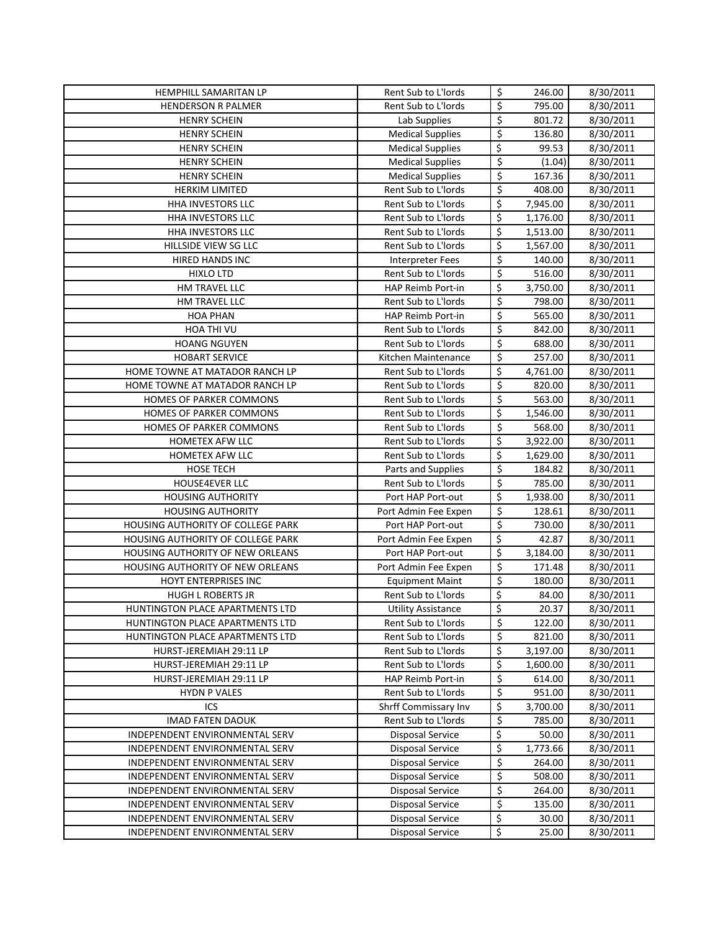| HEMPHILL SAMARITAN LP             | Rent Sub to L'Iords                         | \$       | 246.00   | 8/30/2011              |
|-----------------------------------|---------------------------------------------|----------|----------|------------------------|
| <b>HENDERSON R PALMER</b>         | Rent Sub to L'Iords                         | \$       | 795.00   | 8/30/2011              |
| <b>HENRY SCHEIN</b>               | Lab Supplies                                | \$       | 801.72   | 8/30/2011              |
| <b>HENRY SCHEIN</b>               | <b>Medical Supplies</b>                     | \$       | 136.80   | 8/30/2011              |
| <b>HENRY SCHEIN</b>               | <b>Medical Supplies</b>                     | \$       | 99.53    | 8/30/2011              |
| <b>HENRY SCHEIN</b>               | <b>Medical Supplies</b>                     | \$       | (1.04)   | 8/30/2011              |
| <b>HENRY SCHEIN</b>               | <b>Medical Supplies</b>                     | \$       | 167.36   | 8/30/2011              |
| <b>HERKIM LIMITED</b>             | Rent Sub to L'Iords                         | \$       | 408.00   | 8/30/2011              |
| HHA INVESTORS LLC                 | Rent Sub to L'Iords                         | \$       | 7,945.00 | 8/30/2011              |
| HHA INVESTORS LLC                 | Rent Sub to L'Iords                         | \$       | 1,176.00 | 8/30/2011              |
| HHA INVESTORS LLC                 | Rent Sub to L'Iords                         | \$       | 1,513.00 | 8/30/2011              |
| HILLSIDE VIEW SG LLC              | Rent Sub to L'Iords                         | \$       | 1,567.00 | 8/30/2011              |
| <b>HIRED HANDS INC</b>            | Interpreter Fees                            | \$       | 140.00   | 8/30/2011              |
| <b>HIXLO LTD</b>                  | Rent Sub to L'Iords                         | \$       | 516.00   | 8/30/2011              |
| HM TRAVEL LLC                     | HAP Reimb Port-in                           | \$       | 3,750.00 | 8/30/2011              |
| HM TRAVEL LLC                     | Rent Sub to L'Iords                         | \$       | 798.00   | 8/30/2011              |
| <b>HOA PHAN</b>                   | HAP Reimb Port-in                           | \$       | 565.00   | 8/30/2011              |
|                                   | Rent Sub to L'Iords                         | \$       |          | 8/30/2011              |
| HOA THI VU<br><b>HOANG NGUYEN</b> | Rent Sub to L'Iords                         | \$       | 842.00   |                        |
|                                   |                                             | \$       | 688.00   | 8/30/2011              |
| <b>HOBART SERVICE</b>             | Kitchen Maintenance                         |          | 257.00   | 8/30/2011              |
| HOME TOWNE AT MATADOR RANCH LP    | Rent Sub to L'Iords                         | \$       | 4,761.00 | 8/30/2011              |
| HOME TOWNE AT MATADOR RANCH LP    | Rent Sub to L'Iords                         | \$       | 820.00   | 8/30/2011              |
| <b>HOMES OF PARKER COMMONS</b>    | Rent Sub to L'Iords                         | \$       | 563.00   | 8/30/2011              |
| HOMES OF PARKER COMMONS           | Rent Sub to L'Iords                         | \$       | 1,546.00 | 8/30/2011              |
| HOMES OF PARKER COMMONS           | Rent Sub to L'Iords                         | \$       | 568.00   | 8/30/2011              |
| <b>HOMETEX AFW LLC</b>            | Rent Sub to L'Iords                         | \$       | 3,922.00 | 8/30/2011              |
| HOMETEX AFW LLC                   | Rent Sub to L'Iords                         | \$       | 1,629.00 | 8/30/2011              |
|                                   |                                             |          |          |                        |
| HOSE TECH                         | Parts and Supplies                          | \$       | 184.82   | 8/30/2011              |
| <b>HOUSE4EVER LLC</b>             | Rent Sub to L'Iords                         | \$       | 785.00   | 8/30/2011              |
| <b>HOUSING AUTHORITY</b>          | Port HAP Port-out                           | \$       | 1,938.00 | 8/30/2011              |
| <b>HOUSING AUTHORITY</b>          | Port Admin Fee Expen                        | \$       | 128.61   | 8/30/2011              |
| HOUSING AUTHORITY OF COLLEGE PARK | Port HAP Port-out                           | \$       | 730.00   | 8/30/2011              |
| HOUSING AUTHORITY OF COLLEGE PARK | Port Admin Fee Expen                        | \$       | 42.87    | 8/30/2011              |
| HOUSING AUTHORITY OF NEW ORLEANS  | Port HAP Port-out                           | \$       | 3,184.00 | 8/30/2011              |
| HOUSING AUTHORITY OF NEW ORLEANS  | Port Admin Fee Expen                        | \$       | 171.48   | 8/30/2011              |
| HOYT ENTERPRISES INC              | <b>Equipment Maint</b>                      | \$       | 180.00   | 8/30/2011              |
| <b>HUGH L ROBERTS JR</b>          | Rent Sub to L'Iords                         | \$       | 84.00    | 8/30/2011              |
| HUNTINGTON PLACE APARTMENTS LTD   | <b>Utility Assistance</b>                   | \$       | 20.37    | 8/30/2011              |
| HUNTINGTON PLACE APARTMENTS LTD   | Rent Sub to L'Iords                         | \$       | 122.00   | 8/30/2011              |
| HUNTINGTON PLACE APARTMENTS LTD   | Rent Sub to L'Iords                         | \$       | 821.00   | 8/30/2011              |
| HURST-JEREMIAH 29:11 LP           | Rent Sub to L'Iords                         | \$       | 3,197.00 | 8/30/2011              |
| HURST-JEREMIAH 29:11 LP           | Rent Sub to L'Iords                         | \$       | 1,600.00 | 8/30/2011              |
| HURST-JEREMIAH 29:11 LP           | HAP Reimb Port-in                           | \$       | 614.00   | 8/30/2011              |
| <b>HYDN P VALES</b>               | Rent Sub to L'Iords                         | \$       | 951.00   | 8/30/2011              |
| ICS                               | Shrff Commissary Inv                        | \$       | 3,700.00 | 8/30/2011              |
| <b>IMAD FATEN DAOUK</b>           | Rent Sub to L'Iords                         | \$       | 785.00   | 8/30/2011              |
| INDEPENDENT ENVIRONMENTAL SERV    | <b>Disposal Service</b>                     | \$       | 50.00    | 8/30/2011              |
| INDEPENDENT ENVIRONMENTAL SERV    | <b>Disposal Service</b>                     | \$       | 1,773.66 | 8/30/2011              |
| INDEPENDENT ENVIRONMENTAL SERV    | <b>Disposal Service</b>                     | \$       | 264.00   | 8/30/2011              |
| INDEPENDENT ENVIRONMENTAL SERV    | <b>Disposal Service</b>                     | \$       | 508.00   | 8/30/2011              |
| INDEPENDENT ENVIRONMENTAL SERV    | Disposal Service                            | \$       | 264.00   | 8/30/2011              |
| INDEPENDENT ENVIRONMENTAL SERV    | <b>Disposal Service</b>                     | \$       | 135.00   | 8/30/2011              |
| INDEPENDENT ENVIRONMENTAL SERV    | Disposal Service<br><b>Disposal Service</b> | \$<br>\$ | 30.00    | 8/30/2011<br>8/30/2011 |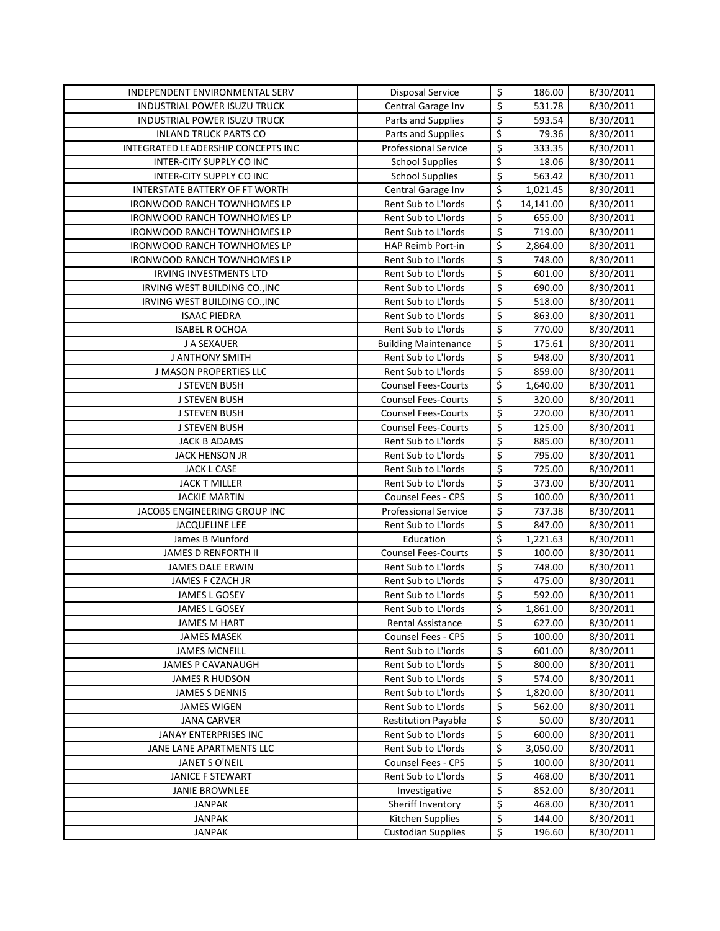| INDEPENDENT ENVIRONMENTAL SERV                    | <b>Disposal Service</b>                           | \$               | 186.00          | 8/30/2011              |
|---------------------------------------------------|---------------------------------------------------|------------------|-----------------|------------------------|
| INDUSTRIAL POWER ISUZU TRUCK                      | Central Garage Inv                                | \$               | 531.78          | 8/30/2011              |
| INDUSTRIAL POWER ISUZU TRUCK                      | Parts and Supplies                                | \$               | 593.54          | 8/30/2011              |
| <b>INLAND TRUCK PARTS CO</b>                      | Parts and Supplies                                | \$               | 79.36           | 8/30/2011              |
| INTEGRATED LEADERSHIP CONCEPTS INC                | <b>Professional Service</b>                       | \$               | 333.35          | 8/30/2011              |
| INTER-CITY SUPPLY CO INC                          | <b>School Supplies</b>                            | \$               | 18.06           | 8/30/2011              |
| INTER-CITY SUPPLY CO INC                          | <b>School Supplies</b>                            | \$               | 563.42          | 8/30/2011              |
| INTERSTATE BATTERY OF FT WORTH                    | Central Garage Inv                                | \$               | 1,021.45        | 8/30/2011              |
| <b>IRONWOOD RANCH TOWNHOMES LP</b>                | Rent Sub to L'Iords                               | \$               | 14,141.00       | 8/30/2011              |
| <b>IRONWOOD RANCH TOWNHOMES LP</b>                | Rent Sub to L'Iords                               | \$               | 655.00          | 8/30/2011              |
| <b>IRONWOOD RANCH TOWNHOMES LP</b>                | Rent Sub to L'Iords                               | \$               | 719.00          | 8/30/2011              |
| <b>IRONWOOD RANCH TOWNHOMES LP</b>                | <b>HAP Reimb Port-in</b>                          | \$               | 2,864.00        | 8/30/2011              |
| IRONWOOD RANCH TOWNHOMES LP                       | Rent Sub to L'Iords                               | \$               | 748.00          | 8/30/2011              |
| <b>IRVING INVESTMENTS LTD</b>                     | Rent Sub to L'Iords                               | $\overline{\xi}$ | 601.00          | 8/30/2011              |
| IRVING WEST BUILDING CO., INC                     | Rent Sub to L'Iords                               | \$               | 690.00          | 8/30/2011              |
| IRVING WEST BUILDING CO., INC                     | Rent Sub to L'Iords                               | \$               | 518.00          | 8/30/2011              |
| <b>ISAAC PIEDRA</b>                               | Rent Sub to L'Iords                               | \$               | 863.00          | 8/30/2011              |
| <b>ISABEL R OCHOA</b>                             | Rent Sub to L'Iords                               | \$               | 770.00          | 8/30/2011              |
| J A SEXAUER                                       | <b>Building Maintenance</b>                       | \$               | 175.61          | 8/30/2011              |
| J ANTHONY SMITH                                   | Rent Sub to L'Iords                               | \$               | 948.00          | 8/30/2011              |
| J MASON PROPERTIES LLC                            | Rent Sub to L'Iords                               | \$               | 859.00          | 8/30/2011              |
| <b>J STEVEN BUSH</b>                              | <b>Counsel Fees-Courts</b>                        | \$               | 1,640.00        | 8/30/2011              |
| <b>J STEVEN BUSH</b>                              | <b>Counsel Fees-Courts</b>                        | \$               | 320.00          | 8/30/2011              |
| J STEVEN BUSH                                     | <b>Counsel Fees-Courts</b>                        | \$               | 220.00          | 8/30/2011              |
| J STEVEN BUSH                                     | <b>Counsel Fees-Courts</b>                        | \$               | 125.00          | 8/30/2011              |
| JACK B ADAMS                                      | Rent Sub to L'Iords                               | \$               | 885.00          | 8/30/2011              |
| <b>JACK HENSON JR</b>                             | Rent Sub to L'Iords                               | \$               | 795.00          | 8/30/2011              |
| JACK L CASE                                       | Rent Sub to L'Iords                               | \$               | 725.00          | 8/30/2011              |
| <b>JACK T MILLER</b>                              | Rent Sub to L'Iords                               | \$               | 373.00          | 8/30/2011              |
| <b>JACKIE MARTIN</b>                              | <b>Counsel Fees - CPS</b>                         | \$               | 100.00          | 8/30/2011              |
| JACOBS ENGINEERING GROUP INC                      | <b>Professional Service</b>                       | \$               | 737.38          | 8/30/2011              |
| <b>JACQUELINE LEE</b>                             | Rent Sub to L'Iords                               | \$               | 847.00          | 8/30/2011              |
| James B Munford                                   | Education                                         | \$               | 1,221.63        | 8/30/2011              |
| <b>JAMES D RENFORTH II</b>                        | <b>Counsel Fees-Courts</b>                        | \$               | 100.00          | 8/30/2011              |
| JAMES DALE ERWIN                                  | Rent Sub to L'Iords                               | \$               | 748.00          | 8/30/2011              |
| JAMES F CZACH JR                                  | Rent Sub to L'Iords                               | \$               | 475.00          | 8/30/2011              |
| <b>JAMES L GOSEY</b>                              | Rent Sub to L'Iords                               | \$               | 592.00          | 8/30/2011              |
| JAMES L GOSEY                                     | Rent Sub to L'Iords                               | \$               | 1,861.00        | 8/30/2011              |
| JAMES M HART                                      | Rental Assistance                                 | \$               | 627.00          | 8/30/2011              |
| <b>JAMES MASEK</b>                                | Counsel Fees - CPS                                | \$               | 100.00          | 8/30/2011              |
| <b>JAMES MCNEILL</b>                              | Rent Sub to L'Iords                               | \$               | 601.00          | 8/30/2011              |
| <b>JAMES P CAVANAUGH</b>                          | Rent Sub to L'Iords                               | \$               | 800.00          | 8/30/2011              |
| JAMES R HUDSON                                    | Rent Sub to L'Iords                               | \$               | 574.00          | 8/30/2011              |
| <b>JAMES S DENNIS</b>                             | Rent Sub to L'Iords                               | \$               | 1,820.00        | 8/30/2011              |
| JAMES WIGEN                                       | Rent Sub to L'Iords<br><b>Restitution Payable</b> | \$               | 562.00          | 8/30/2011              |
| <b>JANA CARVER</b>                                | Rent Sub to L'Iords                               | \$<br>\$         | 50.00<br>600.00 | 8/30/2011              |
| JANAY ENTERPRISES INC<br>JANE LANE APARTMENTS LLC | Rent Sub to L'Iords                               | \$               | 3,050.00        | 8/30/2011<br>8/30/2011 |
| JANET S O'NEIL                                    | Counsel Fees - CPS                                | \$               | 100.00          | 8/30/2011              |
| JANICE F STEWART                                  | Rent Sub to L'Iords                               | \$               | 468.00          | 8/30/2011              |
| <b>JANIE BROWNLEE</b>                             | Investigative                                     | \$               | 852.00          | 8/30/2011              |
| JANPAK                                            | Sheriff Inventory                                 | \$               | 468.00          | 8/30/2011              |
| <b>JANPAK</b>                                     | Kitchen Supplies                                  | \$               | 144.00          | 8/30/2011              |
| <b>JANPAK</b>                                     | <b>Custodian Supplies</b>                         | \$               | 196.60          | 8/30/2011              |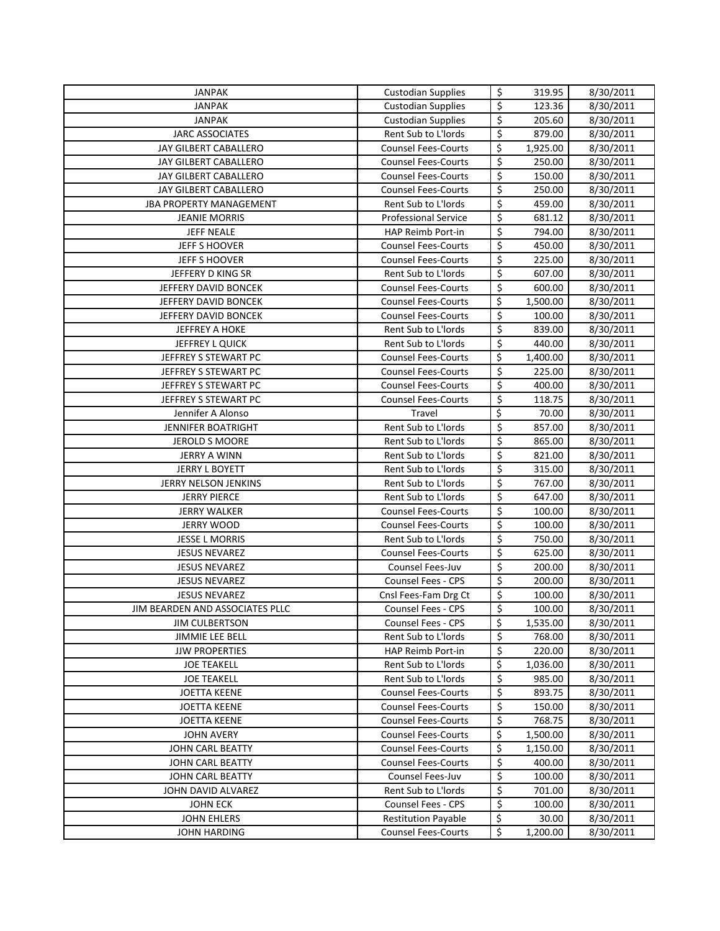| <b>JANPAK</b>                                 | <b>Custodian Supplies</b>                         | \$                              | 319.95           | 8/30/2011              |
|-----------------------------------------------|---------------------------------------------------|---------------------------------|------------------|------------------------|
| JANPAK                                        | <b>Custodian Supplies</b>                         | $\overline{\xi}$                | 123.36           | 8/30/2011              |
| JANPAK                                        | <b>Custodian Supplies</b>                         | \$                              | 205.60           | 8/30/2011              |
| <b>JARC ASSOCIATES</b>                        | Rent Sub to L'Iords                               | \$                              | 879.00           | 8/30/2011              |
| JAY GILBERT CABALLERO                         | <b>Counsel Fees-Courts</b>                        | \$                              | 1,925.00         | 8/30/2011              |
| JAY GILBERT CABALLERO                         | <b>Counsel Fees-Courts</b>                        | \$                              | 250.00           | 8/30/2011              |
| JAY GILBERT CABALLERO                         | <b>Counsel Fees-Courts</b>                        | \$                              | 150.00           | 8/30/2011              |
| JAY GILBERT CABALLERO                         | <b>Counsel Fees-Courts</b>                        | \$                              | 250.00           | 8/30/2011              |
| <b>JBA PROPERTY MANAGEMENT</b>                | Rent Sub to L'Iords                               | \$                              | 459.00           | 8/30/2011              |
| <b>JEANIE MORRIS</b>                          | <b>Professional Service</b>                       | \$                              | 681.12           | 8/30/2011              |
| <b>JEFF NEALE</b>                             | HAP Reimb Port-in                                 | \$                              | 794.00           | 8/30/2011              |
| JEFF S HOOVER                                 | <b>Counsel Fees-Courts</b>                        | \$                              | 450.00           | 8/30/2011              |
| <b>JEFF S HOOVER</b>                          | <b>Counsel Fees-Courts</b>                        | \$                              | 225.00           | 8/30/2011              |
| JEFFERY D KING SR                             | Rent Sub to L'Iords                               | \$                              | 607.00           | 8/30/2011              |
| JEFFERY DAVID BONCEK                          | <b>Counsel Fees-Courts</b>                        | \$                              | 600.00           | 8/30/2011              |
| JEFFERY DAVID BONCEK                          | <b>Counsel Fees-Courts</b>                        | \$                              | 1,500.00         | 8/30/2011              |
| JEFFERY DAVID BONCEK                          | <b>Counsel Fees-Courts</b>                        | $\overline{\mathsf{S}}$         | 100.00           | 8/30/2011              |
| JEFFREY A HOKE                                | Rent Sub to L'Iords                               | $\overline{\xi}$                | 839.00           | 8/30/2011              |
| JEFFREY L QUICK                               | Rent Sub to L'Iords                               | \$                              | 440.00           | 8/30/2011              |
| JEFFREY S STEWART PC                          | <b>Counsel Fees-Courts</b>                        | \$                              | 1,400.00         | 8/30/2011              |
| JEFFREY S STEWART PC                          | <b>Counsel Fees-Courts</b>                        | \$                              | 225.00           | 8/30/2011              |
| JEFFREY S STEWART PC                          | <b>Counsel Fees-Courts</b>                        | \$                              | 400.00           |                        |
| JEFFREY S STEWART PC                          |                                                   | \$                              | 118.75           | 8/30/2011              |
|                                               | <b>Counsel Fees-Courts</b>                        | \$                              | 70.00            | 8/30/2011              |
| Jennifer A Alonso                             | Travel<br>Rent Sub to L'Iords                     | \$                              | 857.00           | 8/30/2011              |
| <b>JENNIFER BOATRIGHT</b>                     |                                                   | \$                              |                  | 8/30/2011              |
| JEROLD S MOORE                                | Rent Sub to L'Iords                               | $\overline{\boldsymbol{\zeta}}$ | 865.00           | 8/30/2011              |
| <b>JERRY A WINN</b>                           | Rent Sub to L'Iords                               | \$                              | 821.00           | 8/30/2011              |
| <b>JERRY L BOYETT</b>                         | Rent Sub to L'Iords                               | $\overline{\xi}$                | 315.00           | 8/30/2011              |
| JERRY NELSON JENKINS                          | Rent Sub to L'Iords                               | \$                              | 767.00           | 8/30/2011              |
| <b>JERRY PIERCE</b>                           | Rent Sub to L'Iords                               | \$                              | 647.00           | 8/30/2011              |
| <b>JERRY WALKER</b><br><b>JERRY WOOD</b>      | <b>Counsel Fees-Courts</b>                        | \$                              | 100.00           | 8/30/2011              |
|                                               | <b>Counsel Fees-Courts</b>                        | \$                              | 100.00           | 8/30/2011              |
| <b>JESSE L MORRIS</b><br><b>JESUS NEVAREZ</b> | Rent Sub to L'Iords<br><b>Counsel Fees-Courts</b> | \$                              | 750.00<br>625.00 | 8/30/2011              |
| <b>JESUS NEVAREZ</b>                          | Counsel Fees-Juv                                  | \$                              | 200.00           | 8/30/2011<br>8/30/2011 |
|                                               |                                                   | \$                              |                  | 8/30/2011              |
| <b>JESUS NEVAREZ</b>                          | Counsel Fees - CPS                                | \$                              | 200.00           |                        |
| <b>JESUS NEVAREZ</b>                          | Cnsl Fees-Fam Drg Ct                              | \$                              | 100.00           | 8/30/2011              |
| JIM BEARDEN AND ASSOCIATES PLLC               | Counsel Fees - CPS                                |                                 | 100.00           | 8/30/2011              |
| <b>JIM CULBERTSON</b>                         | Counsel Fees - CPS                                | \$<br>\$                        | 1,535.00         | 8/30/2011              |
| JIMMIE LEE BELL                               | Rent Sub to L'Iords                               | \$                              | 768.00           | 8/30/2011              |
| <b>JJW PROPERTIES</b>                         | HAP Reimb Port-in                                 |                                 | 220.00           | 8/30/2011              |
| <b>JOE TEAKELL</b>                            | Rent Sub to L'Iords                               | \$                              | 1,036.00         | 8/30/2011              |
| <b>JOE TEAKELL</b>                            | Rent Sub to L'Iords<br><b>Counsel Fees-Courts</b> | \$                              | 985.00           | 8/30/2011              |
| <b>JOETTA KEENE</b>                           |                                                   | \$                              | 893.75           | 8/30/2011              |
| JOETTA KEENE                                  | <b>Counsel Fees-Courts</b>                        | \$                              | 150.00           | 8/30/2011              |
| JOETTA KEENE                                  | <b>Counsel Fees-Courts</b>                        | \$                              | 768.75           | 8/30/2011              |
| JOHN AVERY                                    | <b>Counsel Fees-Courts</b>                        | \$                              | 1,500.00         | 8/30/2011              |
| JOHN CARL BEATTY                              | <b>Counsel Fees-Courts</b>                        | \$                              | 1,150.00         | 8/30/2011              |
| JOHN CARL BEATTY                              | <b>Counsel Fees-Courts</b>                        | \$                              | 400.00           | 8/30/2011              |
| JOHN CARL BEATTY                              | Counsel Fees-Juv                                  | \$                              | 100.00           | 8/30/2011              |
| JOHN DAVID ALVAREZ                            | Rent Sub to L'Iords                               | \$                              | 701.00           | 8/30/2011              |
| <b>JOHN ECK</b>                               | Counsel Fees - CPS                                | \$                              | 100.00           | 8/30/2011              |
| JOHN EHLERS                                   | <b>Restitution Payable</b>                        | \$                              | 30.00            | 8/30/2011              |
| JOHN HARDING                                  | <b>Counsel Fees-Courts</b>                        | \$                              | 1,200.00         | 8/30/2011              |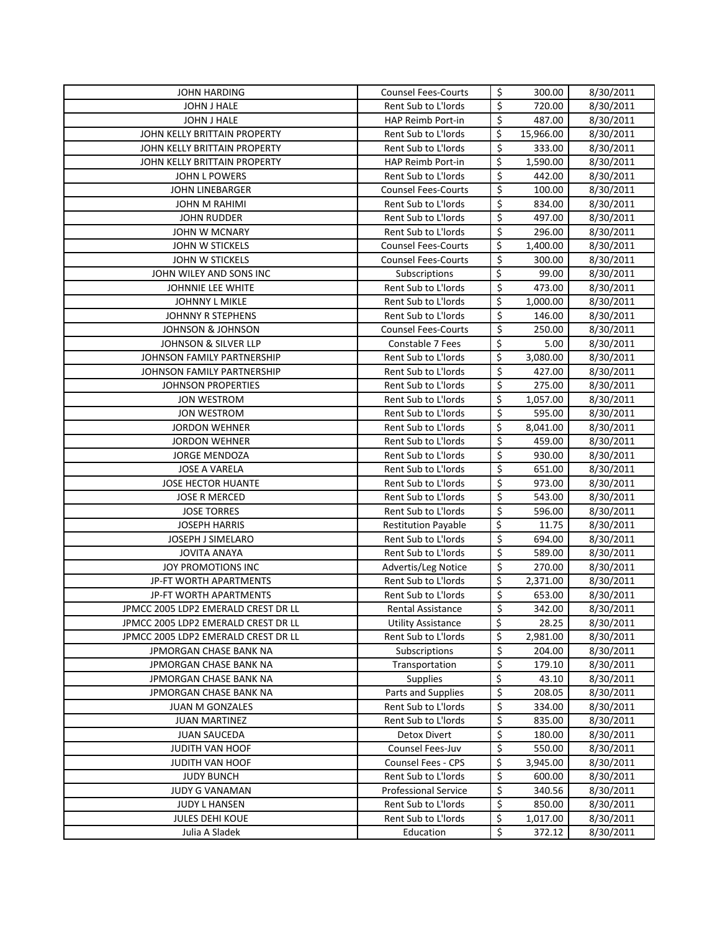| JOHN HARDING                        | <b>Counsel Fees-Courts</b>                 | \$                      | 300.00    | 8/30/2011 |
|-------------------------------------|--------------------------------------------|-------------------------|-----------|-----------|
| JOHN J HALE                         | Rent Sub to L'Iords                        | \$                      | 720.00    | 8/30/2011 |
| JOHN J HALE                         | HAP Reimb Port-in                          | \$                      | 487.00    | 8/30/2011 |
| JOHN KELLY BRITTAIN PROPERTY        | Rent Sub to L'Iords                        | \$                      | 15,966.00 | 8/30/2011 |
| JOHN KELLY BRITTAIN PROPERTY        | Rent Sub to L'Iords                        | \$                      | 333.00    | 8/30/2011 |
| JOHN KELLY BRITTAIN PROPERTY        | HAP Reimb Port-in                          | \$                      | 1,590.00  | 8/30/2011 |
| <b>JOHN L POWERS</b>                | Rent Sub to L'Iords                        | \$                      | 442.00    | 8/30/2011 |
| <b>JOHN LINEBARGER</b>              | <b>Counsel Fees-Courts</b>                 | \$                      | 100.00    | 8/30/2011 |
| <b>JOHN M RAHIMI</b>                | Rent Sub to L'Iords                        | \$                      | 834.00    | 8/30/2011 |
| <b>JOHN RUDDER</b>                  | Rent Sub to L'Iords                        | \$                      | 497.00    | 8/30/2011 |
| JOHN W MCNARY                       | Rent Sub to L'Iords                        | \$                      | 296.00    | 8/30/2011 |
| JOHN W STICKELS                     | <b>Counsel Fees-Courts</b>                 | \$                      | 1,400.00  | 8/30/2011 |
| JOHN W STICKELS                     | <b>Counsel Fees-Courts</b>                 | \$                      | 300.00    | 8/30/2011 |
| JOHN WILEY AND SONS INC             | Subscriptions                              | \$                      | 99.00     | 8/30/2011 |
| JOHNNIE LEE WHITE                   | Rent Sub to L'Iords                        | $\overline{\xi}$        | 473.00    | 8/30/2011 |
| <b>JOHNNY L MIKLE</b>               | Rent Sub to L'Iords                        | \$                      | 1,000.00  | 8/30/2011 |
| JOHNNY R STEPHENS                   | Rent Sub to L'Iords                        | $\overline{\mathsf{S}}$ | 146.00    | 8/30/2011 |
| <b>JOHNSON &amp; JOHNSON</b>        | <b>Counsel Fees-Courts</b>                 | \$                      | 250.00    | 8/30/2011 |
| JOHNSON & SILVER LLP                | Constable 7 Fees                           | \$                      | 5.00      | 8/30/2011 |
| JOHNSON FAMILY PARTNERSHIP          | Rent Sub to L'Iords                        | \$                      | 3,080.00  | 8/30/2011 |
| JOHNSON FAMILY PARTNERSHIP          | Rent Sub to L'Iords                        | \$                      | 427.00    | 8/30/2011 |
| <b>JOHNSON PROPERTIES</b>           | Rent Sub to L'Iords                        | \$                      | 275.00    | 8/30/2011 |
| <b>JON WESTROM</b>                  | Rent Sub to L'Iords                        | \$                      | 1,057.00  | 8/30/2011 |
| <b>JON WESTROM</b>                  | Rent Sub to L'Iords                        | \$                      | 595.00    | 8/30/2011 |
| <b>JORDON WEHNER</b>                | Rent Sub to L'Iords                        | \$                      | 8,041.00  | 8/30/2011 |
| <b>JORDON WEHNER</b>                | Rent Sub to L'Iords                        | \$                      | 459.00    | 8/30/2011 |
| <b>JORGE MENDOZA</b>                | Rent Sub to L'Iords                        | \$                      | 930.00    | 8/30/2011 |
| <b>JOSE A VARELA</b>                | Rent Sub to L'Iords                        | \$                      | 651.00    | 8/30/2011 |
| JOSE HECTOR HUANTE                  | Rent Sub to L'Iords                        | \$                      | 973.00    | 8/30/2011 |
| JOSE R MERCED                       | Rent Sub to L'Iords                        | \$                      | 543.00    | 8/30/2011 |
| <b>JOSE TORRES</b>                  | Rent Sub to L'Iords                        | \$                      | 596.00    | 8/30/2011 |
| <b>JOSEPH HARRIS</b>                | <b>Restitution Payable</b>                 | \$                      | 11.75     | 8/30/2011 |
| JOSEPH J SIMELARO                   | Rent Sub to L'Iords                        | \$                      | 694.00    | 8/30/2011 |
| <b>JOVITA ANAYA</b>                 | Rent Sub to L'Iords                        | \$                      | 589.00    | 8/30/2011 |
| JOY PROMOTIONS INC                  | Advertis/Leg Notice                        | \$                      | 270.00    | 8/30/2011 |
| JP-FT WORTH APARTMENTS              | Rent Sub to L'Iords                        | \$                      | 2,371.00  | 8/30/2011 |
| JP-FT WORTH APARTMENTS              | Rent Sub to L'Iords                        | \$                      | 653.00    | 8/30/2011 |
| JPMCC 2005 LDP2 EMERALD CREST DR LL | <b>Rental Assistance</b>                   | \$                      | 342.00    | 8/30/2011 |
| JPMCC 2005 LDP2 EMERALD CREST DR LL | <b>Utility Assistance</b>                  | \$                      | 28.25     | 8/30/2011 |
| JPMCC 2005 LDP2 EMERALD CREST DR LL | Rent Sub to L'Iords                        | \$                      | 2,981.00  | 8/30/2011 |
| JPMORGAN CHASE BANK NA              | Subscriptions                              | \$                      | 204.00    | 8/30/2011 |
| JPMORGAN CHASE BANK NA              | Transportation                             | \$                      | 179.10    | 8/30/2011 |
| JPMORGAN CHASE BANK NA              | <b>Supplies</b>                            | \$                      | 43.10     | 8/30/2011 |
| JPMORGAN CHASE BANK NA              | Parts and Supplies                         | \$                      | 208.05    | 8/30/2011 |
| JUAN M GONZALES                     | Rent Sub to L'Iords                        | \$                      | 334.00    | 8/30/2011 |
| <b>JUAN MARTINEZ</b>                | Rent Sub to L'Iords                        | \$                      | 835.00    | 8/30/2011 |
| <b>JUAN SAUCEDA</b>                 | <b>Detox Divert</b>                        | \$                      | 180.00    | 8/30/2011 |
| JUDITH VAN HOOF                     | Counsel Fees-Juv                           | \$                      | 550.00    | 8/30/2011 |
| JUDITH VAN HOOF                     | Counsel Fees - CPS                         | \$                      | 3,945.00  | 8/30/2011 |
| <b>JUDY BUNCH</b>                   | Rent Sub to L'Iords                        | \$                      | 600.00    | 8/30/2011 |
| JUDY G VANAMAN                      | <b>Professional Service</b>                | \$                      | 340.56    | 8/30/2011 |
| JUDY L HANSEN                       | Rent Sub to L'Iords<br>Rent Sub to L'Iords | \$<br>\$                | 850.00    | 8/30/2011 |
| JULES DEHI KOUE<br>Julia A Sladek   | Education                                  | \$                      | 1,017.00  | 8/30/2011 |
|                                     |                                            |                         | 372.12    | 8/30/2011 |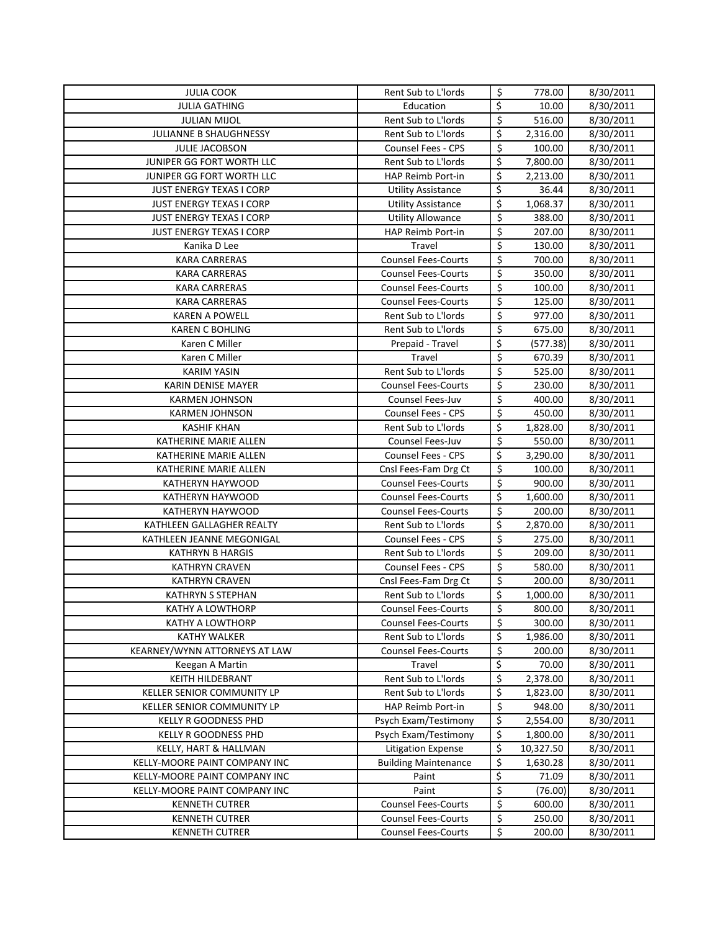| <b>JULIA COOK</b>                          | Rent Sub to L'Iords                        | \$                      | 778.00               | 8/30/2011              |
|--------------------------------------------|--------------------------------------------|-------------------------|----------------------|------------------------|
| JULIA GATHING                              | Education                                  | \$                      | 10.00                | 8/30/2011              |
| <b>JULIAN MIJOL</b>                        | Rent Sub to L'Iords                        | \$                      | 516.00               | 8/30/2011              |
| JULIANNE B SHAUGHNESSY                     | Rent Sub to L'Iords                        | \$                      | 2,316.00             | 8/30/2011              |
| <b>JULIE JACOBSON</b>                      | <b>Counsel Fees - CPS</b>                  | \$                      | 100.00               | 8/30/2011              |
| JUNIPER GG FORT WORTH LLC                  | Rent Sub to L'Iords                        | \$                      | 7,800.00             | 8/30/2011              |
| JUNIPER GG FORT WORTH LLC                  | HAP Reimb Port-in                          | \$                      | 2,213.00             | 8/30/2011              |
| <b>JUST ENERGY TEXAS I CORP</b>            | <b>Utility Assistance</b>                  | \$                      | 36.44                | 8/30/2011              |
| <b>JUST ENERGY TEXAS I CORP</b>            | <b>Utility Assistance</b>                  | \$                      | 1,068.37             | 8/30/2011              |
| <b>JUST ENERGY TEXAS I CORP</b>            | <b>Utility Allowance</b>                   | \$                      | 388.00               | 8/30/2011              |
| <b>JUST ENERGY TEXAS I CORP</b>            | HAP Reimb Port-in                          | \$                      | 207.00               | 8/30/2011              |
| Kanika D Lee                               | Travel                                     | $\overline{\xi}$        | 130.00               | 8/30/2011              |
| <b>KARA CARRERAS</b>                       | <b>Counsel Fees-Courts</b>                 | $\overline{\xi}$        | 700.00               | 8/30/2011              |
| <b>KARA CARRERAS</b>                       | <b>Counsel Fees-Courts</b>                 | $\overline{\mathsf{S}}$ | 350.00               | 8/30/2011              |
| <b>KARA CARRERAS</b>                       | <b>Counsel Fees-Courts</b>                 | \$                      | 100.00               | 8/30/2011              |
| <b>KARA CARRERAS</b>                       | <b>Counsel Fees-Courts</b>                 | \$                      | 125.00               | 8/30/2011              |
| <b>KAREN A POWELL</b>                      | Rent Sub to L'Iords                        | \$                      | 977.00               | 8/30/2011              |
| <b>KAREN C BOHLING</b>                     | Rent Sub to L'Iords                        | $\overline{\xi}$        | 675.00               | 8/30/2011              |
| Karen C Miller                             | Prepaid - Travel                           | \$                      | (577.38)             | 8/30/2011              |
| Karen C Miller                             | Travel                                     | \$                      | 670.39               | 8/30/2011              |
| <b>KARIM YASIN</b>                         | Rent Sub to L'Iords                        | \$                      | 525.00               | 8/30/2011              |
| <b>KARIN DENISE MAYER</b>                  | <b>Counsel Fees-Courts</b>                 | $\overline{\xi}$        | 230.00               | 8/30/2011              |
| <b>KARMEN JOHNSON</b>                      | Counsel Fees-Juv                           | \$                      | 400.00               | 8/30/2011              |
| <b>KARMEN JOHNSON</b>                      | <b>Counsel Fees - CPS</b>                  | $\overline{\xi}$        | 450.00               | 8/30/2011              |
| <b>KASHIF KHAN</b>                         | Rent Sub to L'Iords                        | \$                      | 1,828.00             | 8/30/2011              |
| KATHERINE MARIE ALLEN                      | Counsel Fees-Juv                           | \$                      | 550.00               | 8/30/2011              |
| KATHERINE MARIE ALLEN                      | Counsel Fees - CPS                         | \$                      | 3,290.00             | 8/30/2011              |
| KATHERINE MARIE ALLEN                      | Cnsl Fees-Fam Drg Ct                       | \$                      | 100.00               | 8/30/2011              |
| KATHERYN HAYWOOD                           | <b>Counsel Fees-Courts</b>                 | \$                      | 900.00               | 8/30/2011              |
| KATHERYN HAYWOOD                           | <b>Counsel Fees-Courts</b>                 | \$                      | 1,600.00             | 8/30/2011              |
| KATHERYN HAYWOOD                           | <b>Counsel Fees-Courts</b>                 | \$                      | 200.00               | 8/30/2011              |
| KATHLEEN GALLAGHER REALTY                  | Rent Sub to L'Iords                        | \$                      | 2,870.00             | 8/30/2011              |
| KATHLEEN JEANNE MEGONIGAL                  | Counsel Fees - CPS                         | \$                      | 275.00               | 8/30/2011              |
| <b>KATHRYN B HARGIS</b>                    | Rent Sub to L'Iords                        | \$                      | 209.00               | 8/30/2011              |
| <b>KATHRYN CRAVEN</b>                      | <b>Counsel Fees - CPS</b>                  | \$                      | 580.00               | 8/30/2011              |
| <b>KATHRYN CRAVEN</b>                      | Cnsl Fees-Fam Drg Ct                       | \$                      | 200.00               | 8/30/2011              |
| <b>KATHRYN S STEPHAN</b>                   | Rent Sub to L'Iords                        | \$                      | 1,000.00             | 8/30/2011              |
| KATHY A LOWTHORP                           | <b>Counsel Fees-Courts</b>                 | $\overline{\mathsf{S}}$ | 800.00               | 8/30/2011              |
| KATHY A LOWTHORP                           | <b>Counsel Fees-Courts</b>                 | \$                      | 300.00               | 8/30/2011              |
| <b>KATHY WALKER</b>                        | Rent Sub to L'Iords                        | \$                      | 1,986.00             | 8/30/2011              |
| KEARNEY/WYNN ATTORNEYS AT LAW              | <b>Counsel Fees-Courts</b>                 | \$                      | 200.00               | 8/30/2011              |
| Keegan A Martin<br><b>KEITH HILDEBRANT</b> | Travel                                     | \$<br>\$                | 70.00                | 8/30/2011              |
| KELLER SENIOR COMMUNITY LP                 | Rent Sub to L'Iords<br>Rent Sub to L'Iords | \$                      | 2,378.00             | 8/30/2011              |
| KELLER SENIOR COMMUNITY LP                 | HAP Reimb Port-in                          | \$                      | 1,823.00<br>948.00   | 8/30/2011<br>8/30/2011 |
| <b>KELLY R GOODNESS PHD</b>                | Psych Exam/Testimony                       | \$                      |                      |                        |
| KELLY R GOODNESS PHD                       | Psych Exam/Testimony                       | \$                      | 2,554.00<br>1,800.00 | 8/30/2011<br>8/30/2011 |
| KELLY, HART & HALLMAN                      | Litigation Expense                         | \$                      | 10,327.50            | 8/30/2011              |
| KELLY-MOORE PAINT COMPANY INC              | <b>Building Maintenance</b>                | \$                      | 1,630.28             | 8/30/2011              |
| KELLY-MOORE PAINT COMPANY INC              | Paint                                      | \$                      | 71.09                | 8/30/2011              |
| KELLY-MOORE PAINT COMPANY INC              | Paint                                      | \$                      | (76.00)              | 8/30/2011              |
| <b>KENNETH CUTRER</b>                      | <b>Counsel Fees-Courts</b>                 | \$                      | 600.00               | 8/30/2011              |
| <b>KENNETH CUTRER</b>                      | <b>Counsel Fees-Courts</b>                 | \$                      | 250.00               | 8/30/2011              |
| <b>KENNETH CUTRER</b>                      | <b>Counsel Fees-Courts</b>                 | $\overline{\mathsf{S}}$ | 200.00               | 8/30/2011              |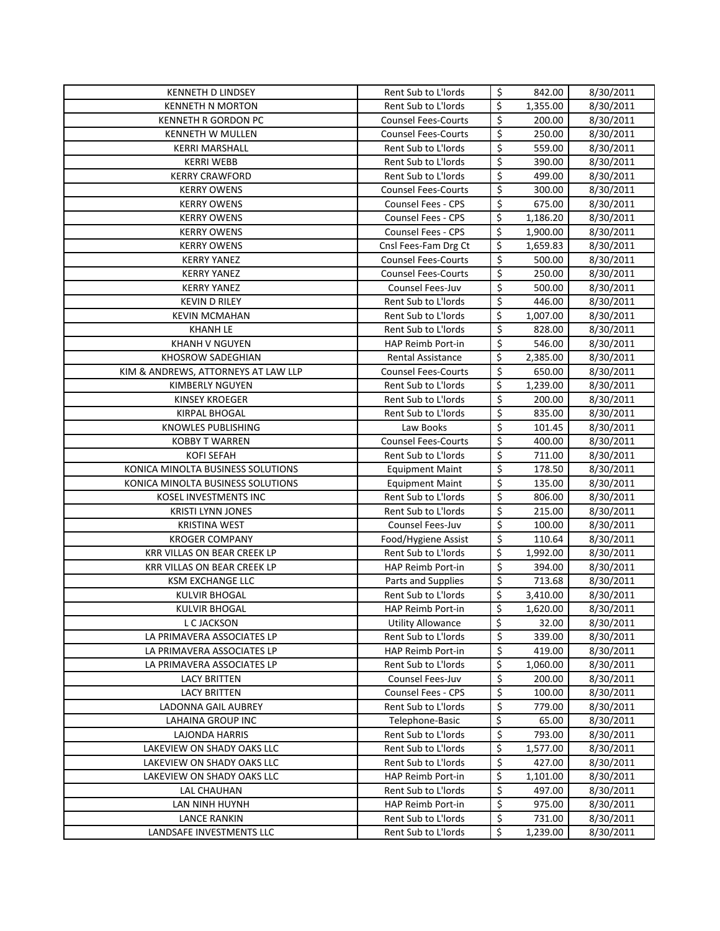| <b>KENNETH D LINDSEY</b>            | Rent Sub to L'Iords                      | \$                      | 842.00           | 8/30/2011              |
|-------------------------------------|------------------------------------------|-------------------------|------------------|------------------------|
| <b>KENNETH N MORTON</b>             | Rent Sub to L'Iords                      | \$                      | 1,355.00         | 8/30/2011              |
| KENNETH R GORDON PC                 | <b>Counsel Fees-Courts</b>               | \$                      | 200.00           | 8/30/2011              |
| KENNETH W MULLEN                    | <b>Counsel Fees-Courts</b>               | \$                      | 250.00           | 8/30/2011              |
| <b>KERRI MARSHALL</b>               | Rent Sub to L'Iords                      | \$                      | 559.00           | 8/30/2011              |
| <b>KERRI WEBB</b>                   | Rent Sub to L'Iords                      | \$                      | 390.00           | 8/30/2011              |
| <b>KERRY CRAWFORD</b>               | Rent Sub to L'Iords                      | \$                      | 499.00           | 8/30/2011              |
| <b>KERRY OWENS</b>                  | <b>Counsel Fees-Courts</b>               | \$                      | 300.00           | 8/30/2011              |
| <b>KERRY OWENS</b>                  | Counsel Fees - CPS                       | \$                      | 675.00           | 8/30/2011              |
| <b>KERRY OWENS</b>                  | <b>Counsel Fees - CPS</b>                | \$                      | 1,186.20         | 8/30/2011              |
| <b>KERRY OWENS</b>                  | <b>Counsel Fees - CPS</b>                | \$                      | 1,900.00         | 8/30/2011              |
| <b>KERRY OWENS</b>                  | Cnsl Fees-Fam Drg Ct                     | \$                      | 1,659.83         | 8/30/2011              |
| <b>KERRY YANEZ</b>                  | <b>Counsel Fees-Courts</b>               | \$                      | 500.00           | 8/30/2011              |
| <b>KERRY YANEZ</b>                  | <b>Counsel Fees-Courts</b>               | $\overline{\xi}$        | 250.00           | 8/30/2011              |
| <b>KERRY YANEZ</b>                  | Counsel Fees-Juv                         | $\overline{\mathsf{S}}$ | 500.00           | 8/30/2011              |
| <b>KEVIN D RILEY</b>                | Rent Sub to L'Iords                      | \$                      | 446.00           | 8/30/2011              |
| <b>KEVIN MCMAHAN</b>                | Rent Sub to L'Iords                      | \$                      | 1,007.00         | 8/30/2011              |
| <b>KHANH LE</b>                     | Rent Sub to L'Iords                      | \$                      | 828.00           | 8/30/2011              |
| <b>KHANH V NGUYEN</b>               | HAP Reimb Port-in                        | \$                      | 546.00           | 8/30/2011              |
| KHOSROW SADEGHIAN                   | <b>Rental Assistance</b>                 | \$                      | 2,385.00         | 8/30/2011              |
| KIM & ANDREWS, ATTORNEYS AT LAW LLP | <b>Counsel Fees-Courts</b>               | \$                      | 650.00           | 8/30/2011              |
| <b>KIMBERLY NGUYEN</b>              | Rent Sub to L'Iords                      | \$                      | 1,239.00         | 8/30/2011              |
| <b>KINSEY KROEGER</b>               | Rent Sub to L'Iords                      | \$                      | 200.00           | 8/30/2011              |
| <b>KIRPAL BHOGAL</b>                | Rent Sub to L'Iords                      | \$                      | 835.00           | 8/30/2011              |
| KNOWLES PUBLISHING                  | Law Books                                | \$                      | 101.45           | 8/30/2011              |
| <b>KOBBY T WARREN</b>               | <b>Counsel Fees-Courts</b>               | \$                      | 400.00           | 8/30/2011              |
| <b>KOFI SEFAH</b>                   | Rent Sub to L'Iords                      | \$                      | 711.00           | 8/30/2011              |
| KONICA MINOLTA BUSINESS SOLUTIONS   | <b>Equipment Maint</b>                   | \$                      | 178.50           | 8/30/2011              |
| KONICA MINOLTA BUSINESS SOLUTIONS   | <b>Equipment Maint</b>                   | \$                      | 135.00           | 8/30/2011              |
| KOSEL INVESTMENTS INC               | Rent Sub to L'Iords                      | \$                      | 806.00           | 8/30/2011              |
| <b>KRISTI LYNN JONES</b>            | Rent Sub to L'Iords                      | \$                      | 215.00           | 8/30/2011              |
| <b>KRISTINA WEST</b>                | Counsel Fees-Juv                         | \$                      | 100.00           | 8/30/2011              |
| <b>KROGER COMPANY</b>               | Food/Hygiene Assist                      | \$                      | 110.64           | 8/30/2011              |
| <b>KRR VILLAS ON BEAR CREEK LP</b>  | Rent Sub to L'Iords                      | \$                      | 1,992.00         | 8/30/2011              |
| KRR VILLAS ON BEAR CREEK LP         | HAP Reimb Port-in                        | \$                      | 394.00           | 8/30/2011              |
| <b>KSM EXCHANGE LLC</b>             | Parts and Supplies                       | \$                      | 713.68           | 8/30/2011              |
| <b>KULVIR BHOGAL</b>                | Rent Sub to L'Iords                      | \$                      | 3,410.00         | 8/30/2011              |
| <b>KULVIR BHOGAL</b>                | <b>HAP Reimb Port-in</b>                 | \$                      | 1,620.00         | 8/30/2011              |
| L C JACKSON                         | <b>Utility Allowance</b>                 | \$                      | 32.00            | 8/30/2011              |
| LA PRIMAVERA ASSOCIATES LP          | Rent Sub to L'Iords                      | \$                      | 339.00           | 8/30/2011              |
| LA PRIMAVERA ASSOCIATES LP          | HAP Reimb Port-in                        | \$                      | 419.00           | 8/30/2011              |
| LA PRIMAVERA ASSOCIATES LP          | Rent Sub to L'Iords                      | \$                      | 1,060.00         | 8/30/2011              |
| <b>LACY BRITTEN</b>                 | Counsel Fees-Juv                         | \$                      | 200.00           | 8/30/2011              |
| <b>LACY BRITTEN</b>                 | Counsel Fees - CPS                       | \$                      | 100.00           | 8/30/2011              |
| LADONNA GAIL AUBREY                 | Rent Sub to L'Iords                      | \$                      | 779.00           | 8/30/2011              |
| LAHAINA GROUP INC                   | Telephone-Basic                          | \$                      | 65.00            | 8/30/2011              |
| LAJONDA HARRIS                      | Rent Sub to L'Iords                      | \$                      | 793.00           | 8/30/2011              |
| LAKEVIEW ON SHADY OAKS LLC          | Rent Sub to L'Iords                      | \$                      | 1,577.00         | 8/30/2011              |
| LAKEVIEW ON SHADY OAKS LLC          | Rent Sub to L'Iords                      | \$                      | 427.00           | 8/30/2011              |
| LAKEVIEW ON SHADY OAKS LLC          | HAP Reimb Port-in                        | \$<br>\$                | 1,101.00         | 8/30/2011              |
| LAL CHAUHAN                         | Rent Sub to L'Iords                      | \$                      | 497.00<br>975.00 | 8/30/2011<br>8/30/2011 |
| LAN NINH HUYNH<br>LANCE RANKIN      | HAP Reimb Port-in<br>Rent Sub to L'Iords | \$                      | 731.00           | 8/30/2011              |
| LANDSAFE INVESTMENTS LLC            | Rent Sub to L'Iords                      | \$                      | 1,239.00         | 8/30/2011              |
|                                     |                                          |                         |                  |                        |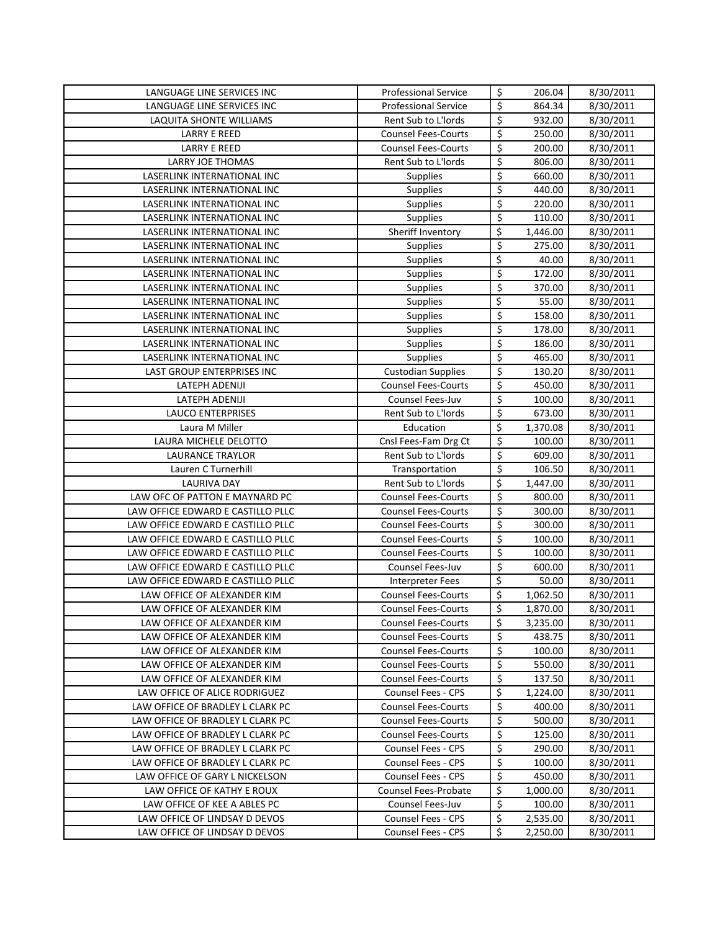| LANGUAGE LINE SERVICES INC                                           | <b>Professional Service</b>                             | \$                              | 206.04           | 8/30/2011              |
|----------------------------------------------------------------------|---------------------------------------------------------|---------------------------------|------------------|------------------------|
| LANGUAGE LINE SERVICES INC                                           | <b>Professional Service</b>                             | \$                              | 864.34           | 8/30/2011              |
| LAQUITA SHONTE WILLIAMS                                              | Rent Sub to L'Iords                                     | \$                              | 932.00           | 8/30/2011              |
| <b>LARRY E REED</b>                                                  | <b>Counsel Fees-Courts</b>                              | \$                              | 250.00           | 8/30/2011              |
| <b>LARRY E REED</b>                                                  | <b>Counsel Fees-Courts</b>                              | \$                              | 200.00           | 8/30/2011              |
| LARRY JOE THOMAS                                                     | Rent Sub to L'Iords                                     | \$                              | 806.00           | 8/30/2011              |
| LASERLINK INTERNATIONAL INC                                          | Supplies                                                | \$                              | 660.00           | 8/30/2011              |
| LASERLINK INTERNATIONAL INC                                          | Supplies                                                | \$                              | 440.00           | 8/30/2011              |
| LASERLINK INTERNATIONAL INC                                          | Supplies                                                | \$                              | 220.00           | 8/30/2011              |
| LASERLINK INTERNATIONAL INC                                          | Supplies                                                | \$                              | 110.00           | 8/30/2011              |
| <b>LASERLINK INTERNATIONAL INC</b>                                   | Sheriff Inventory                                       | \$                              | 1,446.00         | 8/30/2011              |
| LASERLINK INTERNATIONAL INC                                          | <b>Supplies</b>                                         | \$                              | 275.00           | 8/30/2011              |
| LASERLINK INTERNATIONAL INC                                          | <b>Supplies</b>                                         | \$                              | 40.00            | 8/30/2011              |
| LASERLINK INTERNATIONAL INC                                          | Supplies                                                | \$                              | 172.00           | 8/30/2011              |
| LASERLINK INTERNATIONAL INC                                          | <b>Supplies</b>                                         | \$                              | 370.00           | 8/30/2011              |
| LASERLINK INTERNATIONAL INC                                          | Supplies                                                | \$                              | 55.00            | 8/30/2011              |
| LASERLINK INTERNATIONAL INC                                          | <b>Supplies</b>                                         | \$                              | 158.00           | 8/30/2011              |
| <b>LASERLINK INTERNATIONAL INC</b>                                   | Supplies                                                | \$                              | 178.00           | 8/30/2011              |
| LASERLINK INTERNATIONAL INC                                          | Supplies                                                | \$                              | 186.00           | 8/30/2011              |
| LASERLINK INTERNATIONAL INC                                          | Supplies                                                | \$                              | 465.00           | 8/30/2011              |
| LAST GROUP ENTERPRISES INC                                           | <b>Custodian Supplies</b>                               | $\overline{\boldsymbol{\zeta}}$ | 130.20           | 8/30/2011              |
| LATEPH ADENIJI                                                       | <b>Counsel Fees-Courts</b>                              | \$                              | 450.00           | 8/30/2011              |
| LATEPH ADENIJI                                                       | <b>Counsel Fees-Juv</b>                                 | $\overline{\xi}$                | 100.00           | 8/30/2011              |
| <b>LAUCO ENTERPRISES</b>                                             | Rent Sub to L'Iords                                     | \$                              | 673.00           | 8/30/2011              |
| Laura M Miller                                                       | Education                                               | \$                              | 1,370.08         | 8/30/2011              |
| LAURA MICHELE DELOTTO                                                | Cnsl Fees-Fam Drg Ct                                    | \$                              | 100.00           | 8/30/2011              |
| <b>LAURANCE TRAYLOR</b>                                              | Rent Sub to L'Iords                                     | \$                              | 609.00           | 8/30/2011              |
| Lauren C Turnerhill                                                  | Transportation                                          | \$                              | 106.50           | 8/30/2011              |
| <b>LAURIVA DAY</b>                                                   | Rent Sub to L'Iords                                     | \$                              | 1,447.00         | 8/30/2011              |
| LAW OFC OF PATTON E MAYNARD PC                                       | <b>Counsel Fees-Courts</b>                              | \$                              | 800.00           | 8/30/2011              |
| LAW OFFICE EDWARD E CASTILLO PLLC                                    | <b>Counsel Fees-Courts</b>                              | \$                              | 300.00           | 8/30/2011              |
| LAW OFFICE EDWARD E CASTILLO PLLC                                    | <b>Counsel Fees-Courts</b>                              | \$                              | 300.00           | 8/30/2011              |
| LAW OFFICE EDWARD E CASTILLO PLLC                                    | <b>Counsel Fees-Courts</b>                              | \$                              | 100.00           | 8/30/2011              |
| LAW OFFICE EDWARD E CASTILLO PLLC                                    | <b>Counsel Fees-Courts</b>                              | \$                              | 100.00           | 8/30/2011              |
| LAW OFFICE EDWARD E CASTILLO PLLC                                    | Counsel Fees-Juv                                        | \$                              | 600.00           | 8/30/2011              |
| LAW OFFICE EDWARD E CASTILLO PLLC                                    | <b>Interpreter Fees</b>                                 | \$                              | 50.00            | 8/30/2011              |
| LAW OFFICE OF ALEXANDER KIM                                          | <b>Counsel Fees-Courts</b>                              | \$                              | 1,062.50         | 8/30/2011              |
| LAW OFFICE OF ALEXANDER KIM                                          | <b>Counsel Fees-Courts</b>                              | Ś                               | 1,870.00         | 8/30/2011              |
| LAW OFFICE OF ALEXANDER KIM                                          | <b>Counsel Fees-Courts</b>                              | \$                              | 3,235.00         | 8/30/2011              |
| LAW OFFICE OF ALEXANDER KIM                                          | <b>Counsel Fees-Courts</b>                              | \$                              | 438.75           | 8/30/2011              |
| LAW OFFICE OF ALEXANDER KIM                                          | <b>Counsel Fees-Courts</b>                              | \$                              | 100.00           | 8/30/2011              |
| LAW OFFICE OF ALEXANDER KIM                                          | <b>Counsel Fees-Courts</b>                              | \$                              | 550.00           | 8/30/2011              |
| LAW OFFICE OF ALEXANDER KIM                                          | <b>Counsel Fees-Courts</b>                              | \$                              | 137.50           | 8/30/2011              |
| LAW OFFICE OF ALICE RODRIGUEZ                                        | Counsel Fees - CPS                                      | \$                              | 1,224.00         | 8/30/2011              |
| LAW OFFICE OF BRADLEY L CLARK PC                                     | <b>Counsel Fees-Courts</b>                              | \$                              | 400.00           | 8/30/2011              |
| LAW OFFICE OF BRADLEY L CLARK PC                                     | <b>Counsel Fees-Courts</b>                              | \$                              | 500.00           | 8/30/2011              |
| LAW OFFICE OF BRADLEY L CLARK PC<br>LAW OFFICE OF BRADLEY L CLARK PC | <b>Counsel Fees-Courts</b><br><b>Counsel Fees - CPS</b> | \$<br>\$                        | 125.00           | 8/30/2011<br>8/30/2011 |
| LAW OFFICE OF BRADLEY L CLARK PC                                     | Counsel Fees - CPS                                      | \$                              | 290.00           | 8/30/2011              |
| LAW OFFICE OF GARY L NICKELSON                                       | Counsel Fees - CPS                                      | \$                              | 100.00<br>450.00 | 8/30/2011              |
| LAW OFFICE OF KATHY E ROUX                                           | Counsel Fees-Probate                                    | \$                              | 1,000.00         | 8/30/2011              |
| LAW OFFICE OF KEE A ABLES PC                                         | Counsel Fees-Juv                                        | \$                              | 100.00           | 8/30/2011              |
| LAW OFFICE OF LINDSAY D DEVOS                                        | Counsel Fees - CPS                                      | \$                              | 2,535.00         | 8/30/2011              |
| LAW OFFICE OF LINDSAY D DEVOS                                        | Counsel Fees - CPS                                      | \$                              | 2,250.00         | 8/30/2011              |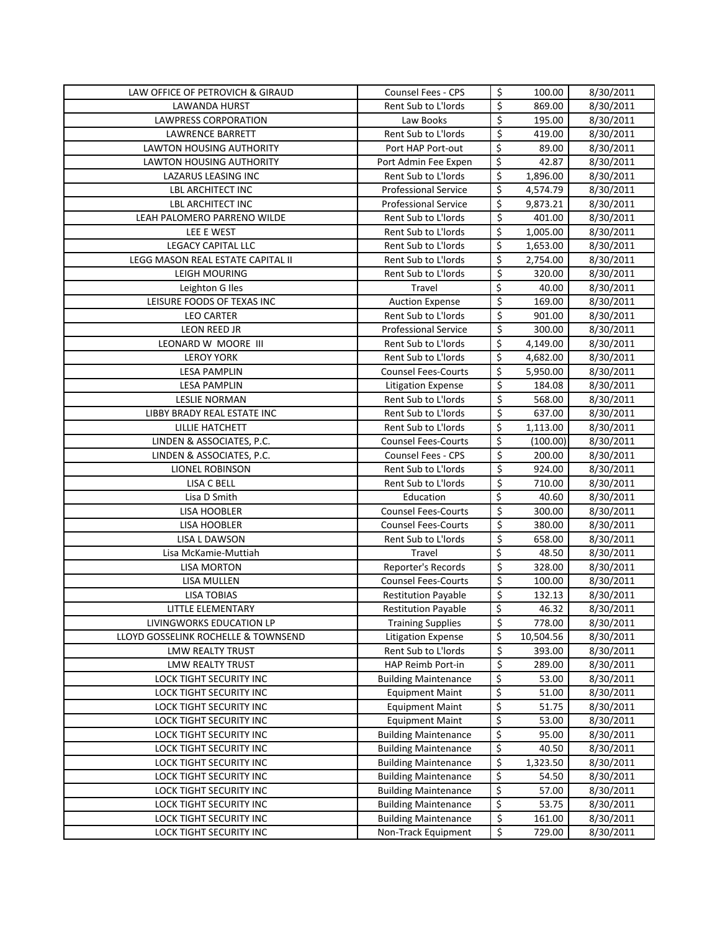| LAW OFFICE OF PETROVICH & GIRAUD                   | <b>Counsel Fees - CPS</b>                                  | \$                      | 100.00         | 8/30/2011              |
|----------------------------------------------------|------------------------------------------------------------|-------------------------|----------------|------------------------|
| LAWANDA HURST                                      | Rent Sub to L'Iords                                        | \$                      | 869.00         | 8/30/2011              |
| <b>LAWPRESS CORPORATION</b>                        | Law Books                                                  | \$                      | 195.00         | 8/30/2011              |
| <b>LAWRENCE BARRETT</b>                            | Rent Sub to L'Iords                                        | \$                      | 419.00         | 8/30/2011              |
| LAWTON HOUSING AUTHORITY                           | Port HAP Port-out                                          | \$                      | 89.00          | 8/30/2011              |
| LAWTON HOUSING AUTHORITY                           | Port Admin Fee Expen                                       | \$                      | 42.87          | 8/30/2011              |
| LAZARUS LEASING INC                                | Rent Sub to L'Iords                                        | \$                      | 1,896.00       | 8/30/2011              |
| <b>LBL ARCHITECT INC</b>                           | <b>Professional Service</b>                                | \$                      | 4,574.79       | 8/30/2011              |
| <b>LBL ARCHITECT INC</b>                           | <b>Professional Service</b>                                | \$                      | 9,873.21       | 8/30/2011              |
| LEAH PALOMERO PARRENO WILDE                        | Rent Sub to L'Iords                                        | \$                      | 401.00         | 8/30/2011              |
| LEE E WEST                                         | Rent Sub to L'Iords                                        | \$                      | 1,005.00       | 8/30/2011              |
| <b>LEGACY CAPITAL LLC</b>                          | Rent Sub to L'Iords                                        | \$                      | 1,653.00       | 8/30/2011              |
| LEGG MASON REAL ESTATE CAPITAL II                  | Rent Sub to L'Iords                                        | \$                      | 2,754.00       | 8/30/2011              |
| LEIGH MOURING                                      | Rent Sub to L'Iords                                        | $\overline{\mathsf{S}}$ | 320.00         | 8/30/2011              |
| Leighton G Iles                                    | Travel                                                     | \$                      | 40.00          | 8/30/2011              |
| LEISURE FOODS OF TEXAS INC                         | <b>Auction Expense</b>                                     | \$                      | 169.00         | 8/30/2011              |
| <b>LEO CARTER</b>                                  | Rent Sub to L'Iords                                        | \$                      | 901.00         | 8/30/2011              |
| LEON REED JR                                       | <b>Professional Service</b>                                | \$                      | 300.00         | 8/30/2011              |
| LEONARD W MOORE III                                | Rent Sub to L'Iords                                        | \$                      | 4,149.00       | 8/30/2011              |
| <b>LEROY YORK</b>                                  | Rent Sub to L'Iords                                        | \$                      | 4,682.00       | 8/30/2011              |
| <b>LESA PAMPLIN</b>                                | <b>Counsel Fees-Courts</b>                                 | \$                      | 5,950.00       | 8/30/2011              |
| <b>LESA PAMPLIN</b>                                | <b>Litigation Expense</b>                                  | \$                      | 184.08         | 8/30/2011              |
| <b>LESLIE NORMAN</b>                               | Rent Sub to L'Iords                                        | \$                      | 568.00         | 8/30/2011              |
| LIBBY BRADY REAL ESTATE INC                        | Rent Sub to L'Iords                                        | \$                      | 637.00         | 8/30/2011              |
| LILLIE HATCHETT                                    | Rent Sub to L'Iords                                        | \$                      | 1,113.00       | 8/30/2011              |
| LINDEN & ASSOCIATES, P.C.                          | <b>Counsel Fees-Courts</b>                                 | \$                      | (100.00)       | 8/30/2011              |
| LINDEN & ASSOCIATES, P.C.                          | Counsel Fees - CPS                                         | \$                      | 200.00         | 8/30/2011              |
| <b>LIONEL ROBINSON</b>                             | Rent Sub to L'Iords                                        | \$                      | 924.00         | 8/30/2011              |
| LISA C BELL                                        | Rent Sub to L'Iords                                        | \$                      | 710.00         | 8/30/2011              |
| Lisa D Smith                                       | Education                                                  | \$                      | 40.60          | 8/30/2011              |
| LISA HOOBLER                                       | <b>Counsel Fees-Courts</b>                                 | \$                      | 300.00         | 8/30/2011              |
| LISA HOOBLER                                       | <b>Counsel Fees-Courts</b>                                 | \$                      | 380.00         | 8/30/2011              |
| LISA L DAWSON                                      | Rent Sub to L'Iords                                        | \$                      | 658.00         | 8/30/2011              |
| Lisa McKamie-Muttiah                               | Travel                                                     | \$                      | 48.50          | 8/30/2011              |
| <b>LISA MORTON</b>                                 | Reporter's Records                                         | \$                      | 328.00         | 8/30/2011              |
| LISA MULLEN                                        | <b>Counsel Fees-Courts</b>                                 | \$                      | 100.00         | 8/30/2011              |
| <b>LISA TOBIAS</b>                                 | <b>Restitution Payable</b>                                 | \$                      | 132.13         | 8/30/2011              |
| <b>LITTLE ELEMENTARY</b>                           | <b>Restitution Payable</b>                                 | \$                      | 46.32          | 8/30/2011              |
| LIVINGWORKS EDUCATION LP                           | <b>Training Supplies</b>                                   | \$                      | 778.00         | 8/30/2011              |
| LLOYD GOSSELINK ROCHELLE & TOWNSEND                | <b>Litigation Expense</b>                                  | \$                      | 10,504.56      | 8/30/2011              |
| LMW REALTY TRUST                                   | Rent Sub to L'Iords                                        | \$                      | 393.00         | 8/30/2011              |
| <b>LMW REALTY TRUST</b>                            | HAP Reimb Port-in                                          | \$                      | 289.00         | 8/30/2011              |
| LOCK TIGHT SECURITY INC                            | <b>Building Maintenance</b>                                | \$                      | 53.00          | 8/30/2011              |
| LOCK TIGHT SECURITY INC                            | <b>Equipment Maint</b>                                     | \$                      | 51.00          | 8/30/2011              |
| LOCK TIGHT SECURITY INC                            | <b>Equipment Maint</b>                                     | \$                      | 51.75          | 8/30/2011              |
| LOCK TIGHT SECURITY INC                            | <b>Equipment Maint</b>                                     | \$                      | 53.00          | 8/30/2011              |
| LOCK TIGHT SECURITY INC                            | <b>Building Maintenance</b>                                | \$                      | 95.00          | 8/30/2011              |
| LOCK TIGHT SECURITY INC                            | <b>Building Maintenance</b>                                | \$                      | 40.50          | 8/30/2011              |
| LOCK TIGHT SECURITY INC                            | <b>Building Maintenance</b>                                | \$                      | 1,323.50       | 8/30/2011              |
| LOCK TIGHT SECURITY INC                            | <b>Building Maintenance</b>                                | \$                      | 54.50          | 8/30/2011              |
| LOCK TIGHT SECURITY INC                            | <b>Building Maintenance</b>                                | \$<br>\$                | 57.00<br>53.75 | 8/30/2011              |
| LOCK TIGHT SECURITY INC<br>LOCK TIGHT SECURITY INC | <b>Building Maintenance</b><br><b>Building Maintenance</b> | \$                      | 161.00         | 8/30/2011<br>8/30/2011 |
| LOCK TIGHT SECURITY INC                            | Non-Track Equipment                                        | \$                      | 729.00         | 8/30/2011              |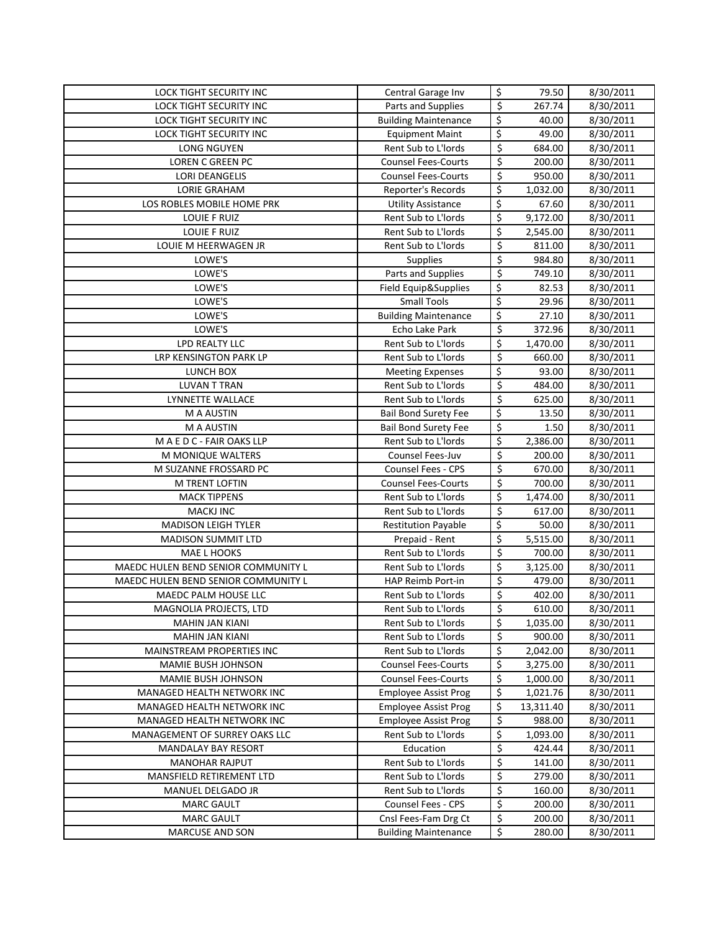| <b>LOCK TIGHT SECURITY INC</b>                      | Central Garage Inv               | \$               | 79.50              | 8/30/2011              |
|-----------------------------------------------------|----------------------------------|------------------|--------------------|------------------------|
| <b>LOCK TIGHT SECURITY INC</b>                      | Parts and Supplies               | \$               | 267.74             | 8/30/2011              |
| LOCK TIGHT SECURITY INC                             | <b>Building Maintenance</b>      | \$               | 40.00              | 8/30/2011              |
| LOCK TIGHT SECURITY INC                             | <b>Equipment Maint</b>           | \$               | 49.00              | 8/30/2011              |
| LONG NGUYEN                                         | Rent Sub to L'Iords              | \$               | 684.00             | 8/30/2011              |
| LOREN C GREEN PC                                    | <b>Counsel Fees-Courts</b>       | \$               | 200.00             | 8/30/2011              |
| <b>LORI DEANGELIS</b>                               | <b>Counsel Fees-Courts</b>       | \$               | 950.00             | 8/30/2011              |
| <b>LORIE GRAHAM</b>                                 | Reporter's Records               | \$               | 1,032.00           | 8/30/2011              |
| LOS ROBLES MOBILE HOME PRK                          | <b>Utility Assistance</b>        | \$               | 67.60              | 8/30/2011              |
| <b>LOUIE F RUIZ</b>                                 | Rent Sub to L'Iords              | \$               | 9,172.00           | 8/30/2011              |
| <b>LOUIE F RUIZ</b>                                 | Rent Sub to L'Iords              | \$               | 2,545.00           | 8/30/2011              |
| LOUIE M HEERWAGEN JR                                | Rent Sub to L'Iords              | $\overline{\xi}$ | 811.00             | 8/30/2011              |
| LOWE'S                                              | Supplies                         | \$               | 984.80             | 8/30/2011              |
| LOWE'S                                              | Parts and Supplies               | $\overline{\xi}$ | 749.10             | 8/30/2011              |
| LOWE'S                                              | Field Equip&Supplies             | \$               | 82.53              | 8/30/2011              |
| LOWE'S                                              | <b>Small Tools</b>               | \$               | 29.96              | 8/30/2011              |
| LOWE'S                                              | <b>Building Maintenance</b>      | \$               | 27.10              | 8/30/2011              |
| LOWE'S                                              | Echo Lake Park                   | $\overline{\xi}$ | 372.96             | 8/30/2011              |
| LPD REALTY LLC                                      | Rent Sub to L'Iords              | \$               | 1,470.00           | 8/30/2011              |
| LRP KENSINGTON PARK LP                              | Rent Sub to L'Iords              | \$               | 660.00             | 8/30/2011              |
| LUNCH BOX                                           | <b>Meeting Expenses</b>          | \$               | 93.00              | 8/30/2011              |
| <b>LUVAN T TRAN</b>                                 | Rent Sub to L'Iords              | \$               | 484.00             | 8/30/2011              |
| LYNNETTE WALLACE                                    | Rent Sub to L'Iords              | \$               | 625.00             | 8/30/2011              |
| M A AUSTIN                                          | <b>Bail Bond Surety Fee</b>      | \$               | 13.50              | 8/30/2011              |
| M A AUSTIN                                          | <b>Bail Bond Surety Fee</b>      | \$               | 1.50               | 8/30/2011              |
| M A E D C - FAIR OAKS LLP                           | Rent Sub to L'Iords              | \$               | 2,386.00           | 8/30/2011              |
| M MONIQUE WALTERS                                   | Counsel Fees-Juv                 | \$               | 200.00             | 8/30/2011              |
| M SUZANNE FROSSARD PC                               | <b>Counsel Fees - CPS</b>        | \$               | 670.00             | 8/30/2011              |
| M TRENT LOFTIN                                      | <b>Counsel Fees-Courts</b>       | \$               | 700.00             | 8/30/2011              |
| <b>MACK TIPPENS</b>                                 | Rent Sub to L'Iords              | \$               | 1,474.00           | 8/30/2011              |
| <b>MACKJ INC</b>                                    | Rent Sub to L'Iords              | \$               | 617.00             | 8/30/2011              |
| <b>MADISON LEIGH TYLER</b>                          | <b>Restitution Payable</b>       | \$               | 50.00              | 8/30/2011              |
| MADISON SUMMIT LTD                                  | Prepaid - Rent                   | \$               | 5,515.00           | 8/30/2011              |
| <b>MAE L HOOKS</b>                                  | Rent Sub to L'Iords              | \$               | 700.00             | 8/30/2011              |
| MAEDC HULEN BEND SENIOR COMMUNITY L                 | Rent Sub to L'Iords              | \$               | 3,125.00           | 8/30/2011              |
| MAEDC HULEN BEND SENIOR COMMUNITY L                 | HAP Reimb Port-in                | \$               | 479.00             | 8/30/2011              |
| MAEDC PALM HOUSE LLC                                | Rent Sub to L'Iords              | \$               | 402.00             | 8/30/2011              |
| MAGNOLIA PROJECTS, LTD                              | Rent Sub to L'Iords              | \$               | 610.00             | 8/30/2011              |
| <b>MAHIN JAN KIANI</b>                              | Rent Sub to L'Iords              | \$               | 1,035.00           | 8/30/2011              |
| <b>MAHIN JAN KIANI</b>                              | Rent Sub to L'Iords              | \$               | 900.00             | 8/30/2011              |
| MAINSTREAM PROPERTIES INC                           | Rent Sub to L'Iords              | \$               | 2,042.00           | 8/30/2011              |
| MAMIE BUSH JOHNSON                                  | <b>Counsel Fees-Courts</b>       | \$               | 3,275.00           | 8/30/2011              |
| MAMIE BUSH JOHNSON                                  | <b>Counsel Fees-Courts</b>       | \$               | 1,000.00           | 8/30/2011              |
| MANAGED HEALTH NETWORK INC                          | <b>Employee Assist Prog</b>      | \$               | 1,021.76           | 8/30/2011              |
| MANAGED HEALTH NETWORK INC                          | <b>Employee Assist Prog</b>      | \$               | 13,311.40          | 8/30/2011              |
| MANAGED HEALTH NETWORK INC                          | <b>Employee Assist Prog</b>      | \$               | 988.00<br>1,093.00 | 8/30/2011              |
| MANAGEMENT OF SURREY OAKS LLC                       | Rent Sub to L'Iords              | \$               |                    | 8/30/2011              |
| <b>MANDALAY BAY RESORT</b><br><b>MANOHAR RAJPUT</b> | Education<br>Rent Sub to L'Iords | \$<br>\$         | 424.44             | 8/30/2011              |
| MANSFIELD RETIREMENT LTD                            | Rent Sub to L'Iords              | \$               | 141.00<br>279.00   | 8/30/2011<br>8/30/2011 |
| MANUEL DELGADO JR                                   | Rent Sub to L'Iords              | \$               | 160.00             | 8/30/2011              |
| <b>MARC GAULT</b>                                   | Counsel Fees - CPS               | \$               | 200.00             | 8/30/2011              |
| <b>MARC GAULT</b>                                   | Cnsl Fees-Fam Drg Ct             | \$               | 200.00             | 8/30/2011              |
| MARCUSE AND SON                                     | <b>Building Maintenance</b>      | \$               | 280.00             | 8/30/2011              |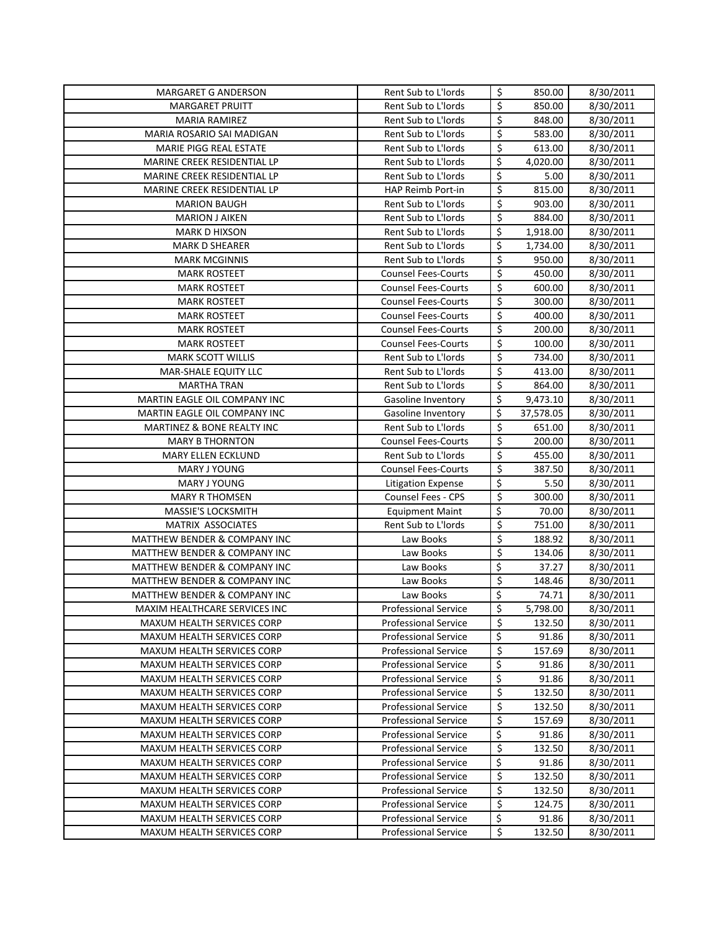| MARGARET G ANDERSON                                          | Rent Sub to L'Iords                                 | \$                       | 850.00             | 8/30/2011              |
|--------------------------------------------------------------|-----------------------------------------------------|--------------------------|--------------------|------------------------|
| <b>MARGARET PRUITT</b>                                       | Rent Sub to L'Iords                                 | \$                       | 850.00             | 8/30/2011              |
| <b>MARIA RAMIREZ</b>                                         | Rent Sub to L'Iords                                 | \$                       | 848.00             | 8/30/2011              |
| MARIA ROSARIO SAI MADIGAN                                    | Rent Sub to L'Iords                                 | \$                       | 583.00             | 8/30/2011              |
| MARIE PIGG REAL ESTATE                                       | Rent Sub to L'Iords                                 | \$                       | 613.00             | 8/30/2011              |
| MARINE CREEK RESIDENTIAL LP                                  | Rent Sub to L'Iords                                 | \$                       | 4,020.00           | 8/30/2011              |
| MARINE CREEK RESIDENTIAL LP                                  | Rent Sub to L'Iords                                 | \$                       | 5.00               | 8/30/2011              |
| MARINE CREEK RESIDENTIAL LP                                  | HAP Reimb Port-in                                   | \$                       | 815.00             | 8/30/2011              |
| <b>MARION BAUGH</b>                                          | Rent Sub to L'Iords                                 | \$                       | 903.00             | 8/30/2011              |
| <b>MARION J AIKEN</b>                                        | Rent Sub to L'Iords                                 | \$                       | 884.00             | 8/30/2011              |
| <b>MARK D HIXSON</b>                                         | Rent Sub to L'Iords                                 | \$                       | 1,918.00           | 8/30/2011              |
| <b>MARK D SHEARER</b>                                        | Rent Sub to L'Iords                                 | \$                       | 1,734.00           | 8/30/2011              |
| <b>MARK MCGINNIS</b>                                         | Rent Sub to L'Iords                                 | \$                       | 950.00             | 8/30/2011              |
| <b>MARK ROSTEET</b>                                          | <b>Counsel Fees-Courts</b>                          | \$                       | 450.00             | 8/30/2011              |
| <b>MARK ROSTEET</b>                                          | <b>Counsel Fees-Courts</b>                          | \$                       | 600.00             | 8/30/2011              |
| <b>MARK ROSTEET</b>                                          | <b>Counsel Fees-Courts</b>                          | \$                       | 300.00             | 8/30/2011              |
| <b>MARK ROSTEET</b>                                          | <b>Counsel Fees-Courts</b>                          | $\overline{\xi}$         | 400.00             | 8/30/2011              |
| MARK ROSTEET                                                 | <b>Counsel Fees-Courts</b>                          | \$                       | 200.00             | 8/30/2011              |
| <b>MARK ROSTEET</b>                                          | <b>Counsel Fees-Courts</b>                          | \$                       | 100.00             | 8/30/2011              |
| <b>MARK SCOTT WILLIS</b>                                     | Rent Sub to L'Iords                                 | \$                       | 734.00             | 8/30/2011              |
| MAR-SHALE EQUITY LLC                                         | Rent Sub to L'Iords                                 | \$                       | 413.00             | 8/30/2011              |
| <b>MARTHA TRAN</b>                                           | Rent Sub to L'Iords                                 | \$                       | 864.00             | 8/30/2011              |
| MARTIN EAGLE OIL COMPANY INC                                 | Gasoline Inventory                                  | \$                       | 9,473.10           | 8/30/2011              |
| MARTIN EAGLE OIL COMPANY INC                                 | Gasoline Inventory                                  | \$                       | 37,578.05          | 8/30/2011              |
| MARTINEZ & BONE REALTY INC                                   | Rent Sub to L'Iords                                 | \$                       | 651.00             | 8/30/2011              |
| <b>MARY B THORNTON</b>                                       | <b>Counsel Fees-Courts</b>                          | \$                       | 200.00             | 8/30/2011              |
| MARY ELLEN ECKLUND                                           | Rent Sub to L'Iords                                 | \$                       | 455.00             | 8/30/2011              |
| <b>MARY J YOUNG</b>                                          | <b>Counsel Fees-Courts</b>                          | \$                       | 387.50             | 8/30/2011              |
| <b>MARY J YOUNG</b>                                          | Litigation Expense                                  | \$                       | 5.50               | 8/30/2011              |
| <b>MARY R THOMSEN</b>                                        | Counsel Fees - CPS                                  | \$                       | 300.00             | 8/30/2011              |
| MASSIE'S LOCKSMITH                                           | <b>Equipment Maint</b>                              | \$                       | 70.00              | 8/30/2011              |
| MATRIX ASSOCIATES                                            | Rent Sub to L'Iords                                 | $\overline{\xi}$         | 751.00             | 8/30/2011              |
| MATTHEW BENDER & COMPANY INC                                 | Law Books                                           | \$                       | 188.92             | 8/30/2011              |
| MATTHEW BENDER & COMPANY INC                                 | Law Books                                           | \$                       | 134.06             | 8/30/2011              |
| MATTHEW BENDER & COMPANY INC                                 | Law Books                                           | \$                       | 37.27              | 8/30/2011              |
| MATTHEW BENDER & COMPANY INC<br>MATTHEW BENDER & COMPANY INC | Law Books                                           | \$<br>\$                 | 148.46<br>74.71    | 8/30/2011              |
| MAXIM HEALTHCARE SERVICES INC                                | Law Books<br><b>Professional Service</b>            | \$                       |                    | 8/30/2011              |
| MAXUM HEALTH SERVICES CORP                                   |                                                     | \$                       | 5,798.00<br>132.50 | 8/30/2011<br>8/30/2011 |
| MAXUM HEALTH SERVICES CORP                                   | <b>Professional Service</b><br>Professional Service | \$                       | 91.86              | 8/30/2011              |
| MAXUM HEALTH SERVICES CORP                                   | <b>Professional Service</b>                         | \$                       | 157.69             | 8/30/2011              |
| MAXUM HEALTH SERVICES CORP                                   | <b>Professional Service</b>                         | \$                       | 91.86              | 8/30/2011              |
| MAXUM HEALTH SERVICES CORP                                   | <b>Professional Service</b>                         | \$                       | 91.86              | 8/30/2011              |
| MAXUM HEALTH SERVICES CORP                                   | <b>Professional Service</b>                         | \$                       | 132.50             | 8/30/2011              |
| MAXUM HEALTH SERVICES CORP                                   | <b>Professional Service</b>                         | \$                       | 132.50             | 8/30/2011              |
| MAXUM HEALTH SERVICES CORP                                   | <b>Professional Service</b>                         | \$                       | 157.69             | 8/30/2011              |
| MAXUM HEALTH SERVICES CORP                                   | <b>Professional Service</b>                         | \$                       | 91.86              | 8/30/2011              |
| MAXUM HEALTH SERVICES CORP                                   | <b>Professional Service</b>                         | \$                       | 132.50             | 8/30/2011              |
| MAXUM HEALTH SERVICES CORP                                   | <b>Professional Service</b>                         | \$                       | 91.86              | 8/30/2011              |
| MAXUM HEALTH SERVICES CORP                                   | <b>Professional Service</b>                         | \$                       | 132.50             | 8/30/2011              |
| MAXUM HEALTH SERVICES CORP                                   | <b>Professional Service</b>                         | \$                       | 132.50             | 8/30/2011              |
| MAXUM HEALTH SERVICES CORP                                   | <b>Professional Service</b>                         | \$                       | 124.75             | 8/30/2011              |
| MAXUM HEALTH SERVICES CORP                                   | <b>Professional Service</b>                         | \$                       | 91.86              | 8/30/2011              |
| MAXUM HEALTH SERVICES CORP                                   | <b>Professional Service</b>                         | $\overline{\mathcal{S}}$ | 132.50             | 8/30/2011              |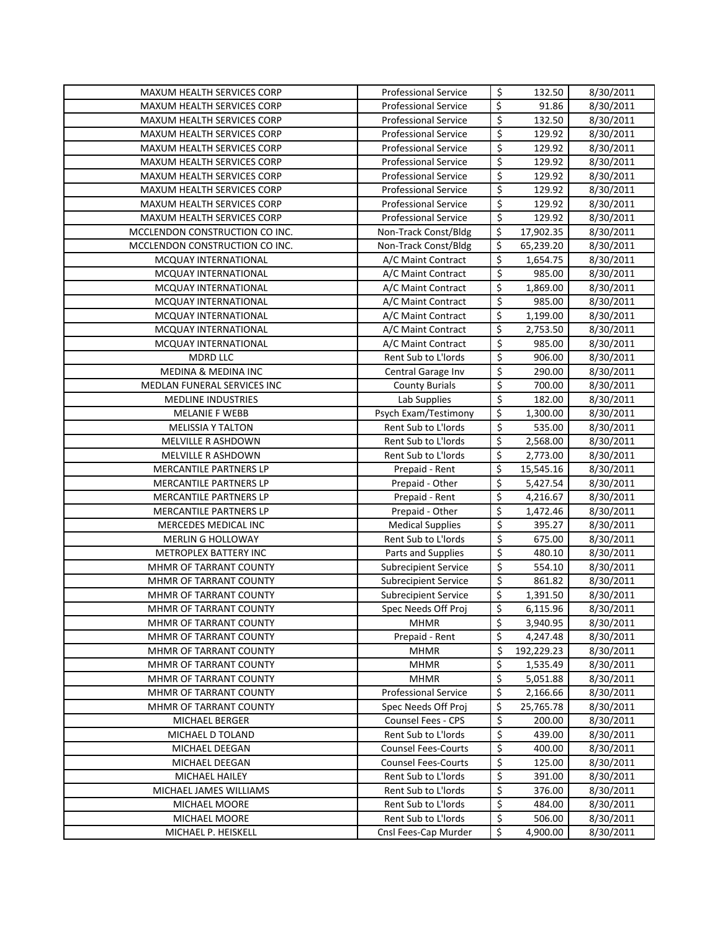| \$<br>\$<br>8/30/2011<br><b>MAXUM HEALTH SERVICES CORP</b><br><b>Professional Service</b><br>91.86<br>$\overline{\mathsf{S}}$<br>MAXUM HEALTH SERVICES CORP<br>132.50<br>8/30/2011<br><b>Professional Service</b><br>$\overline{\mathsf{S}}$<br>129.92<br>MAXUM HEALTH SERVICES CORP<br><b>Professional Service</b><br>8/30/2011 |  |
|----------------------------------------------------------------------------------------------------------------------------------------------------------------------------------------------------------------------------------------------------------------------------------------------------------------------------------|--|
|                                                                                                                                                                                                                                                                                                                                  |  |
|                                                                                                                                                                                                                                                                                                                                  |  |
|                                                                                                                                                                                                                                                                                                                                  |  |
| $\overline{\xi}$<br>MAXUM HEALTH SERVICES CORP<br><b>Professional Service</b><br>129.92<br>8/30/2011                                                                                                                                                                                                                             |  |
| $\overline{\mathsf{S}}$<br><b>Professional Service</b><br>129.92<br>8/30/2011<br>MAXUM HEALTH SERVICES CORP                                                                                                                                                                                                                      |  |
| \$<br><b>Professional Service</b><br>129.92<br>8/30/2011<br>MAXUM HEALTH SERVICES CORP                                                                                                                                                                                                                                           |  |
| $\overline{\mathsf{S}}$<br><b>Professional Service</b><br>129.92<br>8/30/2011<br>MAXUM HEALTH SERVICES CORP                                                                                                                                                                                                                      |  |
| \$<br>129.92<br>8/30/2011<br>MAXUM HEALTH SERVICES CORP<br><b>Professional Service</b>                                                                                                                                                                                                                                           |  |
| $\overline{\boldsymbol{\zeta}}$<br><b>Professional Service</b><br>129.92<br>8/30/2011<br><b>MAXUM HEALTH SERVICES CORP</b>                                                                                                                                                                                                       |  |
| \$<br>8/30/2011<br>MCCLENDON CONSTRUCTION CO INC.<br>Non-Track Const/Bldg<br>17,902.35                                                                                                                                                                                                                                           |  |
| \$<br>MCCLENDON CONSTRUCTION CO INC.<br>Non-Track Const/Bldg<br>65,239.20<br>8/30/2011                                                                                                                                                                                                                                           |  |
| \$<br>A/C Maint Contract<br>1,654.75<br>8/30/2011<br>MCQUAY INTERNATIONAL                                                                                                                                                                                                                                                        |  |
| $\overline{\xi}$<br>A/C Maint Contract<br>985.00<br>8/30/2011<br>MCQUAY INTERNATIONAL                                                                                                                                                                                                                                            |  |
| \$<br>MCQUAY INTERNATIONAL<br>A/C Maint Contract<br>1,869.00<br>8/30/2011                                                                                                                                                                                                                                                        |  |
| $\overline{\mathsf{S}}$<br>985.00<br>MCQUAY INTERNATIONAL<br>A/C Maint Contract<br>8/30/2011                                                                                                                                                                                                                                     |  |
| \$<br>1,199.00<br>MCQUAY INTERNATIONAL<br>A/C Maint Contract<br>8/30/2011                                                                                                                                                                                                                                                        |  |
| \$<br>MCQUAY INTERNATIONAL<br>A/C Maint Contract<br>2,753.50<br>8/30/2011                                                                                                                                                                                                                                                        |  |
| $\overline{\mathcal{S}}$<br>MCQUAY INTERNATIONAL<br>A/C Maint Contract<br>985.00<br>8/30/2011                                                                                                                                                                                                                                    |  |
| $\overline{\xi}$<br><b>MDRD LLC</b><br>Rent Sub to L'Iords<br>906.00<br>8/30/2011                                                                                                                                                                                                                                                |  |
| $\overline{\boldsymbol{\zeta}}$<br><b>MEDINA &amp; MEDINA INC</b><br>290.00<br>8/30/2011<br>Central Garage Inv                                                                                                                                                                                                                   |  |
| $\overline{\xi}$<br>700.00<br>MEDLAN FUNERAL SERVICES INC<br><b>County Burials</b><br>8/30/2011                                                                                                                                                                                                                                  |  |
| $\overline{\xi}$<br>Lab Supplies<br>182.00<br><b>MEDLINE INDUSTRIES</b><br>8/30/2011                                                                                                                                                                                                                                             |  |
| $\overline{\boldsymbol{\zeta}}$<br>8/30/2011<br><b>MELANIE F WEBB</b><br>Psych Exam/Testimony<br>1,300.00                                                                                                                                                                                                                        |  |
| $\overline{\mathcal{S}}$<br>Rent Sub to L'Iords<br>535.00<br><b>MELISSIA Y TALTON</b><br>8/30/2011                                                                                                                                                                                                                               |  |
| \$<br>Rent Sub to L'Iords<br>2,568.00<br>8/30/2011<br>MELVILLE R ASHDOWN                                                                                                                                                                                                                                                         |  |
| \$<br>2,773.00<br>8/30/2011<br>MELVILLE R ASHDOWN<br>Rent Sub to L'Iords                                                                                                                                                                                                                                                         |  |
| \$<br>MERCANTILE PARTNERS LP<br>15,545.16<br>Prepaid - Rent<br>8/30/2011                                                                                                                                                                                                                                                         |  |
| \$<br>MERCANTILE PARTNERS LP<br>5,427.54<br>8/30/2011<br>Prepaid - Other                                                                                                                                                                                                                                                         |  |
| \$<br>MERCANTILE PARTNERS LP<br>4,216.67<br>8/30/2011<br>Prepaid - Rent                                                                                                                                                                                                                                                          |  |
| \$<br>MERCANTILE PARTNERS LP<br>Prepaid - Other<br>1,472.46<br>8/30/2011                                                                                                                                                                                                                                                         |  |
| $\overline{\mathcal{S}}$<br>MERCEDES MEDICAL INC<br><b>Medical Supplies</b><br>395.27<br>8/30/2011                                                                                                                                                                                                                               |  |
| \$<br>Rent Sub to L'Iords<br>MERLIN G HOLLOWAY<br>675.00<br>8/30/2011                                                                                                                                                                                                                                                            |  |
| \$<br>METROPLEX BATTERY INC<br>Parts and Supplies<br>480.10<br>8/30/2011                                                                                                                                                                                                                                                         |  |
| $\overline{\boldsymbol{\zeta}}$<br>MHMR OF TARRANT COUNTY<br>554.10<br>8/30/2011<br><b>Subrecipient Service</b>                                                                                                                                                                                                                  |  |
| \$<br>MHMR OF TARRANT COUNTY<br><b>Subrecipient Service</b><br>861.82<br>8/30/2011                                                                                                                                                                                                                                               |  |
| \$<br>MHMR OF TARRANT COUNTY<br><b>Subrecipient Service</b><br>1,391.50<br>8/30/2011                                                                                                                                                                                                                                             |  |
| \$<br>6,115.96<br>8/30/2011<br>MHMR OF TARRANT COUNTY<br>Spec Needs Off Proj                                                                                                                                                                                                                                                     |  |
| \$<br><b>MHMR</b><br>3,940.95<br>8/30/2011<br>MHMR OF TARRANT COUNTY                                                                                                                                                                                                                                                             |  |
| \$<br>MHMR OF TARRANT COUNTY<br>Prepaid - Rent<br>4,247.48<br>8/30/2011                                                                                                                                                                                                                                                          |  |
| \$<br><b>MHMR</b><br>192,229.23<br>MHMR OF TARRANT COUNTY<br>8/30/2011                                                                                                                                                                                                                                                           |  |
| \$<br>MHMR OF TARRANT COUNTY<br><b>MHMR</b><br>1,535.49<br>8/30/2011                                                                                                                                                                                                                                                             |  |
| \$<br>MHMR OF TARRANT COUNTY<br><b>MHMR</b><br>5,051.88<br>8/30/2011                                                                                                                                                                                                                                                             |  |
| \$<br>MHMR OF TARRANT COUNTY<br><b>Professional Service</b><br>2,166.66<br>8/30/2011                                                                                                                                                                                                                                             |  |
| \$<br>Spec Needs Off Proj<br>25,765.78<br>8/30/2011<br>MHMR OF TARRANT COUNTY                                                                                                                                                                                                                                                    |  |
| \$<br>Counsel Fees - CPS<br>MICHAEL BERGER<br>200.00<br>8/30/2011                                                                                                                                                                                                                                                                |  |
| \$<br>Rent Sub to L'Iords<br>439.00<br>8/30/2011<br>MICHAEL D TOLAND                                                                                                                                                                                                                                                             |  |
| \$<br><b>Counsel Fees-Courts</b><br>400.00<br>8/30/2011<br>MICHAEL DEEGAN                                                                                                                                                                                                                                                        |  |
| \$<br><b>Counsel Fees-Courts</b><br>125.00<br>8/30/2011<br>MICHAEL DEEGAN<br>\$<br>Rent Sub to L'Iords                                                                                                                                                                                                                           |  |
| 8/30/2011<br>MICHAEL HAILEY<br>391.00<br>\$<br>Rent Sub to L'Iords<br>8/30/2011                                                                                                                                                                                                                                                  |  |
| MICHAEL JAMES WILLIAMS<br>376.00<br>\$<br>Rent Sub to L'Iords<br>8/30/2011<br>MICHAEL MOORE<br>484.00                                                                                                                                                                                                                            |  |
| \$<br>Rent Sub to L'Iords<br>506.00<br>8/30/2011<br>MICHAEL MOORE                                                                                                                                                                                                                                                                |  |
| \$<br>Cnsl Fees-Cap Murder<br>4,900.00<br>8/30/2011<br>MICHAEL P. HEISKELL                                                                                                                                                                                                                                                       |  |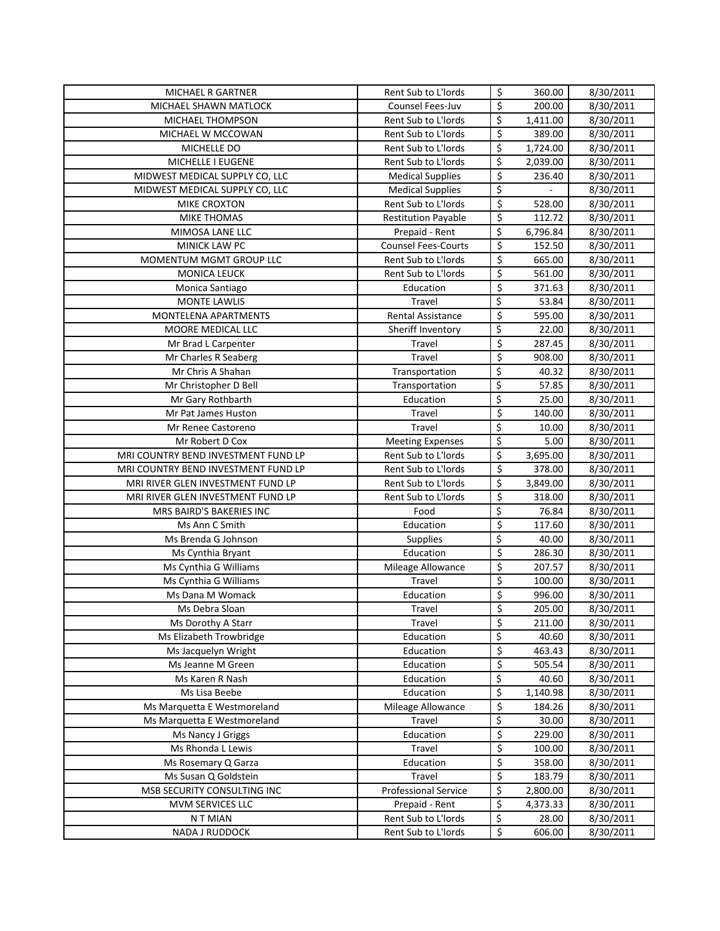| MICHAEL R GARTNER                        | Rent Sub to L'Iords         | \$               | 360.00          | 8/30/2011              |
|------------------------------------------|-----------------------------|------------------|-----------------|------------------------|
| MICHAEL SHAWN MATLOCK                    | Counsel Fees-Juv            | \$               | 200.00          | 8/30/2011              |
| MICHAEL THOMPSON                         | Rent Sub to L'Iords         | \$               | 1,411.00        | 8/30/2011              |
| MICHAEL W MCCOWAN                        | Rent Sub to L'Iords         | \$               | 389.00          | 8/30/2011              |
| MICHELLE DO                              | Rent Sub to L'Iords         | \$               | 1,724.00        | 8/30/2011              |
| MICHELLE I EUGENE                        | Rent Sub to L'Iords         | \$               | 2,039.00        | 8/30/2011              |
| MIDWEST MEDICAL SUPPLY CO, LLC           | <b>Medical Supplies</b>     | \$               | 236.40          | 8/30/2011              |
| MIDWEST MEDICAL SUPPLY CO, LLC           | <b>Medical Supplies</b>     | \$               |                 | 8/30/2011              |
| MIKE CROXTON                             | Rent Sub to L'Iords         | \$               | 528.00          | 8/30/2011              |
| <b>MIKE THOMAS</b>                       | <b>Restitution Payable</b>  | \$               | 112.72          | 8/30/2011              |
| MIMOSA LANE LLC                          | Prepaid - Rent              | \$               | 6,796.84        | 8/30/2011              |
| MINICK LAW PC                            | <b>Counsel Fees-Courts</b>  | \$               | 152.50          | 8/30/2011              |
| MOMENTUM MGMT GROUP LLC                  | Rent Sub to L'Iords         | \$               | 665.00          | 8/30/2011              |
| <b>MONICA LEUCK</b>                      | Rent Sub to L'Iords         | \$               | 561.00          | 8/30/2011              |
| Monica Santiago                          | Education                   | \$               | 371.63          | 8/30/2011              |
| <b>MONTE LAWLIS</b>                      | Travel                      | \$               | 53.84           | 8/30/2011              |
| <b>MONTELENA APARTMENTS</b>              | Rental Assistance           | \$               | 595.00          | 8/30/2011              |
| MOORE MEDICAL LLC                        | Sheriff Inventory           | \$               | 22.00           | 8/30/2011              |
| Mr Brad L Carpenter                      | Travel                      | \$               | 287.45          | 8/30/2011              |
| Mr Charles R Seaberg                     | Travel                      | \$               | 908.00          | 8/30/2011              |
| Mr Chris A Shahan                        | Transportation              | \$               | 40.32           | 8/30/2011              |
| Mr Christopher D Bell                    | Transportation              | \$               | 57.85           | 8/30/2011              |
| Mr Gary Rothbarth                        | Education                   | $\overline{\xi}$ | 25.00           | 8/30/2011              |
| Mr Pat James Huston                      | Travel                      | \$               | 140.00          | 8/30/2011              |
| Mr Renee Castoreno                       | Travel                      | \$               | 10.00           | 8/30/2011              |
| Mr Robert D Cox                          | <b>Meeting Expenses</b>     | \$               | 5.00            | 8/30/2011              |
| MRI COUNTRY BEND INVESTMENT FUND LP      | Rent Sub to L'Iords         | \$               | 3,695.00        | 8/30/2011              |
| MRI COUNTRY BEND INVESTMENT FUND LP      | Rent Sub to L'Iords         | \$               | 378.00          | 8/30/2011              |
| MRI RIVER GLEN INVESTMENT FUND LP        | Rent Sub to L'Iords         | \$               | 3,849.00        | 8/30/2011              |
| MRI RIVER GLEN INVESTMENT FUND LP        | Rent Sub to L'Iords         | \$               | 318.00          | 8/30/2011              |
| MRS BAIRD'S BAKERIES INC                 | Food                        | \$               | 76.84           | 8/30/2011              |
| Ms Ann C Smith                           | Education                   | \$               | 117.60          | 8/30/2011              |
| Ms Brenda G Johnson                      | Supplies                    | \$               | 40.00           | 8/30/2011              |
| Ms Cynthia Bryant                        | Education                   | \$               | 286.30          | 8/30/2011              |
| Ms Cynthia G Williams                    | Mileage Allowance           | \$               | 207.57          | 8/30/2011              |
| Ms Cynthia G Williams                    | Travel                      | \$               | 100.00          | 8/30/2011              |
| Ms Dana M Womack                         | Education                   | \$               | 996.00          | 8/30/2011              |
| Ms Debra Sloan                           | Travel                      | \$               | 205.00          | 8/30/2011              |
| Ms Dorothy A Starr                       | Travel                      | \$               | 211.00          | 8/30/2011              |
| Ms Elizabeth Trowbridge                  | Education                   | \$               | 40.60           | 8/30/2011              |
| Ms Jacquelyn Wright<br>Ms Jeanne M Green | Education                   | \$<br>\$         | 463.43          | 8/30/2011              |
| Ms Karen R Nash                          | Education<br>Education      | \$               | 505.54<br>40.60 | 8/30/2011<br>8/30/2011 |
| Ms Lisa Beebe                            | Education                   | \$               | 1,140.98        | 8/30/2011              |
| Ms Marquetta E Westmoreland              | Mileage Allowance           | \$               | 184.26          | 8/30/2011              |
| Ms Marquetta E Westmoreland              | Travel                      | \$               | 30.00           | 8/30/2011              |
| Ms Nancy J Griggs                        | Education                   | \$               | 229.00          | 8/30/2011              |
| Ms Rhonda L Lewis                        | Travel                      | \$               | 100.00          | 8/30/2011              |
| Ms Rosemary Q Garza                      | Education                   | \$               | 358.00          | 8/30/2011              |
| Ms Susan Q Goldstein                     | Travel                      | \$               | 183.79          | 8/30/2011              |
| MSB SECURITY CONSULTING INC              | <b>Professional Service</b> | \$               | 2,800.00        | 8/30/2011              |
| MVM SERVICES LLC                         | Prepaid - Rent              | \$               | 4,373.33        | 8/30/2011              |
| N T MIAN                                 | Rent Sub to L'Iords         | \$               | 28.00           | 8/30/2011              |
| NADA J RUDDOCK                           | Rent Sub to L'Iords         | \$               | 606.00          | 8/30/2011              |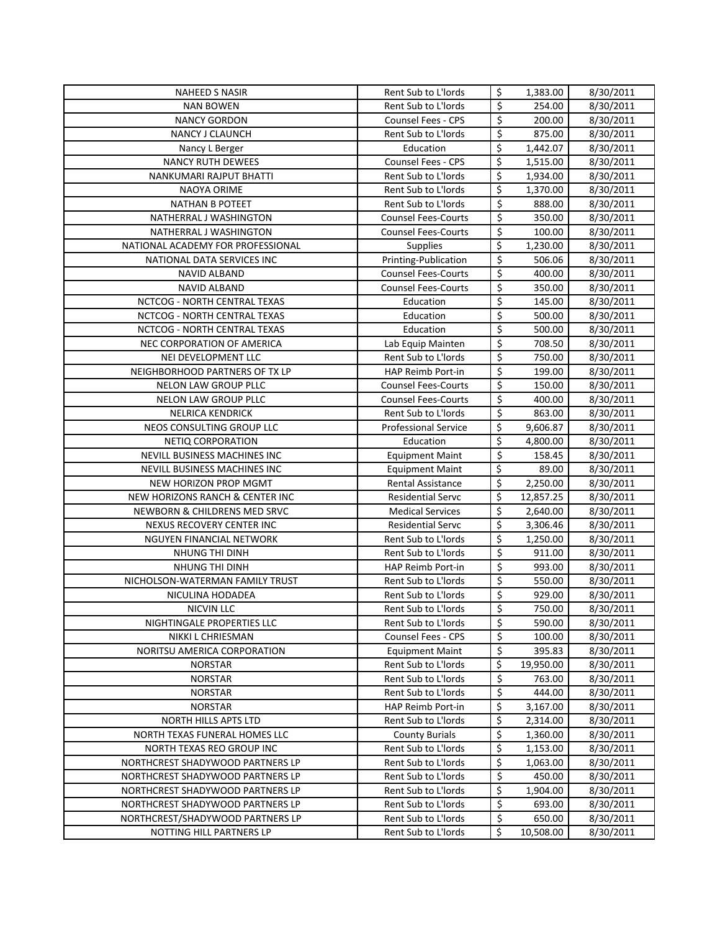| <b>NAHEED S NASIR</b>                         | Rent Sub to L'Iords                           | \$               | 1,383.00            | 8/30/2011              |
|-----------------------------------------------|-----------------------------------------------|------------------|---------------------|------------------------|
| <b>NAN BOWEN</b>                              | Rent Sub to L'Iords                           | \$               | 254.00              | 8/30/2011              |
| <b>NANCY GORDON</b>                           | <b>Counsel Fees - CPS</b>                     | \$               | 200.00              | 8/30/2011              |
| NANCY J CLAUNCH                               | Rent Sub to L'Iords                           | \$               | 875.00              | 8/30/2011              |
| Nancy L Berger                                | Education                                     | \$               | 1,442.07            | 8/30/2011              |
| <b>NANCY RUTH DEWEES</b>                      | Counsel Fees - CPS                            | \$               | 1,515.00            | 8/30/2011              |
| NANKUMARI RAJPUT BHATTI                       | Rent Sub to L'Iords                           | \$               | 1,934.00            | 8/30/2011              |
| NAOYA ORIME                                   | Rent Sub to L'Iords                           | \$               | 1,370.00            | 8/30/2011              |
| <b>NATHAN B POTEET</b>                        | Rent Sub to L'Iords                           | \$               | 888.00              | 8/30/2011              |
| NATHERRAL J WASHINGTON                        | <b>Counsel Fees-Courts</b>                    | \$               | 350.00              | 8/30/2011              |
| NATHERRAL J WASHINGTON                        | <b>Counsel Fees-Courts</b>                    | \$               | 100.00              | 8/30/2011              |
| NATIONAL ACADEMY FOR PROFESSIONAL             | <b>Supplies</b>                               | \$               | 1,230.00            | 8/30/2011              |
| NATIONAL DATA SERVICES INC                    | Printing-Publication                          | \$               | 506.06              | 8/30/2011              |
| <b>NAVID ALBAND</b>                           | <b>Counsel Fees-Courts</b>                    | \$               | 400.00              | 8/30/2011              |
| NAVID ALBAND                                  | <b>Counsel Fees-Courts</b>                    | \$               | 350.00              | 8/30/2011              |
| NCTCOG - NORTH CENTRAL TEXAS                  | Education                                     | \$               | 145.00              | 8/30/2011              |
| NCTCOG - NORTH CENTRAL TEXAS                  | Education                                     | \$               | 500.00              | 8/30/2011              |
| NCTCOG - NORTH CENTRAL TEXAS                  | Education                                     | \$               | 500.00              | 8/30/2011              |
| NEC CORPORATION OF AMERICA                    | Lab Equip Mainten                             | \$               | 708.50              | 8/30/2011              |
| NEI DEVELOPMENT LLC                           | Rent Sub to L'Iords                           | \$               | 750.00              | 8/30/2011              |
| NEIGHBORHOOD PARTNERS OF TX LP                | <b>HAP Reimb Port-in</b>                      | $\overline{\xi}$ | 199.00              | 8/30/2011              |
| NELON LAW GROUP PLLC                          | <b>Counsel Fees-Courts</b>                    | \$               | 150.00              | 8/30/2011              |
| NELON LAW GROUP PLLC                          | <b>Counsel Fees-Courts</b>                    | \$               | 400.00              | 8/30/2011              |
| <b>NELRICA KENDRICK</b>                       | Rent Sub to L'Iords                           | \$               | 863.00              | 8/30/2011              |
| NEOS CONSULTING GROUP LLC                     | <b>Professional Service</b>                   | \$               | 9,606.87            | 8/30/2011              |
| NETIQ CORPORATION                             | Education                                     | \$               | 4,800.00            | 8/30/2011              |
| NEVILL BUSINESS MACHINES INC                  | <b>Equipment Maint</b>                        | \$               | 158.45              | 8/30/2011              |
| NEVILL BUSINESS MACHINES INC                  | <b>Equipment Maint</b>                        | \$               | 89.00               | 8/30/2011              |
| NEW HORIZON PROP MGMT                         | Rental Assistance                             | \$               | 2,250.00            | 8/30/2011              |
| NEW HORIZONS RANCH & CENTER INC               | <b>Residential Servc</b>                      | \$               | 12,857.25           | 8/30/2011              |
| NEWBORN & CHILDRENS MED SRVC                  | <b>Medical Services</b>                       | \$               | 2,640.00            | 8/30/2011              |
| NEXUS RECOVERY CENTER INC                     | <b>Residential Servc</b>                      | \$               | 3,306.46            | 8/30/2011              |
| NGUYEN FINANCIAL NETWORK                      | Rent Sub to L'Iords                           | \$               | 1,250.00            | 8/30/2011              |
| NHUNG THI DINH                                | Rent Sub to L'Iords                           | \$               | 911.00              | 8/30/2011              |
| NHUNG THI DINH                                | HAP Reimb Port-in                             | \$               | 993.00              | 8/30/2011              |
| NICHOLSON-WATERMAN FAMILY TRUST               | Rent Sub to L'Iords                           | \$               | 550.00              | 8/30/2011              |
| NICULINA HODADEA                              | Rent Sub to L'Iords                           | \$               | 929.00              | 8/30/2011              |
| NICVIN LLC                                    | Rent Sub to L'Iords                           | \$               | 750.00              | 8/30/2011              |
| NIGHTINGALE PROPERTIES LLC                    | Rent Sub to L'Iords                           | \$               | 590.00              | 8/30/2011              |
| NIKKI L CHRIESMAN                             | Counsel Fees - CPS                            | \$<br>\$         | 100.00              | 8/30/2011              |
| NORITSU AMERICA CORPORATION<br><b>NORSTAR</b> | <b>Equipment Maint</b><br>Rent Sub to L'Iords |                  | 395.83              | 8/30/2011<br>8/30/2011 |
| <b>NORSTAR</b>                                | Rent Sub to L'Iords                           | \$<br>\$         | 19,950.00<br>763.00 | 8/30/2011              |
| <b>NORSTAR</b>                                | Rent Sub to L'Iords                           | \$               | 444.00              | 8/30/2011              |
| <b>NORSTAR</b>                                | HAP Reimb Port-in                             | \$               | 3,167.00            | 8/30/2011              |
| <b>NORTH HILLS APTS LTD</b>                   | Rent Sub to L'Iords                           | \$               | 2,314.00            | 8/30/2011              |
| NORTH TEXAS FUNERAL HOMES LLC                 | <b>County Burials</b>                         | \$               | 1,360.00            | 8/30/2011              |
| NORTH TEXAS REO GROUP INC                     | Rent Sub to L'Iords                           | \$               | 1,153.00            | 8/30/2011              |
| NORTHCREST SHADYWOOD PARTNERS LP              | Rent Sub to L'Iords                           | \$               | 1,063.00            | 8/30/2011              |
| NORTHCREST SHADYWOOD PARTNERS LP              | Rent Sub to L'Iords                           | \$               | 450.00              | 8/30/2011              |
| NORTHCREST SHADYWOOD PARTNERS LP              | Rent Sub to L'Iords                           | \$               | 1,904.00            | 8/30/2011              |
| NORTHCREST SHADYWOOD PARTNERS LP              | Rent Sub to L'Iords                           | \$               | 693.00              | 8/30/2011              |
| NORTHCREST/SHADYWOOD PARTNERS LP              | Rent Sub to L'Iords                           | \$               | 650.00              | 8/30/2011              |
| NOTTING HILL PARTNERS LP                      | Rent Sub to L'Iords                           | \$               | 10,508.00           | 8/30/2011              |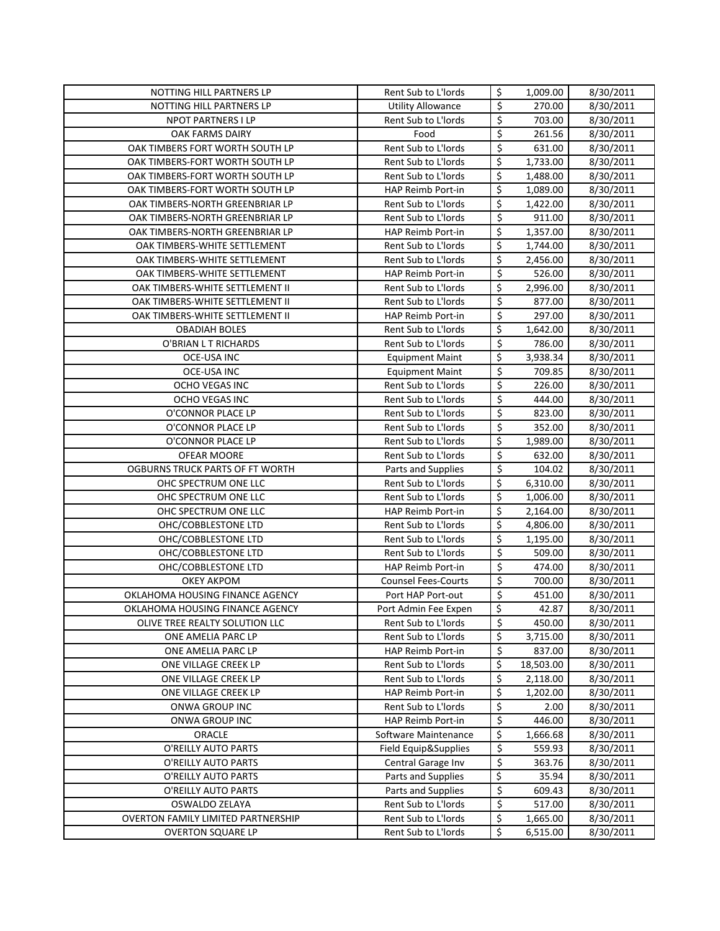| NOTTING HILL PARTNERS LP           | Rent Sub to L'Iords        | \$               | 1,009.00  | 8/30/2011 |
|------------------------------------|----------------------------|------------------|-----------|-----------|
| NOTTING HILL PARTNERS LP           | <b>Utility Allowance</b>   | \$               | 270.00    | 8/30/2011 |
| NPOT PARTNERS I LP                 | Rent Sub to L'Iords        | \$               | 703.00    | 8/30/2011 |
| OAK FARMS DAIRY                    | Food                       | \$               | 261.56    | 8/30/2011 |
| OAK TIMBERS FORT WORTH SOUTH LP    | Rent Sub to L'Iords        | \$               | 631.00    | 8/30/2011 |
| OAK TIMBERS-FORT WORTH SOUTH LP    | Rent Sub to L'Iords        | \$               | 1,733.00  | 8/30/2011 |
| OAK TIMBERS-FORT WORTH SOUTH LP    | Rent Sub to L'Iords        | \$               | 1,488.00  | 8/30/2011 |
| OAK TIMBERS-FORT WORTH SOUTH LP    | HAP Reimb Port-in          | \$               | 1,089.00  | 8/30/2011 |
| OAK TIMBERS-NORTH GREENBRIAR LP    | Rent Sub to L'Iords        | \$               | 1,422.00  | 8/30/2011 |
| OAK TIMBERS-NORTH GREENBRIAR LP    | Rent Sub to L'Iords        | \$               | 911.00    | 8/30/2011 |
| OAK TIMBERS-NORTH GREENBRIAR LP    | HAP Reimb Port-in          | \$               | 1,357.00  | 8/30/2011 |
| OAK TIMBERS-WHITE SETTLEMENT       | Rent Sub to L'Iords        | \$               | 1,744.00  | 8/30/2011 |
| OAK TIMBERS-WHITE SETTLEMENT       | Rent Sub to L'Iords        | \$               | 2,456.00  | 8/30/2011 |
| OAK TIMBERS-WHITE SETTLEMENT       | HAP Reimb Port-in          | \$               | 526.00    | 8/30/2011 |
| OAK TIMBERS-WHITE SETTLEMENT II    | Rent Sub to L'Iords        | \$               | 2,996.00  | 8/30/2011 |
| OAK TIMBERS-WHITE SETTLEMENT II    | Rent Sub to L'Iords        | $\overline{\xi}$ | 877.00    | 8/30/2011 |
| OAK TIMBERS-WHITE SETTLEMENT II    | <b>HAP Reimb Port-in</b>   | $\overline{\xi}$ | 297.00    |           |
|                                    | Rent Sub to L'Iords        | \$               | 1,642.00  | 8/30/2011 |
| <b>OBADIAH BOLES</b>               | Rent Sub to L'Iords        | \$               |           | 8/30/2011 |
| O'BRIAN LT RICHARDS                |                            | \$               | 786.00    | 8/30/2011 |
| OCE-USA INC                        | <b>Equipment Maint</b>     |                  | 3,938.34  | 8/30/2011 |
| OCE-USA INC                        | <b>Equipment Maint</b>     | \$               | 709.85    | 8/30/2011 |
| OCHO VEGAS INC                     | Rent Sub to L'Iords        | $\overline{\xi}$ | 226.00    | 8/30/2011 |
| OCHO VEGAS INC                     | Rent Sub to L'Iords        | \$               | 444.00    | 8/30/2011 |
| O'CONNOR PLACE LP                  | Rent Sub to L'Iords        | $\overline{\xi}$ | 823.00    | 8/30/2011 |
| O'CONNOR PLACE LP                  | Rent Sub to L'Iords        | \$               | 352.00    | 8/30/2011 |
| O'CONNOR PLACE LP                  | Rent Sub to L'Iords        | \$               | 1,989.00  | 8/30/2011 |
| OFEAR MOORE                        | Rent Sub to L'Iords        | \$               | 632.00    | 8/30/2011 |
| OGBURNS TRUCK PARTS OF FT WORTH    | Parts and Supplies         | \$               | 104.02    | 8/30/2011 |
| OHC SPECTRUM ONE LLC               | Rent Sub to L'Iords        | \$               | 6,310.00  | 8/30/2011 |
| OHC SPECTRUM ONE LLC               | Rent Sub to L'Iords        | \$               | 1,006.00  | 8/30/2011 |
| OHC SPECTRUM ONE LLC               | HAP Reimb Port-in          | \$               | 2,164.00  | 8/30/2011 |
| OHC/COBBLESTONE LTD                | Rent Sub to L'Iords        | \$               | 4,806.00  | 8/30/2011 |
| OHC/COBBLESTONE LTD                | Rent Sub to L'Iords        | \$               | 1,195.00  | 8/30/2011 |
| OHC/COBBLESTONE LTD                | Rent Sub to L'Iords        | \$               | 509.00    | 8/30/2011 |
| OHC/COBBLESTONE LTD                | HAP Reimb Port-in          | \$               | 474.00    | 8/30/2011 |
| <b>OKEY AKPOM</b>                  | <b>Counsel Fees-Courts</b> | \$               | 700.00    | 8/30/2011 |
| OKLAHOMA HOUSING FINANCE AGENCY    | Port HAP Port-out          | \$               | 451.00    | 8/30/2011 |
| OKLAHOMA HOUSING FINANCE AGENCY    | Port Admin Fee Expen       | \$               | 42.87     | 8/30/2011 |
| OLIVE TREE REALTY SOLUTION LLC     | Rent Sub to L'Iords        | \$               | 450.00    | 8/30/2011 |
| ONE AMELIA PARC LP                 | Rent Sub to L'Iords        | \$               | 3,715.00  | 8/30/2011 |
| ONE AMELIA PARC LP                 | HAP Reimb Port-in          | \$               | 837.00    | 8/30/2011 |
| ONE VILLAGE CREEK LP               | Rent Sub to L'Iords        | \$               | 18,503.00 | 8/30/2011 |
| ONE VILLAGE CREEK LP               | Rent Sub to L'Iords        | \$               | 2,118.00  | 8/30/2011 |
| ONE VILLAGE CREEK LP               | HAP Reimb Port-in          | \$               | 1,202.00  | 8/30/2011 |
| ONWA GROUP INC                     | Rent Sub to L'Iords        | \$               | 2.00      | 8/30/2011 |
| ONWA GROUP INC                     | HAP Reimb Port-in          | \$               | 446.00    | 8/30/2011 |
| ORACLE                             | Software Maintenance       | \$               | 1,666.68  | 8/30/2011 |
| O'REILLY AUTO PARTS                | Field Equip&Supplies       | \$               | 559.93    | 8/30/2011 |
| O'REILLY AUTO PARTS                | Central Garage Inv         | \$               | 363.76    | 8/30/2011 |
| O'REILLY AUTO PARTS                | Parts and Supplies         | \$               | 35.94     | 8/30/2011 |
| O'REILLY AUTO PARTS                | Parts and Supplies         | \$               | 609.43    | 8/30/2011 |
| OSWALDO ZELAYA                     | Rent Sub to L'Iords        | \$               | 517.00    | 8/30/2011 |
| OVERTON FAMILY LIMITED PARTNERSHIP | Rent Sub to L'Iords        | \$               | 1,665.00  | 8/30/2011 |
| <b>OVERTON SQUARE LP</b>           | Rent Sub to L'Iords        | \$               | 6,515.00  | 8/30/2011 |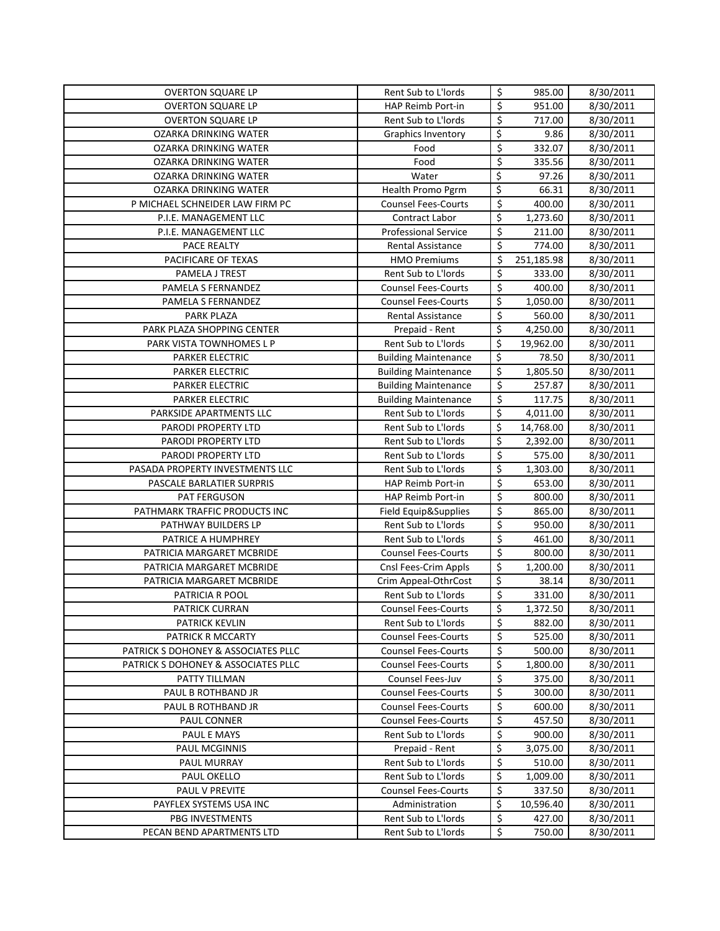| <b>OVERTON SQUARE LP</b>            | Rent Sub to L'Iords                               | \$               | 985.00           | 8/30/2011              |
|-------------------------------------|---------------------------------------------------|------------------|------------------|------------------------|
| <b>OVERTON SQUARE LP</b>            | HAP Reimb Port-in                                 | \$               | 951.00           | 8/30/2011              |
| <b>OVERTON SQUARE LP</b>            | Rent Sub to L'Iords                               | \$               | 717.00           | 8/30/2011              |
| OZARKA DRINKING WATER               | Graphics Inventory                                | \$               | 9.86             | 8/30/2011              |
| <b>OZARKA DRINKING WATER</b>        | Food                                              | \$               | 332.07           | 8/30/2011              |
| OZARKA DRINKING WATER               | Food                                              | $\overline{\xi}$ | 335.56           | 8/30/2011              |
| OZARKA DRINKING WATER               | Water                                             | \$               | 97.26            | 8/30/2011              |
| <b>OZARKA DRINKING WATER</b>        | Health Promo Pgrm                                 | \$               | 66.31            | 8/30/2011              |
| P MICHAEL SCHNEIDER LAW FIRM PC     | <b>Counsel Fees-Courts</b>                        | \$               | 400.00           | 8/30/2011              |
| P.I.E. MANAGEMENT LLC               | <b>Contract Labor</b>                             | \$               | 1,273.60         | 8/30/2011              |
| P.I.E. MANAGEMENT LLC               | <b>Professional Service</b>                       | \$               | 211.00           | 8/30/2011              |
| PACE REALTY                         | <b>Rental Assistance</b>                          | $\overline{\xi}$ | 774.00           | 8/30/2011              |
| PACIFICARE OF TEXAS                 | <b>HMO Premiums</b>                               | \$               | 251,185.98       | 8/30/2011              |
| PAMELA J TREST                      | Rent Sub to L'Iords                               | \$               | 333.00           | 8/30/2011              |
| PAMELA S FERNANDEZ                  | <b>Counsel Fees-Courts</b>                        | \$               | 400.00           | 8/30/2011              |
| PAMELA S FERNANDEZ                  | <b>Counsel Fees-Courts</b>                        | \$               | 1,050.00         | 8/30/2011              |
| <b>PARK PLAZA</b>                   | Rental Assistance                                 | \$               | 560.00           | 8/30/2011              |
| PARK PLAZA SHOPPING CENTER          | Prepaid - Rent                                    | \$               | 4,250.00         | 8/30/2011              |
| PARK VISTA TOWNHOMES L P            | Rent Sub to L'Iords                               | \$               | 19,962.00        | 8/30/2011              |
| <b>PARKER ELECTRIC</b>              | <b>Building Maintenance</b>                       | \$               | 78.50            | 8/30/2011              |
| <b>PARKER ELECTRIC</b>              | <b>Building Maintenance</b>                       | \$               | 1,805.50         | 8/30/2011              |
| <b>PARKER ELECTRIC</b>              | <b>Building Maintenance</b>                       | \$               | 257.87           | 8/30/2011              |
| <b>PARKER ELECTRIC</b>              | <b>Building Maintenance</b>                       | \$               | 117.75           | 8/30/2011              |
| PARKSIDE APARTMENTS LLC             | Rent Sub to L'Iords                               | \$               | 4,011.00         | 8/30/2011              |
| PARODI PROPERTY LTD                 | Rent Sub to L'Iords                               | \$               | 14,768.00        | 8/30/2011              |
| PARODI PROPERTY LTD                 | Rent Sub to L'Iords                               | \$               | 2,392.00         | 8/30/2011              |
| PARODI PROPERTY LTD                 | Rent Sub to L'Iords                               | \$               | 575.00           | 8/30/2011              |
| PASADA PROPERTY INVESTMENTS LLC     | Rent Sub to L'Iords                               | \$               | 1,303.00         | 8/30/2011              |
| PASCALE BARLATIER SURPRIS           | HAP Reimb Port-in                                 | \$               | 653.00           | 8/30/2011              |
| PAT FERGUSON                        | HAP Reimb Port-in                                 | \$               | 800.00           | 8/30/2011              |
| PATHMARK TRAFFIC PRODUCTS INC       | Field Equip&Supplies                              | $\overline{\xi}$ | 865.00           | 8/30/2011              |
| PATHWAY BUILDERS LP                 | Rent Sub to L'Iords                               | \$               | 950.00           | 8/30/2011              |
| PATRICE A HUMPHREY                  | Rent Sub to L'Iords                               | \$               | 461.00           | 8/30/2011              |
| PATRICIA MARGARET MCBRIDE           | <b>Counsel Fees-Courts</b>                        | \$               | 800.00           | 8/30/2011              |
| PATRICIA MARGARET MCBRIDE           | Cnsl Fees-Crim Appls                              | \$               | 1,200.00         | 8/30/2011              |
| PATRICIA MARGARET MCBRIDE           | Crim Appeal-OthrCost                              | \$               | 38.14            | 8/30/2011              |
| PATRICIA R POOL                     | Rent Sub to L'Iords                               | \$               | 331.00           | 8/30/2011              |
| PATRICK CURRAN                      | <b>Counsel Fees-Courts</b>                        | \$               | 1,372.50         | 8/30/2011              |
| <b>PATRICK KEVLIN</b>               | Rent Sub to L'Iords                               | \$               | 882.00           | 8/30/2011              |
| PATRICK R MCCARTY                   | <b>Counsel Fees-Courts</b>                        | \$               | 525.00           | 8/30/2011              |
| PATRICK S DOHONEY & ASSOCIATES PLLC | <b>Counsel Fees-Courts</b>                        | \$               | 500.00           | 8/30/2011              |
| PATRICK S DOHONEY & ASSOCIATES PLLC | <b>Counsel Fees-Courts</b>                        | \$               | 1,800.00         | 8/30/2011              |
| PATTY TILLMAN                       | Counsel Fees-Juv<br><b>Counsel Fees-Courts</b>    | \$               | 375.00           | 8/30/2011              |
| PAUL B ROTHBAND JR                  |                                                   | \$               | 300.00           | 8/30/2011<br>8/30/2011 |
| PAUL B ROTHBAND JR                  | <b>Counsel Fees-Courts</b>                        | \$               | 600.00           |                        |
| PAUL CONNER<br>PAUL E MAYS          | <b>Counsel Fees-Courts</b><br>Rent Sub to L'Iords | \$<br>\$         | 457.50<br>900.00 | 8/30/2011<br>8/30/2011 |
| <b>PAUL MCGINNIS</b>                | Prepaid - Rent                                    | \$               | 3,075.00         | 8/30/2011              |
| PAUL MURRAY                         | Rent Sub to L'Iords                               | \$               | 510.00           | 8/30/2011              |
| PAUL OKELLO                         | Rent Sub to L'Iords                               | \$               | 1,009.00         | 8/30/2011              |
| PAUL V PREVITE                      | <b>Counsel Fees-Courts</b>                        | \$               | 337.50           | 8/30/2011              |
| PAYFLEX SYSTEMS USA INC             | Administration                                    | \$               | 10,596.40        | 8/30/2011              |
| PBG INVESTMENTS                     | Rent Sub to L'Iords                               | \$               | 427.00           | 8/30/2011              |
| PECAN BEND APARTMENTS LTD           | Rent Sub to L'Iords                               | \$               | 750.00           | 8/30/2011              |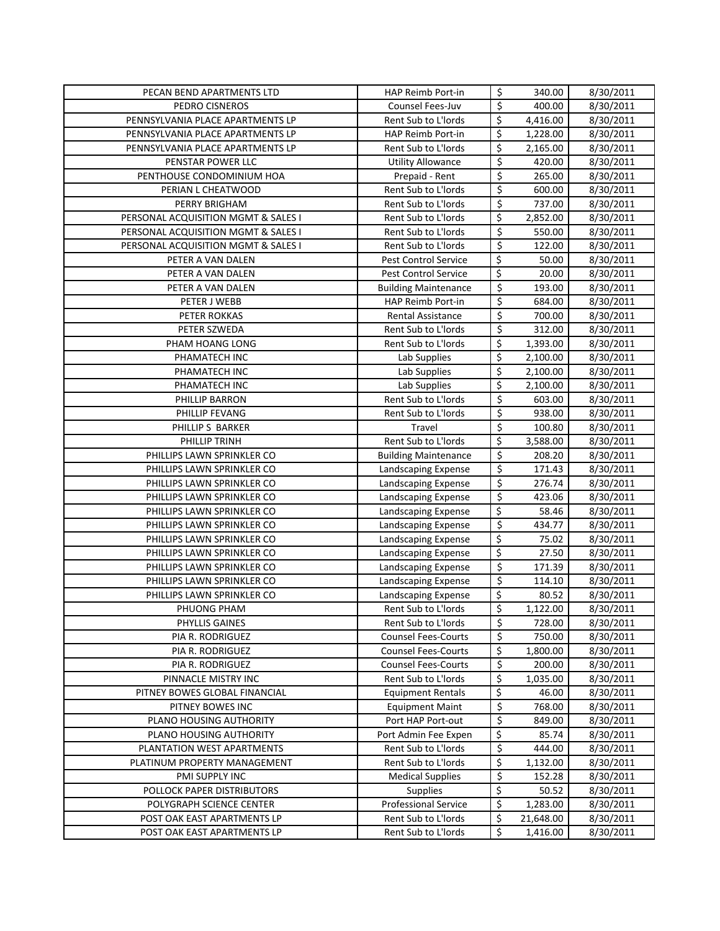| PECAN BEND APARTMENTS LTD                               | HAP Reimb Port-in                       | \$                              | 340.00            | 8/30/2011              |
|---------------------------------------------------------|-----------------------------------------|---------------------------------|-------------------|------------------------|
| PEDRO CISNEROS                                          | Counsel Fees-Juv                        | \$                              | 400.00            | 8/30/2011              |
| PENNSYLVANIA PLACE APARTMENTS LP                        | Rent Sub to L'Iords                     | \$                              | 4,416.00          | 8/30/2011              |
| PENNSYLVANIA PLACE APARTMENTS LP                        | HAP Reimb Port-in                       | \$                              | 1,228.00          | 8/30/2011              |
| PENNSYLVANIA PLACE APARTMENTS LP                        | Rent Sub to L'Iords                     | \$                              | 2,165.00          | 8/30/2011              |
| PENSTAR POWER LLC                                       | Utility Allowance                       | $\varsigma$                     | 420.00            | 8/30/2011              |
| PENTHOUSE CONDOMINIUM HOA                               | Prepaid - Rent                          | \$                              | 265.00            | 8/30/2011              |
| PERIAN L CHEATWOOD                                      | Rent Sub to L'Iords                     | $\overline{\boldsymbol{\zeta}}$ | 600.00            | $\frac{1}{8}$ /30/2011 |
| PERRY BRIGHAM                                           | Rent Sub to L'Iords                     | $\overline{\boldsymbol{\zeta}}$ | 737.00            | 8/30/2011              |
| PERSONAL ACQUISITION MGMT & SALES I                     | Rent Sub to L'Iords                     | \$                              | 2,852.00          | 8/30/2011              |
| PERSONAL ACQUISITION MGMT & SALES I                     | Rent Sub to L'Iords                     | $\overline{\boldsymbol{\zeta}}$ | 550.00            | 8/30/2011              |
| PERSONAL ACQUISITION MGMT & SALES I                     | Rent Sub to L'Iords                     | $\overline{\xi}$                | 122.00            | 8/30/2011              |
| PETER A VAN DALEN                                       | <b>Pest Control Service</b>             | \$                              | 50.00             | 8/30/2011              |
| PETER A VAN DALEN                                       | Pest Control Service                    | $\overline{\xi}$                | 20.00             | 8/30/2011              |
| PETER A VAN DALEN                                       | <b>Building Maintenance</b>             | $\overline{\xi}$                | 193.00            | 8/30/2011              |
| PETER J WEBB                                            | HAP Reimb Port-in                       | $\overline{\xi}$                | 684.00            | 8/30/2011              |
| PETER ROKKAS                                            | Rental Assistance                       | $\overline{\xi}$                | 700.00            | 8/30/2011              |
| PETER SZWEDA                                            | Rent Sub to L'Iords                     | \$                              | 312.00            | 8/30/2011              |
| PHAM HOANG LONG                                         | Rent Sub to L'Iords                     | $\overline{\xi}$                | 1,393.00          | 8/30/2011              |
| PHAMATECH INC                                           | Lab Supplies                            | \$                              | 2,100.00          | 8/30/2011              |
| PHAMATECH INC                                           | Lab Supplies                            | \$                              | 2,100.00          | 8/30/2011              |
| PHAMATECH INC                                           | Lab Supplies                            | \$                              | 2,100.00          | 8/30/2011              |
| PHILLIP BARRON                                          | Rent Sub to L'Iords                     | $\overline{\xi}$                | 603.00            | 8/30/2011              |
| PHILLIP FEVANG                                          | Rent Sub to L'Iords                     | $\overline{\boldsymbol{\zeta}}$ | 938.00            | 8/30/2011              |
| PHILLIP S BARKER                                        | Travel                                  | $\overline{\xi}$                | 100.80            | 8/30/2011              |
| PHILLIP TRINH                                           | Rent Sub to L'Iords                     | \$                              | 3,588.00          | 8/30/2011              |
| PHILLIPS LAWN SPRINKLER CO                              | <b>Building Maintenance</b>             | \$                              | 208.20            | 8/30/2011              |
| PHILLIPS LAWN SPRINKLER CO                              | Landscaping Expense                     | $\overline{\xi}$                | 171.43            | 8/30/2011              |
| PHILLIPS LAWN SPRINKLER CO                              | Landscaping Expense                     | $\varsigma$                     | 276.74            | 8/30/2011              |
| PHILLIPS LAWN SPRINKLER CO                              | Landscaping Expense                     | \$                              | 423.06            | 8/30/2011              |
| PHILLIPS LAWN SPRINKLER CO                              | Landscaping Expense                     | \$                              | 58.46             | 8/30/2011              |
| PHILLIPS LAWN SPRINKLER CO                              | Landscaping Expense                     | \$                              | 434.77            | 8/30/2011              |
| PHILLIPS LAWN SPRINKLER CO                              | Landscaping Expense                     | \$                              | 75.02             | 8/30/2011              |
| PHILLIPS LAWN SPRINKLER CO                              | Landscaping Expense                     | \$                              | 27.50             | 8/30/2011              |
| PHILLIPS LAWN SPRINKLER CO                              | Landscaping Expense                     | $\overline{\boldsymbol{\zeta}}$ | 171.39            | 8/30/2011              |
| PHILLIPS LAWN SPRINKLER CO                              | Landscaping Expense                     | \$                              | 114.10            | 8/30/2011              |
| PHILLIPS LAWN SPRINKLER CO                              | Landscaping Expense                     | \$                              | 80.52             | 8/30/2011              |
| PHUONG PHAM                                             | Rent Sub to L'Iords                     | $\overline{\mathsf{S}}$         | 1,122.00          | 8/30/2011              |
| PHYLLIS GAINES                                          | Rent Sub to L'Iords                     | \$                              | 728.00            | 8/30/2011              |
| PIA R. RODRIGUEZ                                        | <b>Counsel Fees-Courts</b>              | \$                              | 750.00            | 8/30/2011              |
| PIA R. RODRIGUEZ                                        | <b>Counsel Fees-Courts</b>              | \$                              | 1,800.00          | 8/30/2011              |
| PIA R. RODRIGUEZ                                        | <b>Counsel Fees-Courts</b>              | \$                              | 200.00            | 8/30/2011              |
| PINNACLE MISTRY INC                                     | Rent Sub to L'Iords                     | \$                              | 1,035.00          | 8/30/2011              |
| PITNEY BOWES GLOBAL FINANCIAL                           | <b>Equipment Rentals</b>                | \$                              | 46.00             | 8/30/2011              |
| PITNEY BOWES INC                                        | <b>Equipment Maint</b>                  | \$                              | 768.00            | 8/30/2011              |
| PLANO HOUSING AUTHORITY                                 | Port HAP Port-out                       | \$                              | 849.00            | 8/30/2011              |
| PLANO HOUSING AUTHORITY                                 | Port Admin Fee Expen                    | \$                              | 85.74             | 8/30/2011              |
| PLANTATION WEST APARTMENTS                              | Rent Sub to L'Iords                     | \$                              | 444.00            | 8/30/2011              |
| PLATINUM PROPERTY MANAGEMENT                            | Rent Sub to L'Iords                     | \$                              | 1,132.00          | 8/30/2011              |
| PMI SUPPLY INC                                          | <b>Medical Supplies</b>                 | \$<br>\$                        | 152.28            | 8/30/2011              |
| POLLOCK PAPER DISTRIBUTORS                              | Supplies<br><b>Professional Service</b> | \$                              | 50.52<br>1,283.00 | 8/30/2011<br>8/30/2011 |
| POLYGRAPH SCIENCE CENTER<br>POST OAK EAST APARTMENTS LP | Rent Sub to L'Iords                     | \$                              | 21,648.00         | 8/30/2011              |
| POST OAK EAST APARTMENTS LP                             | Rent Sub to L'Iords                     | \$                              | 1,416.00          | 8/30/2011              |
|                                                         |                                         |                                 |                   |                        |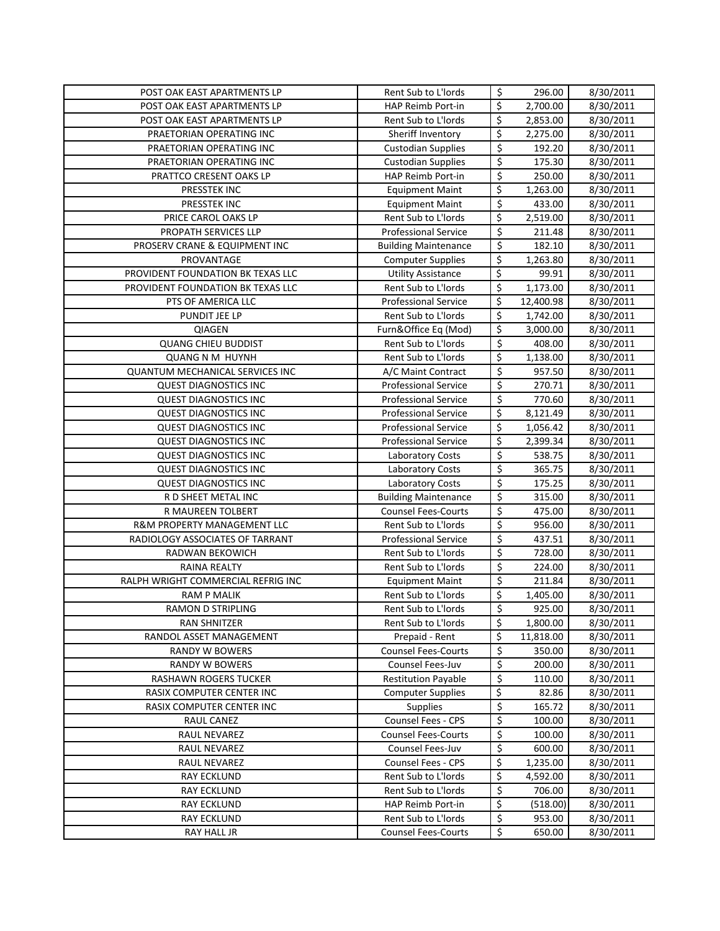| POST OAK EAST APARTMENTS LP                           | Rent Sub to L'Iords                                    | \$                              | 296.00          | 8/30/2011              |
|-------------------------------------------------------|--------------------------------------------------------|---------------------------------|-----------------|------------------------|
| POST OAK EAST APARTMENTS LP                           | HAP Reimb Port-in                                      | \$                              | 2,700.00        | 8/30/2011              |
| POST OAK EAST APARTMENTS LP                           | Rent Sub to L'Iords                                    | \$                              | 2,853.00        | 8/30/2011              |
| PRAETORIAN OPERATING INC                              | Sheriff Inventory                                      | \$                              | 2,275.00        | 8/30/2011              |
| PRAETORIAN OPERATING INC                              | <b>Custodian Supplies</b>                              | $\overline{\xi}$                | 192.20          | 8/30/2011              |
| PRAETORIAN OPERATING INC                              | <b>Custodian Supplies</b>                              | $\overline{\boldsymbol{\zeta}}$ | 175.30          | 8/30/2011              |
| PRATTCO CRESENT OAKS LP                               | HAP Reimb Port-in                                      | \$                              | 250.00          | 8/30/2011              |
| PRESSTEK INC                                          | <b>Equipment Maint</b>                                 | \$                              | 1,263.00        | $\frac{1}{8}$ /30/2011 |
| PRESSTEK INC                                          | <b>Equipment Maint</b>                                 | $\overline{\xi}$                | 433.00          | 8/30/2011              |
| PRICE CAROL OAKS LP                                   | Rent Sub to L'Iords                                    | \$                              | 2,519.00        | 8/30/2011              |
| PROPATH SERVICES LLP                                  | <b>Professional Service</b>                            | $\overline{\xi}$                | 211.48          | 8/30/2011              |
| PROSERV CRANE & EQUIPMENT INC                         | <b>Building Maintenance</b>                            | $\overline{\mathsf{S}}$         | 182.10          | 8/30/2011              |
| PROVANTAGE                                            | <b>Computer Supplies</b>                               | \$                              | 1,263.80        | 8/30/2011              |
| PROVIDENT FOUNDATION BK TEXAS LLC                     | Utility Assistance                                     | \$                              | 99.91           | 8/30/2011              |
| PROVIDENT FOUNDATION BK TEXAS LLC                     | Rent Sub to L'Iords                                    | \$                              | 1,173.00        | 8/30/2011              |
| PTS OF AMERICA LLC                                    | <b>Professional Service</b>                            | \$                              | 12,400.98       | 8/30/2011              |
| PUNDIT JEE LP                                         | Rent Sub to L'Iords                                    | \$                              | 1,742.00        | 8/30/2011              |
| <b>QIAGEN</b>                                         | Furn&Office Eq (Mod)                                   | \$                              | 3,000.00        | 8/30/2011              |
| <b>QUANG CHIEU BUDDIST</b>                            | Rent Sub to L'Iords                                    | $\overline{\mathcal{S}}$        | 408.00          | 8/30/2011              |
| <b>QUANG N M HUYNH</b>                                | Rent Sub to L'Iords                                    | \$                              | 1,138.00        | 8/30/2011              |
| <b>QUANTUM MECHANICAL SERVICES INC</b>                | A/C Maint Contract                                     | $\boldsymbol{\zeta}$            | 957.50          | 8/30/2011              |
| <b>QUEST DIAGNOSTICS INC</b>                          | <b>Professional Service</b>                            | \$                              | 270.71          | 8/30/2011              |
| <b>QUEST DIAGNOSTICS INC</b>                          | <b>Professional Service</b>                            | $\overline{\mathcal{S}}$        | 770.60          | 8/30/2011              |
| <b>QUEST DIAGNOSTICS INC</b>                          | <b>Professional Service</b>                            | \$                              | 8,121.49        | 8/30/2011              |
| <b>QUEST DIAGNOSTICS INC</b>                          | <b>Professional Service</b>                            | \$                              | 1,056.42        | 8/30/2011              |
| <b>QUEST DIAGNOSTICS INC</b>                          | Professional Service                                   | \$                              | 2,399.34        | 8/30/2011              |
| <b>QUEST DIAGNOSTICS INC</b>                          | <b>Laboratory Costs</b>                                | \$                              | 538.75          | 8/30/2011              |
| <b>QUEST DIAGNOSTICS INC</b>                          | Laboratory Costs                                       | $\overline{\mathcal{S}}$        | 365.75          | 8/30/2011              |
| <b>QUEST DIAGNOSTICS INC</b>                          | Laboratory Costs                                       | $\overline{\mathcal{S}}$        | 175.25          | 8/30/2011              |
| R D SHEET METAL INC                                   | <b>Building Maintenance</b>                            | \$                              | 315.00          | 8/30/2011              |
| R MAUREEN TOLBERT                                     | <b>Counsel Fees-Courts</b>                             | $\overline{\mathsf{S}}$         | 475.00          | 8/30/2011              |
| R&M PROPERTY MANAGEMENT LLC                           | Rent Sub to L'Iords                                    | \$                              | 956.00          | 8/30/2011              |
| RADIOLOGY ASSOCIATES OF TARRANT                       | <b>Professional Service</b>                            | $\overline{\boldsymbol{\zeta}}$ | 437.51          | 8/30/2011              |
| RADWAN BEKOWICH                                       | Rent Sub to L'Iords                                    | $\overline{\mathcal{S}}$        | 728.00          | 8/30/2011              |
| <b>RAINA REALTY</b>                                   | Rent Sub to L'Iords                                    | $\overline{\mathcal{S}}$        | 224.00          | 8/30/2011              |
| RALPH WRIGHT COMMERCIAL REFRIG INC                    | <b>Equipment Maint</b>                                 | $\overline{\xi}$                | 211.84          | 8/30/2011              |
| <b>RAM P MALIK</b>                                    | Rent Sub to L'Iords                                    | \$                              | 1,405.00        | 8/30/2011              |
| <b>RAMON D STRIPLING</b>                              | Rent Sub to L'Iords                                    | $\zeta$                         | 925.00          | 8/30/2011              |
| RAN SHNITZER                                          | Rent Sub to L'Iords                                    | \$                              | 1,800.00        | 8/30/2011              |
| RANDOL ASSET MANAGEMENT                               | Prepaid - Rent                                         | \$                              | 11,818.00       | 8/30/2011              |
| RANDY W BOWERS                                        | <b>Counsel Fees-Courts</b>                             | \$                              | 350.00          | 8/30/2011              |
| <b>RANDY W BOWERS</b><br><b>RASHAWN ROGERS TUCKER</b> | Counsel Fees-Juv                                       | \$                              | 200.00          | 8/30/2011              |
| RASIX COMPUTER CENTER INC                             | <b>Restitution Payable</b><br><b>Computer Supplies</b> | \$<br>\$                        | 110.00<br>82.86 | 8/30/2011<br>8/30/2011 |
| RASIX COMPUTER CENTER INC                             | <b>Supplies</b>                                        | \$                              | 165.72          | 8/30/2011              |
| RAUL CANEZ                                            | Counsel Fees - CPS                                     | \$                              | 100.00          | 8/30/2011              |
| RAUL NEVAREZ                                          | <b>Counsel Fees-Courts</b>                             | \$                              | 100.00          | 8/30/2011              |
| <b>RAUL NEVAREZ</b>                                   | Counsel Fees-Juv                                       | \$                              | 600.00          | 8/30/2011              |
| RAUL NEVAREZ                                          | Counsel Fees - CPS                                     | \$                              | 1,235.00        | 8/30/2011              |
| RAY ECKLUND                                           | Rent Sub to L'Iords                                    | \$                              | 4,592.00        | 8/30/2011              |
| <b>RAY ECKLUND</b>                                    | Rent Sub to L'Iords                                    | \$                              | 706.00          | 8/30/2011              |
| RAY ECKLUND                                           | HAP Reimb Port-in                                      | \$                              | (518.00)        | 8/30/2011              |
| RAY ECKLUND                                           |                                                        |                                 |                 |                        |
|                                                       | Rent Sub to L'Iords                                    | \$                              | 953.00          | 8/30/2011              |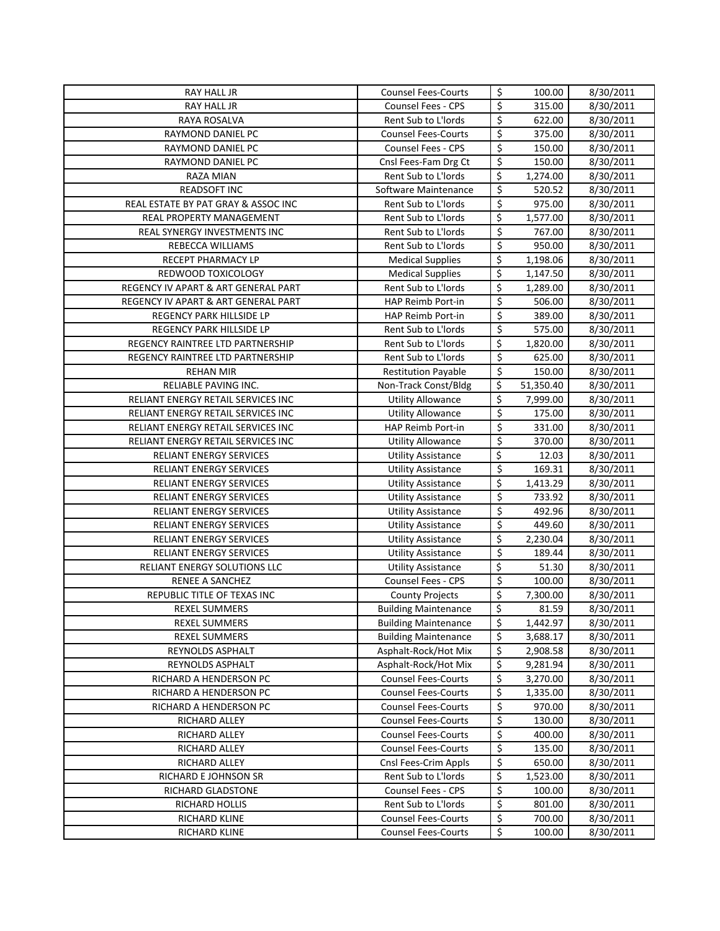| RAY HALL JR                                      | <b>Counsel Fees-Courts</b>                         | \$                       | 100.00               | 8/30/2011              |
|--------------------------------------------------|----------------------------------------------------|--------------------------|----------------------|------------------------|
| <b>RAY HALL JR</b>                               | <b>Counsel Fees - CPS</b>                          | \$                       | 315.00               | 8/30/2011              |
| RAYA ROSALVA                                     | Rent Sub to L'Iords                                | \$                       | 622.00               | 8/30/2011              |
| RAYMOND DANIEL PC                                | <b>Counsel Fees-Courts</b>                         | \$                       | 375.00               | 8/30/2011              |
| <b>RAYMOND DANIEL PC</b>                         | Counsel Fees - CPS                                 | \$                       | 150.00               | 8/30/2011              |
| RAYMOND DANIEL PC                                | Cnsl Fees-Fam Drg Ct                               | \$                       | 150.00               | 8/30/2011              |
| RAZA MIAN                                        | Rent Sub to L'Iords                                | \$                       | 1,274.00             | 8/30/2011              |
| READSOFT INC                                     | Software Maintenance                               | \$                       | 520.52               | 8/30/2011              |
| REAL ESTATE BY PAT GRAY & ASSOC INC              | Rent Sub to L'Iords                                | \$                       | 975.00               | 8/30/2011              |
| <b>REAL PROPERTY MANAGEMENT</b>                  | Rent Sub to L'Iords                                | \$                       | 1,577.00             | 8/30/2011              |
| REAL SYNERGY INVESTMENTS INC                     | Rent Sub to L'Iords                                | \$                       | 767.00               | 8/30/2011              |
| REBECCA WILLIAMS                                 | Rent Sub to L'Iords                                | $\overline{\xi}$         | 950.00               | 8/30/2011              |
| RECEPT PHARMACY LP                               | <b>Medical Supplies</b>                            | \$                       | 1,198.06             | 8/30/2011              |
| REDWOOD TOXICOLOGY                               | <b>Medical Supplies</b>                            | \$                       | 1,147.50             | 8/30/2011              |
| REGENCY IV APART & ART GENERAL PART              | Rent Sub to L'Iords                                | \$                       | 1,289.00             | 8/30/2011              |
| REGENCY IV APART & ART GENERAL PART              | HAP Reimb Port-in                                  | \$                       | 506.00               | 8/30/2011              |
| REGENCY PARK HILLSIDE LP                         | HAP Reimb Port-in                                  | \$                       | 389.00               | 8/30/2011              |
| REGENCY PARK HILLSIDE LP                         | Rent Sub to L'Iords                                | $\overline{\xi}$         | 575.00               | 8/30/2011              |
| REGENCY RAINTREE LTD PARTNERSHIP                 | Rent Sub to L'Iords                                | \$                       | 1,820.00             | 8/30/2011              |
| REGENCY RAINTREE LTD PARTNERSHIP                 | Rent Sub to L'Iords                                | \$                       | 625.00               | 8/30/2011              |
| <b>REHAN MIR</b>                                 | <b>Restitution Payable</b>                         | $\overline{\xi}$         | 150.00               | 8/30/2011              |
| RELIABLE PAVING INC.                             | Non-Track Const/Bldg                               | \$                       | 51,350.40            | 8/30/2011              |
| RELIANT ENERGY RETAIL SERVICES INC               | <b>Utility Allowance</b>                           | \$                       | 7,999.00             | 8/30/2011              |
| RELIANT ENERGY RETAIL SERVICES INC               | <b>Utility Allowance</b>                           | \$                       | 175.00               | 8/30/2011              |
| RELIANT ENERGY RETAIL SERVICES INC               | HAP Reimb Port-in                                  | \$                       | 331.00               | 8/30/2011              |
| RELIANT ENERGY RETAIL SERVICES INC               | <b>Utility Allowance</b>                           | \$                       | 370.00               | 8/30/2011              |
| RELIANT ENERGY SERVICES                          | <b>Utility Assistance</b>                          | \$                       | 12.03                | 8/30/2011              |
| RELIANT ENERGY SERVICES                          | <b>Utility Assistance</b>                          | \$                       | 169.31               | 8/30/2011              |
| RELIANT ENERGY SERVICES                          | <b>Utility Assistance</b>                          | \$                       | 1,413.29             | 8/30/2011              |
| RELIANT ENERGY SERVICES                          | <b>Utility Assistance</b>                          | \$                       | 733.92               | 8/30/2011              |
| RELIANT ENERGY SERVICES                          | <b>Utility Assistance</b>                          | \$                       | 492.96               | 8/30/2011              |
| RELIANT ENERGY SERVICES                          | <b>Utility Assistance</b>                          | \$                       | 449.60               | 8/30/2011              |
| <b>RELIANT ENERGY SERVICES</b>                   | <b>Utility Assistance</b>                          | \$                       | 2,230.04             | 8/30/2011              |
| RELIANT ENERGY SERVICES                          | <b>Utility Assistance</b>                          | \$                       | 189.44               | 8/30/2011              |
| RELIANT ENERGY SOLUTIONS LLC                     | <b>Utility Assistance</b>                          | \$                       | 51.30                | 8/30/2011              |
| <b>RENEE A SANCHEZ</b>                           | Counsel Fees - CPS                                 | \$                       | 100.00               | 8/30/2011              |
| REPUBLIC TITLE OF TEXAS INC                      | <b>County Projects</b>                             | \$                       | 7,300.00             | 8/30/2011              |
| <b>REXEL SUMMERS</b>                             | <b>Building Maintenance</b>                        | \$                       | 81.59                | 8/30/2011              |
| <b>REXEL SUMMERS</b>                             | <b>Building Maintenance</b>                        | \$                       | 1,442.97             | 8/30/2011              |
| <b>REXEL SUMMERS</b>                             | <b>Building Maintenance</b>                        | \$                       | 3,688.17             | 8/30/2011              |
| REYNOLDS ASPHALT                                 | Asphalt-Rock/Hot Mix                               | \$                       | 2,908.58             | 8/30/2011              |
| REYNOLDS ASPHALT                                 | Asphalt-Rock/Hot Mix<br><b>Counsel Fees-Courts</b> | \$<br>\$                 | 9,281.94             | 8/30/2011              |
| RICHARD A HENDERSON PC<br>RICHARD A HENDERSON PC | <b>Counsel Fees-Courts</b>                         | \$                       | 3,270.00<br>1,335.00 | 8/30/2011<br>8/30/2011 |
| RICHARD A HENDERSON PC                           | <b>Counsel Fees-Courts</b>                         | \$                       | 970.00               | 8/30/2011              |
| RICHARD ALLEY                                    | <b>Counsel Fees-Courts</b>                         | \$                       | 130.00               | 8/30/2011              |
| RICHARD ALLEY                                    | <b>Counsel Fees-Courts</b>                         | \$                       | 400.00               | 8/30/2011              |
| RICHARD ALLEY                                    | <b>Counsel Fees-Courts</b>                         | \$                       | 135.00               | 8/30/2011              |
| RICHARD ALLEY                                    | Cnsl Fees-Crim Appls                               | \$                       | 650.00               | 8/30/2011              |
| RICHARD E JOHNSON SR                             | Rent Sub to L'Iords                                | \$                       | 1,523.00             | 8/30/2011              |
| RICHARD GLADSTONE                                | Counsel Fees - CPS                                 | \$                       | 100.00               | 8/30/2011              |
| RICHARD HOLLIS                                   | Rent Sub to L'Iords                                | \$                       | 801.00               | 8/30/2011              |
| RICHARD KLINE                                    | <b>Counsel Fees-Courts</b>                         | \$                       | 700.00               | 8/30/2011              |
| RICHARD KLINE                                    | <b>Counsel Fees-Courts</b>                         | $\overline{\mathcal{S}}$ | 100.00               | 8/30/2011              |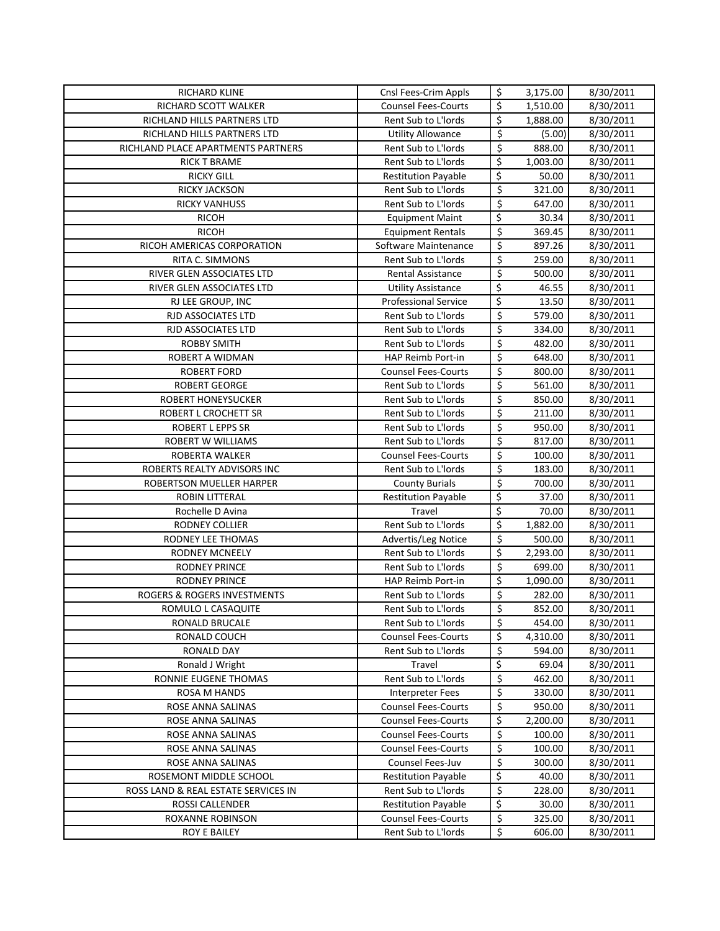| <b>RICHARD KLINE</b>                   | Cnsl Fees-Crim Appls                                     | \$               | 3,175.00        | 8/30/2011              |
|----------------------------------------|----------------------------------------------------------|------------------|-----------------|------------------------|
| RICHARD SCOTT WALKER                   | <b>Counsel Fees-Courts</b>                               | \$               | 1,510.00        | 8/30/2011              |
| RICHLAND HILLS PARTNERS LTD            | Rent Sub to L'Iords                                      | \$               | 1,888.00        | 8/30/2011              |
| RICHLAND HILLS PARTNERS LTD            | <b>Utility Allowance</b>                                 | \$               | (5.00)          | 8/30/2011              |
| RICHLAND PLACE APARTMENTS PARTNERS     | Rent Sub to L'Iords                                      | \$               | 888.00          | 8/30/2011              |
| <b>RICK T BRAME</b>                    | Rent Sub to L'Iords                                      | \$               | 1,003.00        | 8/30/2011              |
| <b>RICKY GILL</b>                      | <b>Restitution Payable</b>                               | \$               | 50.00           | 8/30/2011              |
| RICKY JACKSON                          | Rent Sub to L'Iords                                      | \$               | 321.00          | 8/30/2011              |
| <b>RICKY VANHUSS</b>                   | Rent Sub to L'Iords                                      | \$               | 647.00          | 8/30/2011              |
| <b>RICOH</b>                           | <b>Equipment Maint</b>                                   | \$               | 30.34           | 8/30/2011              |
| <b>RICOH</b>                           | <b>Equipment Rentals</b>                                 | \$               | 369.45          | 8/30/2011              |
| RICOH AMERICAS CORPORATION             | Software Maintenance                                     | $\overline{\xi}$ | 897.26          | 8/30/2011              |
| RITA C. SIMMONS                        | Rent Sub to L'Iords                                      | \$               | 259.00          | 8/30/2011              |
| RIVER GLEN ASSOCIATES LTD              | Rental Assistance                                        | $\overline{\xi}$ | 500.00          | 8/30/2011              |
| RIVER GLEN ASSOCIATES LTD              | <b>Utility Assistance</b>                                | \$               | 46.55           | 8/30/2011              |
| RJ LEE GROUP, INC                      | <b>Professional Service</b>                              | \$               | 13.50           | 8/30/2011              |
| <b>RJD ASSOCIATES LTD</b>              | Rent Sub to L'Iords                                      | \$               | 579.00          | 8/30/2011              |
| RJD ASSOCIATES LTD                     | Rent Sub to L'Iords                                      | $\overline{\xi}$ | 334.00          | 8/30/2011              |
| <b>ROBBY SMITH</b>                     | Rent Sub to L'Iords                                      | \$               | 482.00          | 8/30/2011              |
| ROBERT A WIDMAN                        | <b>HAP Reimb Port-in</b>                                 | \$               | 648.00          | 8/30/2011              |
| <b>ROBERT FORD</b>                     | <b>Counsel Fees-Courts</b>                               | \$               | 800.00          | 8/30/2011              |
| <b>ROBERT GEORGE</b>                   | Rent Sub to L'Iords                                      | \$               | 561.00          | 8/30/2011              |
| <b>ROBERT HONEYSUCKER</b>              | Rent Sub to L'Iords                                      | \$               | 850.00          | 8/30/2011              |
| ROBERT L CROCHETT SR                   | Rent Sub to L'Iords                                      | \$               | 211.00          | 8/30/2011              |
| <b>ROBERT L EPPS SR</b>                | Rent Sub to L'Iords                                      | $\overline{\xi}$ | 950.00          | 8/30/2011              |
| <b>ROBERT W WILLIAMS</b>               | Rent Sub to L'Iords                                      | \$               | 817.00          | 8/30/2011              |
| ROBERTA WALKER                         | <b>Counsel Fees-Courts</b>                               | \$               | 100.00          | 8/30/2011              |
| ROBERTS REALTY ADVISORS INC            | Rent Sub to L'Iords                                      | \$               | 183.00          | 8/30/2011              |
| ROBERTSON MUELLER HARPER               | <b>County Burials</b>                                    | \$               | 700.00          | 8/30/2011              |
| <b>ROBIN LITTERAL</b>                  | <b>Restitution Payable</b>                               | \$               | 37.00           | 8/30/2011              |
| Rochelle D Avina                       | Travel                                                   | \$               | 70.00           | 8/30/2011              |
| RODNEY COLLIER                         | Rent Sub to L'Iords                                      | \$               | 1,882.00        | 8/30/2011              |
| RODNEY LEE THOMAS                      | Advertis/Leg Notice                                      | \$               | 500.00          | 8/30/2011              |
| <b>RODNEY MCNEELY</b>                  | Rent Sub to L'Iords                                      | \$               | 2,293.00        | 8/30/2011              |
| <b>RODNEY PRINCE</b>                   | Rent Sub to L'Iords                                      | \$               | 699.00          | 8/30/2011              |
| <b>RODNEY PRINCE</b>                   | HAP Reimb Port-in                                        | \$               | 1,090.00        | 8/30/2011              |
| ROGERS & ROGERS INVESTMENTS            | Rent Sub to L'Iords                                      | \$               | 282.00          | 8/30/2011              |
| ROMULO L CASAQUITE                     | Rent Sub to L'Iords                                      | \$               | 852.00          | 8/30/2011              |
| RONALD BRUCALE                         | Rent Sub to L'Iords                                      | \$               | 454.00          | 8/30/2011              |
| RONALD COUCH                           | <b>Counsel Fees-Courts</b>                               | \$               | 4,310.00        | 8/30/2011              |
| <b>RONALD DAY</b>                      | Rent Sub to L'Iords                                      | \$               | 594.00          | 8/30/2011              |
| Ronald J Wright                        | Travel                                                   | \$               | 69.04           | 8/30/2011              |
| RONNIE EUGENE THOMAS                   | Rent Sub to L'Iords                                      | \$               | 462.00          | 8/30/2011              |
| ROSA M HANDS                           | <b>Interpreter Fees</b>                                  | \$               | 330.00          | 8/30/2011              |
| ROSE ANNA SALINAS                      | <b>Counsel Fees-Courts</b>                               | \$               | 950.00          | 8/30/2011              |
| ROSE ANNA SALINAS<br>ROSE ANNA SALINAS | <b>Counsel Fees-Courts</b><br><b>Counsel Fees-Courts</b> | \$<br>\$         | 2,200.00        | 8/30/2011              |
| ROSE ANNA SALINAS                      | <b>Counsel Fees-Courts</b>                               | \$               | 100.00          | 8/30/2011              |
| ROSE ANNA SALINAS                      | Counsel Fees-Juv                                         | \$               | 100.00          | 8/30/2011              |
| ROSEMONT MIDDLE SCHOOL                 | <b>Restitution Payable</b>                               | \$               | 300.00<br>40.00 | 8/30/2011<br>8/30/2011 |
| ROSS LAND & REAL ESTATE SERVICES IN    | Rent Sub to L'Iords                                      | \$               | 228.00          | 8/30/2011              |
| ROSSI CALLENDER                        | <b>Restitution Payable</b>                               | \$               | 30.00           | 8/30/2011              |
| ROXANNE ROBINSON                       | <b>Counsel Fees-Courts</b>                               | \$               | 325.00          | 8/30/2011              |
| ROY E BAILEY                           | Rent Sub to L'Iords                                      | \$               | 606.00          | 8/30/2011              |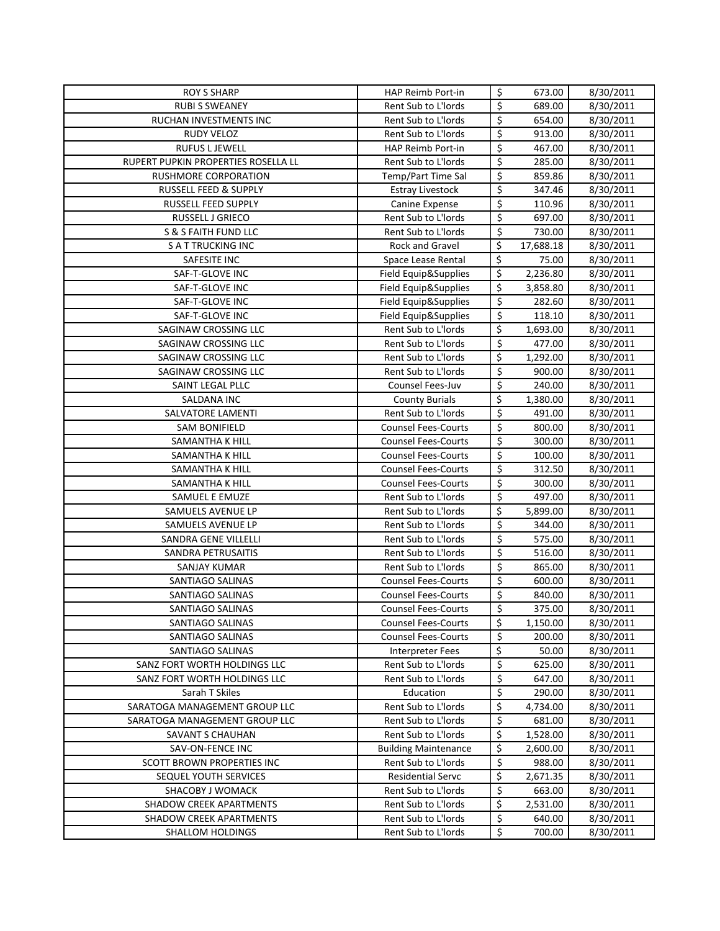| <b>ROY S SHARP</b>                  | HAP Reimb Port-in           | \$                            | 673.00    | 8/30/2011 |
|-------------------------------------|-----------------------------|-------------------------------|-----------|-----------|
| <b>RUBI S SWEANEY</b>               | Rent Sub to L'Iords         | \$                            | 689.00    | 8/30/2011 |
| RUCHAN INVESTMENTS INC              | Rent Sub to L'Iords         | \$                            | 654.00    | 8/30/2011 |
| <b>RUDY VELOZ</b>                   | Rent Sub to L'Iords         | \$                            | 913.00    | 8/30/2011 |
| <b>RUFUS L JEWELL</b>               | HAP Reimb Port-in           | \$                            | 467.00    | 8/30/2011 |
| RUPERT PUPKIN PROPERTIES ROSELLA LL | Rent Sub to L'Iords         | \$                            | 285.00    | 8/30/2011 |
| RUSHMORE CORPORATION                | Temp/Part Time Sal          | \$                            | 859.86    | 8/30/2011 |
| RUSSELL FEED & SUPPLY               | <b>Estray Livestock</b>     | \$                            | 347.46    | 8/30/2011 |
| RUSSELL FEED SUPPLY                 | Canine Expense              | \$                            | 110.96    | 8/30/2011 |
| RUSSELL J GRIECO                    | Rent Sub to L'Iords         | \$                            | 697.00    | 8/30/2011 |
| S & S FAITH FUND LLC                | Rent Sub to L'Iords         | \$                            | 730.00    | 8/30/2011 |
| <b>SATTRUCKING INC</b>              | <b>Rock and Gravel</b>      | \$                            | 17,688.18 | 8/30/2011 |
| SAFESITE INC                        | Space Lease Rental          | $\overline{\xi}$              | 75.00     | 8/30/2011 |
| SAF-T-GLOVE INC                     | Field Equip&Supplies        | \$                            | 2,236.80  | 8/30/2011 |
| SAF-T-GLOVE INC                     | Field Equip&Supplies        | \$                            | 3,858.80  | 8/30/2011 |
| SAF-T-GLOVE INC                     | Field Equip&Supplies        | \$                            | 282.60    | 8/30/2011 |
| SAF-T-GLOVE INC                     | Field Equip&Supplies        | \$                            | 118.10    | 8/30/2011 |
| SAGINAW CROSSING LLC                | Rent Sub to L'Iords         | \$                            | 1,693.00  | 8/30/2011 |
| SAGINAW CROSSING LLC                | Rent Sub to L'Iords         | \$                            | 477.00    | 8/30/2011 |
| SAGINAW CROSSING LLC                | Rent Sub to L'Iords         | \$                            | 1,292.00  | 8/30/2011 |
| SAGINAW CROSSING LLC                | Rent Sub to L'Iords         | \$                            | 900.00    | 8/30/2011 |
| SAINT LEGAL PLLC                    | Counsel Fees-Juv            | $\overline{\xi}$              | 240.00    | 8/30/2011 |
| <b>SALDANA INC</b>                  | <b>County Burials</b>       | \$                            | 1,380.00  | 8/30/2011 |
| SALVATORE LAMENTI                   | Rent Sub to L'Iords         | \$                            | 491.00    | 8/30/2011 |
| <b>SAM BONIFIELD</b>                | <b>Counsel Fees-Courts</b>  | \$                            | 800.00    | 8/30/2011 |
| SAMANTHA K HILL                     | <b>Counsel Fees-Courts</b>  | \$                            | 300.00    | 8/30/2011 |
| SAMANTHA K HILL                     | <b>Counsel Fees-Courts</b>  | \$                            | 100.00    | 8/30/2011 |
| SAMANTHA K HILL                     | <b>Counsel Fees-Courts</b>  | \$                            | 312.50    | 8/30/2011 |
| SAMANTHA K HILL                     | <b>Counsel Fees-Courts</b>  | \$                            | 300.00    | 8/30/2011 |
| SAMUEL E EMUZE                      | Rent Sub to L'Iords         | \$                            | 497.00    | 8/30/2011 |
| SAMUELS AVENUE LP                   | Rent Sub to L'Iords         | \$                            | 5,899.00  | 8/30/2011 |
| SAMUELS AVENUE LP                   | Rent Sub to L'Iords         | $\overline{\xi}$              | 344.00    | 8/30/2011 |
| SANDRA GENE VILLELLI                | Rent Sub to L'Iords         | \$                            | 575.00    | 8/30/2011 |
| SANDRA PETRUSAITIS                  | Rent Sub to L'Iords         | \$                            | 516.00    | 8/30/2011 |
| <b>SANJAY KUMAR</b>                 | Rent Sub to L'Iords         | \$                            | 865.00    | 8/30/2011 |
| <b>SANTIAGO SALINAS</b>             | <b>Counsel Fees-Courts</b>  | \$                            | 600.00    | 8/30/2011 |
| SANTIAGO SALINAS                    | <b>Counsel Fees-Courts</b>  | \$                            | 840.00    | 8/30/2011 |
| SANTIAGO SALINAS                    | <b>Counsel Fees-Courts</b>  | \$                            | 375.00    | 8/30/2011 |
| SANTIAGO SALINAS                    | <b>Counsel Fees-Courts</b>  | \$                            | 1,150.00  | 8/30/2011 |
| SANTIAGO SALINAS                    | <b>Counsel Fees-Courts</b>  | \$                            | 200.00    | 8/30/2011 |
| SANTIAGO SALINAS                    | <b>Interpreter Fees</b>     | \$                            | 50.00     | 8/30/2011 |
| SANZ FORT WORTH HOLDINGS LLC        | Rent Sub to L'Iords         | \$                            | 625.00    | 8/30/2011 |
| SANZ FORT WORTH HOLDINGS LLC        | Rent Sub to L'Iords         | \$                            | 647.00    | 8/30/2011 |
| Sarah T Skiles                      | Education                   | \$                            | 290.00    | 8/30/2011 |
| SARATOGA MANAGEMENT GROUP LLC       | Rent Sub to L'Iords         | \$                            | 4,734.00  | 8/30/2011 |
| SARATOGA MANAGEMENT GROUP LLC       | Rent Sub to L'Iords         | \$                            | 681.00    | 8/30/2011 |
| SAVANT S CHAUHAN                    | Rent Sub to L'Iords         | \$                            | 1,528.00  | 8/30/2011 |
| SAV-ON-FENCE INC                    | <b>Building Maintenance</b> | \$                            | 2,600.00  | 8/30/2011 |
| <b>SCOTT BROWN PROPERTIES INC</b>   | Rent Sub to L'Iords         | \$                            | 988.00    | 8/30/2011 |
| SEQUEL YOUTH SERVICES               | <b>Residential Servc</b>    | \$                            | 2,671.35  | 8/30/2011 |
| SHACOBY J WOMACK                    | Rent Sub to L'Iords         | \$                            | 663.00    | 8/30/2011 |
| SHADOW CREEK APARTMENTS             | Rent Sub to L'Iords         | \$                            | 2,531.00  | 8/30/2011 |
| SHADOW CREEK APARTMENTS             | Rent Sub to L'Iords         | \$<br>$\overline{\mathsf{S}}$ | 640.00    | 8/30/2011 |
| SHALLOM HOLDINGS                    | Rent Sub to L'Iords         |                               | 700.00    | 8/30/2011 |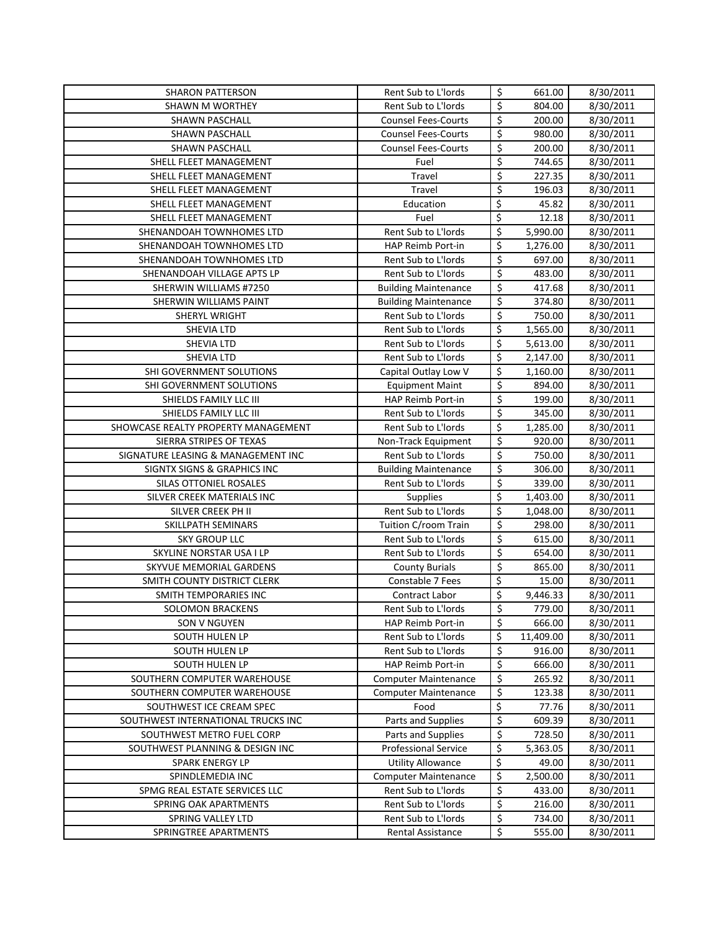| <b>SHARON PATTERSON</b>             | Rent Sub to L'Iords                      | \$                              | 661.00           | 8/30/2011              |
|-------------------------------------|------------------------------------------|---------------------------------|------------------|------------------------|
| SHAWN M WORTHEY                     | Rent Sub to L'Iords                      | $\overline{\boldsymbol{\zeta}}$ | 804.00           | 8/30/2011              |
| SHAWN PASCHALL                      | <b>Counsel Fees-Courts</b>               | \$                              | 200.00           | 8/30/2011              |
| <b>SHAWN PASCHALL</b>               | <b>Counsel Fees-Courts</b>               | \$                              | 980.00           | 8/30/2011              |
| <b>SHAWN PASCHALL</b>               | <b>Counsel Fees-Courts</b>               | $\overline{\xi}$                | 200.00           | 8/30/2011              |
| SHELL FLEET MANAGEMENT              | Fuel                                     | \$                              | 744.65           | 8/30/2011              |
| SHELL FLEET MANAGEMENT              | Travel                                   | \$                              | 227.35           | 8/30/2011              |
| SHELL FLEET MANAGEMENT              | Travel                                   | \$                              | 196.03           | 8/30/2011              |
| SHELL FLEET MANAGEMENT              | Education                                | \$                              | 45.82            | 8/30/2011              |
| SHELL FLEET MANAGEMENT              | Fuel                                     | $\overline{\xi}$                | 12.18            | 8/30/2011              |
| SHENANDOAH TOWNHOMES LTD            | Rent Sub to L'Iords                      | \$                              | 5,990.00         | 8/30/2011              |
| SHENANDOAH TOWNHOMES LTD            | <b>HAP Reimb Port-in</b>                 | \$                              | 1,276.00         | 8/30/2011              |
| SHENANDOAH TOWNHOMES LTD            | Rent Sub to L'Iords                      | \$                              | 697.00           | 8/30/2011              |
| SHENANDOAH VILLAGE APTS LP          | Rent Sub to L'Iords                      | \$                              | 483.00           | 8/30/2011              |
| SHERWIN WILLIAMS #7250              | <b>Building Maintenance</b>              | $\overline{\xi}$                | 417.68           | 8/30/2011              |
| SHERWIN WILLIAMS PAINT              | <b>Building Maintenance</b>              | \$                              | 374.80           | 8/30/2011              |
| SHERYL WRIGHT                       | Rent Sub to L'Iords                      | $\overline{\xi}$                | 750.00           | 8/30/2011              |
| <b>SHEVIA LTD</b>                   | <b>Rent Sub to L'Iords</b>               | $\overline{\xi}$                | 1,565.00         | 8/30/2011              |
| <b>SHEVIA LTD</b>                   | Rent Sub to L'Iords                      | \$                              | 5,613.00         | 8/30/2011              |
| <b>SHEVIA LTD</b>                   |                                          | \$                              |                  | 8/30/2011              |
|                                     | Rent Sub to L'Iords                      | $\overline{\xi}$                | 2,147.00         |                        |
| SHI GOVERNMENT SOLUTIONS            | Capital Outlay Low V                     | \$                              | 1,160.00         | 8/30/2011              |
| SHI GOVERNMENT SOLUTIONS            | <b>Equipment Maint</b>                   |                                 | 894.00           | 8/30/2011              |
| SHIELDS FAMILY LLC III              | HAP Reimb Port-in                        | \$                              | 199.00           | 8/30/2011              |
| SHIELDS FAMILY LLC III              | Rent Sub to L'Iords                      | $\overline{\xi}$                | 345.00           | 8/30/2011              |
| SHOWCASE REALTY PROPERTY MANAGEMENT | Rent Sub to L'Iords                      | \$                              | 1,285.00         | 8/30/2011              |
| SIERRA STRIPES OF TEXAS             | Non-Track Equipment                      | \$                              | 920.00           | 8/30/2011              |
| SIGNATURE LEASING & MANAGEMENT INC  | Rent Sub to L'Iords                      | $\overline{\boldsymbol{\zeta}}$ | 750.00           | 8/30/2011              |
| SIGNTX SIGNS & GRAPHICS INC         | <b>Building Maintenance</b>              | \$                              | 306.00           | 8/30/2011              |
| SILAS OTTONIEL ROSALES              | Rent Sub to L'Iords                      | \$                              | 339.00           | 8/30/2011              |
|                                     |                                          |                                 |                  |                        |
| SILVER CREEK MATERIALS INC          | Supplies                                 | \$                              | 1,403.00         | 8/30/2011              |
| SILVER CREEK PH II                  | Rent Sub to L'Iords                      | \$                              | 1,048.00         | 8/30/2011              |
| SKILLPATH SEMINARS                  | Tuition C/room Train                     | \$                              | 298.00           | 8/30/2011              |
| <b>SKY GROUP LLC</b>                | Rent Sub to L'Iords                      | \$                              | 615.00           | 8/30/2011              |
| SKYLINE NORSTAR USA I LP            | Rent Sub to L'Iords                      | $\overline{\xi}$                | 654.00           | 8/30/2011              |
| SKYVUE MEMORIAL GARDENS             | <b>County Burials</b>                    | $\overline{\xi}$                | 865.00           | 8/30/2011              |
| SMITH COUNTY DISTRICT CLERK         | Constable 7 Fees                         | \$                              | 15.00            | 8/30/2011              |
| SMITH TEMPORARIES INC               | <b>Contract Labor</b>                    | \$                              | 9,446.33         | 8/30/2011              |
| <b>SOLOMON BRACKENS</b>             | Rent Sub to L'Iords                      | \$                              | 779.00           | 8/30/2011              |
| SON V NGUYEN                        | HAP Reimb Port-in                        | \$                              | 666.00           | 8/30/2011              |
| SOUTH HULEN LP                      | Rent Sub to L'Iords                      | \$                              | 11,409.00        | 8/30/2011              |
| SOUTH HULEN LP                      | Rent Sub to L'Iords                      | \$                              | 916.00           | 8/30/2011              |
| SOUTH HULEN LP                      | HAP Reimb Port-in                        | \$                              | 666.00           | 8/30/2011              |
| SOUTHERN COMPUTER WAREHOUSE         | <b>Computer Maintenance</b>              | \$                              | 265.92           | 8/30/2011              |
| SOUTHERN COMPUTER WAREHOUSE         | <b>Computer Maintenance</b>              | \$                              | 123.38           | 8/30/2011              |
| SOUTHWEST ICE CREAM SPEC            | Food                                     | \$                              | 77.76            | 8/30/2011              |
| SOUTHWEST INTERNATIONAL TRUCKS INC  | Parts and Supplies                       | \$                              | 609.39           | 8/30/2011              |
| SOUTHWEST METRO FUEL CORP           | Parts and Supplies                       | \$                              | 728.50           | 8/30/2011              |
| SOUTHWEST PLANNING & DESIGN INC     | <b>Professional Service</b>              | \$                              | 5,363.05         | 8/30/2011              |
| <b>SPARK ENERGY LP</b>              | <b>Utility Allowance</b>                 | \$                              | 49.00            | 8/30/2011              |
| SPINDLEMEDIA INC                    | <b>Computer Maintenance</b>              | \$                              | 2,500.00         | 8/30/2011              |
| SPMG REAL ESTATE SERVICES LLC       | Rent Sub to L'Iords                      | \$                              | 433.00           | 8/30/2011              |
| SPRING OAK APARTMENTS               | Rent Sub to L'Iords                      | \$                              | 216.00           | 8/30/2011              |
| SPRING VALLEY LTD                   | Rent Sub to L'Iords<br>Rental Assistance | \$<br>\$                        | 734.00<br>555.00 | 8/30/2011<br>8/30/2011 |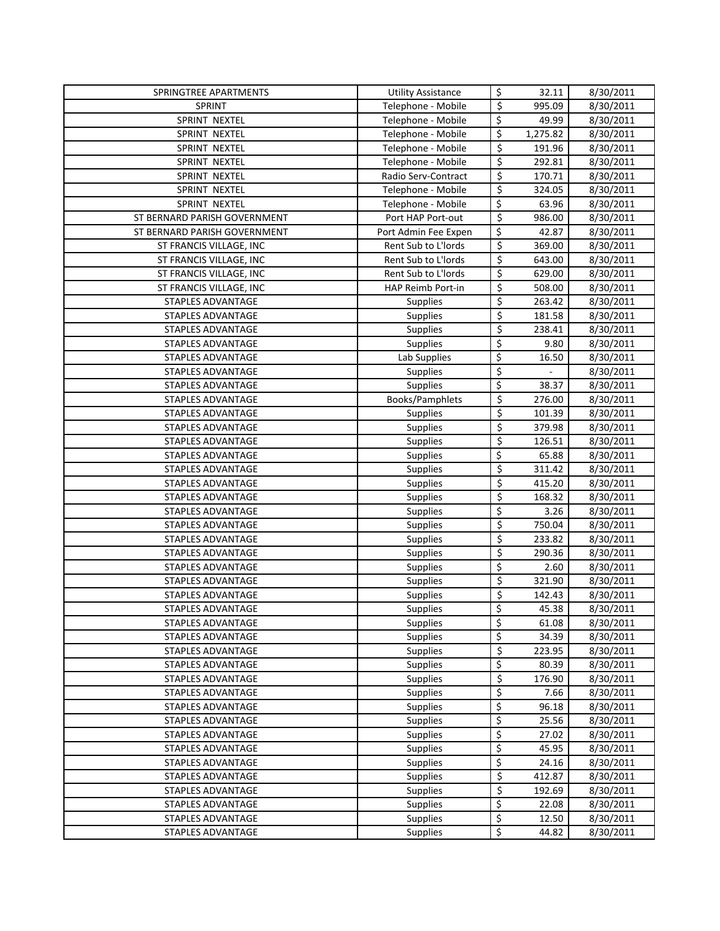| SPRINGTREE APARTMENTS                  | <b>Utility Assistance</b>          | \$       | 32.11          | 8/30/2011              |
|----------------------------------------|------------------------------------|----------|----------------|------------------------|
| SPRINT                                 | Telephone - Mobile                 | \$       | 995.09         | 8/30/2011              |
| SPRINT NEXTEL                          | Telephone - Mobile                 | \$       | 49.99          | 8/30/2011              |
| SPRINT NEXTEL                          | Telephone - Mobile                 | \$       | 1,275.82       | 8/30/2011              |
| <b>SPRINT NEXTEL</b>                   | Telephone - Mobile                 | \$       | 191.96         | 8/30/2011              |
| SPRINT NEXTEL                          | Telephone - Mobile                 | \$       | 292.81         | 8/30/2011              |
| SPRINT NEXTEL                          | Radio Serv-Contract                | \$       | 170.71         | 8/30/2011              |
| SPRINT NEXTEL                          | Telephone - Mobile                 | \$       | 324.05         | 8/30/2011              |
| <b>SPRINT NEXTEL</b>                   | Telephone - Mobile                 | \$       | 63.96          | 8/30/2011              |
| ST BERNARD PARISH GOVERNMENT           | Port HAP Port-out                  | \$       | 986.00         | 8/30/2011              |
| ST BERNARD PARISH GOVERNMENT           | Port Admin Fee Expen               | \$       | 42.87          | 8/30/2011              |
| ST FRANCIS VILLAGE, INC                | Rent Sub to L'Iords                | \$       | 369.00         | 8/30/2011              |
| ST FRANCIS VILLAGE, INC                | Rent Sub to L'Iords                | \$       | 643.00         | 8/30/2011              |
| ST FRANCIS VILLAGE, INC                | Rent Sub to L'Iords                | \$       | 629.00         | 8/30/2011              |
| ST FRANCIS VILLAGE, INC                | HAP Reimb Port-in                  | \$       | 508.00         | 8/30/2011              |
| STAPLES ADVANTAGE                      | Supplies                           | \$       | 263.42         | 8/30/2011              |
| STAPLES ADVANTAGE                      | <b>Supplies</b>                    | \$       | 181.58         | 8/30/2011              |
| STAPLES ADVANTAGE                      | Supplies                           | \$       | 238.41         | 8/30/2011              |
| STAPLES ADVANTAGE                      | Supplies                           | \$       | 9.80           | 8/30/2011              |
| STAPLES ADVANTAGE                      | Lab Supplies                       | \$       | 16.50          | 8/30/2011              |
| STAPLES ADVANTAGE                      | Supplies                           | \$       | ÷,             | 8/30/2011              |
| STAPLES ADVANTAGE                      | Supplies                           | \$       | 38.37          | 8/30/2011              |
| STAPLES ADVANTAGE                      | Books/Pamphlets                    | \$       | 276.00         | 8/30/2011              |
| STAPLES ADVANTAGE                      | Supplies                           | \$       | 101.39         | 8/30/2011              |
| STAPLES ADVANTAGE                      | Supplies                           | \$       | 379.98         | 8/30/2011              |
| STAPLES ADVANTAGE                      | Supplies                           | \$       | 126.51         | 8/30/2011              |
| STAPLES ADVANTAGE                      | Supplies                           | \$       | 65.88          | 8/30/2011              |
| STAPLES ADVANTAGE                      | Supplies                           | \$       | 311.42         | 8/30/2011              |
| STAPLES ADVANTAGE                      | Supplies                           | \$       | 415.20         | 8/30/2011              |
| STAPLES ADVANTAGE                      | Supplies                           | \$       | 168.32         | 8/30/2011              |
| STAPLES ADVANTAGE                      | Supplies                           | \$       | 3.26           | 8/30/2011              |
| STAPLES ADVANTAGE                      | Supplies                           | \$       | 750.04         | 8/30/2011              |
| STAPLES ADVANTAGE                      | Supplies                           | \$       | 233.82         | 8/30/2011              |
| STAPLES ADVANTAGE                      | Supplies                           | \$       | 290.36         | 8/30/2011              |
| STAPLES ADVANTAGE                      | Supplies                           | \$       | 2.60           | 8/30/2011              |
| STAPLES ADVANTAGE                      | <b>Supplies</b>                    | \$       | 321.90         | 8/30/2011              |
| STAPLES ADVANTAGE                      | <b>Supplies</b>                    | \$       | 142.43         | 8/30/2011              |
| STAPLES ADVANTAGE                      | Supplies                           | Ś        | 45.38          | 8/30/2011              |
| STAPLES ADVANTAGE                      | <b>Supplies</b>                    | \$       | 61.08          | 8/30/2011              |
| STAPLES ADVANTAGE                      | Supplies                           | \$       | 34.39          | 8/30/2011              |
| STAPLES ADVANTAGE                      | <b>Supplies</b>                    | \$       | 223.95         | 8/30/2011              |
| STAPLES ADVANTAGE                      | <b>Supplies</b>                    | \$       | 80.39          | 8/30/2011              |
| STAPLES ADVANTAGE                      | <b>Supplies</b>                    | \$<br>\$ | 176.90<br>7.66 | 8/30/2011              |
| STAPLES ADVANTAGE                      | <b>Supplies</b>                    |          | 96.18          | 8/30/2011              |
| STAPLES ADVANTAGE<br>STAPLES ADVANTAGE | <b>Supplies</b>                    | \$<br>\$ | 25.56          | 8/30/2011              |
|                                        | Supplies                           | \$       | 27.02          | 8/30/2011<br>8/30/2011 |
| STAPLES ADVANTAGE<br>STAPLES ADVANTAGE | <b>Supplies</b>                    | \$       | 45.95          | 8/30/2011              |
| STAPLES ADVANTAGE                      | <b>Supplies</b><br><b>Supplies</b> | \$       | 24.16          | 8/30/2011              |
| STAPLES ADVANTAGE                      | <b>Supplies</b>                    | \$       | 412.87         | 8/30/2011              |
| STAPLES ADVANTAGE                      | <b>Supplies</b>                    | \$       | 192.69         | 8/30/2011              |
| STAPLES ADVANTAGE                      | <b>Supplies</b>                    | \$       | 22.08          | 8/30/2011              |
| STAPLES ADVANTAGE                      | <b>Supplies</b>                    | \$       | 12.50          | 8/30/2011              |
| STAPLES ADVANTAGE                      | Supplies                           | \$       | 44.82          | 8/30/2011              |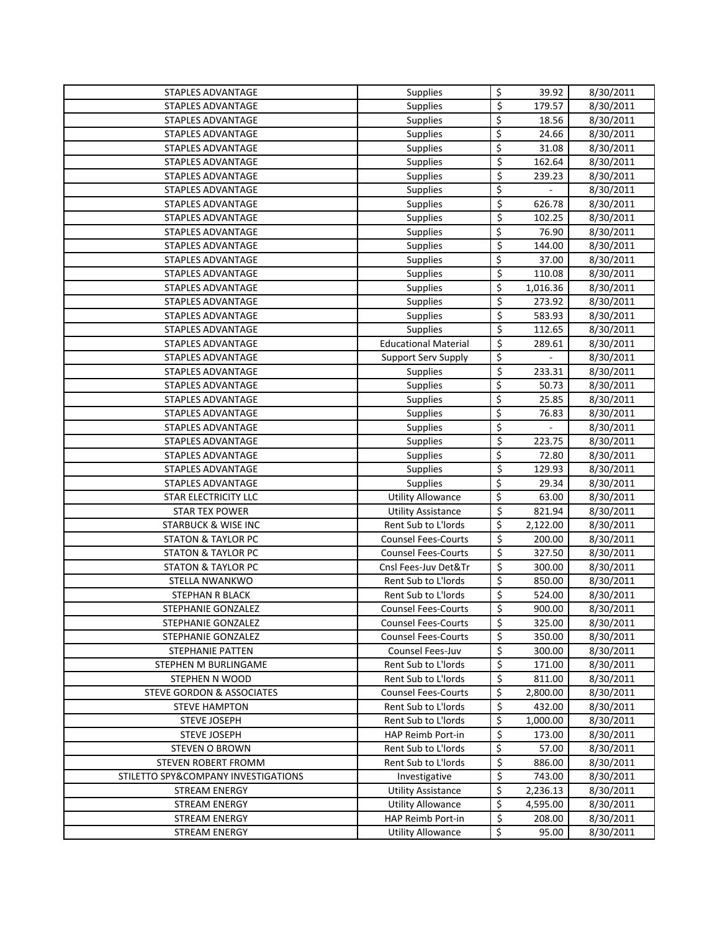| STAPLES ADVANTAGE                   | Supplies                                      | $\overline{\mathcal{S}}$        | 39.92           | 8/30/2011              |
|-------------------------------------|-----------------------------------------------|---------------------------------|-----------------|------------------------|
| STAPLES ADVANTAGE                   | Supplies                                      | \$                              | 179.57          | 8/30/2011              |
| STAPLES ADVANTAGE                   | Supplies                                      | $\varsigma$                     | 18.56           | 8/30/2011              |
| STAPLES ADVANTAGE                   | Supplies                                      | \$                              | 24.66           | 8/30/2011              |
| STAPLES ADVANTAGE                   | Supplies                                      | $\overline{\xi}$                | 31.08           | 8/30/2011              |
| STAPLES ADVANTAGE                   | Supplies                                      | \$                              | 162.64          | 8/30/2011              |
| STAPLES ADVANTAGE                   | Supplies                                      | \$                              | 239.23          | 8/30/2011              |
| STAPLES ADVANTAGE                   | Supplies                                      | \$                              |                 | 8/30/2011              |
| STAPLES ADVANTAGE                   | Supplies                                      | \$                              | 626.78          | 8/30/2011              |
| STAPLES ADVANTAGE                   | Supplies                                      | \$                              | 102.25          | 8/30/2011              |
| STAPLES ADVANTAGE                   | Supplies                                      | \$                              | 76.90           | 8/30/2011              |
| STAPLES ADVANTAGE                   | <b>Supplies</b>                               | $\overline{\xi}$                | 144.00          | 8/30/2011              |
| STAPLES ADVANTAGE                   | Supplies                                      | \$                              | 37.00           | 8/30/2011              |
| STAPLES ADVANTAGE                   | Supplies                                      | $\overline{\xi}$                | 110.08          | 8/30/2011              |
| STAPLES ADVANTAGE                   | Supplies                                      | \$                              | 1,016.36        | 8/30/2011              |
| STAPLES ADVANTAGE                   | Supplies                                      | \$                              | 273.92          | 8/30/2011              |
| STAPLES ADVANTAGE                   | <b>Supplies</b>                               | \$                              | 583.93          | 8/30/2011              |
| STAPLES ADVANTAGE                   | Supplies                                      | \$                              | 112.65          | 8/30/2011              |
| STAPLES ADVANTAGE                   | <b>Educational Material</b>                   | \$                              | 289.61          | 8/30/2011              |
| STAPLES ADVANTAGE                   | Support Serv Supply                           | \$                              |                 | 8/30/2011              |
| STAPLES ADVANTAGE                   | <b>Supplies</b>                               | $\overline{\boldsymbol{\zeta}}$ | 233.31          | 8/30/2011              |
| STAPLES ADVANTAGE                   | Supplies                                      | \$                              | 50.73           | 8/30/2011              |
| STAPLES ADVANTAGE                   | Supplies                                      | \$                              | 25.85           | 8/30/2011              |
| STAPLES ADVANTAGE                   | Supplies                                      | \$                              | 76.83           | 8/30/2011              |
| STAPLES ADVANTAGE                   | Supplies                                      | \$                              | $\overline{a}$  | 8/30/2011              |
| STAPLES ADVANTAGE                   | Supplies                                      | \$                              | 223.75          | 8/30/2011              |
| STAPLES ADVANTAGE                   | Supplies                                      | \$                              | 72.80           | 8/30/2011              |
| STAPLES ADVANTAGE                   | Supplies                                      | \$                              | 129.93          | 8/30/2011              |
| STAPLES ADVANTAGE                   | Supplies                                      | \$                              | 29.34           | 8/30/2011              |
| STAR ELECTRICITY LLC                | <b>Utility Allowance</b>                      | \$                              | 63.00           | 8/30/2011              |
| <b>STAR TEX POWER</b>               | <b>Utility Assistance</b>                     | \$                              | 821.94          | 8/30/2011              |
| <b>STARBUCK &amp; WISE INC</b>      | Rent Sub to L'Iords                           | \$                              | 2,122.00        | 8/30/2011              |
| <b>STATON &amp; TAYLOR PC</b>       | <b>Counsel Fees-Courts</b>                    | \$                              | 200.00          | 8/30/2011              |
| <b>STATON &amp; TAYLOR PC</b>       | <b>Counsel Fees-Courts</b>                    | \$                              | 327.50          | 8/30/2011              |
| <b>STATON &amp; TAYLOR PC</b>       | Cnsl Fees-Juv Det&Tr                          | \$                              | 300.00          | 8/30/2011              |
| STELLA NWANKWO                      | Rent Sub to L'Iords                           | \$                              | 850.00          | 8/30/2011              |
| STEPHAN R BLACK                     | Rent Sub to L'Iords                           | \$                              | 524.00          | 8/30/2011              |
| <b>STEPHANIE GONZALEZ</b>           | <b>Counsel Fees-Courts</b>                    | Ś                               | 900.00          | 8/30/2011              |
| STEPHANIE GONZALEZ                  | <b>Counsel Fees-Courts</b>                    | \$                              | 325.00          | 8/30/2011              |
| STEPHANIE GONZALEZ                  | <b>Counsel Fees-Courts</b>                    | \$                              | 350.00          | 8/30/2011              |
| <b>STEPHANIE PATTEN</b>             | Counsel Fees-Juv                              | \$                              | 300.00          | 8/30/2011              |
| STEPHEN M BURLINGAME                | Rent Sub to L'Iords                           | \$                              | 171.00          | 8/30/2011              |
| STEPHEN N WOOD                      | Rent Sub to L'Iords                           | \$                              | 811.00          | 8/30/2011              |
| STEVE GORDON & ASSOCIATES           | <b>Counsel Fees-Courts</b>                    | \$                              | 2,800.00        | 8/30/2011              |
| <b>STEVE HAMPTON</b>                | Rent Sub to L'Iords                           | \$                              | 432.00          | 8/30/2011              |
| <b>STEVE JOSEPH</b>                 | Rent Sub to L'Iords                           | \$                              | 1,000.00        | 8/30/2011              |
| STEVE JOSEPH                        | HAP Reimb Port-in                             | \$                              | 173.00          | 8/30/2011              |
| <b>STEVEN O BROWN</b>               | Rent Sub to L'Iords                           | \$                              | 57.00           | 8/30/2011              |
| STEVEN ROBERT FROMM                 | Rent Sub to L'Iords                           | \$                              | 886.00          | 8/30/2011              |
| STILETTO SPY&COMPANY INVESTIGATIONS | Investigative                                 | \$                              | 743.00          | 8/30/2011              |
| STREAM ENERGY                       | <b>Utility Assistance</b>                     | \$                              | 2,236.13        | 8/30/2011              |
| <b>STREAM ENERGY</b>                | <b>Utility Allowance</b>                      | \$                              | 4,595.00        | 8/30/2011              |
| STREAM ENERGY                       |                                               |                                 |                 |                        |
| <b>STREAM ENERGY</b>                | HAP Reimb Port-in<br><b>Utility Allowance</b> | \$<br>\$                        | 208.00<br>95.00 | 8/30/2011<br>8/30/2011 |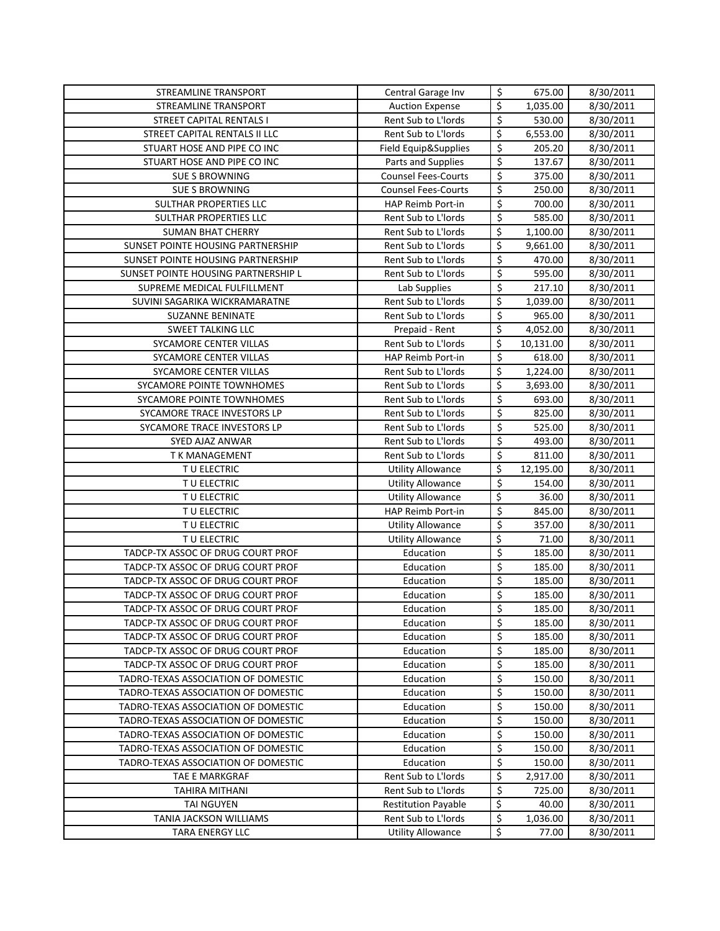| STREAMLINE TRANSPORT                                                       | Central Garage Inv         | \$               | 675.00           | 8/30/2011              |
|----------------------------------------------------------------------------|----------------------------|------------------|------------------|------------------------|
| <b>STREAMLINE TRANSPORT</b>                                                | <b>Auction Expense</b>     | \$               | 1,035.00         | 8/30/2011              |
| <b>STREET CAPITAL RENTALS I</b>                                            | Rent Sub to L'Iords        | \$               | 530.00           | 8/30/2011              |
| STREET CAPITAL RENTALS II LLC                                              | Rent Sub to L'Iords        | \$               | 6,553.00         | 8/30/2011              |
| STUART HOSE AND PIPE CO INC                                                | Field Equip&Supplies       | \$               | 205.20           | 8/30/2011              |
| STUART HOSE AND PIPE CO INC                                                | Parts and Supplies         | \$               | 137.67           | 8/30/2011              |
| <b>SUE S BROWNING</b>                                                      | <b>Counsel Fees-Courts</b> | \$               | 375.00           | 8/30/2011              |
| <b>SUE S BROWNING</b>                                                      | <b>Counsel Fees-Courts</b> | \$               | 250.00           | 8/30/2011              |
| SULTHAR PROPERTIES LLC                                                     | <b>HAP Reimb Port-in</b>   | \$               | 700.00           | 8/30/2011              |
| SULTHAR PROPERTIES LLC                                                     | Rent Sub to L'Iords        | \$               | 585.00           | 8/30/2011              |
| <b>SUMAN BHAT CHERRY</b>                                                   | Rent Sub to L'Iords        | \$               | 1,100.00         | 8/30/2011              |
| SUNSET POINTE HOUSING PARTNERSHIP                                          | Rent Sub to L'Iords        | \$               | 9,661.00         | 8/30/2011              |
| SUNSET POINTE HOUSING PARTNERSHIP                                          | Rent Sub to L'Iords        | \$               | 470.00           | 8/30/2011              |
| SUNSET POINTE HOUSING PARTNERSHIP L                                        | Rent Sub to L'Iords        | $\overline{\xi}$ | 595.00           | 8/30/2011              |
| SUPREME MEDICAL FULFILLMENT                                                | Lab Supplies               | \$               | 217.10           | 8/30/2011              |
| SUVINI SAGARIKA WICKRAMARATNE                                              | Rent Sub to L'Iords        | \$               | 1,039.00         | 8/30/2011              |
| <b>SUZANNE BENINATE</b>                                                    | Rent Sub to L'Iords        | \$               | 965.00           | 8/30/2011              |
| <b>SWEET TALKING LLC</b>                                                   | Prepaid - Rent             | \$               | 4,052.00         | 8/30/2011              |
| SYCAMORE CENTER VILLAS                                                     | Rent Sub to L'Iords        | \$               | 10,131.00        | 8/30/2011              |
| SYCAMORE CENTER VILLAS                                                     | HAP Reimb Port-in          | \$               | 618.00           | 8/30/2011              |
| SYCAMORE CENTER VILLAS                                                     | Rent Sub to L'Iords        | \$               | 1,224.00         | 8/30/2011              |
| SYCAMORE POINTE TOWNHOMES                                                  | Rent Sub to L'Iords        | \$               | 3,693.00         | 8/30/2011              |
| SYCAMORE POINTE TOWNHOMES                                                  | Rent Sub to L'Iords        | \$               | 693.00           | 8/30/2011              |
| SYCAMORE TRACE INVESTORS LP                                                | Rent Sub to L'Iords        | \$               | 825.00           | 8/30/2011              |
| SYCAMORE TRACE INVESTORS LP                                                | Rent Sub to L'Iords        | \$               | 525.00           | 8/30/2011              |
| SYED AJAZ ANWAR                                                            | Rent Sub to L'Iords        | \$               | 493.00           | 8/30/2011              |
| T K MANAGEMENT                                                             | Rent Sub to L'Iords        | \$               | 811.00           | 8/30/2011              |
| TU ELECTRIC                                                                | <b>Utility Allowance</b>   | \$               | 12,195.00        | 8/30/2011              |
| TU ELECTRIC                                                                | <b>Utility Allowance</b>   | \$               | 154.00           | 8/30/2011              |
| TU ELECTRIC                                                                | <b>Utility Allowance</b>   | \$               | 36.00            | 8/30/2011              |
| TU ELECTRIC                                                                | HAP Reimb Port-in          | \$               | 845.00           | 8/30/2011              |
| TU ELECTRIC                                                                | <b>Utility Allowance</b>   | \$               | 357.00           | 8/30/2011              |
| TU ELECTRIC                                                                | <b>Utility Allowance</b>   | \$               | 71.00            | 8/30/2011              |
| TADCP-TX ASSOC OF DRUG COURT PROF                                          | Education                  | \$               | 185.00           | 8/30/2011              |
| TADCP-TX ASSOC OF DRUG COURT PROF                                          | Education                  | \$               | 185.00           | 8/30/2011              |
| TADCP-TX ASSOC OF DRUG COURT PROF                                          | Education                  | \$               | 185.00           | 8/30/2011              |
| TADCP-TX ASSOC OF DRUG COURT PROF                                          | Education                  | \$               | 185.00           | 8/30/2011              |
| TADCP-TX ASSOC OF DRUG COURT PROF                                          | Education                  | \$               | 185.00           | 8/30/2011              |
| TADCP-TX ASSOC OF DRUG COURT PROF                                          | Education                  | \$               | 185.00           | 8/30/2011              |
| TADCP-TX ASSOC OF DRUG COURT PROF                                          | Education                  | \$               | 185.00           | 8/30/2011              |
| TADCP-TX ASSOC OF DRUG COURT PROF                                          | Education                  | \$               | 185.00           | 8/30/2011              |
| TADCP-TX ASSOC OF DRUG COURT PROF                                          | Education                  | \$               | 185.00           | 8/30/2011              |
| TADRO-TEXAS ASSOCIATION OF DOMESTIC<br>TADRO-TEXAS ASSOCIATION OF DOMESTIC | Education<br>Education     | \$               | 150.00           | 8/30/2011              |
|                                                                            |                            | \$               | 150.00           | 8/30/2011              |
| TADRO-TEXAS ASSOCIATION OF DOMESTIC                                        | Education<br>Education     | \$<br>\$         | 150.00           | 8/30/2011<br>8/30/2011 |
| TADRO-TEXAS ASSOCIATION OF DOMESTIC                                        |                            |                  | 150.00<br>150.00 |                        |
| TADRO-TEXAS ASSOCIATION OF DOMESTIC                                        | Education<br>Education     | \$               |                  | 8/30/2011              |
| TADRO-TEXAS ASSOCIATION OF DOMESTIC<br>TADRO-TEXAS ASSOCIATION OF DOMESTIC | Education                  | \$<br>\$         | 150.00<br>150.00 | 8/30/2011              |
| TAE E MARKGRAF                                                             | Rent Sub to L'Iords        | \$               | 2,917.00         | 8/30/2011<br>8/30/2011 |
| TAHIRA MITHANI                                                             | Rent Sub to L'Iords        | \$               | 725.00           | 8/30/2011              |
| TAI NGUYEN                                                                 | <b>Restitution Payable</b> | \$               | 40.00            | 8/30/2011              |
| TANIA JACKSON WILLIAMS                                                     | Rent Sub to L'Iords        | \$               | 1,036.00         | 8/30/2011              |
| <b>TARA ENERGY LLC</b>                                                     | <b>Utility Allowance</b>   | \$               | 77.00            | 8/30/2011              |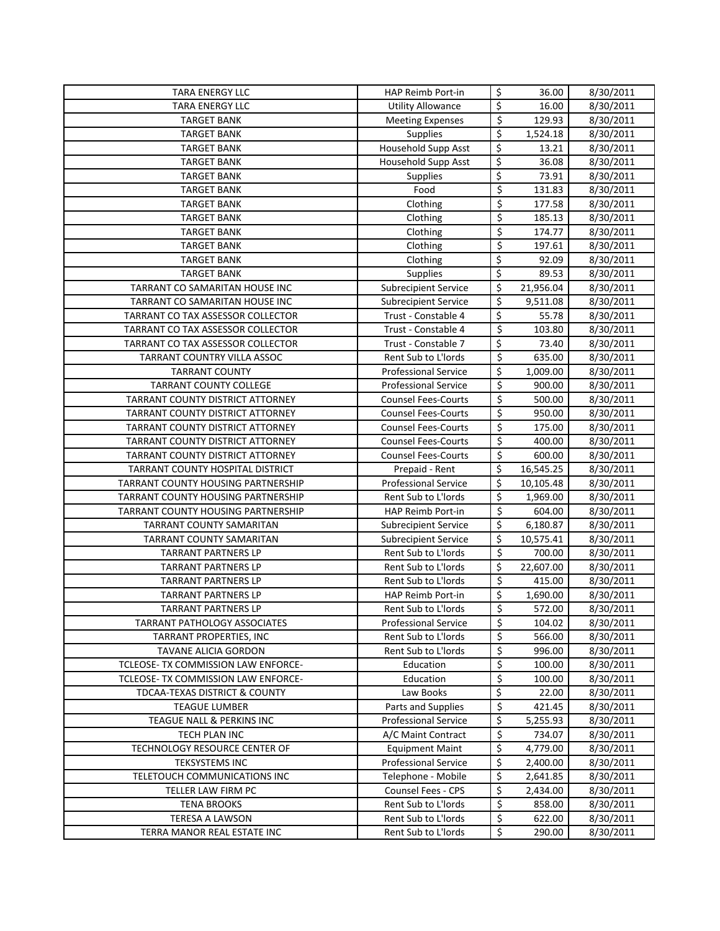| <b>TARA ENERGY LLC</b>                                | HAP Reimb Port-in                        | \$                              | 36.00                | 8/30/2011              |
|-------------------------------------------------------|------------------------------------------|---------------------------------|----------------------|------------------------|
| <b>TARA ENERGY LLC</b>                                | <b>Utility Allowance</b>                 | \$                              | 16.00                | 8/30/2011              |
| <b>TARGET BANK</b>                                    | <b>Meeting Expenses</b>                  | \$                              | 129.93               | 8/30/2011              |
| <b>TARGET BANK</b>                                    | Supplies                                 | \$                              | 1,524.18             | 8/30/2011              |
| <b>TARGET BANK</b>                                    | Household Supp Asst                      | \$                              | 13.21                | 8/30/2011              |
| <b>TARGET BANK</b>                                    | Household Supp Asst                      | \$                              | 36.08                | 8/30/2011              |
| <b>TARGET BANK</b>                                    | <b>Supplies</b>                          | \$                              | 73.91                | 8/30/2011              |
| <b>TARGET BANK</b>                                    | Food                                     | \$                              | 131.83               | 8/30/2011              |
| <b>TARGET BANK</b>                                    | Clothing                                 | \$                              | 177.58               | 8/30/2011              |
| <b>TARGET BANK</b>                                    | Clothing                                 | \$                              | 185.13               | 8/30/2011              |
| <b>TARGET BANK</b>                                    | Clothing                                 | \$                              | 174.77               | 8/30/2011              |
| <b>TARGET BANK</b>                                    | Clothing                                 | $\overline{\xi}$                | 197.61               | 8/30/2011              |
| <b>TARGET BANK</b>                                    | Clothing                                 | \$                              | 92.09                | 8/30/2011              |
| <b>TARGET BANK</b>                                    | Supplies                                 | \$                              | 89.53                | 8/30/2011              |
| TARRANT CO SAMARITAN HOUSE INC                        | <b>Subrecipient Service</b>              | \$                              | 21,956.04            | 8/30/2011              |
| TARRANT CO SAMARITAN HOUSE INC                        | <b>Subrecipient Service</b>              | \$                              | 9,511.08             | 8/30/2011              |
| TARRANT CO TAX ASSESSOR COLLECTOR                     | Trust - Constable 4                      | \$                              | 55.78                | 8/30/2011              |
| TARRANT CO TAX ASSESSOR COLLECTOR                     | Trust - Constable 4                      | $\overline{\xi}$                | 103.80               | 8/30/2011              |
| TARRANT CO TAX ASSESSOR COLLECTOR                     | Trust - Constable 7                      | \$                              | 73.40                | 8/30/2011              |
| <b>TARRANT COUNTRY VILLA ASSOC</b>                    | Rent Sub to L'Iords                      | \$                              | 635.00               | 8/30/2011              |
| <b>TARRANT COUNTY</b>                                 | <b>Professional Service</b>              | \$                              | 1,009.00             | 8/30/2011              |
| <b>TARRANT COUNTY COLLEGE</b>                         | <b>Professional Service</b>              | $\overline{\xi}$                | 900.00               | 8/30/2011              |
| TARRANT COUNTY DISTRICT ATTORNEY                      | <b>Counsel Fees-Courts</b>               | \$                              | 500.00               | 8/30/2011              |
| TARRANT COUNTY DISTRICT ATTORNEY                      | <b>Counsel Fees-Courts</b>               | $\overline{\boldsymbol{\zeta}}$ | 950.00               | 8/30/2011              |
| TARRANT COUNTY DISTRICT ATTORNEY                      | <b>Counsel Fees-Courts</b>               | \$                              | 175.00               | 8/30/2011              |
| TARRANT COUNTY DISTRICT ATTORNEY                      | <b>Counsel Fees-Courts</b>               | \$                              | 400.00               | 8/30/2011              |
| TARRANT COUNTY DISTRICT ATTORNEY                      | <b>Counsel Fees-Courts</b>               | \$                              | 600.00               | 8/30/2011              |
| TARRANT COUNTY HOSPITAL DISTRICT                      | Prepaid - Rent                           | \$                              | 16,545.25            | 8/30/2011              |
| TARRANT COUNTY HOUSING PARTNERSHIP                    | <b>Professional Service</b>              | \$                              | 10,105.48            | 8/30/2011              |
| TARRANT COUNTY HOUSING PARTNERSHIP                    | Rent Sub to L'Iords                      | \$                              | 1,969.00             | 8/30/2011              |
| TARRANT COUNTY HOUSING PARTNERSHIP                    | HAP Reimb Port-in                        | \$                              | 604.00               | 8/30/2011              |
| TARRANT COUNTY SAMARITAN                              | <b>Subrecipient Service</b>              | \$                              | 6,180.87             | 8/30/2011              |
| TARRANT COUNTY SAMARITAN                              | <b>Subrecipient Service</b>              | \$                              | 10,575.41            | 8/30/2011              |
| <b>TARRANT PARTNERS LP</b>                            | Rent Sub to L'Iords                      | \$                              | 700.00               | 8/30/2011              |
| <b>TARRANT PARTNERS LP</b>                            | Rent Sub to L'Iords                      | \$                              | 22,607.00            | 8/30/2011              |
| <b>TARRANT PARTNERS LP</b>                            | Rent Sub to L'Iords                      | \$                              | 415.00               | 8/30/2011              |
| <b>TARRANT PARTNERS LP</b>                            | HAP Reimb Port-in                        | \$                              | 1,690.00             | 8/30/2011              |
| <b>TARRANT PARTNERS LP</b>                            | Rent Sub to L'Iords                      | \$                              | 572.00               | 8/30/2011              |
| TARRANT PATHOLOGY ASSOCIATES                          | <b>Professional Service</b>              | \$                              | 104.02               | 8/30/2011              |
| TARRANT PROPERTIES, INC                               | Rent Sub to L'Iords                      | \$                              | 566.00               | 8/30/2011              |
| TAVANE ALICIA GORDON                                  | Rent Sub to L'Iords                      | \$                              | 996.00               | 8/30/2011              |
| TCLEOSE- TX COMMISSION LAW ENFORCE-                   | Education                                | \$                              | 100.00               | 8/30/2011              |
| TCLEOSE- TX COMMISSION LAW ENFORCE-                   | Education                                | \$                              | 100.00               | 8/30/2011              |
| <b>TDCAA-TEXAS DISTRICT &amp; COUNTY</b>              | Law Books                                | \$                              | 22.00                | 8/30/2011              |
| <b>TEAGUE LUMBER</b>                                  | Parts and Supplies                       | \$                              | 421.45               | 8/30/2011              |
| TEAGUE NALL & PERKINS INC                             | <b>Professional Service</b>              | \$                              | 5,255.93             | 8/30/2011              |
| TECH PLAN INC                                         | A/C Maint Contract                       | \$                              | 734.07               | 8/30/2011              |
| TECHNOLOGY RESOURCE CENTER OF                         | <b>Equipment Maint</b>                   | \$                              | 4,779.00             | 8/30/2011              |
| <b>TEKSYSTEMS INC</b><br>TELETOUCH COMMUNICATIONS INC | <b>Professional Service</b>              | \$<br>\$                        | 2,400.00<br>2,641.85 | 8/30/2011<br>8/30/2011 |
| TELLER LAW FIRM PC                                    | Telephone - Mobile<br>Counsel Fees - CPS | \$                              |                      | 8/30/2011              |
| <b>TENA BROOKS</b>                                    | Rent Sub to L'Iords                      | \$                              | 2,434.00<br>858.00   | 8/30/2011              |
| TERESA A LAWSON                                       | Rent Sub to L'Iords                      | \$                              | 622.00               | 8/30/2011              |
| TERRA MANOR REAL ESTATE INC                           | Rent Sub to L'Iords                      | $\overline{\mathsf{S}}$         | 290.00               | 8/30/2011              |
|                                                       |                                          |                                 |                      |                        |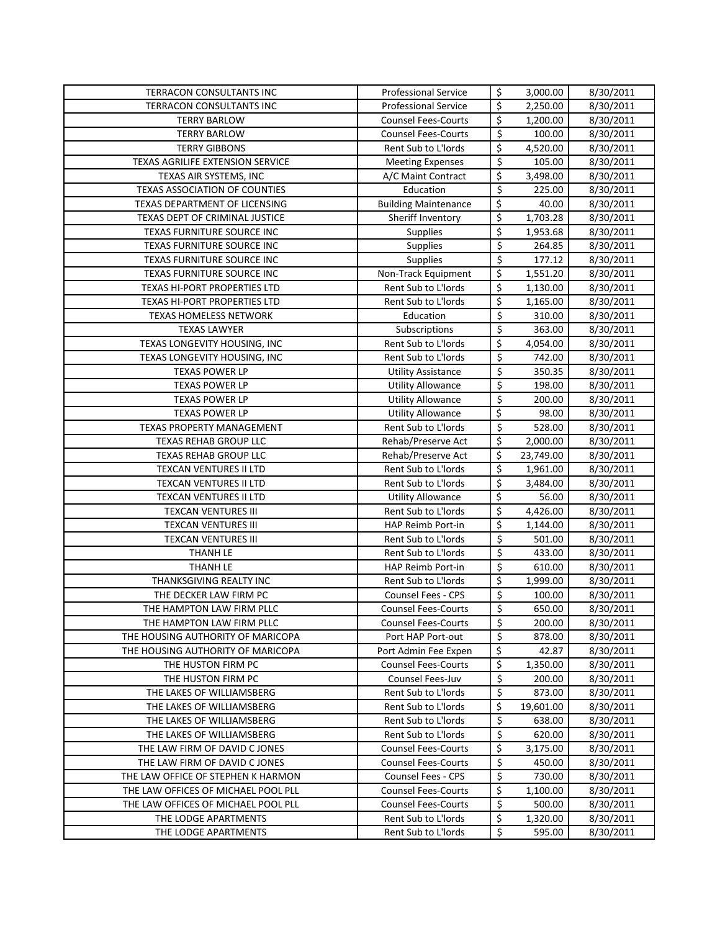| TERRACON CONSULTANTS INC             | <b>Professional Service</b> | \$                              | 3,000.00  | 8/30/2011 |
|--------------------------------------|-----------------------------|---------------------------------|-----------|-----------|
| TERRACON CONSULTANTS INC             | <b>Professional Service</b> | \$                              | 2,250.00  | 8/30/2011 |
| <b>TERRY BARLOW</b>                  | <b>Counsel Fees-Courts</b>  | \$                              | 1,200.00  | 8/30/2011 |
| <b>TERRY BARLOW</b>                  | <b>Counsel Fees-Courts</b>  | $\overline{\mathsf{S}}$         | 100.00    | 8/30/2011 |
| <b>TERRY GIBBONS</b>                 | Rent Sub to L'Iords         | \$                              | 4,520.00  | 8/30/2011 |
| TEXAS AGRILIFE EXTENSION SERVICE     | <b>Meeting Expenses</b>     | $\overline{\boldsymbol{\zeta}}$ | 105.00    | 8/30/2011 |
| TEXAS AIR SYSTEMS, INC               | A/C Maint Contract          | \$                              | 3,498.00  | 8/30/2011 |
| <b>TEXAS ASSOCIATION OF COUNTIES</b> | Education                   | $\overline{\boldsymbol{\zeta}}$ | 225.00    | 8/30/2011 |
| TEXAS DEPARTMENT OF LICENSING        | <b>Building Maintenance</b> | \$                              | 40.00     | 8/30/2011 |
| TEXAS DEPT OF CRIMINAL JUSTICE       | Sheriff Inventory           | \$                              | 1,703.28  | 8/30/2011 |
| TEXAS FURNITURE SOURCE INC           | Supplies                    | $\overline{\xi}$                | 1,953.68  | 8/30/2011 |
| TEXAS FURNITURE SOURCE INC           | Supplies                    | $\overline{\xi}$                | 264.85    | 8/30/2011 |
| TEXAS FURNITURE SOURCE INC           | Supplies                    | \$                              | 177.12    | 8/30/2011 |
| TEXAS FURNITURE SOURCE INC           | Non-Track Equipment         | \$                              | 1,551.20  | 8/30/2011 |
| TEXAS HI-PORT PROPERTIES LTD         | Rent Sub to L'Iords         | \$                              | 1,130.00  | 8/30/2011 |
| TEXAS HI-PORT PROPERTIES LTD         | Rent Sub to L'Iords         | \$                              | 1,165.00  | 8/30/2011 |
| TEXAS HOMELESS NETWORK               | Education                   | $\overline{\mathsf{S}}$         | 310.00    | 8/30/2011 |
| <b>TEXAS LAWYER</b>                  | Subscriptions               | \$                              | 363.00    | 8/30/2011 |
| TEXAS LONGEVITY HOUSING, INC         | Rent Sub to L'Iords         | $\overline{\xi}$                | 4,054.00  | 8/30/2011 |
| TEXAS LONGEVITY HOUSING, INC         | Rent Sub to L'Iords         | $\overline{\xi}$                | 742.00    | 8/30/2011 |
| <b>TEXAS POWER LP</b>                | <b>Utility Assistance</b>   | $\overline{\boldsymbol{\zeta}}$ | 350.35    | 8/30/2011 |
| <b>TEXAS POWER LP</b>                | <b>Utility Allowance</b>    | $\overline{\xi}$                | 198.00    | 8/30/2011 |
| <b>TEXAS POWER LP</b>                | <b>Utility Allowance</b>    | $\overline{\xi}$                | 200.00    | 8/30/2011 |
| <b>TEXAS POWER LP</b>                | <b>Utility Allowance</b>    | \$                              | 98.00     | 8/30/2011 |
| TEXAS PROPERTY MANAGEMENT            | Rent Sub to L'Iords         | $\overline{\mathcal{S}}$        | 528.00    | 8/30/2011 |
| TEXAS REHAB GROUP LLC                | Rehab/Preserve Act          | \$                              | 2,000.00  | 8/30/2011 |
| <b>TEXAS REHAB GROUP LLC</b>         | Rehab/Preserve Act          | \$                              | 23,749.00 | 8/30/2011 |
| TEXCAN VENTURES II LTD               | Rent Sub to L'Iords         | \$                              | 1,961.00  | 8/30/2011 |
| TEXCAN VENTURES II LTD               | Rent Sub to L'Iords         | \$                              | 3,484.00  | 8/30/2011 |
| TEXCAN VENTURES II LTD               | <b>Utility Allowance</b>    | \$                              | 56.00     | 8/30/2011 |
| <b>TEXCAN VENTURES III</b>           | Rent Sub to L'Iords         | \$                              | 4,426.00  | 8/30/2011 |
| <b>TEXCAN VENTURES III</b>           | HAP Reimb Port-in           | \$                              | 1,144.00  | 8/30/2011 |
| <b>TEXCAN VENTURES III</b>           | Rent Sub to L'Iords         | \$                              | 501.00    | 8/30/2011 |
| THANH LE                             | Rent Sub to L'Iords         | $\overline{\mathcal{S}}$        | 433.00    | 8/30/2011 |
| THANH LE                             | HAP Reimb Port-in           | $\overline{\mathcal{S}}$        | 610.00    | 8/30/2011 |
| THANKSGIVING REALTY INC              | Rent Sub to L'Iords         | \$                              | 1,999.00  | 8/30/2011 |
| THE DECKER LAW FIRM PC               | Counsel Fees - CPS          | \$                              | 100.00    | 8/30/2011 |
| THE HAMPTON LAW FIRM PLLC            | <b>Counsel Fees-Courts</b>  | $\zeta$                         | 650.00    | 8/30/2011 |
| THE HAMPTON LAW FIRM PLLC            | <b>Counsel Fees-Courts</b>  | \$                              | 200.00    | 8/30/2011 |
| THE HOUSING AUTHORITY OF MARICOPA    | Port HAP Port-out           | \$                              | 878.00    | 8/30/2011 |
| THE HOUSING AUTHORITY OF MARICOPA    | Port Admin Fee Expen        | \$                              | 42.87     | 8/30/2011 |
| THE HUSTON FIRM PC                   | <b>Counsel Fees-Courts</b>  | \$                              | 1,350.00  | 8/30/2011 |
| THE HUSTON FIRM PC                   | Counsel Fees-Juv            | \$                              | 200.00    | 8/30/2011 |
| THE LAKES OF WILLIAMSBERG            | Rent Sub to L'Iords         | \$                              | 873.00    | 8/30/2011 |
| THE LAKES OF WILLIAMSBERG            | Rent Sub to L'Iords         | \$                              | 19,601.00 | 8/30/2011 |
| THE LAKES OF WILLIAMSBERG            | Rent Sub to L'Iords         | \$                              | 638.00    | 8/30/2011 |
| THE LAKES OF WILLIAMSBERG            | Rent Sub to L'Iords         | \$                              | 620.00    | 8/30/2011 |
| THE LAW FIRM OF DAVID C JONES        | <b>Counsel Fees-Courts</b>  | \$                              | 3,175.00  | 8/30/2011 |
| THE LAW FIRM OF DAVID C JONES        | <b>Counsel Fees-Courts</b>  | \$                              | 450.00    | 8/30/2011 |
| THE LAW OFFICE OF STEPHEN K HARMON   | Counsel Fees - CPS          | \$                              | 730.00    | 8/30/2011 |
| THE LAW OFFICES OF MICHAEL POOL PLL  | <b>Counsel Fees-Courts</b>  | \$                              | 1,100.00  | 8/30/2011 |
| THE LAW OFFICES OF MICHAEL POOL PLL  | <b>Counsel Fees-Courts</b>  | \$                              | 500.00    | 8/30/2011 |
| THE LODGE APARTMENTS                 | Rent Sub to L'Iords         | \$                              | 1,320.00  | 8/30/2011 |
| THE LODGE APARTMENTS                 | Rent Sub to L'Iords         | \$                              | 595.00    | 8/30/2011 |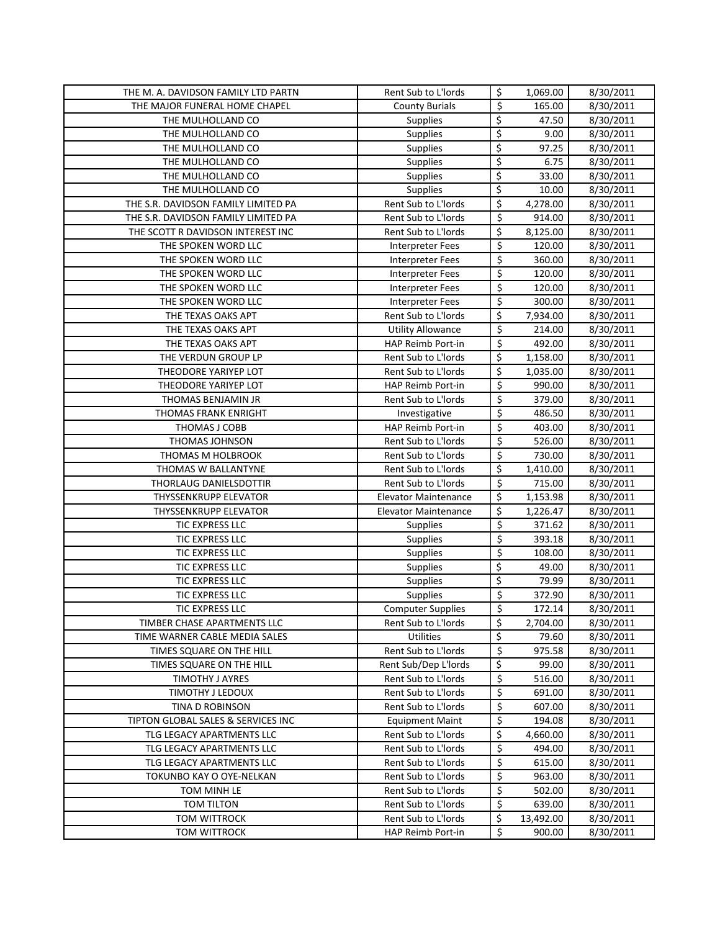| THE M. A. DAVIDSON FAMILY LTD PARTN                    | Rent Sub to L'Iords                        | \$                              | 1,069.00         | 8/30/2011              |
|--------------------------------------------------------|--------------------------------------------|---------------------------------|------------------|------------------------|
| THE MAJOR FUNERAL HOME CHAPEL                          | <b>County Burials</b>                      | \$                              | 165.00           | 8/30/2011              |
| THE MULHOLLAND CO                                      | Supplies                                   | \$                              | 47.50            | 8/30/2011              |
| THE MULHOLLAND CO                                      | Supplies                                   | \$                              | 9.00             | 8/30/2011              |
| THE MULHOLLAND CO                                      | Supplies                                   | \$                              | 97.25            | 8/30/2011              |
| THE MULHOLLAND CO                                      | Supplies                                   | \$                              | 6.75             | 8/30/2011              |
| THE MULHOLLAND CO                                      | Supplies                                   | \$                              | 33.00            | 8/30/2011              |
| THE MULHOLLAND CO                                      | Supplies                                   | $\overline{\mathsf{S}}$         | 10.00            | 8/30/2011              |
| THE S.R. DAVIDSON FAMILY LIMITED PA                    | Rent Sub to L'Iords                        | \$                              | 4,278.00         | 8/30/2011              |
| THE S.R. DAVIDSON FAMILY LIMITED PA                    | Rent Sub to L'Iords                        | \$                              | 914.00           | 8/30/2011              |
| THE SCOTT R DAVIDSON INTEREST INC                      | Rent Sub to L'Iords                        | \$                              | 8,125.00         | 8/30/2011              |
| THE SPOKEN WORD LLC                                    | <b>Interpreter Fees</b>                    | \$                              | 120.00           | 8/30/2011              |
| THE SPOKEN WORD LLC                                    | <b>Interpreter Fees</b>                    | $\overline{\mathsf{S}}$         | 360.00           | 8/30/2011              |
| THE SPOKEN WORD LLC                                    | <b>Interpreter Fees</b>                    | \$                              | 120.00           | 8/30/2011              |
| THE SPOKEN WORD LLC                                    | <b>Interpreter Fees</b>                    | $\overline{\xi}$                | 120.00           | 8/30/2011              |
| THE SPOKEN WORD LLC                                    | Interpreter Fees                           | \$                              | 300.00           | 8/30/2011              |
| THE TEXAS OAKS APT                                     | Rent Sub to L'Iords                        | \$                              | 7,934.00         | 8/30/2011              |
| THE TEXAS OAKS APT                                     | <b>Utility Allowance</b>                   | $\overline{\boldsymbol{\zeta}}$ | 214.00           | 8/30/2011              |
| THE TEXAS OAKS APT                                     | HAP Reimb Port-in                          | $\overline{\mathcal{S}}$        | 492.00           | 8/30/2011              |
| THE VERDUN GROUP LP                                    | Rent Sub to L'Iords                        | \$                              | 1,158.00         | 8/30/2011              |
| THEODORE YARIYEP LOT                                   | Rent Sub to L'Iords                        | \$                              | 1,035.00         | 8/30/2011              |
| THEODORE YARIYEP LOT                                   | HAP Reimb Port-in                          | \$                              | 990.00           | 8/30/2011              |
| THOMAS BENJAMIN JR                                     | Rent Sub to L'Iords                        | $\overline{\mathcal{S}}$        | 379.00           | 8/30/2011              |
| THOMAS FRANK ENRIGHT                                   | Investigative                              | \$                              | 486.50           | 8/30/2011              |
| THOMAS J COBB                                          | HAP Reimb Port-in                          | \$                              | 403.00           | 8/30/2011              |
| THOMAS JOHNSON                                         | Rent Sub to L'Iords                        | \$                              | 526.00           | 8/30/2011              |
| THOMAS M HOLBROOK                                      | Rent Sub to L'Iords                        | \$                              | 730.00           | 8/30/2011              |
| THOMAS W BALLANTYNE                                    | Rent Sub to L'Iords                        | \$                              | 1,410.00         | 8/30/2011              |
| THORLAUG DANIELSDOTTIR                                 | Rent Sub to L'Iords                        | \$                              | 715.00           | 8/30/2011              |
| THYSSENKRUPP ELEVATOR                                  | <b>Elevator Maintenance</b>                | \$                              | 1,153.98         | 8/30/2011              |
| THYSSENKRUPP ELEVATOR                                  | Elevator Maintenance                       | \$                              | 1,226.47         | 8/30/2011              |
| TIC EXPRESS LLC                                        | Supplies                                   | \$                              | 371.62           | 8/30/2011              |
| TIC EXPRESS LLC                                        | Supplies                                   | $\overline{\xi}$                | 393.18           | 8/30/2011              |
| TIC EXPRESS LLC                                        | Supplies                                   | \$                              | 108.00           | 8/30/2011              |
| TIC EXPRESS LLC                                        | Supplies                                   | \$                              | 49.00            | 8/30/2011              |
| TIC EXPRESS LLC                                        | Supplies                                   | \$                              | 79.99            | 8/30/2011              |
| TIC EXPRESS LLC                                        | Supplies                                   | \$                              | 372.90           | 8/30/2011              |
| TIC EXPRESS LLC                                        | <b>Computer Supplies</b>                   | Ś.                              | 172.14           | 8/30/2011              |
| TIMBER CHASE APARTMENTS LLC                            | Rent Sub to L'Iords                        | \$                              | 2,704.00         | 8/30/2011              |
| TIME WARNER CABLE MEDIA SALES                          | <b>Utilities</b>                           | \$                              | 79.60            | 8/30/2011              |
| TIMES SQUARE ON THE HILL                               | Rent Sub to L'Iords                        | \$                              | 975.58           | 8/30/2011              |
| TIMES SQUARE ON THE HILL                               | Rent Sub/Dep L'Iords                       | \$                              | 99.00            | 8/30/2011              |
| TIMOTHY J AYRES                                        | Rent Sub to L'Iords                        | \$                              | 516.00           | 8/30/2011              |
| TIMOTHY J LEDOUX                                       | Rent Sub to L'Iords                        | \$                              | 691.00           | 8/30/2011              |
| TINA D ROBINSON                                        | Rent Sub to L'Iords                        | \$                              | 607.00           | 8/30/2011              |
| TIPTON GLOBAL SALES & SERVICES INC                     | <b>Equipment Maint</b>                     | \$                              | 194.08           | 8/30/2011              |
| TLG LEGACY APARTMENTS LLC                              | Rent Sub to L'Iords                        | \$                              | 4,660.00         | 8/30/2011              |
| TLG LEGACY APARTMENTS LLC<br>TLG LEGACY APARTMENTS LLC | Rent Sub to L'Iords                        | \$<br>\$                        | 494.00           | 8/30/2011              |
| TOKUNBO KAY O OYE-NELKAN                               | Rent Sub to L'Iords<br>Rent Sub to L'Iords | \$                              | 615.00<br>963.00 | 8/30/2011<br>8/30/2011 |
| TOM MINH LE                                            | Rent Sub to L'Iords                        | \$                              | 502.00           | 8/30/2011              |
| TOM TILTON                                             | Rent Sub to L'Iords                        | \$                              | 639.00           | 8/30/2011              |
| TOM WITTROCK                                           | Rent Sub to L'Iords                        | \$                              | 13,492.00        | 8/30/2011              |
| <b>TOM WITTROCK</b>                                    | HAP Reimb Port-in                          | \$                              | 900.00           | 8/30/2011              |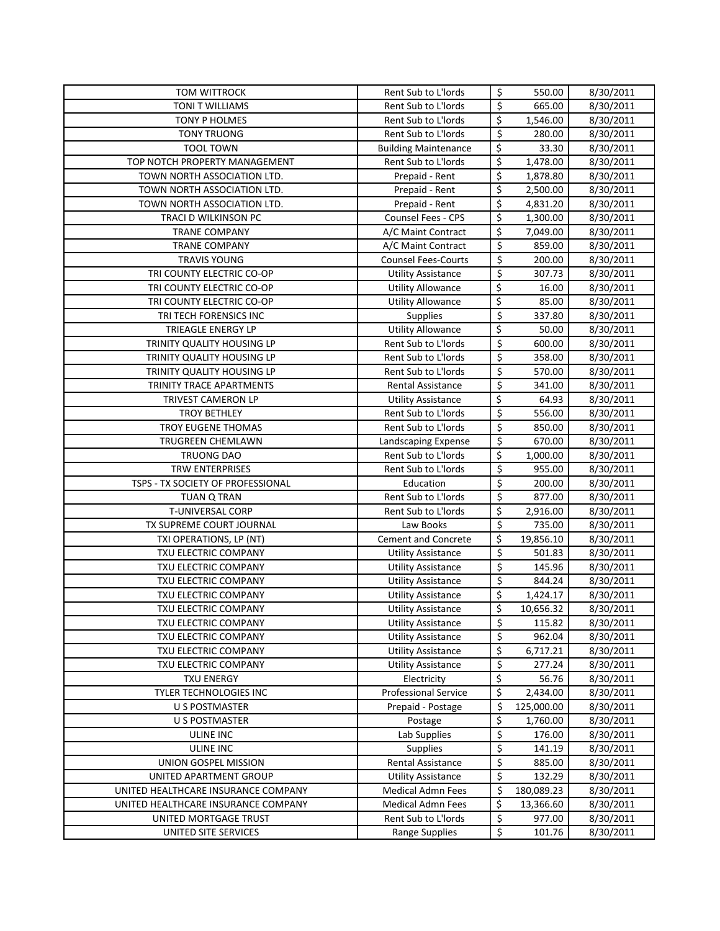| <b>TOM WITTROCK</b>                                          | Rent Sub to L'Iords                                   | \$                              | 550.00               | 8/30/2011              |
|--------------------------------------------------------------|-------------------------------------------------------|---------------------------------|----------------------|------------------------|
| TONI T WILLIAMS                                              | Rent Sub to L'Iords                                   | \$                              | 665.00               | 8/30/2011              |
| TONY P HOLMES                                                | Rent Sub to L'Iords                                   | \$                              | 1,546.00             | 8/30/2011              |
| <b>TONY TRUONG</b>                                           | Rent Sub to L'Iords                                   | \$                              | 280.00               | 8/30/2011              |
| <b>TOOL TOWN</b>                                             | <b>Building Maintenance</b>                           | \$                              | 33.30                | 8/30/2011              |
| TOP NOTCH PROPERTY MANAGEMENT                                | Rent Sub to L'Iords                                   | \$                              | 1,478.00             | 8/30/2011              |
| TOWN NORTH ASSOCIATION LTD.                                  | Prepaid - Rent                                        | \$                              | 1,878.80             | 8/30/2011              |
| TOWN NORTH ASSOCIATION LTD.                                  | Prepaid - Rent                                        | \$                              | 2,500.00             | 8/30/2011              |
| TOWN NORTH ASSOCIATION LTD.                                  | Prepaid - Rent                                        | \$                              | 4,831.20             | 8/30/2011              |
| TRACI D WILKINSON PC                                         | <b>Counsel Fees - CPS</b>                             | \$                              | 1,300.00             | 8/30/2011              |
| <b>TRANE COMPANY</b>                                         | A/C Maint Contract                                    | \$                              | 7,049.00             | 8/30/2011              |
| <b>TRANE COMPANY</b>                                         | A/C Maint Contract                                    | $\overline{\xi}$                | 859.00               | 8/30/2011              |
| <b>TRAVIS YOUNG</b>                                          | <b>Counsel Fees-Courts</b>                            | $\overline{\xi}$                | 200.00               | 8/30/2011              |
| TRI COUNTY ELECTRIC CO-OP                                    | <b>Utility Assistance</b>                             | $\overline{\xi}$                | 307.73               | 8/30/2011              |
| TRI COUNTY ELECTRIC CO-OP                                    | <b>Utility Allowance</b>                              | \$                              | 16.00                | 8/30/2011              |
| TRI COUNTY ELECTRIC CO-OP                                    | <b>Utility Allowance</b>                              | \$                              | 85.00                | 8/30/2011              |
| TRI TECH FORENSICS INC                                       | <b>Supplies</b>                                       | \$                              | 337.80               | 8/30/2011              |
| TRIEAGLE ENERGY LP                                           | <b>Utility Allowance</b>                              | \$                              | 50.00                | 8/30/2011              |
| TRINITY QUALITY HOUSING LP                                   | Rent Sub to L'Iords                                   | \$                              | 600.00               | 8/30/2011              |
| TRINITY QUALITY HOUSING LP                                   | Rent Sub to L'Iords                                   | $\overline{\xi}$                | 358.00               | 8/30/2011              |
| TRINITY QUALITY HOUSING LP                                   | Rent Sub to L'Iords                                   | $\overline{\xi}$                | 570.00               | 8/30/2011              |
| TRINITY TRACE APARTMENTS                                     | <b>Rental Assistance</b>                              | \$                              | 341.00               | 8/30/2011              |
| TRIVEST CAMERON LP                                           | <b>Utility Assistance</b>                             | \$                              | 64.93                | 8/30/2011              |
| <b>TROY BETHLEY</b>                                          | Rent Sub to L'Iords                                   | $\overline{\boldsymbol{\zeta}}$ | 556.00               | 8/30/2011              |
| TROY EUGENE THOMAS                                           | Rent Sub to L'Iords                                   | \$                              | 850.00               | 8/30/2011              |
| TRUGREEN CHEMLAWN                                            | Landscaping Expense                                   | \$                              | 670.00               | 8/30/2011              |
| <b>TRUONG DAO</b>                                            | Rent Sub to L'Iords                                   | \$                              | 1,000.00             | 8/30/2011              |
| TRW ENTERPRISES                                              | Rent Sub to L'Iords                                   | \$                              | 955.00               | 8/30/2011              |
| TSPS - TX SOCIETY OF PROFESSIONAL                            | Education                                             | \$                              | 200.00               | 8/30/2011              |
| <b>TUAN Q TRAN</b>                                           | Rent Sub to L'Iords                                   | \$                              | 877.00               | 8/30/2011              |
| T-UNIVERSAL CORP                                             | Rent Sub to L'Iords                                   | \$                              | 2,916.00             | 8/30/2011              |
| TX SUPREME COURT JOURNAL                                     | Law Books                                             | \$                              | 735.00               | 8/30/2011              |
| TXI OPERATIONS, LP (NT)                                      | <b>Cement and Concrete</b>                            | \$                              | 19,856.10            | 8/30/2011              |
| TXU ELECTRIC COMPANY                                         | <b>Utility Assistance</b>                             | \$                              | 501.83               | 8/30/2011              |
| TXU ELECTRIC COMPANY                                         | <b>Utility Assistance</b>                             | \$                              | 145.96               | 8/30/2011              |
| TXU ELECTRIC COMPANY                                         | <b>Utility Assistance</b>                             | \$                              | 844.24               | 8/30/2011              |
| TXU ELECTRIC COMPANY                                         | <b>Utility Assistance</b>                             | \$                              | 1,424.17             | 8/30/2011              |
| TXU ELECTRIC COMPANY                                         | <b>Utility Assistance</b>                             | \$                              | 10,656.32            | 8/30/2011              |
| TXU ELECTRIC COMPANY                                         | <b>Utility Assistance</b>                             | \$                              | 115.82               | 8/30/2011              |
| TXU ELECTRIC COMPANY                                         | <b>Utility Assistance</b>                             | \$                              | 962.04               | 8/30/2011              |
| TXU ELECTRIC COMPANY                                         | <b>Utility Assistance</b>                             | \$                              | 6,717.21             | 8/30/2011              |
| TXU ELECTRIC COMPANY                                         | <b>Utility Assistance</b>                             | \$                              | 277.24               | 8/30/2011              |
| <b>TXU ENERGY</b>                                            | Electricity                                           | \$                              | 56.76                | 8/30/2011              |
| TYLER TECHNOLOGIES INC                                       | <b>Professional Service</b>                           | \$                              | 2,434.00             | 8/30/2011              |
| U S POSTMASTER                                               | Prepaid - Postage                                     | \$                              | 125,000.00           | 8/30/2011              |
| U S POSTMASTER                                               | Postage                                               | \$                              | 1,760.00             | 8/30/2011              |
| <b>ULINE INC</b>                                             | Lab Supplies                                          | \$                              | 176.00               | 8/30/2011              |
| ULINE INC                                                    | Supplies                                              | \$                              | 141.19               | 8/30/2011              |
| UNION GOSPEL MISSION                                         | Rental Assistance                                     | \$<br>\$                        | 885.00               | 8/30/2011              |
| UNITED APARTMENT GROUP                                       | <b>Utility Assistance</b><br><b>Medical Admn Fees</b> | \$                              | 132.29<br>180,089.23 | 8/30/2011              |
| UNITED HEALTHCARE INSURANCE COMPANY                          | <b>Medical Admn Fees</b>                              | \$                              | 13,366.60            | 8/30/2011<br>8/30/2011 |
| UNITED HEALTHCARE INSURANCE COMPANY<br>UNITED MORTGAGE TRUST | Rent Sub to L'Iords                                   | \$                              | 977.00               | 8/30/2011              |
| UNITED SITE SERVICES                                         | Range Supplies                                        | \$                              | 101.76               | 8/30/2011              |
|                                                              |                                                       |                                 |                      |                        |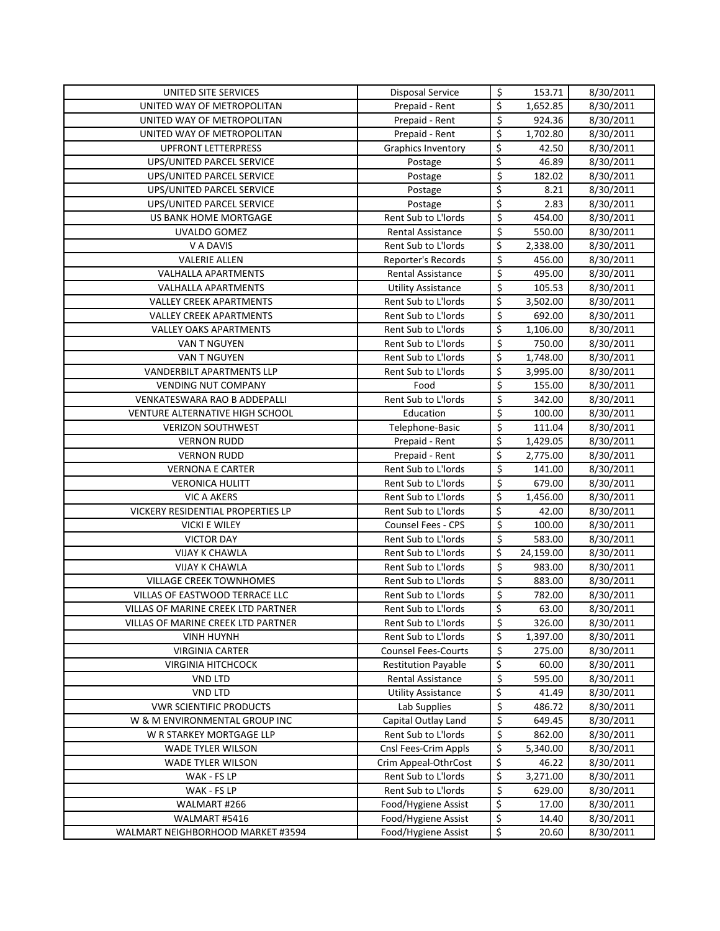| UNITED SITE SERVICES                               | Disposal Service                           | \$                      | 153.71         | 8/30/2011              |
|----------------------------------------------------|--------------------------------------------|-------------------------|----------------|------------------------|
| UNITED WAY OF METROPOLITAN                         | Prepaid - Rent                             | \$                      | 1,652.85       | 8/30/2011              |
| UNITED WAY OF METROPOLITAN                         | Prepaid - Rent                             | \$                      | 924.36         | 8/30/2011              |
| UNITED WAY OF METROPOLITAN                         | Prepaid - Rent                             | \$                      | 1,702.80       | 8/30/2011              |
| <b>UPFRONT LETTERPRESS</b>                         | Graphics Inventory                         | \$                      | 42.50          | 8/30/2011              |
| UPS/UNITED PARCEL SERVICE                          | Postage                                    | \$                      | 46.89          | 8/30/2011              |
| UPS/UNITED PARCEL SERVICE                          | Postage                                    | \$                      | 182.02         | 8/30/2011              |
| UPS/UNITED PARCEL SERVICE                          | Postage                                    | \$                      | 8.21           | 8/30/2011              |
| UPS/UNITED PARCEL SERVICE                          | Postage                                    | \$                      | 2.83           | 8/30/2011              |
| US BANK HOME MORTGAGE                              | Rent Sub to L'Iords                        | \$                      | 454.00         | 8/30/2011              |
| <b>UVALDO GOMEZ</b>                                | Rental Assistance                          | \$                      | 550.00         | 8/30/2011              |
| V A DAVIS                                          | Rent Sub to L'Iords                        | \$                      | 2,338.00       | 8/30/2011              |
| <b>VALERIE ALLEN</b>                               | Reporter's Records                         | \$                      | 456.00         | 8/30/2011              |
| <b>VALHALLA APARTMENTS</b>                         | Rental Assistance                          | $\overline{\xi}$        | 495.00         | 8/30/2011              |
| <b>VALHALLA APARTMENTS</b>                         | <b>Utility Assistance</b>                  | \$                      | 105.53         | 8/30/2011              |
| <b>VALLEY CREEK APARTMENTS</b>                     | Rent Sub to L'Iords                        | \$                      | 3,502.00       | 8/30/2011              |
| <b>VALLEY CREEK APARTMENTS</b>                     | Rent Sub to L'Iords                        | $\overline{\mathsf{S}}$ | 692.00         | 8/30/2011              |
| <b>VALLEY OAKS APARTMENTS</b>                      | Rent Sub to L'Iords                        | \$                      | 1,106.00       | 8/30/2011              |
| <b>VAN T NGUYEN</b>                                | Rent Sub to L'Iords                        | \$                      | 750.00         | 8/30/2011              |
| VAN T NGUYEN                                       | Rent Sub to L'Iords                        | \$                      | 1,748.00       | 8/30/2011              |
| VANDERBILT APARTMENTS LLP                          | Rent Sub to L'Iords                        | \$                      | 3,995.00       | 8/30/2011              |
| <b>VENDING NUT COMPANY</b>                         | Food                                       | \$                      | 155.00         | 8/30/2011              |
| VENKATESWARA RAO B ADDEPALLI                       | Rent Sub to L'Iords                        | \$                      | 342.00         | 8/30/2011              |
| VENTURE ALTERNATIVE HIGH SCHOOL                    | Education                                  | \$                      | 100.00         | 8/30/2011              |
| <b>VERIZON SOUTHWEST</b>                           | Telephone-Basic                            | \$                      | 111.04         | 8/30/2011              |
| <b>VERNON RUDD</b>                                 | Prepaid - Rent                             | \$                      | 1,429.05       | 8/30/2011              |
| <b>VERNON RUDD</b>                                 | Prepaid - Rent                             | \$                      | 2,775.00       | 8/30/2011              |
| <b>VERNONA E CARTER</b>                            | Rent Sub to L'Iords                        | \$                      | 141.00         | 8/30/2011              |
| <b>VERONICA HULITT</b>                             | Rent Sub to L'Iords                        | \$                      | 679.00         | 8/30/2011              |
| <b>VIC A AKERS</b>                                 | Rent Sub to L'Iords                        | \$                      | 1,456.00       | 8/30/2011              |
| VICKERY RESIDENTIAL PROPERTIES LP                  | Rent Sub to L'Iords                        | \$                      | 42.00          | 8/30/2011              |
| <b>VICKI E WILEY</b>                               | <b>Counsel Fees - CPS</b>                  | \$                      | 100.00         | 8/30/2011              |
| <b>VICTOR DAY</b>                                  | Rent Sub to L'Iords                        | \$                      | 583.00         | 8/30/2011              |
| <b>VIJAY K CHAWLA</b>                              | Rent Sub to L'Iords                        | \$                      | 24,159.00      | 8/30/2011              |
| <b>VIJAY K CHAWLA</b>                              | Rent Sub to L'Iords                        | \$                      | 983.00         | 8/30/2011              |
| <b>VILLAGE CREEK TOWNHOMES</b>                     | Rent Sub to L'Iords                        | \$                      | 883.00         | 8/30/2011              |
| VILLAS OF EASTWOOD TERRACE LLC                     | Rent Sub to L'Iords                        | \$                      | 782.00         | 8/30/2011              |
| <b>VILLAS OF MARINE CREEK LTD PARTNER</b>          | Rent Sub to L'Iords                        | \$                      | 63.00          | 8/30/2011              |
| VILLAS OF MARINE CREEK LTD PARTNER                 | Rent Sub to L'Iords                        | \$                      | 326.00         | 8/30/2011              |
| <b>VINH HUYNH</b>                                  | Rent Sub to L'Iords                        | \$                      | 1,397.00       | 8/30/2011              |
| <b>VIRGINIA CARTER</b>                             | <b>Counsel Fees-Courts</b>                 | \$                      | 275.00         | 8/30/2011              |
| <b>VIRGINIA HITCHCOCK</b>                          | <b>Restitution Payable</b>                 | \$                      | 60.00          | 8/30/2011              |
| VND LTD                                            | Rental Assistance                          | \$                      | 595.00         | 8/30/2011              |
| VND LTD                                            | <b>Utility Assistance</b>                  | \$                      | 41.49          | 8/30/2011              |
| <b>VWR SCIENTIFIC PRODUCTS</b>                     | Lab Supplies                               | \$                      | 486.72         | 8/30/2011              |
| W & M ENVIRONMENTAL GROUP INC                      | Capital Outlay Land                        | \$                      | 649.45         | 8/30/2011              |
| W R STARKEY MORTGAGE LLP                           | Rent Sub to L'Iords                        | \$                      | 862.00         | 8/30/2011              |
| WADE TYLER WILSON                                  | Cnsl Fees-Crim Appls                       | \$                      | 5,340.00       | 8/30/2011              |
| <b>WADE TYLER WILSON</b>                           | Crim Appeal-OthrCost                       | \$                      | 46.22          | 8/30/2011              |
| WAK - FS LP                                        | Rent Sub to L'Iords                        | \$                      | 3,271.00       | 8/30/2011              |
| WAK - FS LP                                        | Rent Sub to L'Iords                        | \$                      | 629.00         | 8/30/2011              |
| WALMART #266                                       |                                            |                         |                |                        |
|                                                    | Food/Hygiene Assist                        | \$                      | 17.00          | 8/30/2011              |
| WALMART #5416<br>WALMART NEIGHBORHOOD MARKET #3594 | Food/Hygiene Assist<br>Food/Hygiene Assist | \$<br>\$                | 14.40<br>20.60 | 8/30/2011<br>8/30/2011 |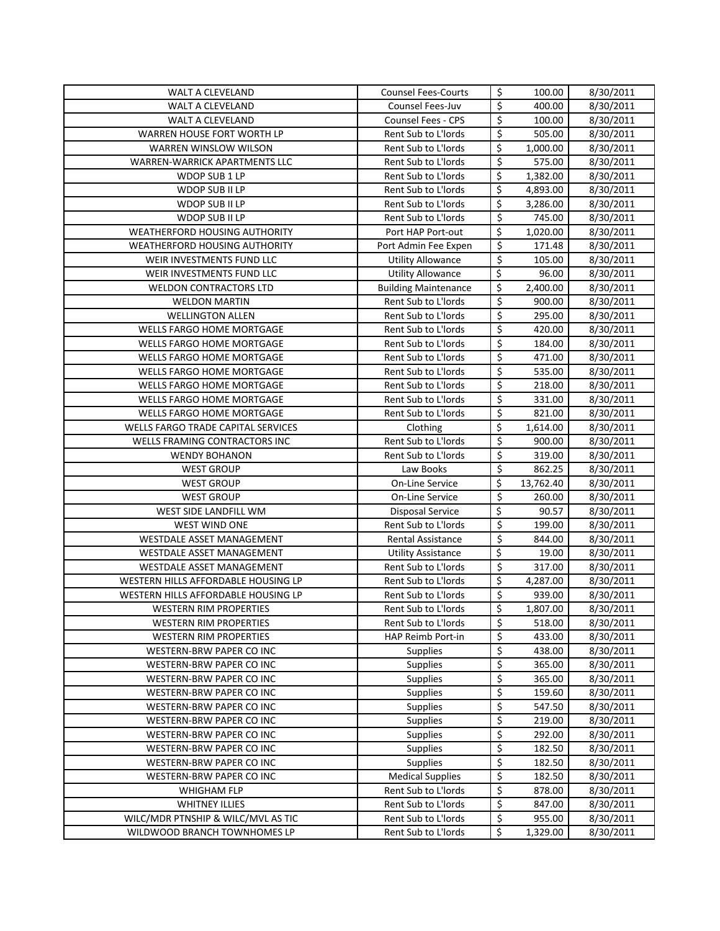| WALT A CLEVELAND                                     | <b>Counsel Fees-Courts</b>  | \$               | 100.00           | 8/30/2011              |
|------------------------------------------------------|-----------------------------|------------------|------------------|------------------------|
| WALT A CLEVELAND                                     | Counsel Fees-Juv            | \$               | 400.00           | 8/30/2011              |
| WALT A CLEVELAND                                     | Counsel Fees - CPS          | \$               | 100.00           | 8/30/2011              |
| WARREN HOUSE FORT WORTH LP                           | Rent Sub to L'Iords         | \$               | 505.00           | 8/30/2011              |
| WARREN WINSLOW WILSON                                | Rent Sub to L'Iords         | \$               | 1,000.00         | 8/30/2011              |
| <b>WARREN-WARRICK APARTMENTS LLC</b>                 | Rent Sub to L'Iords         | \$               | 575.00           | 8/30/2011              |
| WDOP SUB 1 LP                                        | Rent Sub to L'Iords         | \$               | 1,382.00         | 8/30/2011              |
| WDOP SUB II LP                                       | Rent Sub to L'Iords         | \$               | 4,893.00         | 8/30/2011              |
| WDOP SUB II LP                                       | Rent Sub to L'Iords         | \$               | 3,286.00         | 8/30/2011              |
| WDOP SUB II LP                                       | Rent Sub to L'Iords         | $\overline{\xi}$ | 745.00           | 8/30/2011              |
| WEATHERFORD HOUSING AUTHORITY                        | Port HAP Port-out           | \$               | 1,020.00         | 8/30/2011              |
| WEATHERFORD HOUSING AUTHORITY                        | Port Admin Fee Expen        | \$               | 171.48           | 8/30/2011              |
| WEIR INVESTMENTS FUND LLC                            | <b>Utility Allowance</b>    | \$               | 105.00           | 8/30/2011              |
| WEIR INVESTMENTS FUND LLC                            | <b>Utility Allowance</b>    | \$               | 96.00            | 8/30/2011              |
| <b>WELDON CONTRACTORS LTD</b>                        | <b>Building Maintenance</b> | \$               | 2,400.00         | 8/30/2011              |
| <b>WELDON MARTIN</b>                                 | Rent Sub to L'Iords         | \$               | 900.00           | 8/30/2011              |
| <b>WELLINGTON ALLEN</b>                              | Rent Sub to L'Iords         | \$               | 295.00           | 8/30/2011              |
| WELLS FARGO HOME MORTGAGE                            | Rent Sub to L'Iords         | $\overline{\xi}$ | 420.00           | 8/30/2011              |
| WELLS FARGO HOME MORTGAGE                            | Rent Sub to L'Iords         | \$               | 184.00           | 8/30/2011              |
| WELLS FARGO HOME MORTGAGE                            | Rent Sub to L'Iords         | \$               | 471.00           | 8/30/2011              |
| WELLS FARGO HOME MORTGAGE                            | Rent Sub to L'Iords         | \$               | 535.00           | 8/30/2011              |
| <b>WELLS FARGO HOME MORTGAGE</b>                     | Rent Sub to L'Iords         | \$               | 218.00           | 8/30/2011              |
| WELLS FARGO HOME MORTGAGE                            | Rent Sub to L'Iords         | $\overline{\xi}$ | 331.00           | 8/30/2011              |
| WELLS FARGO HOME MORTGAGE                            | Rent Sub to L'Iords         | \$               | 821.00           | 8/30/2011              |
| WELLS FARGO TRADE CAPITAL SERVICES                   | Clothing                    | \$               | 1,614.00         | 8/30/2011              |
| WELLS FRAMING CONTRACTORS INC                        | Rent Sub to L'Iords         | \$               | 900.00           | 8/30/2011              |
| <b>WENDY BOHANON</b>                                 | Rent Sub to L'Iords         | \$               | 319.00           | 8/30/2011              |
| <b>WEST GROUP</b>                                    | Law Books                   | \$               | 862.25           | 8/30/2011              |
| <b>WEST GROUP</b>                                    | On-Line Service             | \$               | 13,762.40        | 8/30/2011              |
| <b>WEST GROUP</b>                                    | On-Line Service             | \$               | 260.00           | 8/30/2011              |
| WEST SIDE LANDFILL WM                                | <b>Disposal Service</b>     | \$               | 90.57            | 8/30/2011              |
| WEST WIND ONE                                        | Rent Sub to L'Iords         | \$               | 199.00           | 8/30/2011              |
| WESTDALE ASSET MANAGEMENT                            | <b>Rental Assistance</b>    | \$               | 844.00           | 8/30/2011              |
| WESTDALE ASSET MANAGEMENT                            | <b>Utility Assistance</b>   | \$               | 19.00            | 8/30/2011              |
| WESTDALE ASSET MANAGEMENT                            | Rent Sub to L'Iords         | \$               | 317.00           | 8/30/2011              |
| WESTERN HILLS AFFORDABLE HOUSING LP                  | Rent Sub to L'Iords         | \$               | 4,287.00         | 8/30/2011              |
| WESTERN HILLS AFFORDABLE HOUSING LP                  | Rent Sub to L'Iords         | \$               | 939.00           | 8/30/2011              |
| <b>WESTERN RIM PROPERTIES</b>                        | Rent Sub to L'Iords         | Ś                | 1.807.00         | 8/30/2011              |
| <b>WESTERN RIM PROPERTIES</b>                        | Rent Sub to L'Iords         | \$               | 518.00           | 8/30/2011              |
| <b>WESTERN RIM PROPERTIES</b>                        | HAP Reimb Port-in           | \$               | 433.00           | 8/30/2011              |
| WESTERN-BRW PAPER CO INC                             | <b>Supplies</b>             | \$               | 438.00           | 8/30/2011              |
| WESTERN-BRW PAPER CO INC                             | Supplies                    | \$               | 365.00           | 8/30/2011              |
| WESTERN-BRW PAPER CO INC                             | <b>Supplies</b>             | \$<br>\$         | 365.00           | 8/30/2011              |
| WESTERN-BRW PAPER CO INC                             | Supplies                    |                  | 159.60           | 8/30/2011              |
| WESTERN-BRW PAPER CO INC                             | Supplies                    | \$               | 547.50           | 8/30/2011              |
| WESTERN-BRW PAPER CO INC                             | <b>Supplies</b>             | \$               | 219.00           | 8/30/2011              |
| WESTERN-BRW PAPER CO INC                             | Supplies<br><b>Supplies</b> | \$<br>\$         | 292.00<br>182.50 | 8/30/2011<br>8/30/2011 |
| WESTERN-BRW PAPER CO INC<br>WESTERN-BRW PAPER CO INC | <b>Supplies</b>             | \$               | 182.50           | 8/30/2011              |
| WESTERN-BRW PAPER CO INC                             | <b>Medical Supplies</b>     | \$               | 182.50           | 8/30/2011              |
| WHIGHAM FLP                                          | Rent Sub to L'Iords         | \$               | 878.00           | 8/30/2011              |
| <b>WHITNEY ILLIES</b>                                | Rent Sub to L'Iords         | \$               | 847.00           | 8/30/2011              |
| WILC/MDR PTNSHIP & WILC/MVL AS TIC                   | Rent Sub to L'Iords         | \$               | 955.00           | 8/30/2011              |
| WILDWOOD BRANCH TOWNHOMES LP                         | Rent Sub to L'Iords         | \$               | 1,329.00         | 8/30/2011              |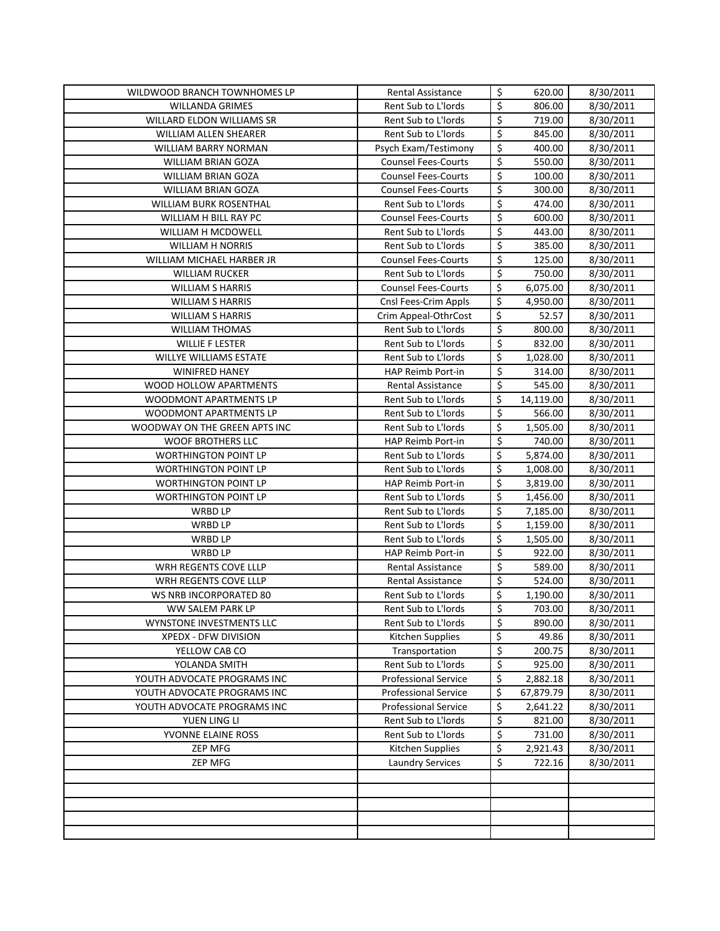| WILDWOOD BRANCH TOWNHOMES LP                  | Rental Assistance                          | \$<br>620.00               | 8/30/2011              |
|-----------------------------------------------|--------------------------------------------|----------------------------|------------------------|
| <b>WILLANDA GRIMES</b>                        | Rent Sub to L'Iords                        | \$<br>806.00               | 8/30/2011              |
| WILLARD ELDON WILLIAMS SR                     | Rent Sub to L'Iords                        | \$<br>719.00               | 8/30/2011              |
| <b>WILLIAM ALLEN SHEARER</b>                  | Rent Sub to L'Iords                        | \$<br>845.00               | 8/30/2011              |
| WILLIAM BARRY NORMAN                          | Psych Exam/Testimony                       | \$<br>400.00               | 8/30/2011              |
| <b>WILLIAM BRIAN GOZA</b>                     | <b>Counsel Fees-Courts</b>                 | \$<br>550.00               | 8/30/2011              |
| <b>WILLIAM BRIAN GOZA</b>                     | <b>Counsel Fees-Courts</b>                 | \$<br>100.00               | 8/30/2011              |
| WILLIAM BRIAN GOZA                            | <b>Counsel Fees-Courts</b>                 | \$<br>300.00               | 8/30/2011              |
| <b>WILLIAM BURK ROSENTHAL</b>                 | Rent Sub to L'Iords                        | \$<br>474.00               | 8/30/2011              |
| WILLIAM H BILL RAY PC                         | <b>Counsel Fees-Courts</b>                 | \$<br>600.00               | 8/30/2011              |
| WILLIAM H MCDOWELL                            | Rent Sub to L'Iords                        | \$<br>443.00               | 8/30/2011              |
| <b>WILLIAM H NORRIS</b>                       | Rent Sub to L'Iords                        | \$<br>385.00               | 8/30/2011              |
| WILLIAM MICHAEL HARBER JR                     | <b>Counsel Fees-Courts</b>                 | \$<br>125.00               | 8/30/2011              |
| <b>WILLIAM RUCKER</b>                         | Rent Sub to L'Iords                        | \$<br>750.00               | 8/30/2011              |
| <b>WILLIAM S HARRIS</b>                       | <b>Counsel Fees-Courts</b>                 | \$<br>6,075.00             | 8/30/2011              |
| <b>WILLIAM S HARRIS</b>                       | Cnsl Fees-Crim Appls                       | \$<br>4,950.00             | 8/30/2011              |
| <b>WILLIAM S HARRIS</b>                       | Crim Appeal-OthrCost                       | \$<br>52.57                | 8/30/2011              |
| <b>WILLIAM THOMAS</b>                         | Rent Sub to L'Iords                        | \$<br>800.00               | 8/30/2011              |
| <b>WILLIE F LESTER</b>                        | Rent Sub to L'Iords                        | \$<br>832.00               | 8/30/2011              |
| <b>WILLYE WILLIAMS ESTATE</b>                 | Rent Sub to L'Iords                        | \$<br>1,028.00             | 8/30/2011              |
| <b>WINIFRED HANEY</b>                         | HAP Reimb Port-in                          | \$<br>314.00               | 8/30/2011              |
| WOOD HOLLOW APARTMENTS                        | Rental Assistance                          | \$<br>545.00               | 8/30/2011              |
| WOODMONT APARTMENTS LP                        | Rent Sub to L'Iords                        | \$<br>14,119.00            |                        |
|                                               |                                            | \$                         | 8/30/2011              |
| WOODMONT APARTMENTS LP                        | Rent Sub to L'Iords                        | \$<br>566.00               | 8/30/2011              |
| WOODWAY ON THE GREEN APTS INC                 | Rent Sub to L'Iords                        | \$<br>1,505.00             | 8/30/2011              |
| <b>WOOF BROTHERS LLC</b>                      | HAP Reimb Port-in                          | \$<br>740.00               | 8/30/2011              |
| <b>WORTHINGTON POINT LP</b>                   | Rent Sub to L'Iords                        | \$<br>5,874.00             | 8/30/2011              |
| <b>WORTHINGTON POINT LP</b>                   | Rent Sub to L'Iords                        | \$<br>1,008.00             | 8/30/2011              |
| <b>WORTHINGTON POINT LP</b>                   | HAP Reimb Port-in                          | \$<br>3,819.00             | 8/30/2011              |
| <b>WORTHINGTON POINT LP</b><br><b>WRBD LP</b> | Rent Sub to L'Iords<br>Rent Sub to L'Iords | \$<br>1,456.00<br>7,185.00 | 8/30/2011<br>8/30/2011 |
| <b>WRBD LP</b>                                | Rent Sub to L'Iords                        | \$<br>1,159.00             | 8/30/2011              |
|                                               |                                            | \$                         | 8/30/2011              |
| WRBD LP<br><b>WRBD LP</b>                     | Rent Sub to L'Iords<br>HAP Reimb Port-in   | \$<br>1,505.00<br>922.00   |                        |
| WRH REGENTS COVE LLLP                         | <b>Rental Assistance</b>                   | \$<br>589.00               | 8/30/2011<br>8/30/2011 |
| WRH REGENTS COVE LLLP                         | Rental Assistance                          | \$<br>524.00               | 8/30/2011              |
| WS NRB INCORPORATED 80                        | Rent Sub to L'Iords                        | \$<br>1,190.00             | 8/30/2011              |
| WW SALEM PARK LP                              | Rent Sub to L'Iords                        | \$<br>703.00               |                        |
| WYNSTONE INVESTMENTS LLC                      | Rent Sub to L'Iords                        | \$<br>890.00               | 8/30/2011              |
| XPEDX - DFW DIVISION                          | Kitchen Supplies                           | \$<br>49.86                | 8/30/2011<br>8/30/2011 |
| YELLOW CAB CO                                 | Transportation                             | \$<br>200.75               | 8/30/2011              |
| YOLANDA SMITH                                 | Rent Sub to L'Iords                        | \$<br>925.00               | 8/30/2011              |
| YOUTH ADVOCATE PROGRAMS INC                   | <b>Professional Service</b>                | \$<br>2,882.18             |                        |
| YOUTH ADVOCATE PROGRAMS INC                   | <b>Professional Service</b>                | \$<br>67,879.79            | 8/30/2011<br>8/30/2011 |
| YOUTH ADVOCATE PROGRAMS INC                   | <b>Professional Service</b>                | \$                         | 8/30/2011              |
| YUEN LING LI                                  | Rent Sub to L'Iords                        | \$<br>2,641.22<br>821.00   | 8/30/2011              |
| YVONNE ELAINE ROSS                            | Rent Sub to L'Iords                        | \$<br>731.00               | 8/30/2011              |
| <b>ZEP MFG</b>                                | Kitchen Supplies                           | \$<br>2,921.43             | 8/30/2011              |
| <b>ZEP MFG</b>                                | <b>Laundry Services</b>                    | \$<br>722.16               | 8/30/2011              |
|                                               |                                            |                            |                        |
|                                               |                                            |                            |                        |
|                                               |                                            |                            |                        |
|                                               |                                            |                            |                        |
|                                               |                                            |                            |                        |
|                                               |                                            |                            |                        |